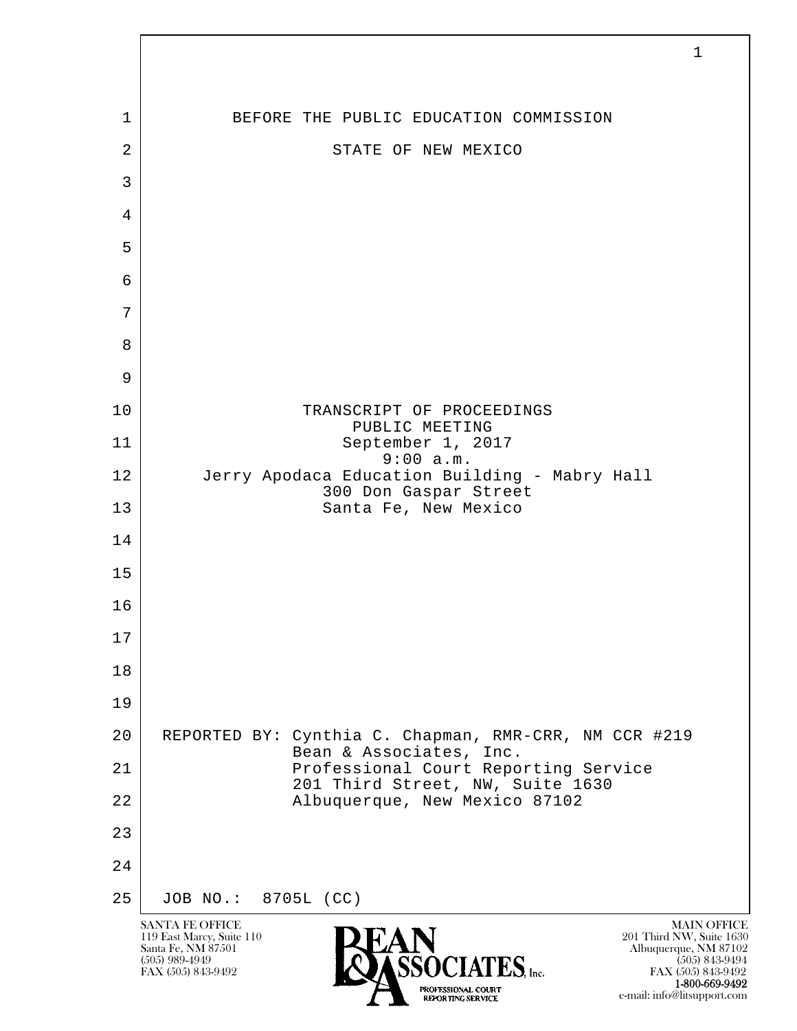

e-mail: info@litsupport.com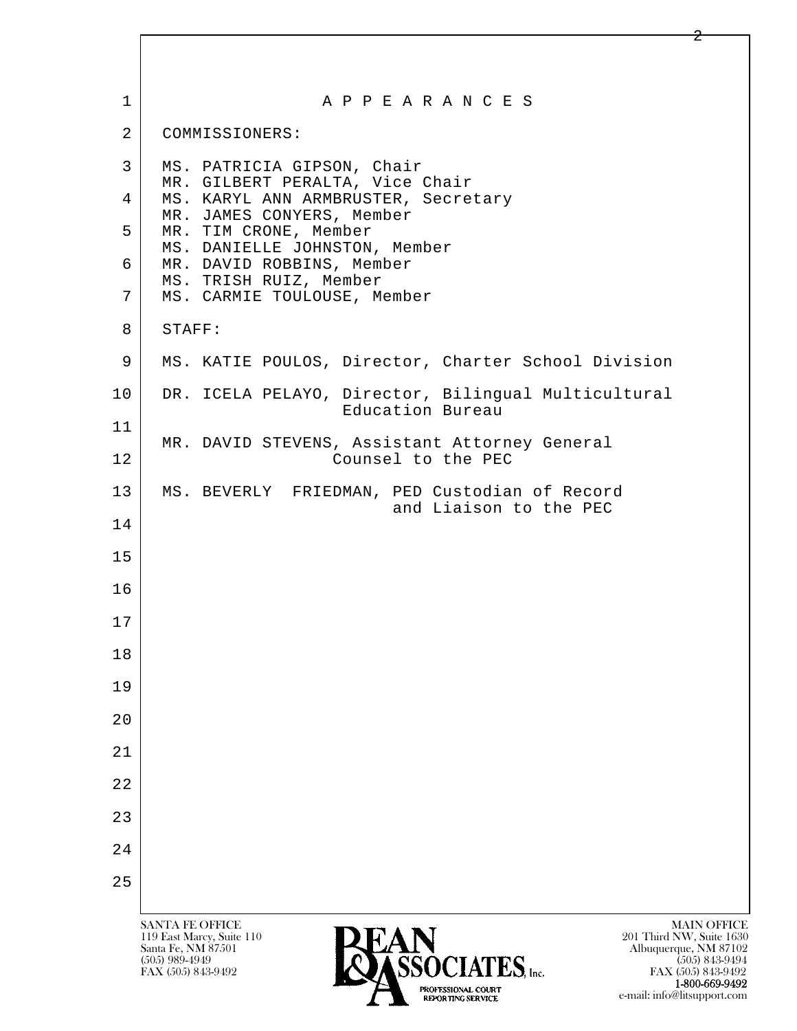| $\mathbf 1$    | A P P E A R A N C E S                                                                                                                                                                                                       |
|----------------|-----------------------------------------------------------------------------------------------------------------------------------------------------------------------------------------------------------------------------|
| $\overline{2}$ | COMMISSIONERS:                                                                                                                                                                                                              |
| $\mathbf{3}$   | MS. PATRICIA GIPSON, Chair<br>MR. GILBERT PERALTA, Vice Chair                                                                                                                                                               |
| 4              | MS. KARYL ANN ARMBRUSTER, Secretary<br>MR. JAMES CONYERS, Member                                                                                                                                                            |
| 5              | MR. TIM CRONE, Member<br>MS. DANIELLE JOHNSTON, Member                                                                                                                                                                      |
| 6              | MR. DAVID ROBBINS, Member<br>MS. TRISH RUIZ, Member                                                                                                                                                                         |
| 7              | MS. CARMIE TOULOUSE, Member                                                                                                                                                                                                 |
| 8              | STAFF:                                                                                                                                                                                                                      |
| 9              | MS. KATIE POULOS, Director, Charter School Division                                                                                                                                                                         |
| 10             | DR. ICELA PELAYO, Director, Bilingual Multicultural<br>Education Bureau                                                                                                                                                     |
| 11             | MR. DAVID STEVENS, Assistant Attorney General                                                                                                                                                                               |
| 12             | Counsel to the PEC                                                                                                                                                                                                          |
| 13             | MS. BEVERLY FRIEDMAN, PED Custodian of Record<br>and Liaison to the PEC                                                                                                                                                     |
| 14             |                                                                                                                                                                                                                             |
| 15             |                                                                                                                                                                                                                             |
| 16             |                                                                                                                                                                                                                             |
| 17             |                                                                                                                                                                                                                             |
| 18             |                                                                                                                                                                                                                             |
| 19             |                                                                                                                                                                                                                             |
| 20             |                                                                                                                                                                                                                             |
| 21             |                                                                                                                                                                                                                             |
| 22             |                                                                                                                                                                                                                             |
| 23             |                                                                                                                                                                                                                             |
| 24             |                                                                                                                                                                                                                             |
| 25             |                                                                                                                                                                                                                             |
|                | <b>SANTA FE OFFICE</b><br><b>MAIN OFFICE</b>                                                                                                                                                                                |
|                | 119 East Marcy, Suite 110<br>201 Third NW, Suite 1630<br><b>LAIN</b><br>ASSOCIATES, Inc.<br>Santa Fe, NM 87501<br>Albuquerque, NM 87102<br>$(505)$ 989-4949<br>$(505)$ 843-9494<br>FAX (505) 843-9492<br>FAX (505) 843-9492 |

**1-800-669-9492**<br> **EXALTERIONAL CN BT** e-mail: info@litsupport.com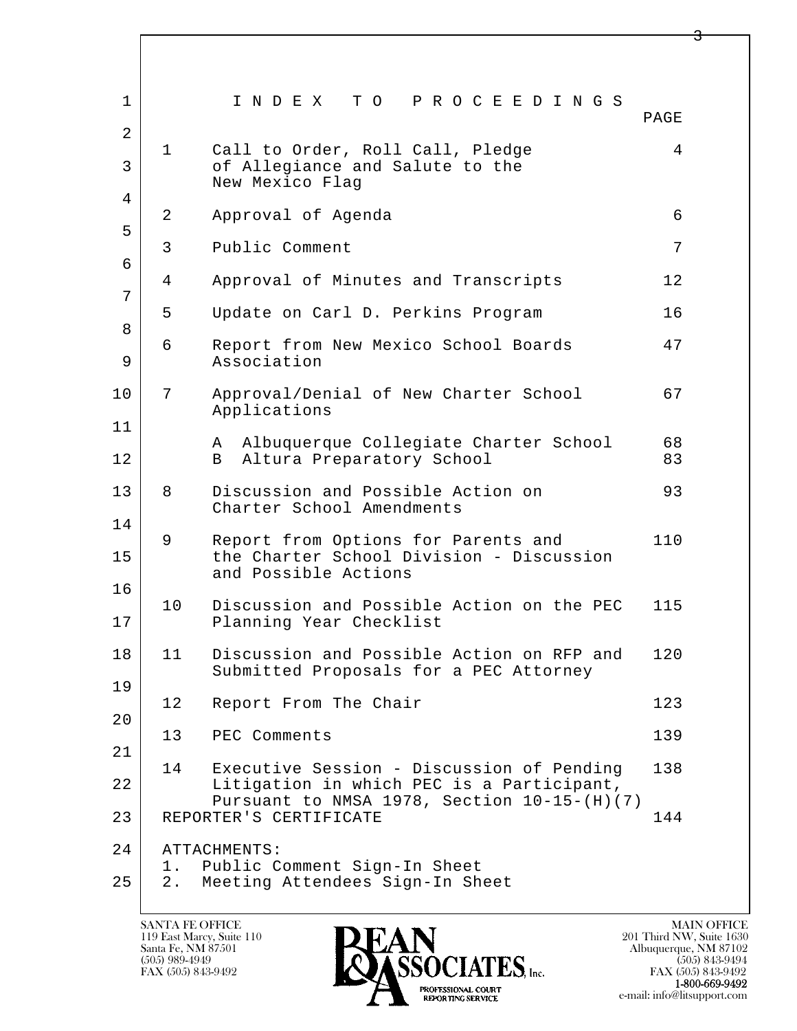| $\mathbf 1$         |                 | INDEX TO PROCEEDINGS                                                                                    | PAGE     |
|---------------------|-----------------|---------------------------------------------------------------------------------------------------------|----------|
| $\overline{2}$<br>3 | $\mathbf 1$     | Call to Order, Roll Call, Pledge<br>of Allegiance and Salute to the<br>New Mexico Flag                  | 4        |
| 4                   | 2               | Approval of Agenda                                                                                      | 6        |
| 5                   | 3               | Public Comment                                                                                          | 7        |
| 6<br>7              | 4               | Approval of Minutes and Transcripts                                                                     | 12       |
| 8                   | 5               | Update on Carl D. Perkins Program                                                                       | 16       |
| 9                   | 6               | Report from New Mexico School Boards<br>Association                                                     | 47       |
| 10                  | 7               | Approval/Denial of New Charter School<br>Applications                                                   | 67       |
| 11<br>12            |                 | Albuquerque Collegiate Charter School<br>A<br>Altura Preparatory School<br>B                            | 68<br>83 |
| 13                  | 8               | Discussion and Possible Action on<br>Charter School Amendments                                          | 93       |
| 14<br>15            | 9               | Report from Options for Parents and<br>the Charter School Division - Discussion<br>and Possible Actions | 110      |
| 16<br>17            | 10 <sub>o</sub> | Discussion and Possible Action on the PEC<br>Planning Year Checklist                                    | 115      |
| 18                  | 11              | Discussion and Possible Action on RFP and<br>Submitted Proposals for a PEC Attorney                     | 120      |
| 19                  | 12              | Report From The Chair                                                                                   | 123      |
| 20                  | 13              | PEC Comments                                                                                            | 139      |
| 21<br>22            | 14              | Executive Session - Discussion of Pending<br>Litigation in which PEC is a Participant,                  | 138      |
| 23                  |                 | Pursuant to NMSA 1978, Section 10-15-(H)(7)<br>REPORTER'S CERTIFICATE                                   | 144      |
| 24<br>25            | $1$ .<br>$2$ .  | ATTACHMENTS:<br>Public Comment Sign-In Sheet<br>Meeting Attendees Sign-In Sheet                         |          |
|                     |                 |                                                                                                         |          |

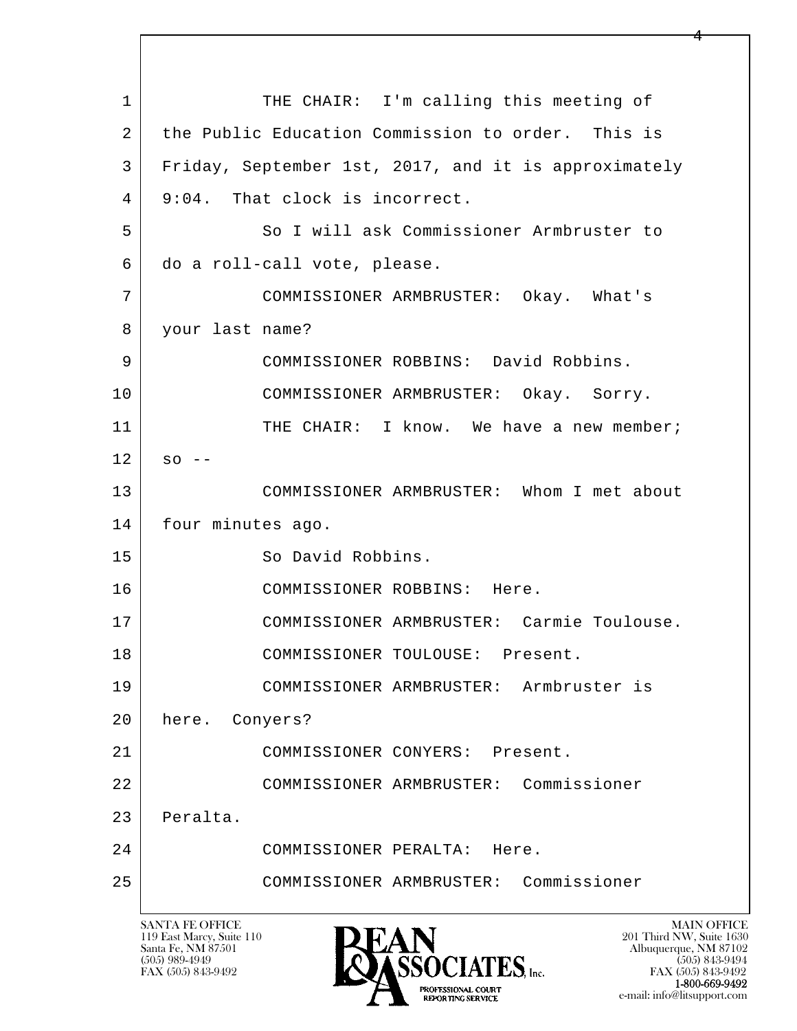l  $\overline{\phantom{a}}$ 1 THE CHAIR: I'm calling this meeting of 2 the Public Education Commission to order. This is 3 Friday, September 1st, 2017, and it is approximately 4 9:04. That clock is incorrect. 5 So I will ask Commissioner Armbruster to 6 do a roll-call vote, please. 7 COMMISSIONER ARMBRUSTER: Okay. What's 8 your last name? 9 COMMISSIONER ROBBINS: David Robbins. 10 COMMISSIONER ARMBRUSTER: Okay. Sorry. 11 THE CHAIR: I know. We have a new member;  $12$  so  $-$  13 COMMISSIONER ARMBRUSTER: Whom I met about 14 four minutes ago. 15 So David Robbins. 16 COMMISSIONER ROBBINS: Here. 17 COMMISSIONER ARMBRUSTER: Carmie Toulouse. 18 | COMMISSIONER TOULOUSE: Present. 19 COMMISSIONER ARMBRUSTER: Armbruster is 20 here. Conyers? 21 COMMISSIONER CONYERS: Present. 22 COMMISSIONER ARMBRUSTER: Commissioner 23 Peralta. 24 COMMISSIONER PERALTA: Here. 25 COMMISSIONER ARMBRUSTER: Commissioner

119 East Marcy, Suite 110<br>Santa Fe, NM 87501

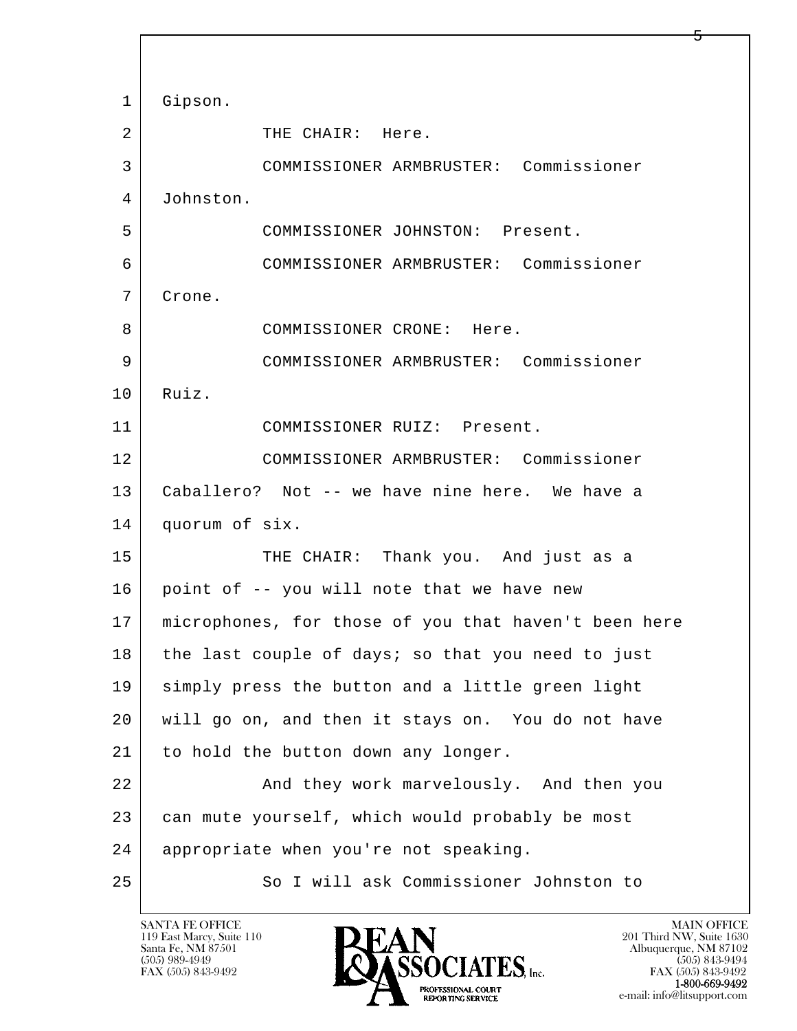l  $\overline{\phantom{a}}$ 1 Gipson. 2 THE CHAIR: Here. 3 COMMISSIONER ARMBRUSTER: Commissioner 4 Johnston. 5 COMMISSIONER JOHNSTON: Present. 6 COMMISSIONER ARMBRUSTER: Commissioner 7 Crone. 8 | COMMISSIONER CRONE: Here. 9 COMMISSIONER ARMBRUSTER: Commissioner 10 | Ruiz. 11 COMMISSIONER RUIZ: Present. 12 COMMISSIONER ARMBRUSTER: Commissioner 13 Caballero? Not -- we have nine here. We have a 14 quorum of six. 15 THE CHAIR: Thank you. And just as a 16 point of -- you will note that we have new 17 microphones, for those of you that haven't been here 18 the last couple of days; so that you need to just 19 simply press the button and a little green light 20 will go on, and then it stays on. You do not have 21 to hold the button down any longer. 22 And they work marvelously. And then you 23 can mute yourself, which would probably be most 24 appropriate when you're not speaking. 25 So I will ask Commissioner Johnston to

119 East Marcy, Suite 110<br>Santa Fe, NM 87501

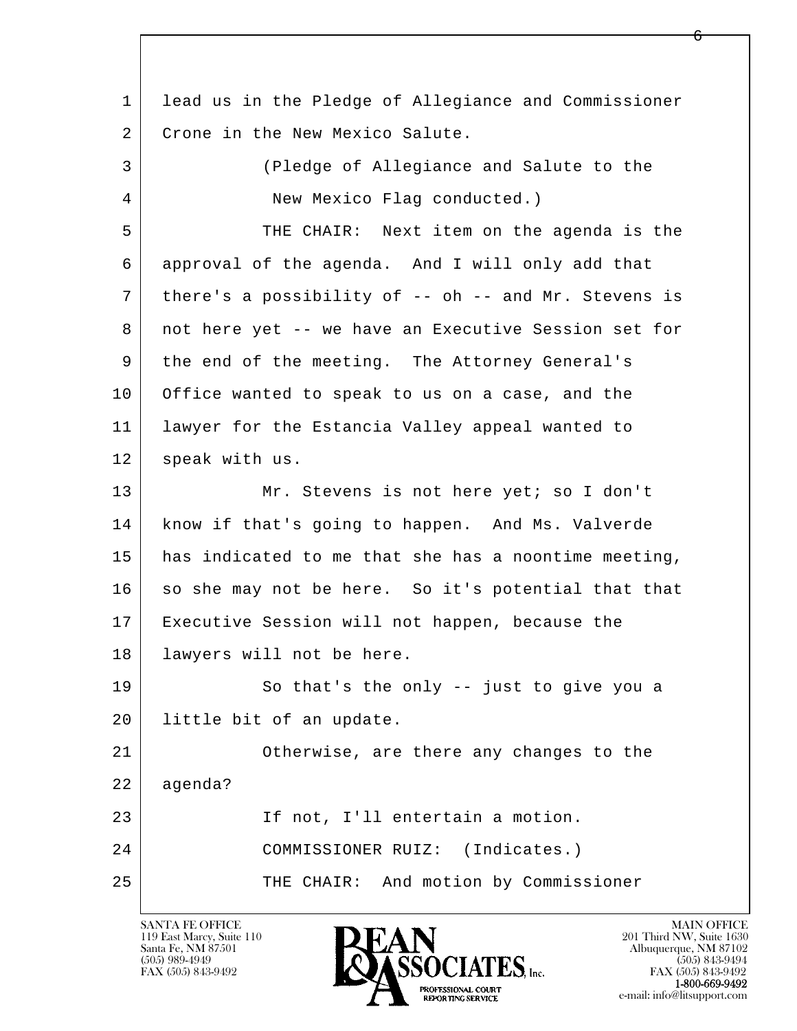l  $\overline{\phantom{a}}$  1 lead us in the Pledge of Allegiance and Commissioner 2 Crone in the New Mexico Salute. 3 (Pledge of Allegiance and Salute to the 4 New Mexico Flag conducted.) 5 THE CHAIR: Next item on the agenda is the 6 approval of the agenda. And I will only add that 7 there's a possibility of -- oh -- and Mr. Stevens is 8 not here yet -- we have an Executive Session set for 9 | the end of the meeting. The Attorney General's 10 Office wanted to speak to us on a case, and the 11 lawyer for the Estancia Valley appeal wanted to 12 speak with us. 13 Mr. Stevens is not here yet; so I don't 14 know if that's going to happen. And Ms. Valverde 15 | has indicated to me that she has a noontime meeting, 16 so she may not be here. So it's potential that that 17 Executive Session will not happen, because the 18 lawyers will not be here. 19 So that's the only -- just to give you a 20 little bit of an update. 21 Otherwise, are there any changes to the 22 agenda? 23 If not, I'll entertain a motion. 24 COMMISSIONER RUIZ: (Indicates.) 25 THE CHAIR: And motion by Commissioner

119 East Marcy, Suite 110<br>Santa Fe, NM 87501

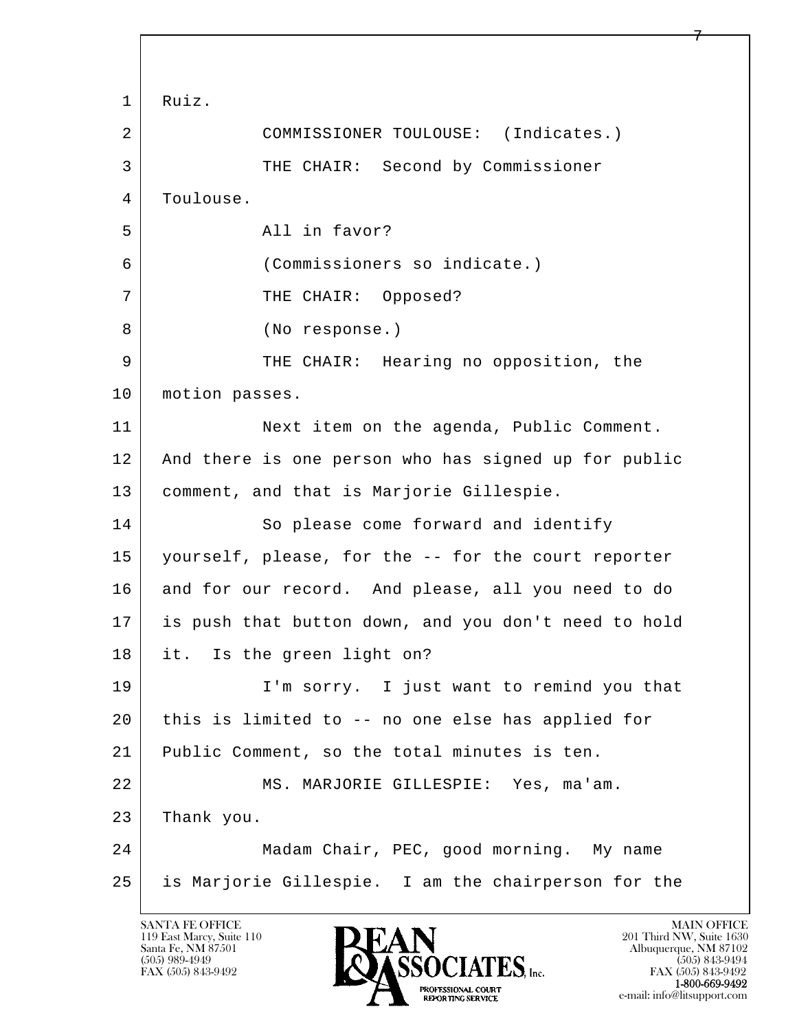l  $\overline{\phantom{a}}$  1 Ruiz. 2 COMMISSIONER TOULOUSE: (Indicates.) 3 THE CHAIR: Second by Commissioner 4 | Toulouse. 5 All in favor? 6 (Commissioners so indicate.) 7 THE CHAIR: Opposed? 8 (No response.) 9 THE CHAIR: Hearing no opposition, the 10 | motion passes. 11 Next item on the agenda, Public Comment. 12 And there is one person who has signed up for public 13 comment, and that is Marjorie Gillespie. 14 So please come forward and identify 15 yourself, please, for the -- for the court reporter 16 and for our record. And please, all you need to do 17 is push that button down, and you don't need to hold 18 it. Is the green light on? 19 | I'm sorry. I just want to remind you that 20 this is limited to -- no one else has applied for 21 Public Comment, so the total minutes is ten. 22 | MS. MARJORIE GILLESPIE: Yes, ma'am. 23 Thank you. 24 Madam Chair, PEC, good morning. My name 25 is Marjorie Gillespie. I am the chairperson for the

119 East Marcy, Suite 110<br>Santa Fe, NM 87501

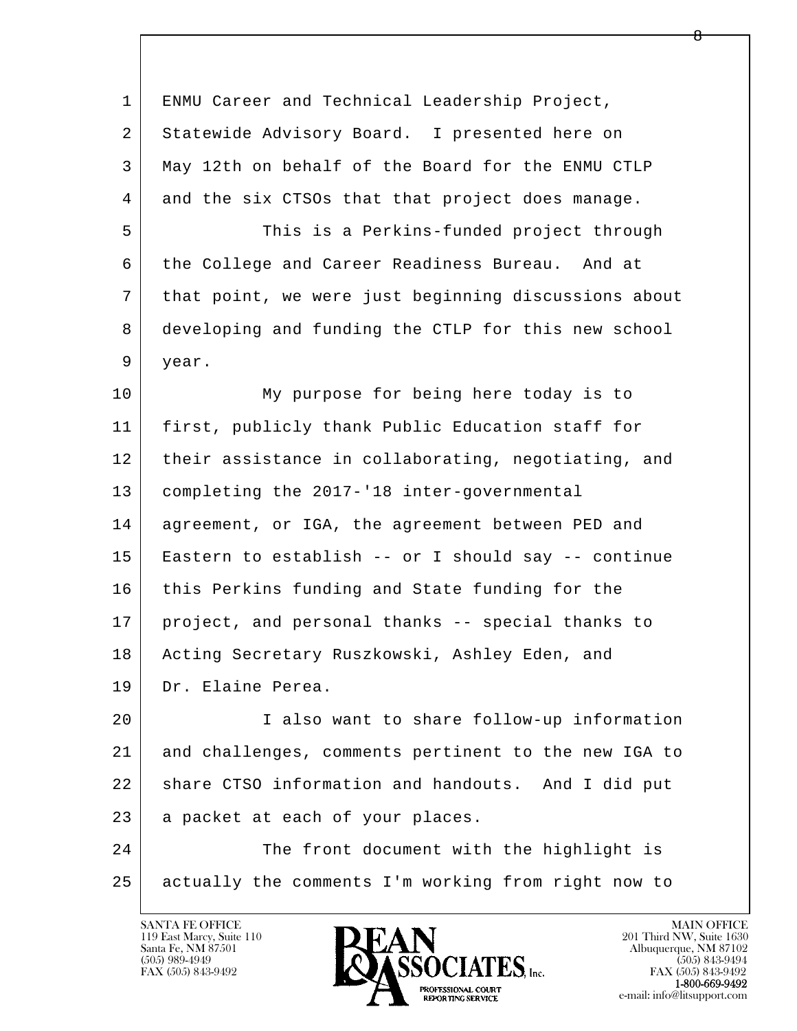| $\mathbf{1}$ | ENMU Career and Technical Leadership Project,        |
|--------------|------------------------------------------------------|
| 2            | Statewide Advisory Board. I presented here on        |
| 3            | May 12th on behalf of the Board for the ENMU CTLP    |
| 4            | and the six CTSOs that that project does manage.     |
| 5            | This is a Perkins-funded project through             |
| 6            | the College and Career Readiness Bureau. And at      |
| 7            | that point, we were just beginning discussions about |
| 8            | developing and funding the CTLP for this new school  |
| 9            | year.                                                |
| 10           | My purpose for being here today is to                |
| 11           | first, publicly thank Public Education staff for     |
| 12           | their assistance in collaborating, negotiating, and  |
| 13           | completing the 2017-'18 inter-governmental           |
| 14           | agreement, or IGA, the agreement between PED and     |
| 15           | Eastern to establish -- or I should say -- continue  |
| 16           | this Perkins funding and State funding for the       |
| 17           | project, and personal thanks -- special thanks to    |
| 18           | Acting Secretary Ruszkowski, Ashley Eden, and        |
| 19           | Dr. Elaine Perea.                                    |
| 20           | I also want to share follow-up information           |
| 21           | and challenges, comments pertinent to the new IGA to |
| 22           | share CTSO information and handouts. And I did put   |
| 23           | a packet at each of your places.                     |
| 24           | The front document with the highlight is             |
| 25           | actually the comments I'm working from right now to  |

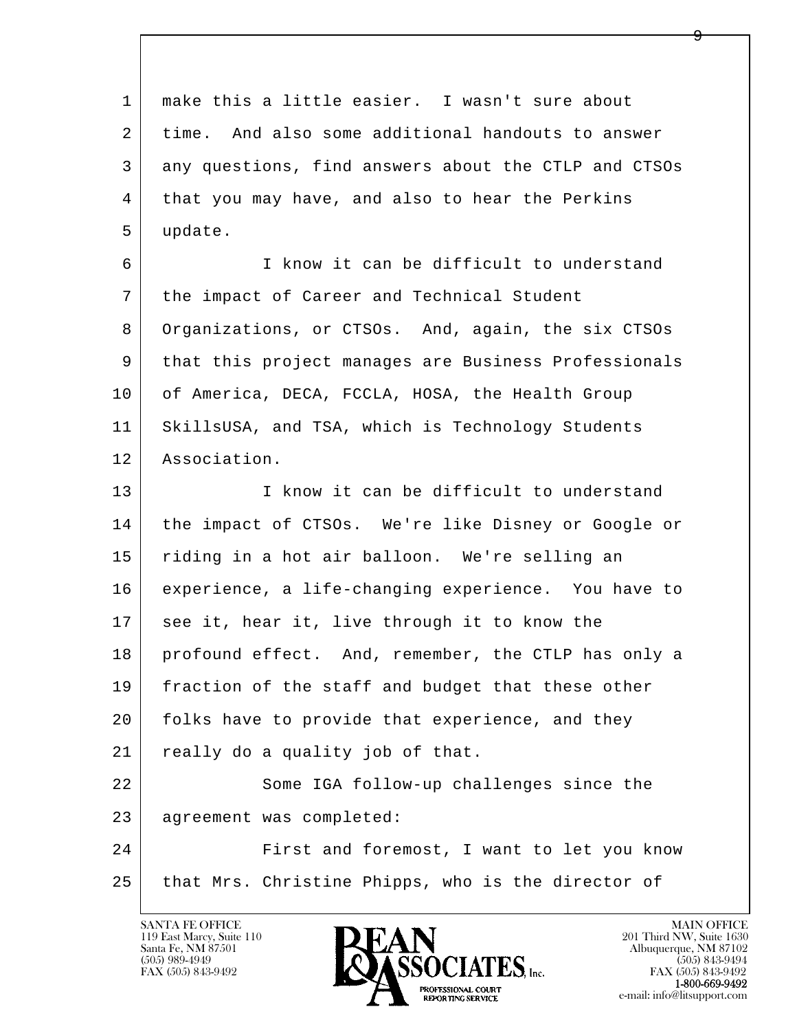l  $\overline{\phantom{a}}$  1 make this a little easier. I wasn't sure about 2 time. And also some additional handouts to answer 3 any questions, find answers about the CTLP and CTSOs 4 that you may have, and also to hear the Perkins 5 update. 6 I know it can be difficult to understand 7 the impact of Career and Technical Student 8 Organizations, or CTSOs. And, again, the six CTSOs 9 that this project manages are Business Professionals 10 of America, DECA, FCCLA, HOSA, the Health Group 11 SkillsUSA, and TSA, which is Technology Students 12 Association. 13 I know it can be difficult to understand 14 the impact of CTSOs. We're like Disney or Google or 15 riding in a hot air balloon. We're selling an 16 experience, a life-changing experience. You have to 17 see it, hear it, live through it to know the 18 profound effect. And, remember, the CTLP has only a 19 fraction of the staff and budget that these other 20 folks have to provide that experience, and they 21 really do a quality job of that. 22 Some IGA follow-up challenges since the 23 agreement was completed: 24 | First and foremost, I want to let you know 25 that Mrs. Christine Phipps, who is the director of

119 East Marcy, Suite 110<br>Santa Fe, NM 87501

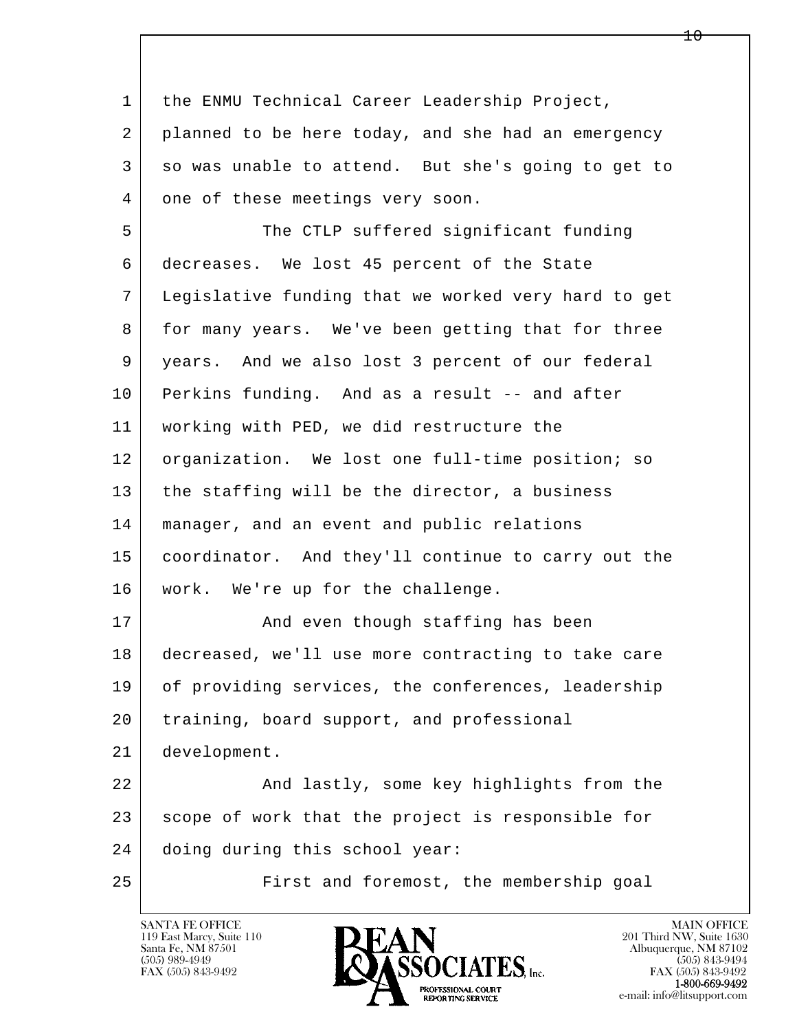l  $\overline{\phantom{a}}$  1 the ENMU Technical Career Leadership Project, 2 planned to be here today, and she had an emergency 3 so was unable to attend. But she's going to get to 4 one of these meetings very soon. 5 The CTLP suffered significant funding 6 decreases. We lost 45 percent of the State 7 Legislative funding that we worked very hard to get 8 for many years. We've been getting that for three 9 years. And we also lost 3 percent of our federal 10 Perkins funding. And as a result -- and after 11 working with PED, we did restructure the 12 | organization. We lost one full-time position; so 13 | the staffing will be the director, a business 14 manager, and an event and public relations 15 coordinator. And they'll continue to carry out the 16 | work. We're up for the challenge. 17 | And even though staffing has been 18 decreased, we'll use more contracting to take care 19 of providing services, the conferences, leadership 20 | training, board support, and professional 21 development. 22 And lastly, some key highlights from the 23 scope of work that the project is responsible for 24 doing during this school year: 25 First and foremost, the membership goal



 $10 \,$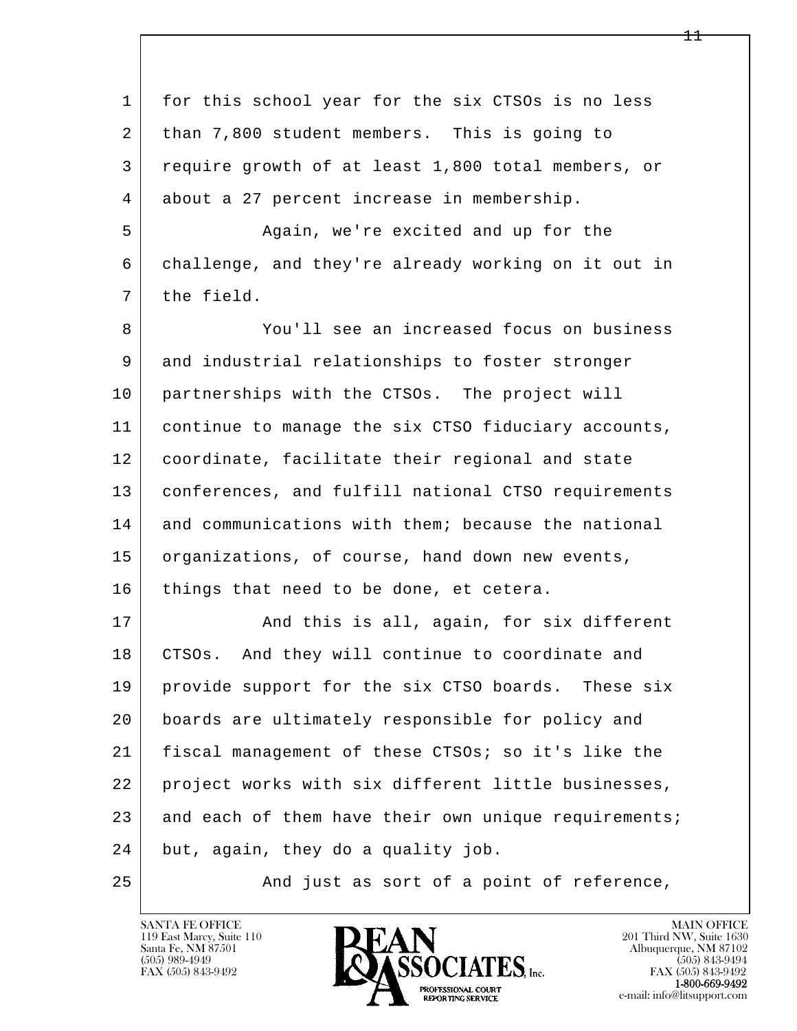| $\mathbf 1$ | for this school year for the six CTSOs is no less    |
|-------------|------------------------------------------------------|
| 2           | than 7,800 student members. This is going to         |
| 3           | require growth of at least 1,800 total members, or   |
| 4           | about a 27 percent increase in membership.           |
| 5           | Again, we're excited and up for the                  |
| 6           | challenge, and they're already working on it out in  |
| 7           | the field.                                           |
| 8           | You'll see an increased focus on business            |
| 9           | and industrial relationships to foster stronger      |
| 10          | partnerships with the CTSOs. The project will        |
| 11          | continue to manage the six CTSO fiduciary accounts,  |
| 12          | coordinate, facilitate their regional and state      |
| 13          | conferences, and fulfill national CTSO requirements  |
| 14          | and communications with them; because the national   |
| 15          | organizations, of course, hand down new events,      |
| 16          | things that need to be done, et cetera.              |
| 17          | And this is all, again, for six different            |
| 18          | CTSOs. And they will continue to coordinate and      |
| 19          | provide support for the six CTSO boards. These six   |
| 20          | boards are ultimately responsible for policy and     |
| 21          | fiscal management of these CTSOs; so it's like the   |
| 22          | project works with six different little businesses,  |
| 23          | and each of them have their own unique requirements; |
| 24          | but, again, they do a quality job.                   |
| 25          | And just as sort of a point of reference,            |

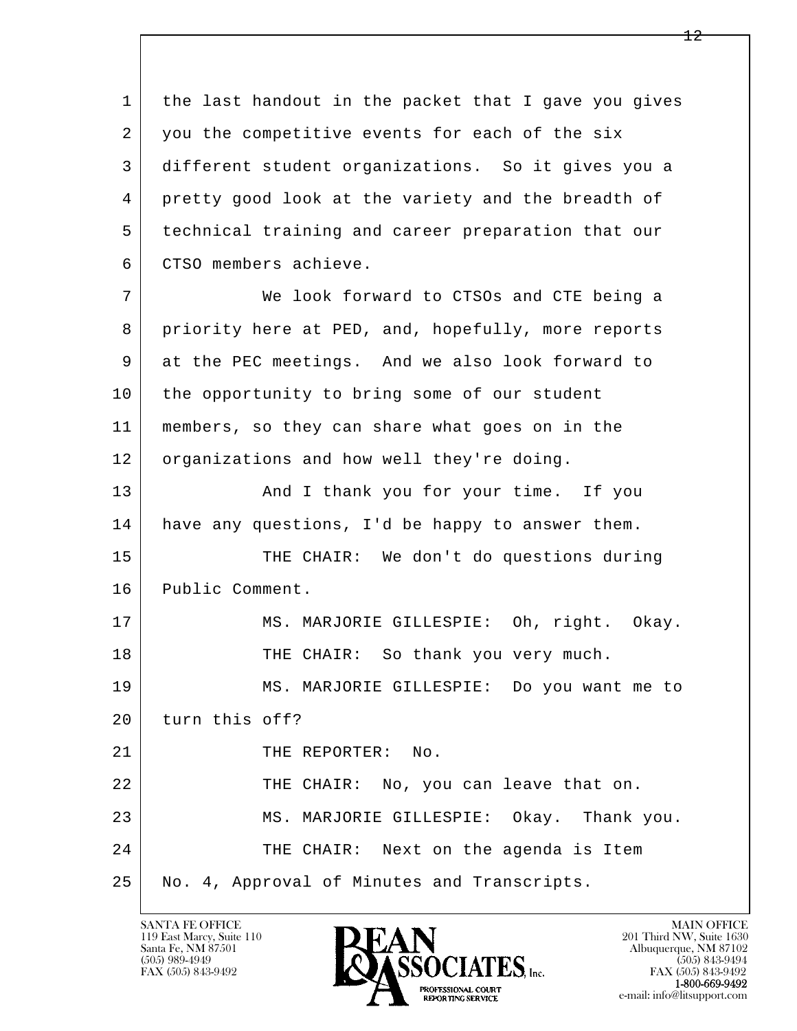1 the last handout in the packet that I gave you gives 2 you the competitive events for each of the six 3 different student organizations. So it gives you a 4 pretty good look at the variety and the breadth of 5 technical training and career preparation that our 6 CTSO members achieve. 7 We look forward to CTSOs and CTE being a 8 priority here at PED, and, hopefully, more reports 9 at the PEC meetings. And we also look forward to 10 the opportunity to bring some of our student

 11 members, so they can share what goes on in the 12 organizations and how well they're doing.

13 | Thank you for your time. If you 14 have any questions, I'd be happy to answer them.

15 | THE CHAIR: We don't do questions during 16 Public Comment.

17 | MS. MARJORIE GILLESPIE: Oh, right. Okay. 18 | THE CHAIR: So thank you very much.

 19 MS. MARJORIE GILLESPIE: Do you want me to 20 turn this off?

l  $\overline{\phantom{a}}$ 21 | THE REPORTER: No. 22 THE CHAIR: No, you can leave that on. 23 MS. MARJORIE GILLESPIE: Okay. Thank you. 24 THE CHAIR: Next on the agenda is Item 25 No. 4, Approval of Minutes and Transcripts.

119 East Marcy, Suite 110<br>Santa Fe, NM 87501

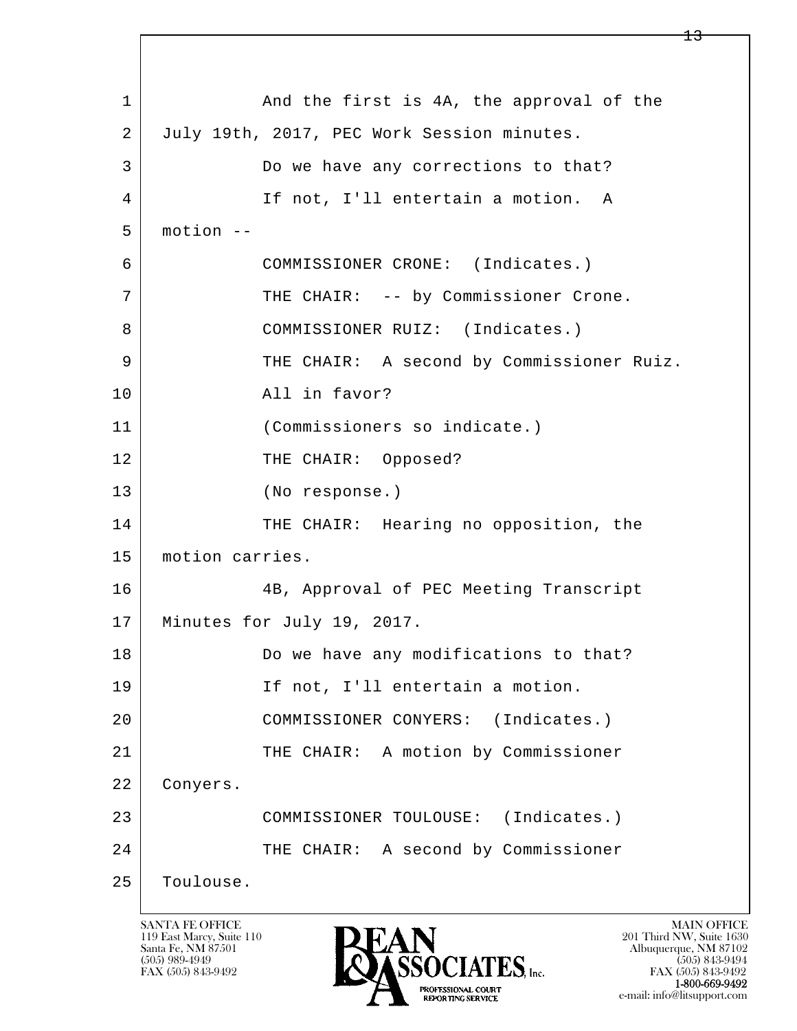l  $\overline{\phantom{a}}$ 1 and the first is 4A, the approval of the 2 July 19th, 2017, PEC Work Session minutes. 3 Do we have any corrections to that? 4 If not, I'll entertain a motion. A 5 motion -- 6 COMMISSIONER CRONE: (Indicates.) 7 | THE CHAIR: -- by Commissioner Crone. 8 COMMISSIONER RUIZ: (Indicates.) 9 THE CHAIR: A second by Commissioner Ruiz. 10 All in favor? 11 (Commissioners so indicate.) 12 THE CHAIR: Opposed? 13 (No response.) 14 THE CHAIR: Hearing no opposition, the 15 | motion carries. 16 4B, Approval of PEC Meeting Transcript 17 Minutes for July 19, 2017. 18 Do we have any modifications to that? 19 | If not, I'll entertain a motion. 20 COMMISSIONER CONYERS: (Indicates.) 21 | THE CHAIR: A motion by Commissioner 22 Conyers. 23 COMMISSIONER TOULOUSE: (Indicates.) 24 THE CHAIR: A second by Commissioner 25 Toulouse.

119 East Marcy, Suite 110<br>Santa Fe, NM 87501



FAX (505) 843-9492 FAX (505) 843-9492 e-mail: info@litsupport.com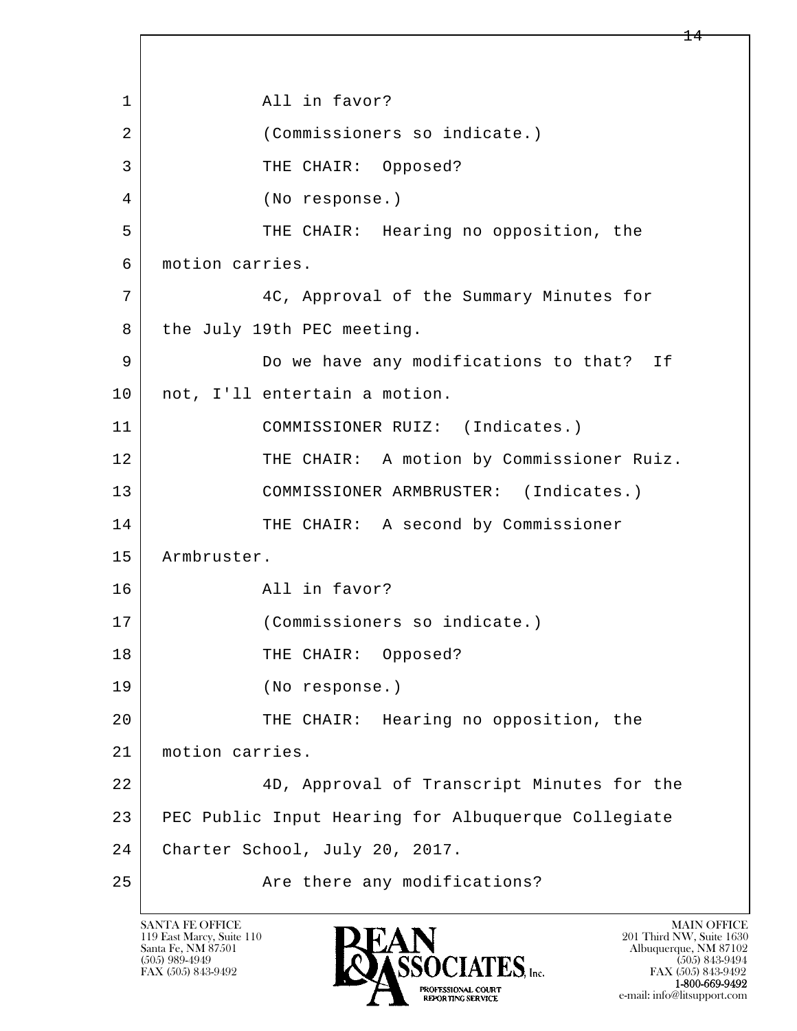l  $\overline{\phantom{a}}$ 1 all in favor? 2 | (Commissioners so indicate.) 3 THE CHAIR: Opposed? 4 (No response.) 5 THE CHAIR: Hearing no opposition, the 6 motion carries. 7 4C, Approval of the Summary Minutes for 8 the July 19th PEC meeting. 9 Do we have any modifications to that? If 10 | not, I'll entertain a motion. 11 COMMISSIONER RUIZ: (Indicates.) 12 THE CHAIR: A motion by Commissioner Ruiz. 13 COMMISSIONER ARMBRUSTER: (Indicates.) 14 THE CHAIR: A second by Commissioner 15 | Armbruster. 16 All in favor? 17 (Commissioners so indicate.) 18 | THE CHAIR: Opposed? 19 (No response.) 20 THE CHAIR: Hearing no opposition, the 21 motion carries. 22 4D, Approval of Transcript Minutes for the 23 PEC Public Input Hearing for Albuquerque Collegiate 24 Charter School, July 20, 2017. 25 | Rice there any modifications?

119 East Marcy, Suite 110<br>Santa Fe, NM 87501

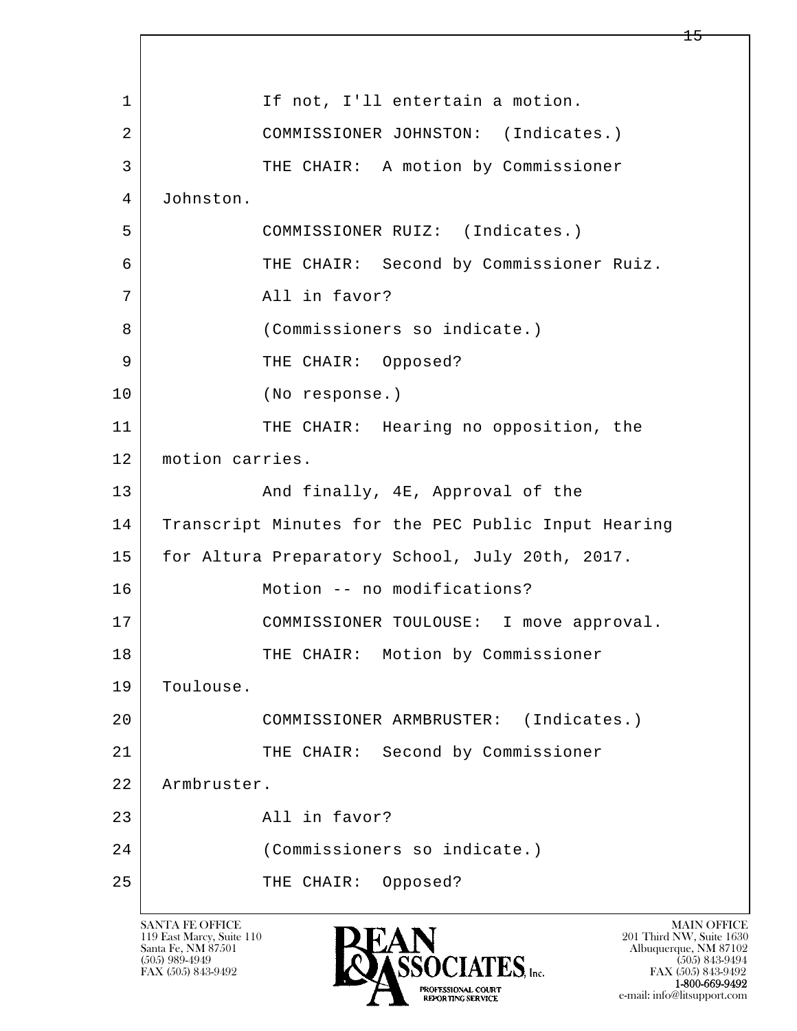l  $\overline{\phantom{a}}$ 1 If not, I'll entertain a motion. 2 COMMISSIONER JOHNSTON: (Indicates.) 3 THE CHAIR: A motion by Commissioner 4 Johnston. 5 COMMISSIONER RUIZ: (Indicates.) 6 THE CHAIR: Second by Commissioner Ruiz. 7 | The Contract All in favor? 8 (Commissioners so indicate.) 9 | THE CHAIR: Opposed? 10 (No response.) 11 THE CHAIR: Hearing no opposition, the 12 motion carries. 13 And finally, 4E, Approval of the 14 Transcript Minutes for the PEC Public Input Hearing 15 | for Altura Preparatory School, July 20th, 2017. 16 | Motion -- no modifications? 17 COMMISSIONER TOULOUSE: I move approval. 18 | THE CHAIR: Motion by Commissioner 19 Toulouse. 20 COMMISSIONER ARMBRUSTER: (Indicates.) 21 THE CHAIR: Second by Commissioner 22 Armbruster. 23 All in favor? 24 (Commissioners so indicate.) 25 THE CHAIR: Opposed?

119 East Marcy, Suite 110<br>Santa Fe, NM 87501



FAX (505) 843-9492 FAX (505) 843-9492 e-mail: info@litsupport.com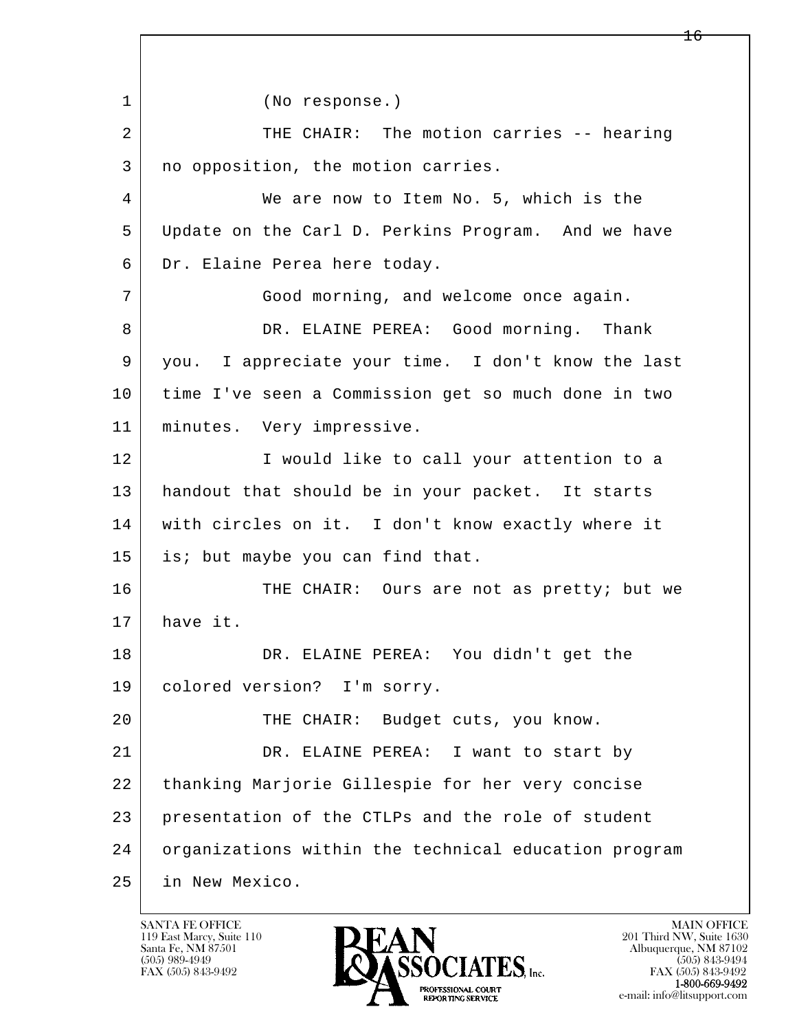l  $\overline{\phantom{a}}$  1 (No response.) 2 THE CHAIR: The motion carries -- hearing 3 | no opposition, the motion carries. 4 We are now to Item No. 5, which is the 5 Update on the Carl D. Perkins Program. And we have 6 Dr. Elaine Perea here today. 7 Good morning, and welcome once again. 8 DR. ELAINE PEREA: Good morning. Thank 9 you. I appreciate your time. I don't know the last 10 time I've seen a Commission get so much done in two 11 minutes. Very impressive. 12 I would like to call your attention to a 13 handout that should be in your packet. It starts 14 with circles on it. I don't know exactly where it 15 is; but maybe you can find that. 16 THE CHAIR: Ours are not as pretty; but we 17 have it. 18 DR. ELAINE PEREA: You didn't get the 19 colored version? I'm sorry. 20 | THE CHAIR: Budget cuts, you know. 21 DR. ELAINE PEREA: I want to start by 22 thanking Marjorie Gillespie for her very concise 23 presentation of the CTLPs and the role of student 24 organizations within the technical education program 25 in New Mexico.

119 East Marcy, Suite 110<br>Santa Fe, NM 87501

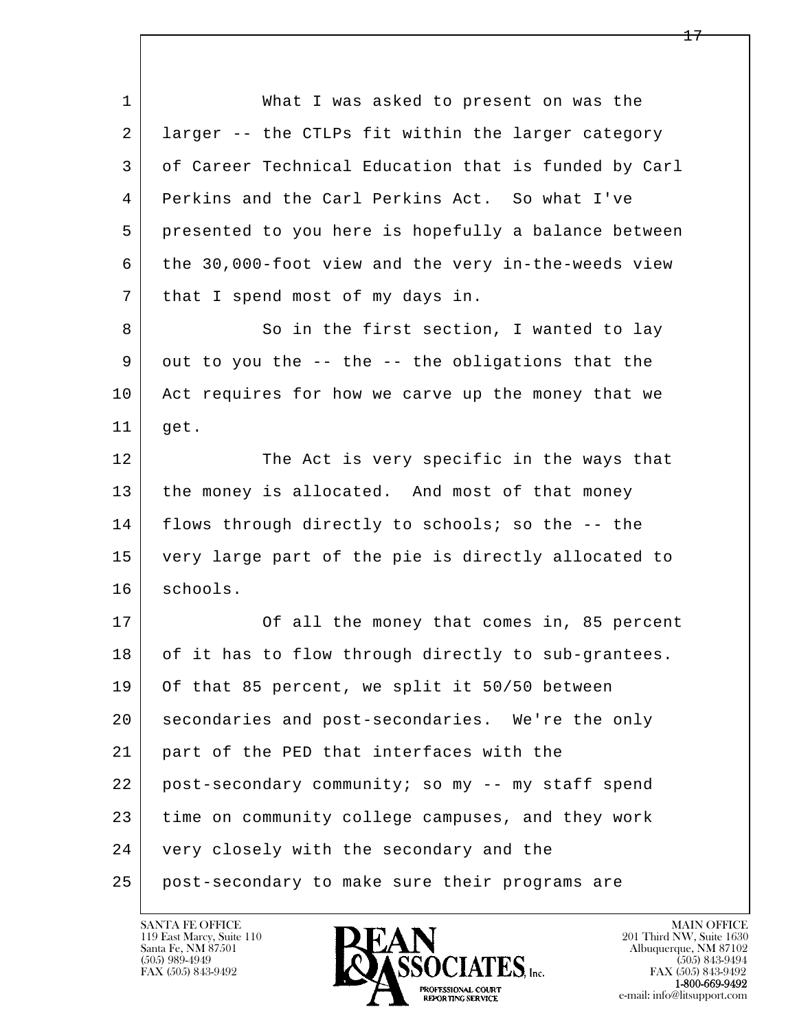l  $\overline{\phantom{a}}$  1 What I was asked to present on was the 2 larger -- the CTLPs fit within the larger category 3 of Career Technical Education that is funded by Carl 4 Perkins and the Carl Perkins Act. So what I've 5 presented to you here is hopefully a balance between 6 the 30,000-foot view and the very in-the-weeds view 7 | that I spend most of my days in. 8 So in the first section, I wanted to lay 9 out to you the -- the -- the obligations that the 10 Act requires for how we carve up the money that we  $11$  get. 12 The Act is very specific in the ways that 13 the money is allocated. And most of that money 14 flows through directly to schools; so the -- the 15 very large part of the pie is directly allocated to 16 schools. 17 | Cf all the money that comes in, 85 percent 18 of it has to flow through directly to sub-grantees. 19 Of that 85 percent, we split it 50/50 between 20 secondaries and post-secondaries. We're the only 21 part of the PED that interfaces with the 22 post-secondary community; so my -- my staff spend 23 time on community college campuses, and they work 24 very closely with the secondary and the 25 post-secondary to make sure their programs are

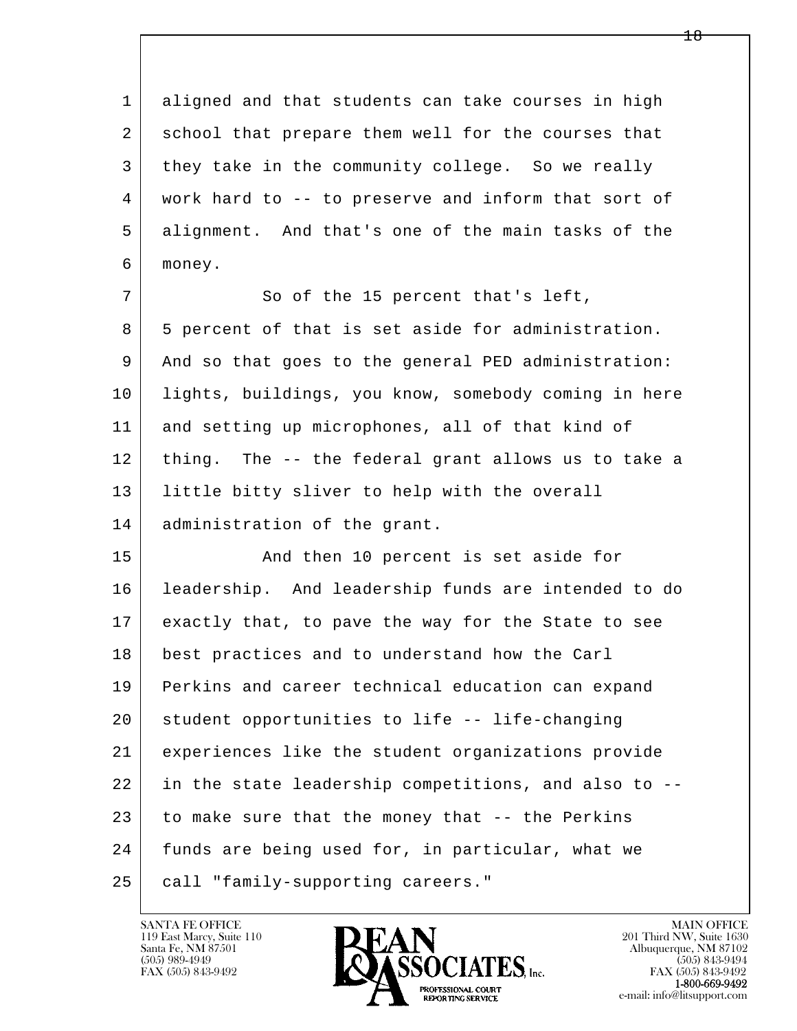1 aligned and that students can take courses in high 2 school that prepare them well for the courses that 3 they take in the community college. So we really 4 work hard to -- to preserve and inform that sort of 5 alignment. And that's one of the main tasks of the 6 money.

7 | So of the 15 percent that's left, 8 5 percent of that is set aside for administration. 9 And so that goes to the general PED administration: 10 lights, buildings, you know, somebody coming in here 11 and setting up microphones, all of that kind of 12 thing. The -- the federal grant allows us to take a 13 little bitty sliver to help with the overall 14 administration of the grant.

l  $\overline{\phantom{a}}$ 15 | The Rand then 10 percent is set aside for 16 leadership. And leadership funds are intended to do 17 exactly that, to pave the way for the State to see 18 best practices and to understand how the Carl 19 Perkins and career technical education can expand 20 student opportunities to life -- life-changing 21 experiences like the student organizations provide 22 in the state leadership competitions, and also to -- 23 to make sure that the money that -- the Perkins 24 | funds are being used for, in particular, what we 25 call "family-supporting careers."



FAX (505) 843-9492<br>1-800-669-9492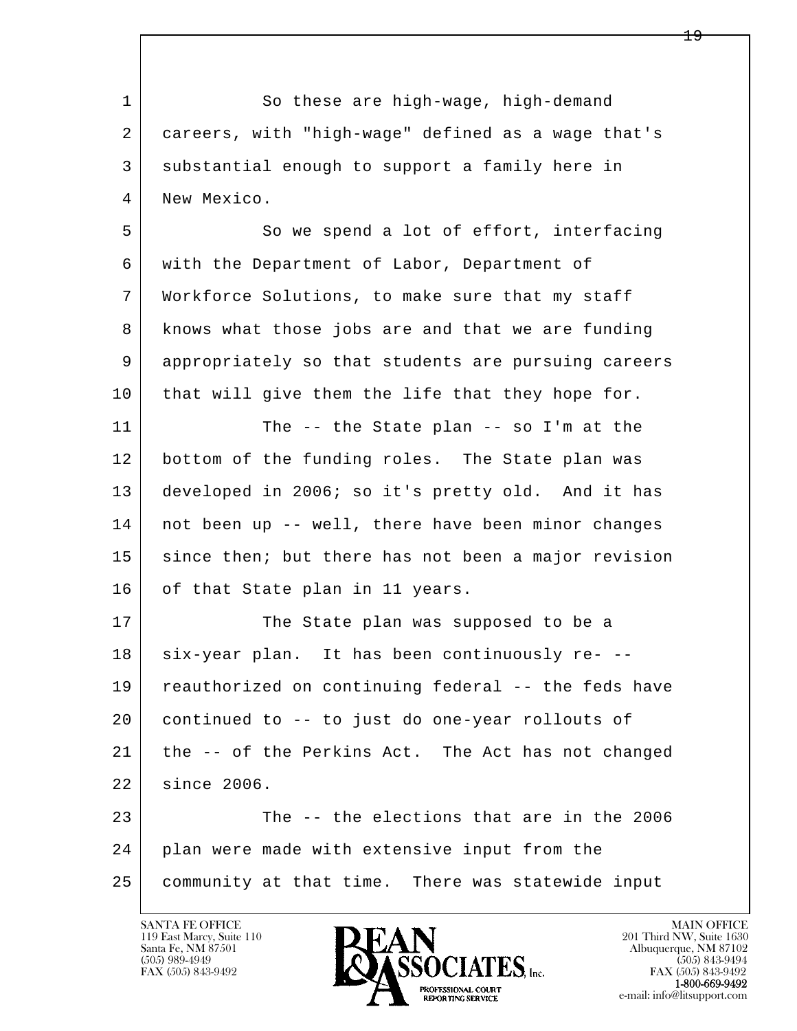l  $\overline{\phantom{a}}$ 1 So these are high-wage, high-demand 2 careers, with "high-wage" defined as a wage that's 3 substantial enough to support a family here in 4 New Mexico. 5 | So we spend a lot of effort, interfacing 6 with the Department of Labor, Department of 7 Workforce Solutions, to make sure that my staff 8 knows what those jobs are and that we are funding 9 appropriately so that students are pursuing careers 10 that will give them the life that they hope for. 11 The -- the State plan -- so I'm at the 12 bottom of the funding roles. The State plan was 13 developed in 2006; so it's pretty old. And it has 14 not been up -- well, there have been minor changes 15 since then; but there has not been a major revision 16 of that State plan in 11 years. 17 The State plan was supposed to be a 18 | six-year plan. It has been continuously re- -- 19 reauthorized on continuing federal -- the feds have 20 continued to -- to just do one-year rollouts of 21 the -- of the Perkins Act. The Act has not changed 22 since 2006. 23 The -- the elections that are in the 2006 24 plan were made with extensive input from the 25 community at that time. There was statewide input

119 East Marcy, Suite 110<br>Santa Fe, NM 87501



FAX (505) 843-9492<br>1-800-669-9492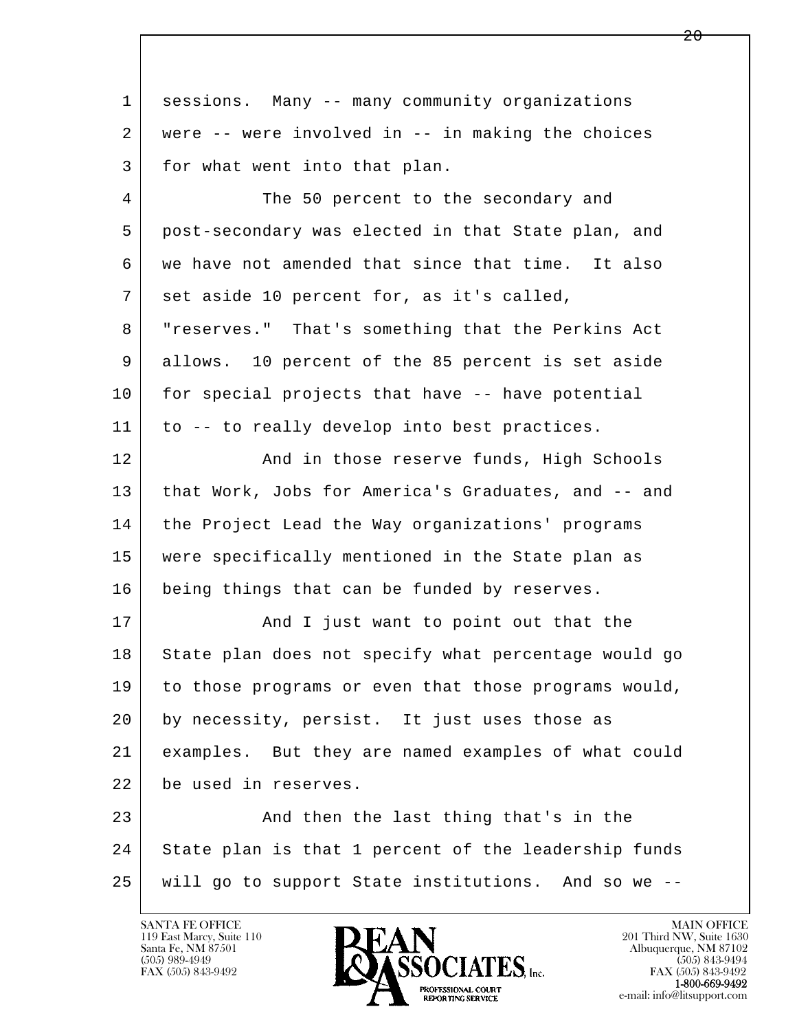| sessions. Many -- many community organizations       |
|------------------------------------------------------|
| were -- were involved in -- in making the choices    |
| for what went into that plan.                        |
| The 50 percent to the secondary and                  |
| post-secondary was elected in that State plan, and   |
| we have not amended that since that time. It also    |
| set aside 10 percent for, as it's called,            |
| "reserves." That's something that the Perkins Act    |
| allows. 10 percent of the 85 percent is set aside    |
| for special projects that have -- have potential     |
| to -- to really develop into best practices.         |
| And in those reserve funds, High Schools             |
| that Work, Jobs for America's Graduates, and -- and  |
| the Project Lead the Way organizations' programs     |
| were specifically mentioned in the State plan as     |
| being things that can be funded by reserves.         |
| And I just want to point out that the                |
| State plan does not specify what percentage would go |
| to those programs or even that those programs would, |
| by necessity, persist. It just uses those as         |
| examples. But they are named examples of what could  |
| be used in reserves.                                 |
| And then the last thing that's in the                |
| State plan is that 1 percent of the leadership funds |
| will go to support State institutions. And so we --  |
|                                                      |

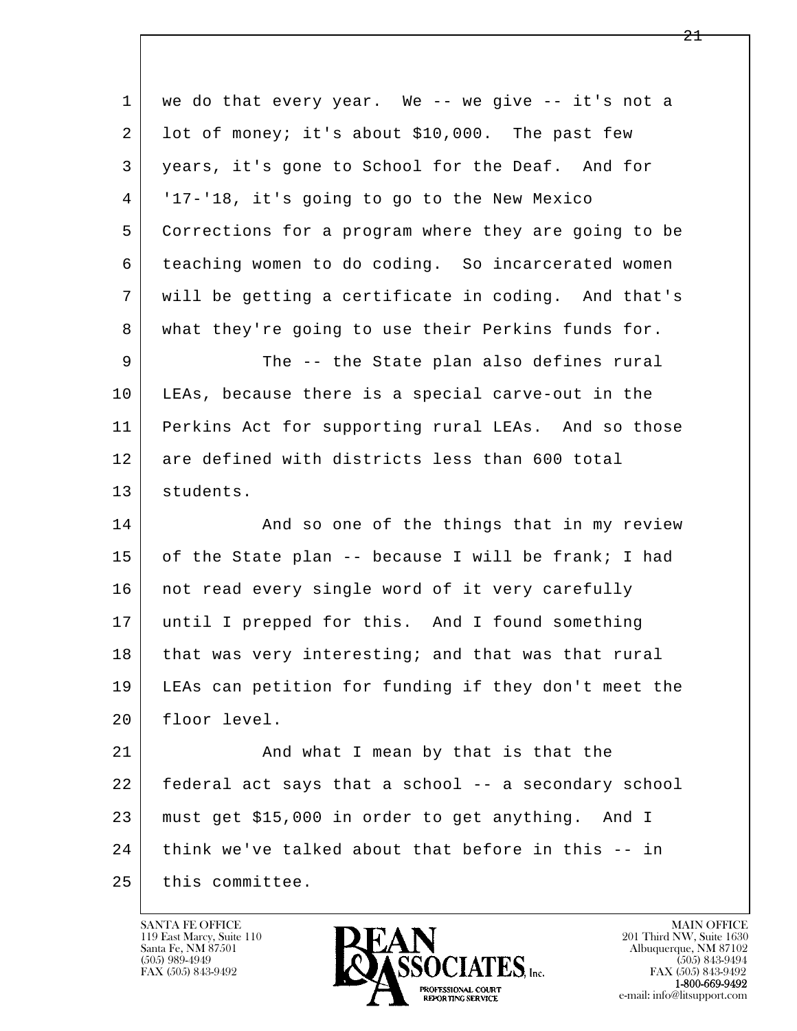l  $\overline{\phantom{a}}$  1 we do that every year. We -- we give -- it's not a 2 lot of money; it's about \$10,000. The past few 3 years, it's gone to School for the Deaf. And for 4 '17-'18, it's going to go to the New Mexico 5 Corrections for a program where they are going to be 6 teaching women to do coding. So incarcerated women 7 will be getting a certificate in coding. And that's 8 what they're going to use their Perkins funds for. 9 The -- the State plan also defines rural 10 LEAs, because there is a special carve-out in the 11 Perkins Act for supporting rural LEAs. And so those 12 are defined with districts less than 600 total 13 students. 14 And so one of the things that in my review 15 of the State plan -- because I will be frank; I had 16 | not read every single word of it very carefully 17 until I prepped for this. And I found something 18 that was very interesting; and that was that rural 19 LEAs can petition for funding if they don't meet the 20 floor level. 21 and what I mean by that is that the 22 federal act says that a school -- a secondary school 23 must get \$15,000 in order to get anything. And I 24 | think we've talked about that before in this -- in 25 this committee.

119 East Marcy, Suite 110<br>Santa Fe, NM 87501



FAX (505) 843-9492<br>**1-800-669-9492**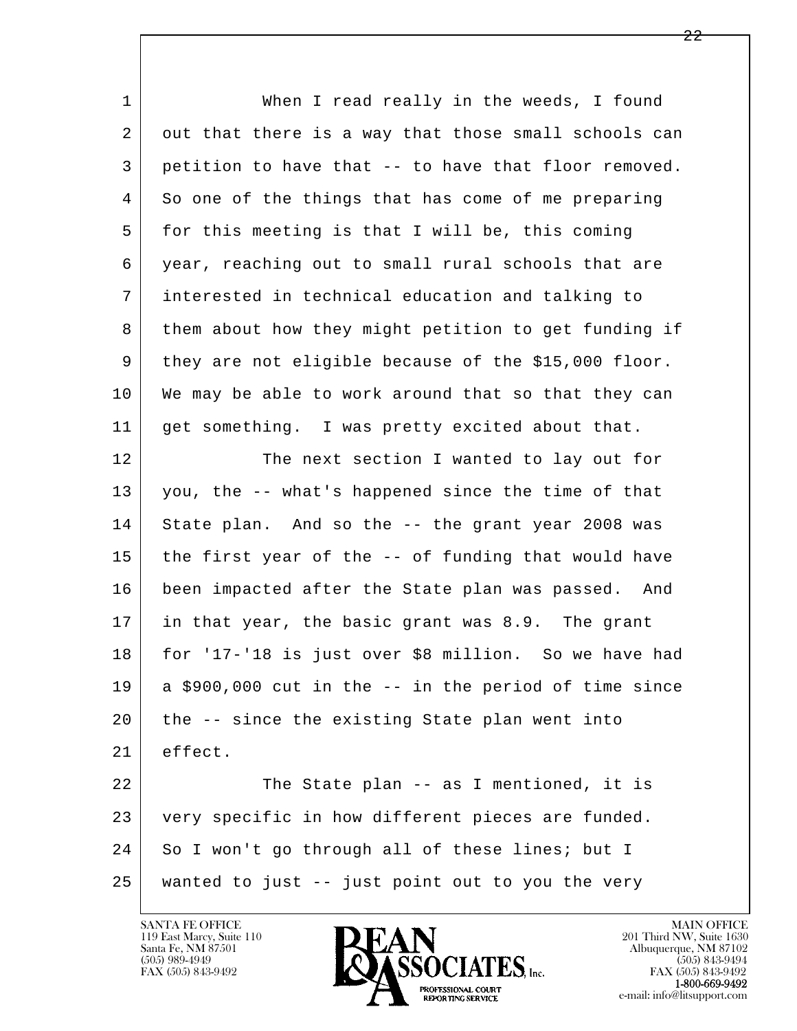l  $\overline{\phantom{a}}$ 1 When I read really in the weeds, I found 2 | out that there is a way that those small schools can 3 petition to have that -- to have that floor removed. 4 So one of the things that has come of me preparing 5 for this meeting is that I will be, this coming 6 year, reaching out to small rural schools that are 7 interested in technical education and talking to 8 them about how they might petition to get funding if 9 they are not eligible because of the \$15,000 floor. 10 We may be able to work around that so that they can 11 get something. I was pretty excited about that. 12 The next section I wanted to lay out for 13 you, the -- what's happened since the time of that 14 | State plan. And so the -- the grant year 2008 was 15 the first year of the -- of funding that would have 16 been impacted after the State plan was passed. And 17 in that year, the basic grant was 8.9. The grant 18 for '17-'18 is just over \$8 million. So we have had  $19$  a \$900,000 cut in the  $-$  in the period of time since 20 the -- since the existing State plan went into 21 effect. 22 The State plan -- as I mentioned, it is 23 very specific in how different pieces are funded. 24 So I won't go through all of these lines; but I 25 wanted to just -- just point out to you the very

119 East Marcy, Suite 110<br>Santa Fe, NM 87501



FAX (505) 843-9492<br>1-800-669-9492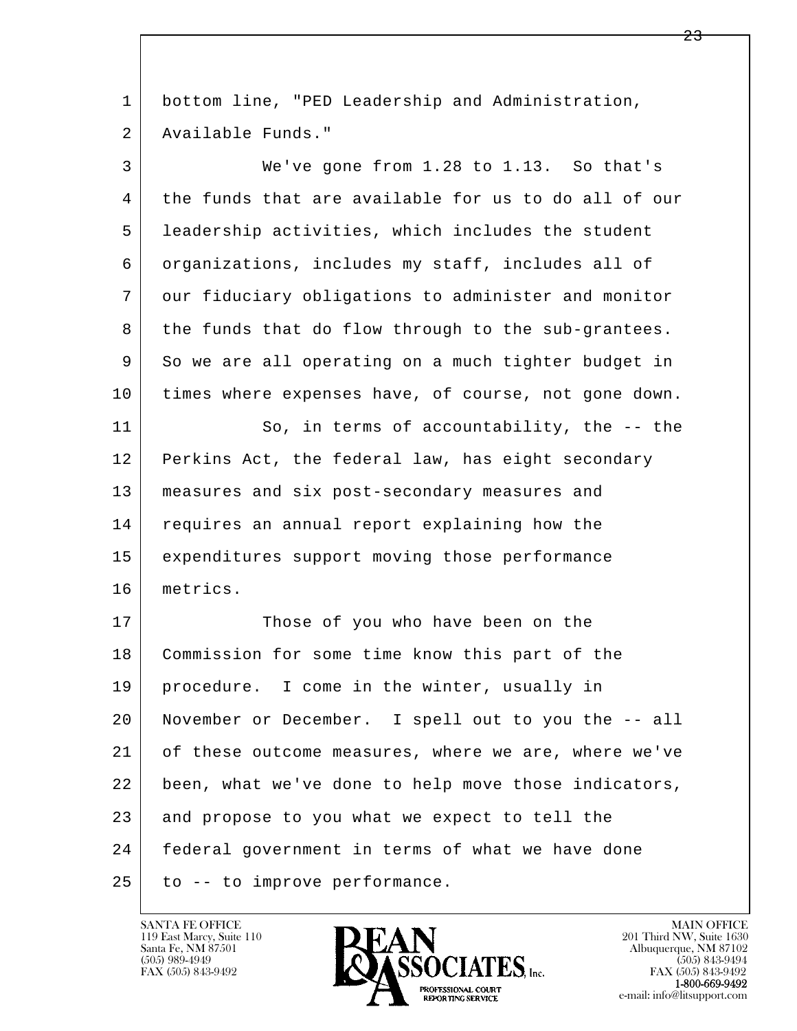l  $\overline{\phantom{a}}$  1 bottom line, "PED Leadership and Administration, 2 Available Funds." 3 We've gone from 1.28 to 1.13. So that's 4 the funds that are available for us to do all of our 5 leadership activities, which includes the student 6 organizations, includes my staff, includes all of 7 our fiduciary obligations to administer and monitor 8 the funds that do flow through to the sub-grantees. 9 So we are all operating on a much tighter budget in 10 times where expenses have, of course, not gone down. 11 So, in terms of accountability, the -- the 12 Perkins Act, the federal law, has eight secondary 13 measures and six post-secondary measures and 14 requires an annual report explaining how the 15 expenditures support moving those performance 16 metrics. 17 Those of you who have been on the 18 | Commission for some time know this part of the 19 procedure. I come in the winter, usually in 20 November or December. I spell out to you the -- all 21 of these outcome measures, where we are, where we've 22 been, what we've done to help move those indicators, 23 and propose to you what we expect to tell the 24 federal government in terms of what we have done  $25$  to  $-$  to improve performance.

119 East Marcy, Suite 110<br>Santa Fe, NM 87501

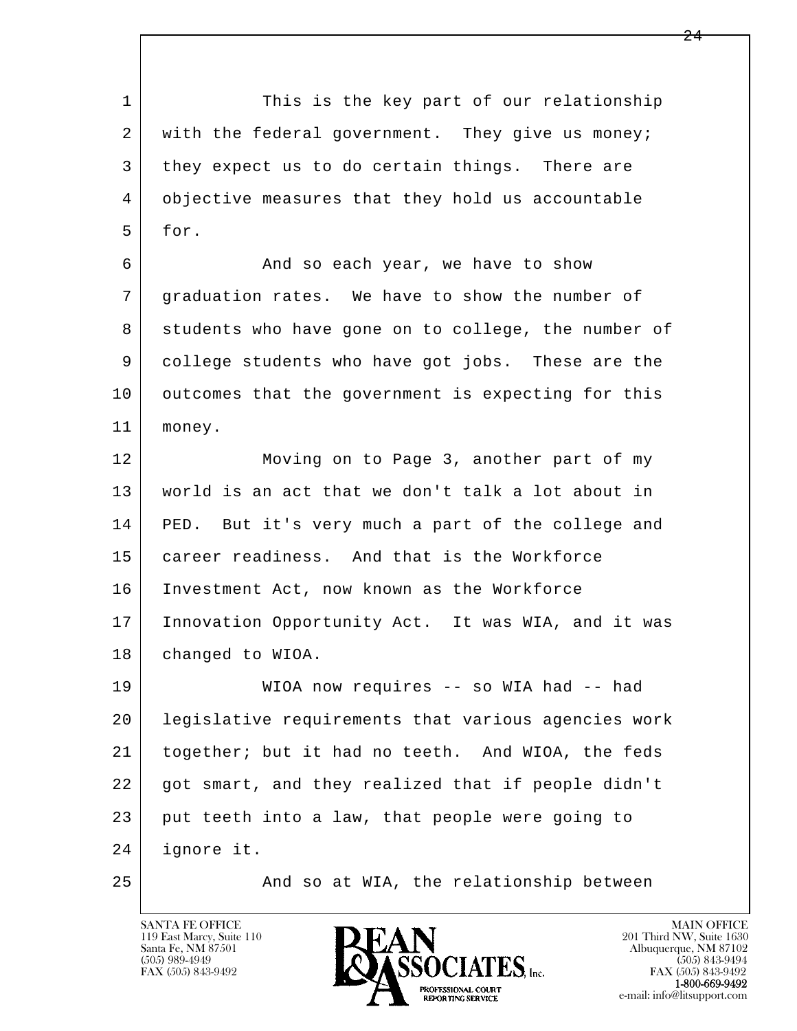l  $\overline{\phantom{a}}$ 1 This is the key part of our relationship 2 with the federal government. They give us money; 3 they expect us to do certain things. There are 4 objective measures that they hold us accountable 5 for. 6 And so each year, we have to show 7 graduation rates. We have to show the number of 8 students who have gone on to college, the number of 9 college students who have got jobs. These are the 10 | outcomes that the government is expecting for this 11 money. 12 Moving on to Page 3, another part of my 13 world is an act that we don't talk a lot about in 14 PED. But it's very much a part of the college and 15 career readiness. And that is the Workforce 16 Investment Act, now known as the Workforce 17 Innovation Opportunity Act. It was WIA, and it was 18 | changed to WIOA. 19 WIOA now requires -- so WIA had -- had 20 legislative requirements that various agencies work 21 together; but it had no teeth. And WIOA, the feds 22 got smart, and they realized that if people didn't 23 put teeth into a law, that people were going to 24 ignore it. 25 And so at WIA, the relationship between

119 East Marcy, Suite 110<br>Santa Fe, NM 87501

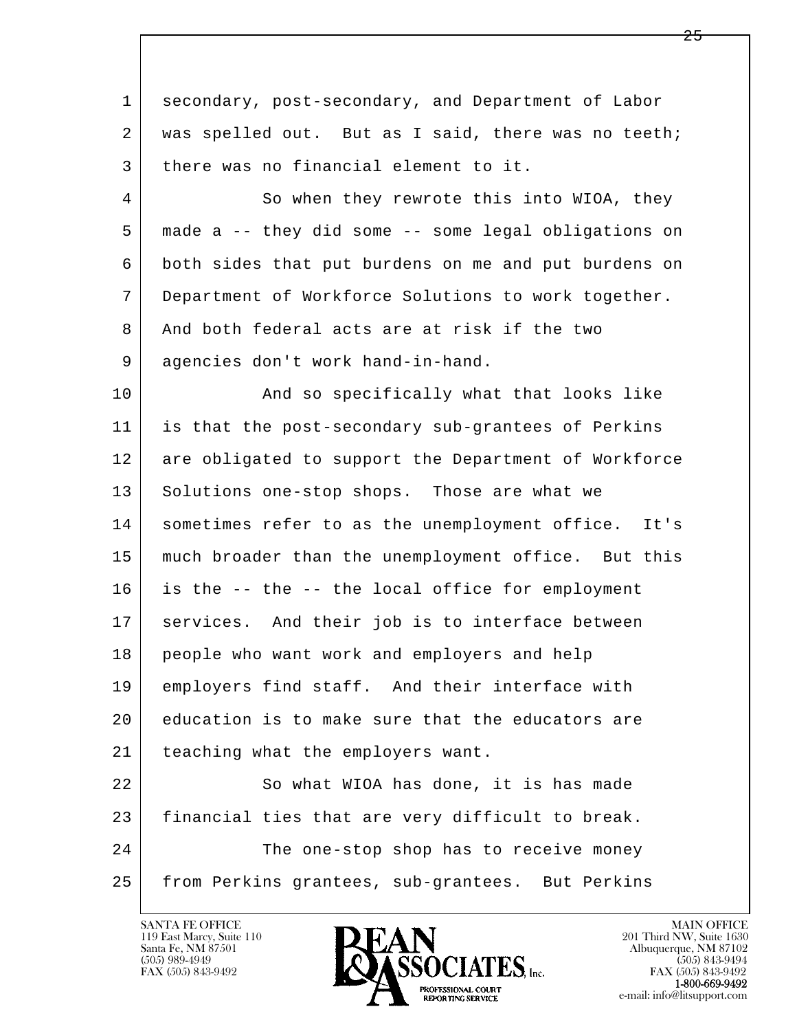l  $\overline{\phantom{a}}$  1 secondary, post-secondary, and Department of Labor 2 | was spelled out. But as I said, there was no teeth; 3 there was no financial element to it. 4 So when they rewrote this into WIOA, they 5 made a -- they did some -- some legal obligations on 6 both sides that put burdens on me and put burdens on 7 Department of Workforce Solutions to work together. 8 And both federal acts are at risk if the two 9 agencies don't work hand-in-hand. 10 | The Rand so specifically what that looks like 11 is that the post-secondary sub-grantees of Perkins 12 are obligated to support the Department of Workforce 13 Solutions one-stop shops. Those are what we 14 sometimes refer to as the unemployment office. It's 15 much broader than the unemployment office. But this 16 is the -- the -- the local office for employment 17 | services. And their job is to interface between 18 people who want work and employers and help 19 employers find staff. And their interface with 20 education is to make sure that the educators are 21 | teaching what the employers want. 22 So what WIOA has done, it is has made 23 financial ties that are very difficult to break. 24 The one-stop shop has to receive money 25 | from Perkins grantees, sub-grantees. But Perkins

119 East Marcy, Suite 110<br>Santa Fe, NM 87501

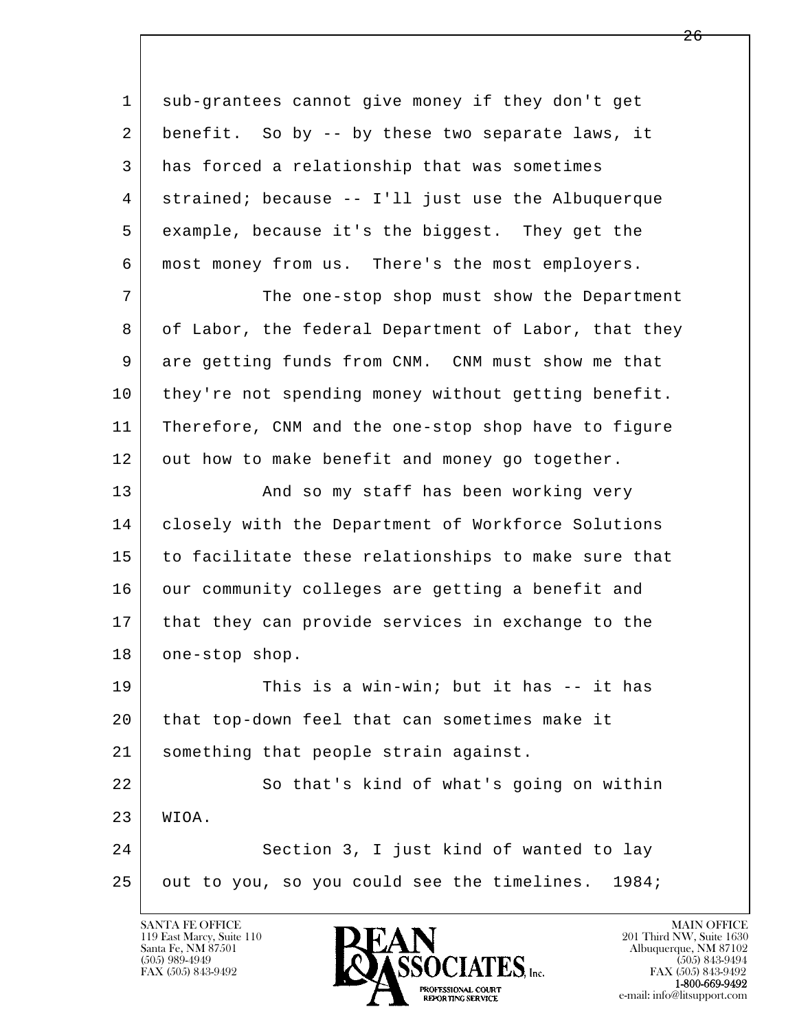l  $\overline{\phantom{a}}$  1 sub-grantees cannot give money if they don't get 2 benefit. So by -- by these two separate laws, it 3 has forced a relationship that was sometimes 4 strained; because -- I'll just use the Albuquerque 5 example, because it's the biggest. They get the 6 most money from us. There's the most employers. 7 The one-stop shop must show the Department 8 of Labor, the federal Department of Labor, that they 9 are getting funds from CNM. CNM must show me that 10 they're not spending money without getting benefit. 11 Therefore, CNM and the one-stop shop have to figure 12 out how to make benefit and money go together. 13 And so my staff has been working very 14 | closely with the Department of Workforce Solutions 15 to facilitate these relationships to make sure that 16 our community colleges are getting a benefit and 17 that they can provide services in exchange to the 18 one-stop shop. 19 This is a win-win; but it has -- it has 20 that top-down feel that can sometimes make it 21 something that people strain against. 22 So that's kind of what's going on within 23 WIOA. 24 Section 3, I just kind of wanted to lay  $25$  out to you, so you could see the timelines. 1984;



FAX (505) 843-9492<br>**1-800-669-9492**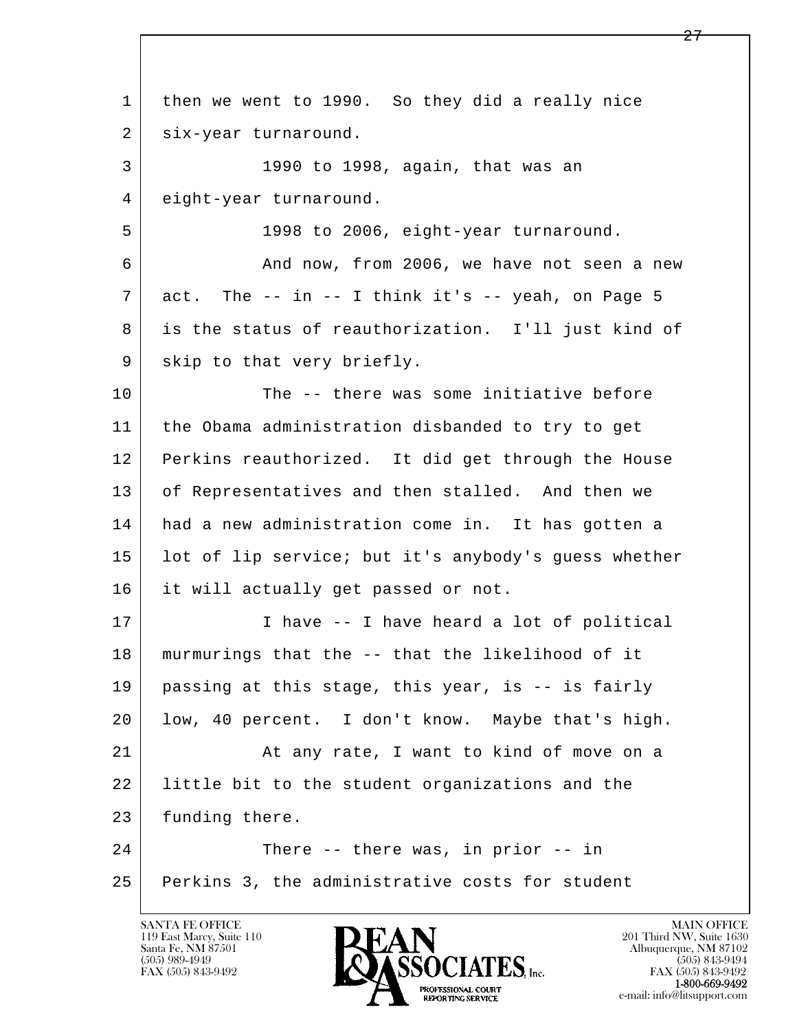l  $\overline{\phantom{a}}$  1 then we went to 1990. So they did a really nice 2 | six-year turnaround. 3 1990 to 1998, again, that was an 4 eight-year turnaround. 5 1998 to 2006, eight-year turnaround. 6 And now, from 2006, we have not seen a new  $7$  act. The  $-$  in  $-$  I think it's  $-$  yeah, on Page 5 8 is the status of reauthorization. I'll just kind of 9 skip to that very briefly. 10 The -- there was some initiative before 11 the Obama administration disbanded to try to get 12 Perkins reauthorized. It did get through the House 13 of Representatives and then stalled. And then we 14 had a new administration come in. It has gotten a 15 lot of lip service; but it's anybody's guess whether 16 it will actually get passed or not. 17 | Thave -- I have heard a lot of political 18 murmurings that the -- that the likelihood of it 19 passing at this stage, this year, is -- is fairly 20 low, 40 percent. I don't know. Maybe that's high. 21 | At any rate, I want to kind of move on a 22 little bit to the student organizations and the 23 funding there. 24 There -- there was, in prior -- in 25 Perkins 3, the administrative costs for student

119 East Marcy, Suite 110<br>Santa Fe, NM 87501



FAX (505) 843-9492<br>1-800-669-9492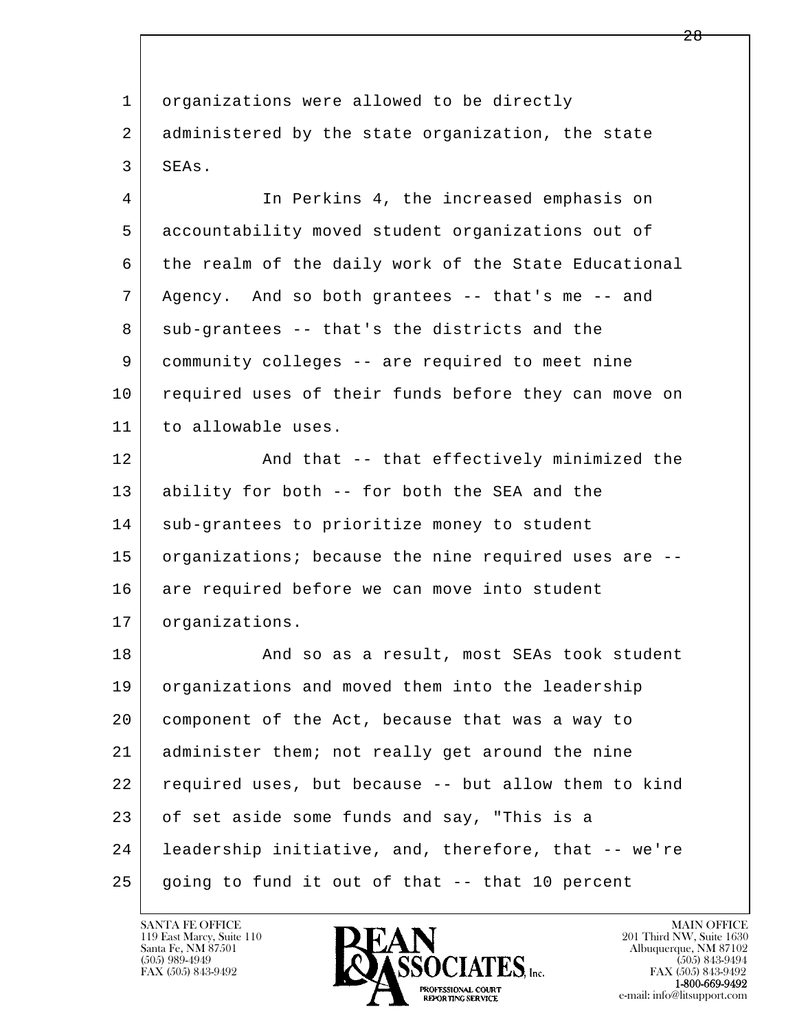l  $\overline{\phantom{a}}$ 1 | organizations were allowed to be directly 2 administered by the state organization, the state 3 SEAs. 4 In Perkins 4, the increased emphasis on 5 accountability moved student organizations out of 6 the realm of the daily work of the State Educational 7 Agency. And so both grantees -- that's me -- and 8 sub-grantees -- that's the districts and the 9 community colleges -- are required to meet nine 10 required uses of their funds before they can move on 11 to allowable uses. 12 And that -- that effectively minimized the 13 ability for both -- for both the SEA and the 14 sub-grantees to prioritize money to student 15 organizations; because the nine required uses are --16 are required before we can move into student 17 | organizations. 18 And so as a result, most SEAs took student 19 organizations and moved them into the leadership 20 component of the Act, because that was a way to 21 administer them; not really get around the nine 22 required uses, but because -- but allow them to kind 23 of set aside some funds and say, "This is a 24 leadership initiative, and, therefore, that -- we're 25 going to fund it out of that -- that 10 percent

119 East Marcy, Suite 110<br>Santa Fe, NM 87501



FAX (505) 843-9492<br>1-800-669-9492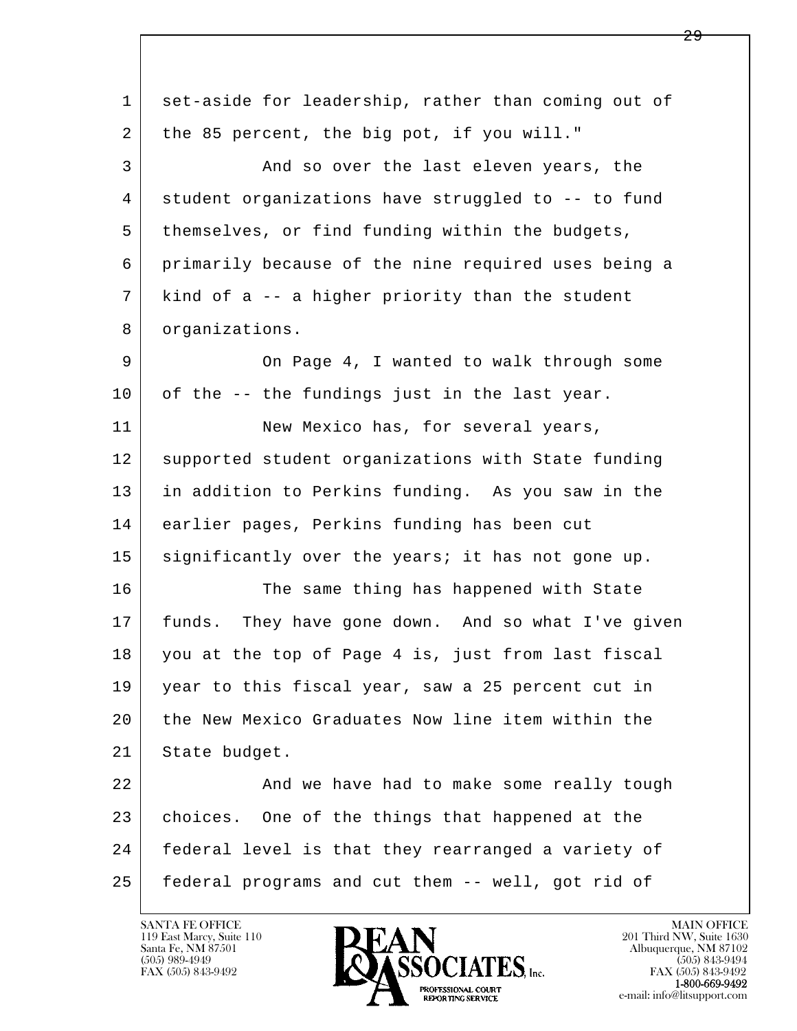| 1  | set-aside for leadership, rather than coming out of |
|----|-----------------------------------------------------|
| 2  | the 85 percent, the big pot, if you will."          |
| 3  | And so over the last eleven years, the              |
| 4  | student organizations have struggled to -- to fund  |
| 5  | themselves, or find funding within the budgets,     |
| 6  | primarily because of the nine required uses being a |
| 7  | kind of a -- a higher priority than the student     |
| 8  | organizations.                                      |
| 9  | On Page 4, I wanted to walk through some            |
| 10 | of the -- the fundings just in the last year.       |
| 11 | New Mexico has, for several years,                  |
| 12 | supported student organizations with State funding  |
| 13 | in addition to Perkins funding. As you saw in the   |
| 14 | earlier pages, Perkins funding has been cut         |
| 15 | significantly over the years; it has not gone up.   |
| 16 | The same thing has happened with State              |
| 17 | funds. They have gone down. And so what I've given  |
| 18 | you at the top of Page 4 is, just from last fiscal  |
| 19 | year to this fiscal year, saw a 25 percent cut in   |
| 20 | the New Mexico Graduates Now line item within the   |
| 21 | State budget.                                       |
| 22 | And we have had to make some really tough           |
| 23 | choices. One of the things that happened at the     |
| 24 | federal level is that they rearranged a variety of  |
| 25 | federal programs and cut them -- well, got rid of   |

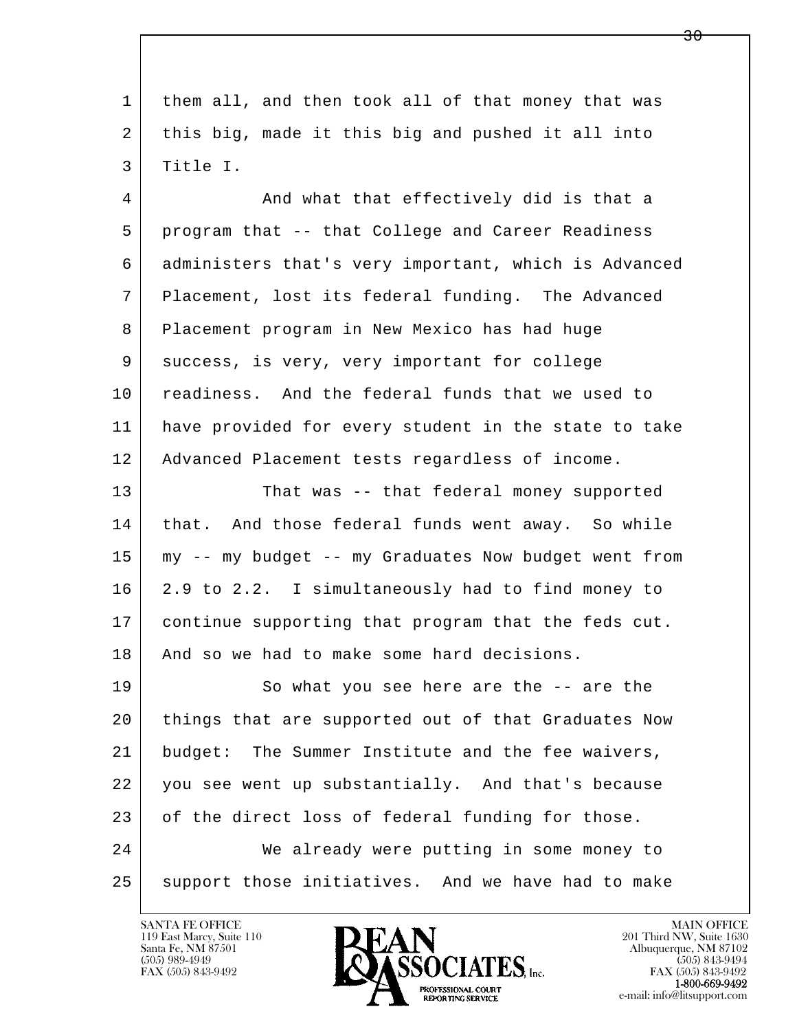| 1  | them all, and then took all of that money that was   |
|----|------------------------------------------------------|
| 2  | this big, made it this big and pushed it all into    |
| 3  | Title I.                                             |
| 4  | And what that effectively did is that a              |
| 5  | program that -- that College and Career Readiness    |
| 6  | administers that's very important, which is Advanced |
| 7  | Placement, lost its federal funding. The Advanced    |
| 8  | Placement program in New Mexico has had huge         |
| 9  | success, is very, very important for college         |
| 10 | readiness. And the federal funds that we used to     |
| 11 | have provided for every student in the state to take |
| 12 | Advanced Placement tests regardless of income.       |
| 13 | That was -- that federal money supported             |
| 14 | that. And those federal funds went away. So while    |
| 15 | my -- my budget -- my Graduates Now budget went from |
| 16 | 2.9 to 2.2. I simultaneously had to find money to    |
| 17 | continue supporting that program that the feds cut.  |
| 18 | And so we had to make some hard decisions.           |
| 19 | So what you see here are the -- are the              |
| 20 | things that are supported out of that Graduates Now  |
| 21 | The Summer Institute and the fee waivers,<br>budget: |
| 22 | you see went up substantially. And that's because    |
| 23 | of the direct loss of federal funding for those.     |
| 24 | We already were putting in some money to             |
| 25 | support those initiatives. And we have had to make   |
|    |                                                      |

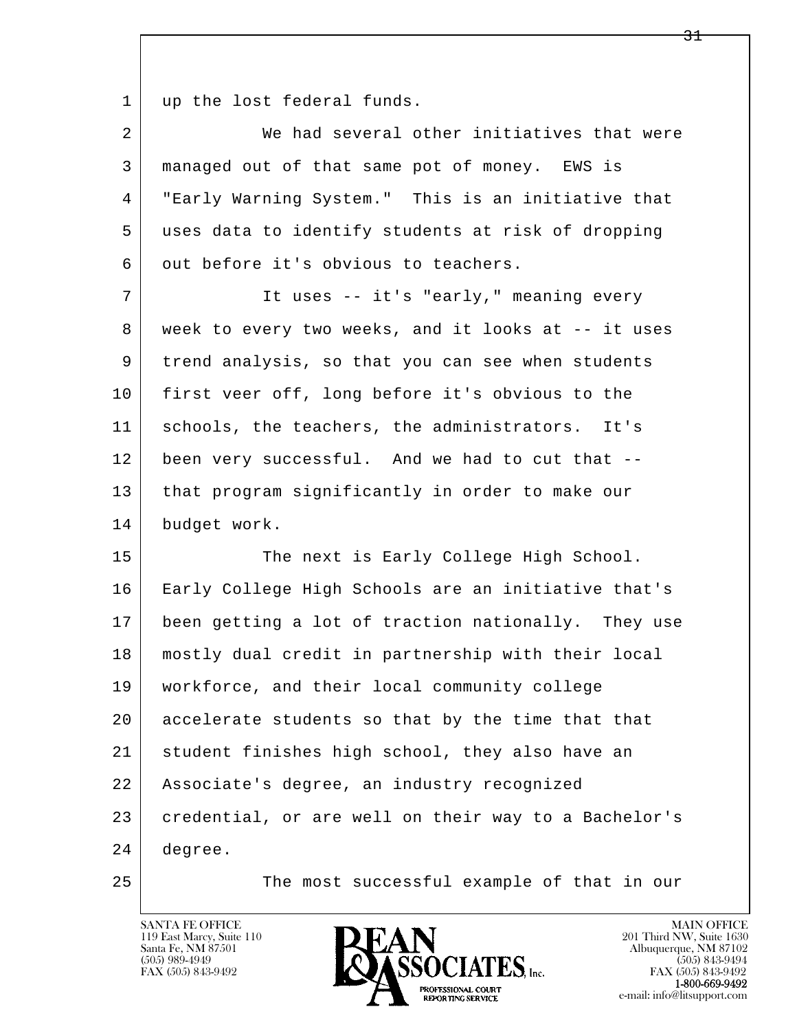1 | up the lost federal funds.

|   | We had several other initiatives that were         |
|---|----------------------------------------------------|
|   | managed out of that same pot of money. EWS is      |
| 4 | "Early Warning System." This is an initiative that |
| 5 | uses data to identify students at risk of dropping |
| 6 | out before it's obvious to teachers.               |

7 | Tt uses -- it's "early," meaning every 8 week to every two weeks, and it looks at -- it uses 9 trend analysis, so that you can see when students 10 first veer off, long before it's obvious to the 11 schools, the teachers, the administrators. It's 12 been very successful. And we had to cut that -- 13 | that program significantly in order to make our 14 budget work.

l  $\overline{\phantom{a}}$ 15 The next is Early College High School. 16 Early College High Schools are an initiative that's 17 been getting a lot of traction nationally. They use 18 mostly dual credit in partnership with their local 19 workforce, and their local community college 20 accelerate students so that by the time that that 21 student finishes high school, they also have an 22 Associate's degree, an industry recognized 23 credential, or are well on their way to a Bachelor's 24 degree.

25 The most successful example of that in our

119 East Marcy, Suite 110<br>Santa Fe, NM 87501

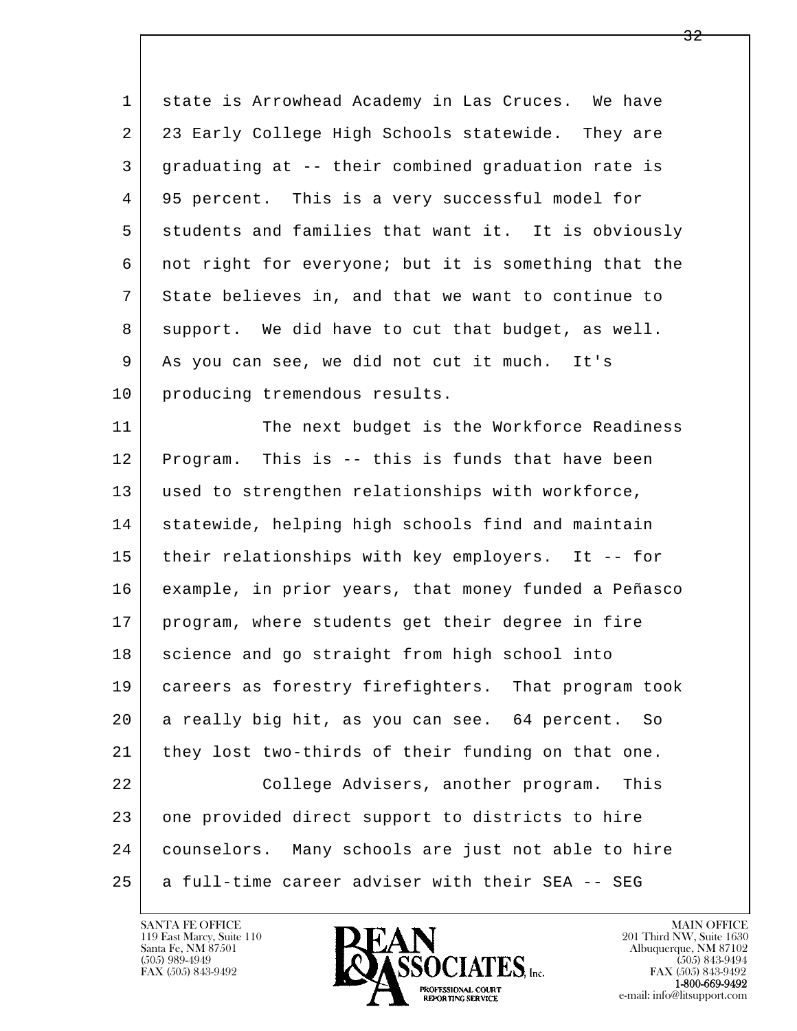| $\mathbf 1$ | state is Arrowhead Academy in Las Cruces. We have    |
|-------------|------------------------------------------------------|
| 2           | 23 Early College High Schools statewide. They are    |
| 3           | graduating at -- their combined graduation rate is   |
| 4           | 95 percent. This is a very successful model for      |
| 5           | students and families that want it. It is obviously  |
| 6           | not right for everyone; but it is something that the |
| 7           | State believes in, and that we want to continue to   |
| 8           | support. We did have to cut that budget, as well.    |
| 9           | As you can see, we did not cut it much. It's         |
| 10          | producing tremendous results.                        |
| 11          | The next budget is the Workforce Readiness           |
| 12          | Program. This is -- this is funds that have been     |
| 13          | used to strengthen relationships with workforce,     |
| 14          | statewide, helping high schools find and maintain    |
| 15          | their relationships with key employers. It -- for    |
| 16          | example, in prior years, that money funded a Peñasco |
| 17          | program, where students get their degree in fire     |
| 18          | science and go straight from high school into        |
| 19          | careers as forestry firefighters. That program took  |
| 20          | a really big hit, as you can see. 64 percent. So     |
| 21          | they lost two-thirds of their funding on that one.   |
| 22          | College Advisers, another program.<br>This           |
| 23          | one provided direct support to districts to hire     |
| 24          | counselors. Many schools are just not able to hire   |
| 25          | a full-time career adviser with their SEA -- SEG     |

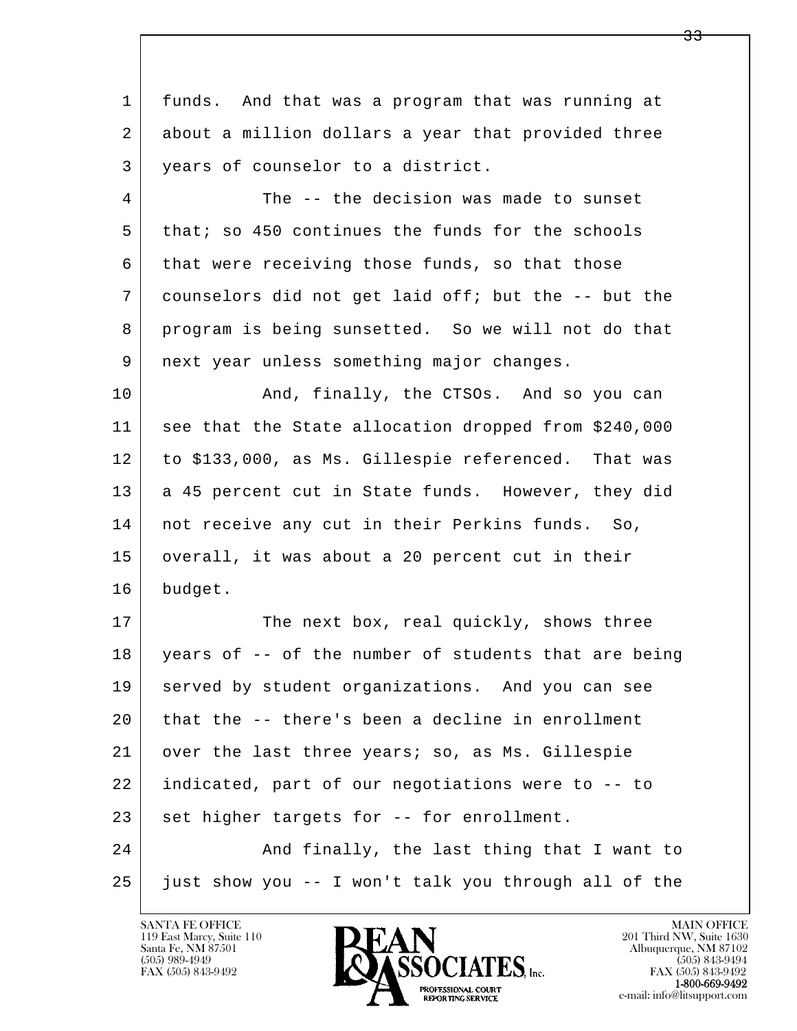| funds. And that was a program that was running at    |
|------------------------------------------------------|
| about a million dollars a year that provided three   |
| years of counselor to a district.                    |
| The -- the decision was made to sunset               |
| that; so 450 continues the funds for the schools     |
| that were receiving those funds, so that those       |
| counselors did not get laid off; but the -- but the  |
| program is being sunsetted. So we will not do that   |
| next year unless something major changes.            |
| And, finally, the CTSOs. And so you can              |
| see that the State allocation dropped from \$240,000 |
| to \$133,000, as Ms. Gillespie referenced. That was  |
| a 45 percent cut in State funds. However, they did   |
| not receive any cut in their Perkins funds. So,      |
| overall, it was about a 20 percent cut in their      |
| budget.                                              |
| The next box, real quickly, shows three              |
| years of -- of the number of students that are being |
| served by student organizations. And you can see     |
| that the -- there's been a decline in enrollment     |
| over the last three years; so, as Ms. Gillespie      |
| indicated, part of our negotiations were to -- to    |
| set higher targets for -- for enrollment.            |
| And finally, the last thing that I want to           |
| just show you -- I won't talk you through all of the |
|                                                      |

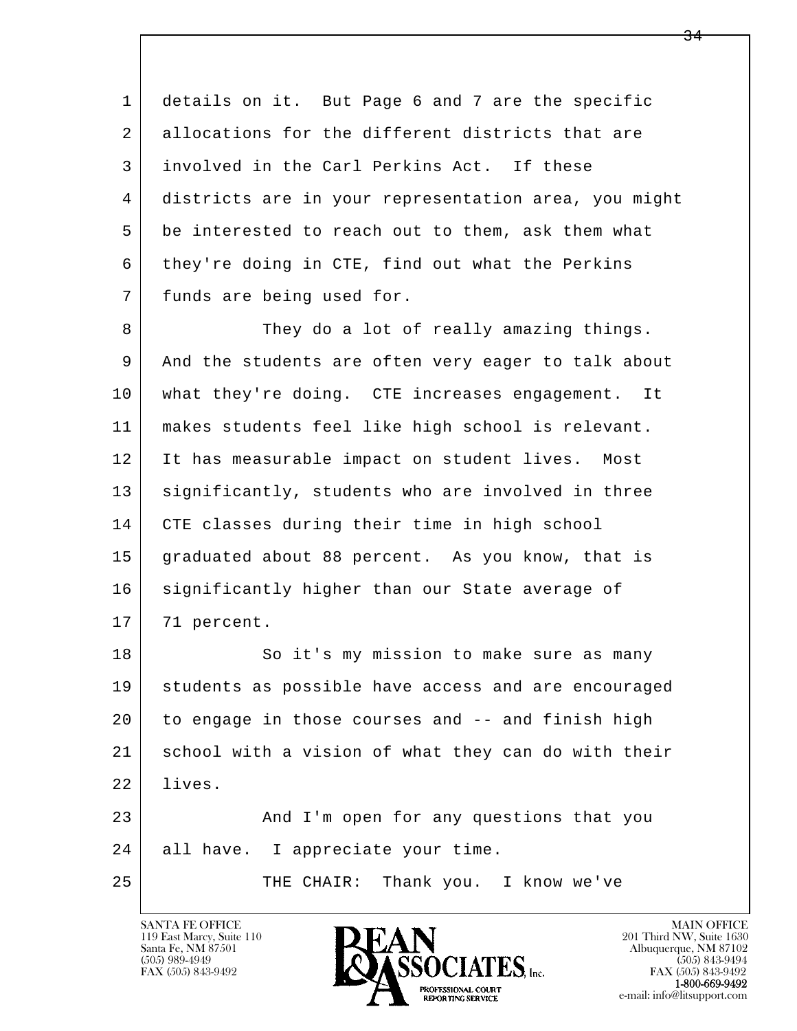1 details on it. But Page 6 and 7 are the specific 2 allocations for the different districts that are 3 involved in the Carl Perkins Act. If these 4 districts are in your representation area, you might 5 be interested to reach out to them, ask them what 6 they're doing in CTE, find out what the Perkins 7 funds are being used for.

8 They do a lot of really amazing things. 9 And the students are often very eager to talk about 10 what they're doing. CTE increases engagement. It 11 makes students feel like high school is relevant. 12 It has measurable impact on student lives. Most 13 | significantly, students who are involved in three 14 CTE classes during their time in high school 15 graduated about 88 percent. As you know, that is 16 significantly higher than our State average of 17 71 percent.

l  $\overline{\phantom{a}}$ 18 So it's my mission to make sure as many 19 students as possible have access and are encouraged 20 to engage in those courses and -- and finish high 21 school with a vision of what they can do with their 22 lives. 23 And I'm open for any questions that you 24 all have. I appreciate your time. 25 THE CHAIR: Thank you. I know we've

119 East Marcy, Suite 110<br>Santa Fe, NM 87501

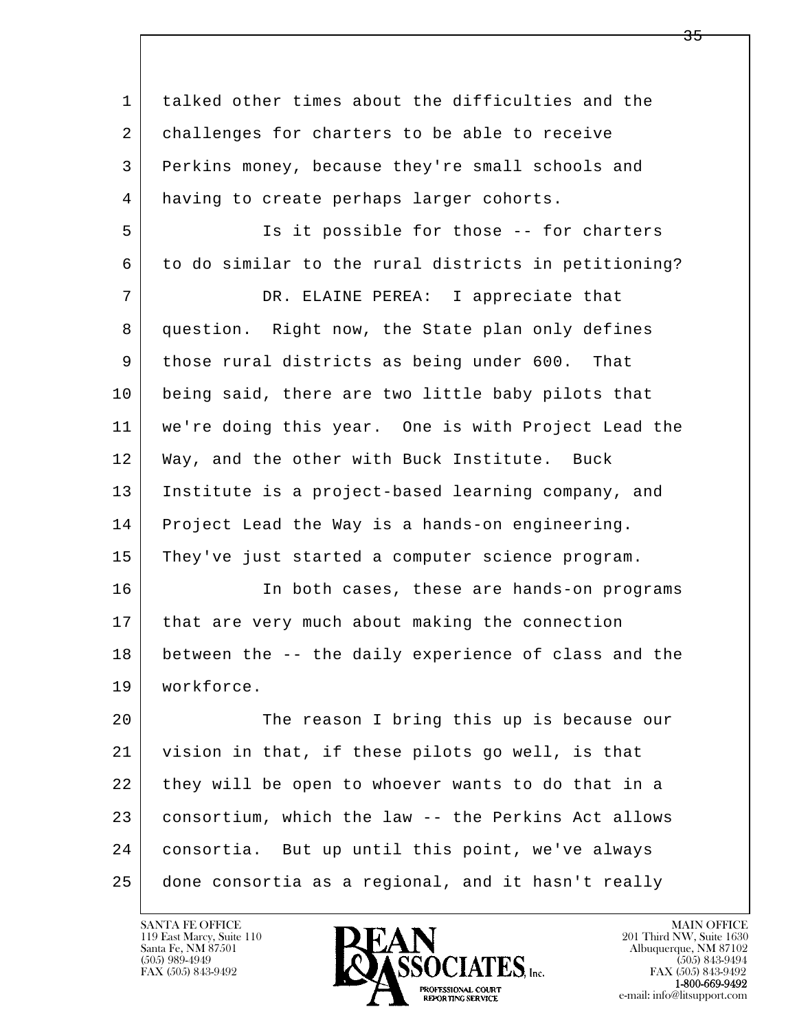l  $\overline{\phantom{a}}$  1 talked other times about the difficulties and the 2 challenges for charters to be able to receive 3 Perkins money, because they're small schools and 4 having to create perhaps larger cohorts. 5 Is it possible for those -- for charters 6 to do similar to the rural districts in petitioning? 7 DR. ELAINE PEREA: I appreciate that 8 question. Right now, the State plan only defines 9 those rural districts as being under 600. That 10 being said, there are two little baby pilots that 11 we're doing this year. One is with Project Lead the 12 Way, and the other with Buck Institute. Buck 13 Institute is a project-based learning company, and 14 Project Lead the Way is a hands-on engineering. 15 They've just started a computer science program. 16 In both cases, these are hands-on programs 17 | that are very much about making the connection 18 between the -- the daily experience of class and the 19 workforce. 20 The reason I bring this up is because our 21 vision in that, if these pilots go well, is that 22 they will be open to whoever wants to do that in a 23 consortium, which the law -- the Perkins Act allows 24 consortia. But up until this point, we've always 25 done consortia as a regional, and it hasn't really

119 East Marcy, Suite 110<br>Santa Fe, NM 87501

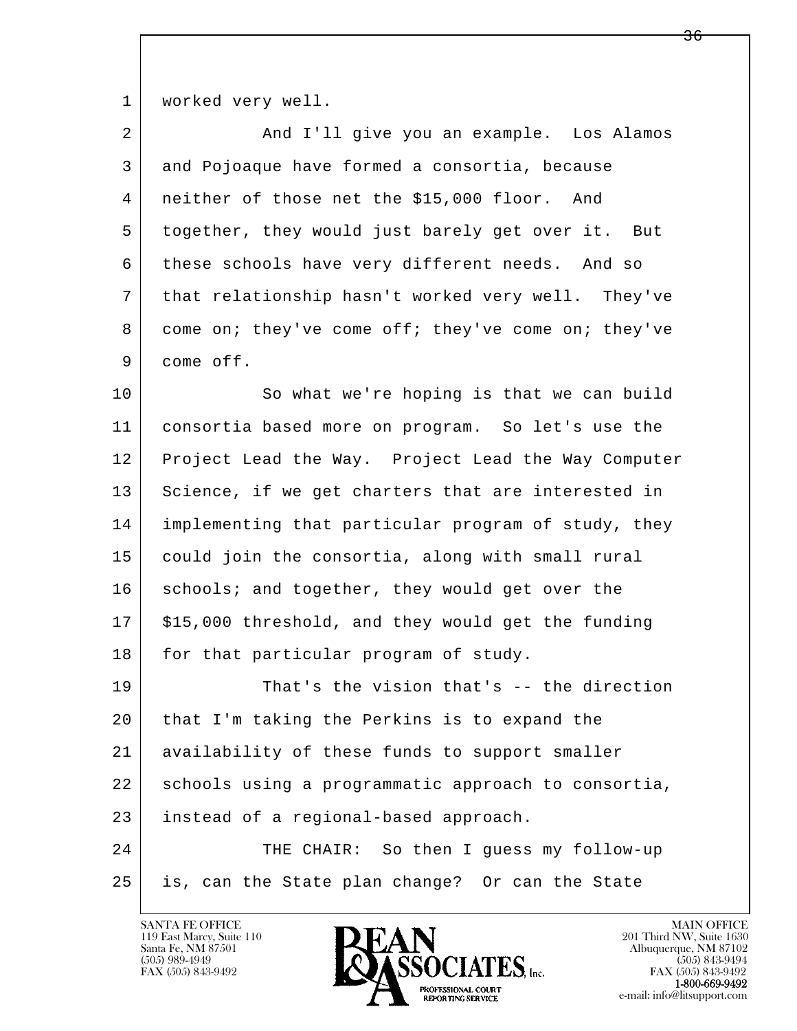1 | worked very well.

| $\overline{2}$ | And I'll give you an example. Los Alamos            |
|----------------|-----------------------------------------------------|
| 3              | and Pojoaque have formed a consortia, because       |
| 4              | neither of those net the \$15,000 floor. And        |
| 5              | together, they would just barely get over it. But   |
| 6              | these schools have very different needs. And so     |
| 7              | that relationship hasn't worked very well. They've  |
| 8              | come on; they've come off; they've come on; they've |
| 9              | come off.                                           |
| 10             | So what we're hoping is that we can build           |
| 11             | consortia based more on program. So let's use the   |
| 12             | Project Lead the Way. Project Lead the Way Computer |
| 13             | Science, if we get charters that are interested in  |
| 14             | implementing that particular program of study, they |
| 15             | could join the consortia, along with small rural    |
| 16             | schools; and together, they would get over the      |
| 17             | \$15,000 threshold, and they would get the funding  |
| 18             | for that particular program of study.               |
| 19             | That's the vision that's -- the direction           |
| 20             | that I'm taking the Perkins is to expand the        |
| 21             | availability of these funds to support smaller      |
| 22             | schools using a programmatic approach to consortia, |
| 23             | instead of a regional-based approach.               |
| 24             | THE CHAIR: So then I guess my follow-up             |
| 25             | is, can the State plan change? Or can the State     |
|                |                                                     |

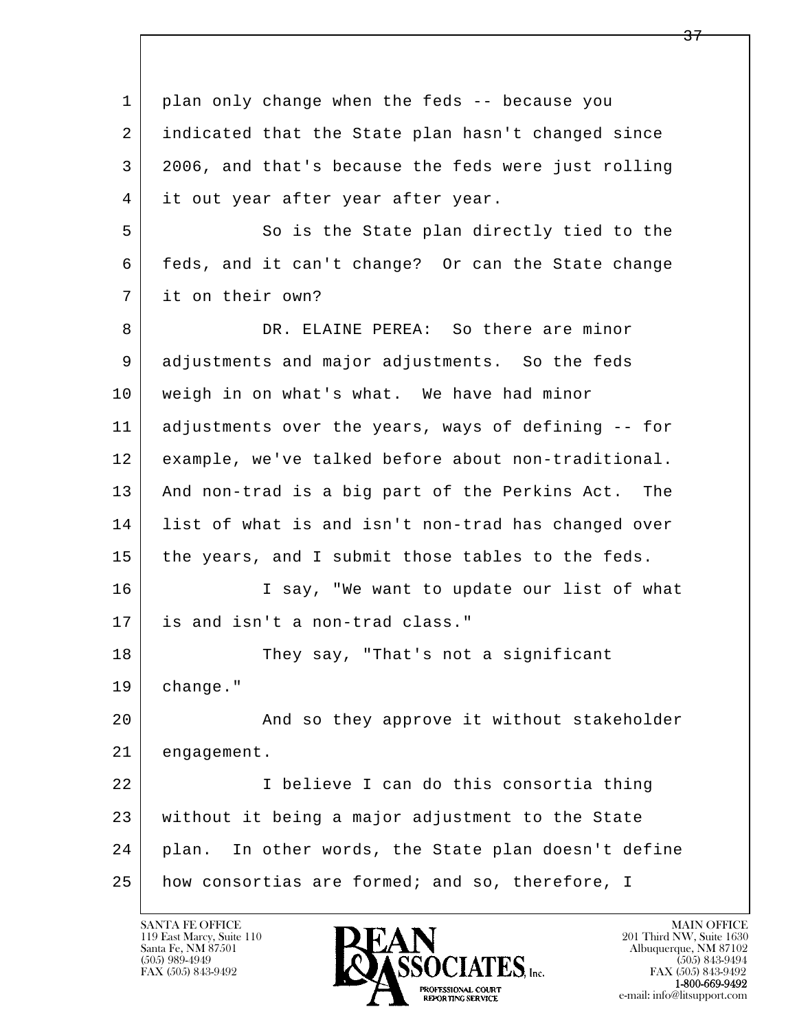l  $\overline{\phantom{a}}$  1 plan only change when the feds -- because you 2 indicated that the State plan hasn't changed since 3 2006, and that's because the feds were just rolling 4 it out year after year after year. 5 So is the State plan directly tied to the 6 feds, and it can't change? Or can the State change 7 it on their own? 8 DR. ELAINE PEREA: So there are minor 9 adjustments and major adjustments. So the feds 10 weigh in on what's what. We have had minor 11 adjustments over the years, ways of defining -- for 12 example, we've talked before about non-traditional. 13 And non-trad is a big part of the Perkins Act. The 14 list of what is and isn't non-trad has changed over 15 the years, and I submit those tables to the feds. 16 I say, "We want to update our list of what 17 is and isn't a non-trad class." 18 They say, "That's not a significant 19 change." 20 | The Rand so they approve it without stakeholder 21 engagement. 22 I believe I can do this consortia thing 23 without it being a major adjustment to the State 24 plan. In other words, the State plan doesn't define 25 how consortias are formed; and so, therefore, I

119 East Marcy, Suite 110<br>Santa Fe, NM 87501

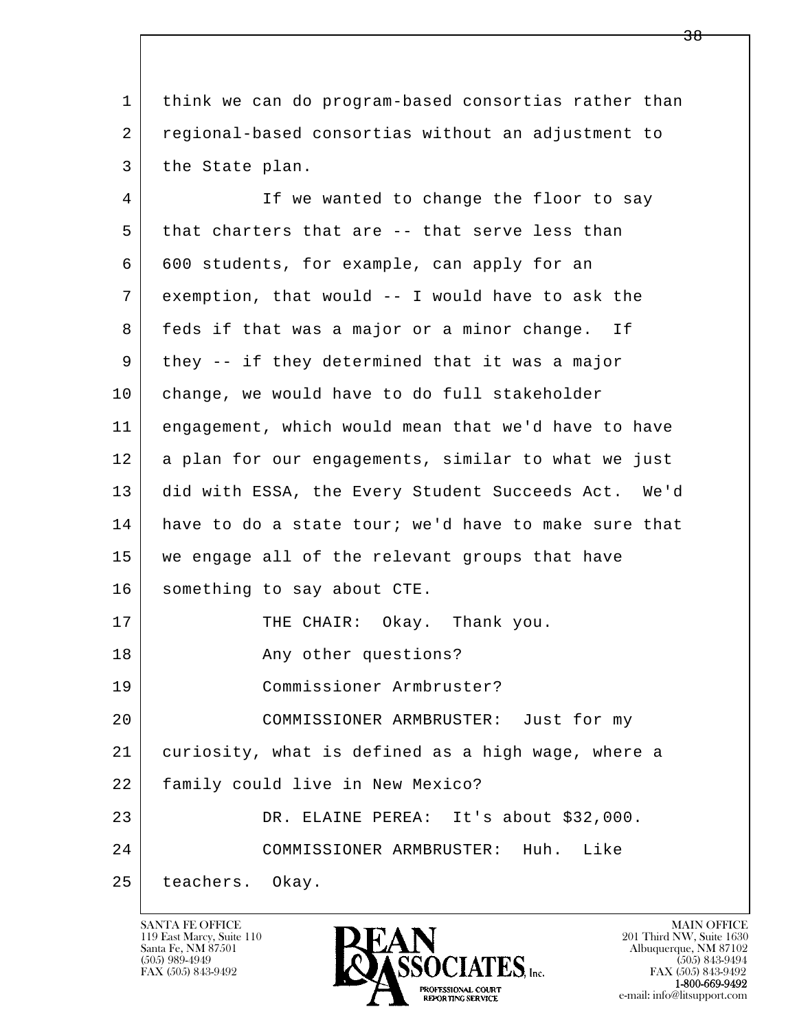1 think we can do program-based consortias rather than 2 regional-based consortias without an adjustment to 3 the State plan.

l  $\overline{\phantom{a}}$ 4 If we wanted to change the floor to say 5 that charters that are -- that serve less than 6 600 students, for example, can apply for an 7 exemption, that would -- I would have to ask the 8 feds if that was a major or a minor change. If 9 they -- if they determined that it was a major 10 change, we would have to do full stakeholder 11 engagement, which would mean that we'd have to have 12 a plan for our engagements, similar to what we just 13 did with ESSA, the Every Student Succeeds Act. We'd 14 have to do a state tour; we'd have to make sure that 15 we engage all of the relevant groups that have 16 something to say about CTE. 17 THE CHAIR: Okay. Thank you. 18 Any other questions? 19 Commissioner Armbruster? 20 COMMISSIONER ARMBRUSTER: Just for my 21 curiosity, what is defined as a high wage, where a 22 family could live in New Mexico? 23 DR. ELAINE PEREA: It's about \$32,000. 24 COMMISSIONER ARMBRUSTER: Huh. Like 25 teachers. Okay.

119 East Marcy, Suite 110<br>Santa Fe, NM 87501

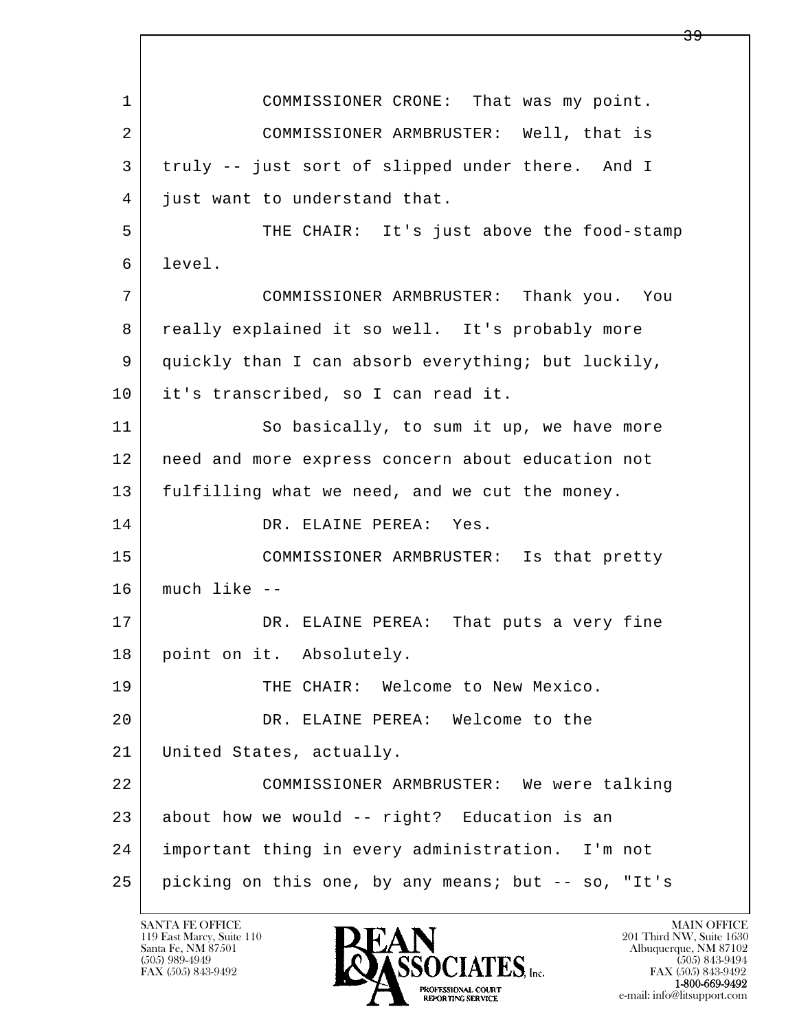l  $\overline{\phantom{a}}$  1 COMMISSIONER CRONE: That was my point. 2 COMMISSIONER ARMBRUSTER: Well, that is 3 truly -- just sort of slipped under there. And I 4 just want to understand that. 5 THE CHAIR: It's just above the food-stamp 6 level. 7 COMMISSIONER ARMBRUSTER: Thank you. You 8 | really explained it so well. It's probably more 9 quickly than I can absorb everything; but luckily, 10 it's transcribed, so I can read it. 11 So basically, to sum it up, we have more 12 need and more express concern about education not 13 fulfilling what we need, and we cut the money. 14 DR. ELAINE PEREA: Yes. 15 COMMISSIONER ARMBRUSTER: Is that pretty 16 much like -- 17 DR. ELAINE PEREA: That puts a very fine 18 point on it. Absolutely. 19 THE CHAIR: Welcome to New Mexico. 20 DR. ELAINE PEREA: Welcome to the 21 United States, actually. 22 COMMISSIONER ARMBRUSTER: We were talking  $23$  about how we would -- right? Education is an 24 important thing in every administration. I'm not 25 picking on this one, by any means; but -- so, "It's

119 East Marcy, Suite 110<br>Santa Fe, NM 87501



FAX (505) 843-9492 FAX (505) 843-9492 e-mail: info@litsupport.com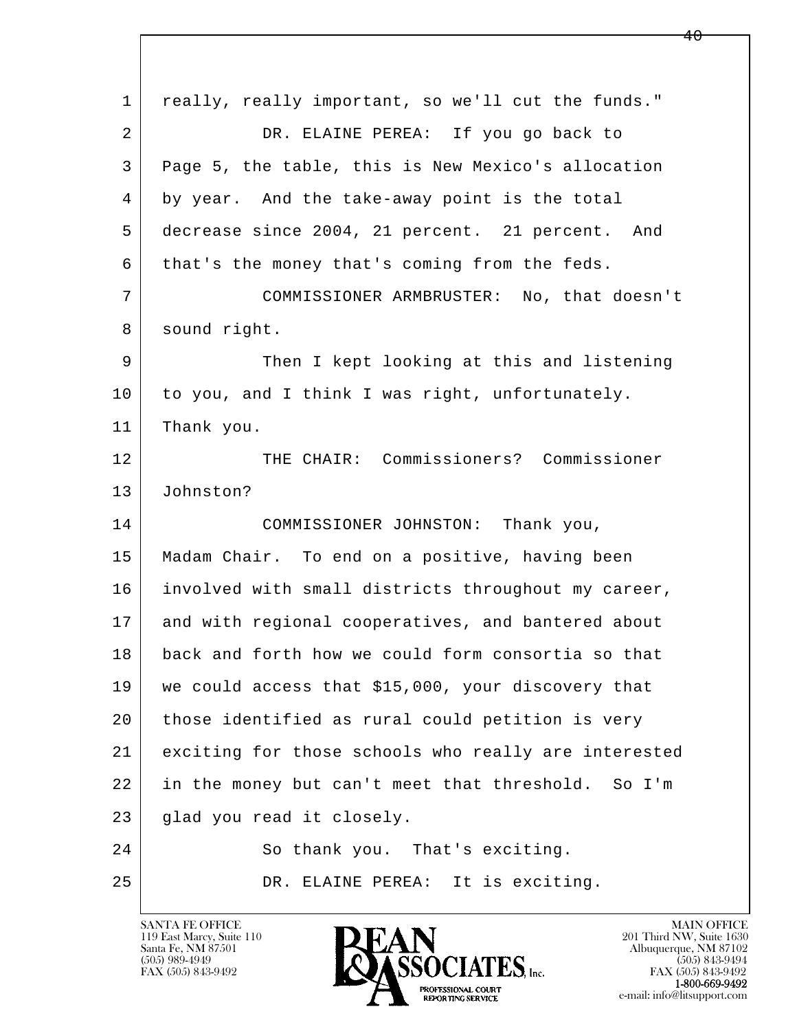l  $\overline{\phantom{a}}$ 1 really, really important, so we'll cut the funds." 2 DR. ELAINE PEREA: If you go back to 3 Page 5, the table, this is New Mexico's allocation 4 by year. And the take-away point is the total 5 decrease since 2004, 21 percent. 21 percent. And 6 | that's the money that's coming from the feds. 7 COMMISSIONER ARMBRUSTER: No, that doesn't 8 sound right. 9 Then I kept looking at this and listening 10 to you, and I think I was right, unfortunately. 11 | Thank you. 12 THE CHAIR: Commissioners? Commissioner 13 Johnston? 14 COMMISSIONER JOHNSTON: Thank you, 15 Madam Chair. To end on a positive, having been 16 | involved with small districts throughout my career, 17 and with regional cooperatives, and bantered about 18 back and forth how we could form consortia so that 19 we could access that \$15,000, your discovery that 20 those identified as rural could petition is very 21 exciting for those schools who really are interested 22 in the money but can't meet that threshold. So I'm 23 glad you read it closely. 24 So thank you. That's exciting. 25 DR. ELAINE PEREA: It is exciting.

119 East Marcy, Suite 110<br>Santa Fe, NM 87501



FAX (505) 843-9492 FAX (505) 843-9492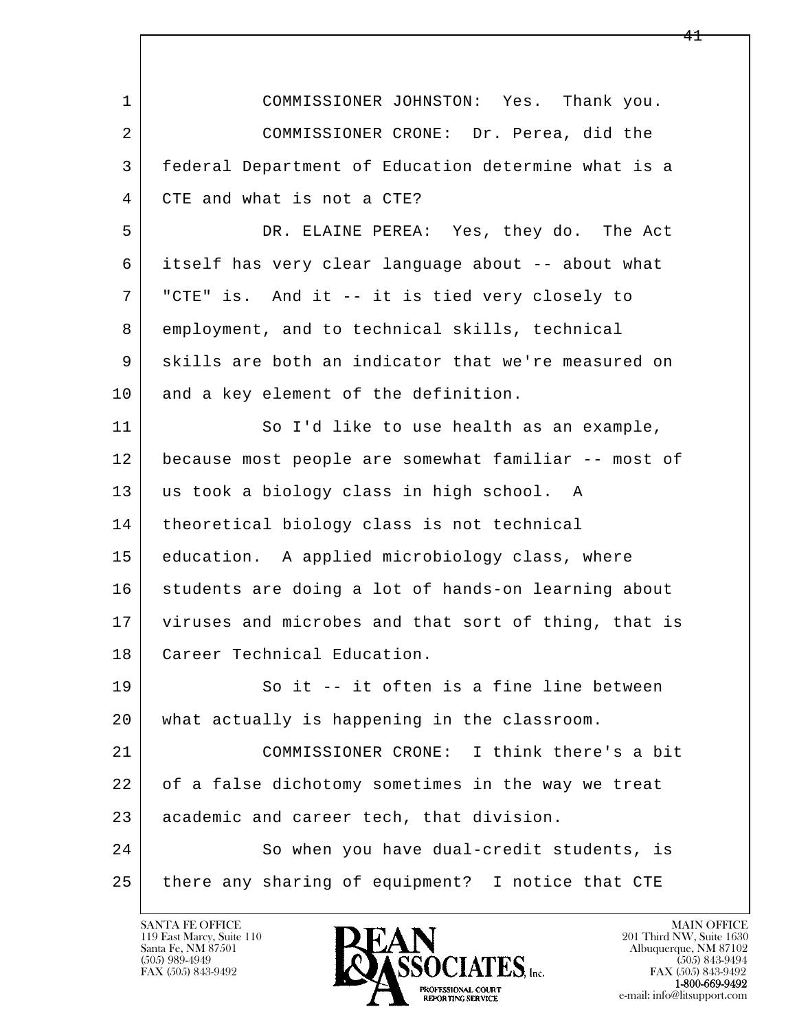| $\mathbf 1$    | COMMISSIONER JOHNSTON: Yes. Thank you.               |
|----------------|------------------------------------------------------|
| $\overline{2}$ | COMMISSIONER CRONE: Dr. Perea, did the               |
| 3              | federal Department of Education determine what is a  |
| 4              | CTE and what is not a CTE?                           |
| 5              | DR. ELAINE PEREA: Yes, they do. The Act              |
| 6              | itself has very clear language about -- about what   |
| 7              | "CTE" is. And it -- it is tied very closely to       |
| 8              | employment, and to technical skills, technical       |
| 9              | skills are both an indicator that we're measured on  |
| 10             | and a key element of the definition.                 |
| 11             | So I'd like to use health as an example,             |
| 12             | because most people are somewhat familiar -- most of |
| 13             | us took a biology class in high school. A            |
| 14             | theoretical biology class is not technical           |
| 15             | education. A applied microbiology class, where       |
| 16             | students are doing a lot of hands-on learning about  |
| 17             | viruses and microbes and that sort of thing, that is |
| 18             | Career Technical Education.                          |
| 19             | So it -- it often is a fine line between             |
| 20             | what actually is happening in the classroom.         |
| 21             | COMMISSIONER CRONE: I think there's a bit            |
| 22             | of a false dichotomy sometimes in the way we treat   |
| 23             | academic and career tech, that division.             |
| 24             | So when you have dual-credit students, is            |
| 25             | there any sharing of equipment? I notice that CTE    |

 $\lceil$ 

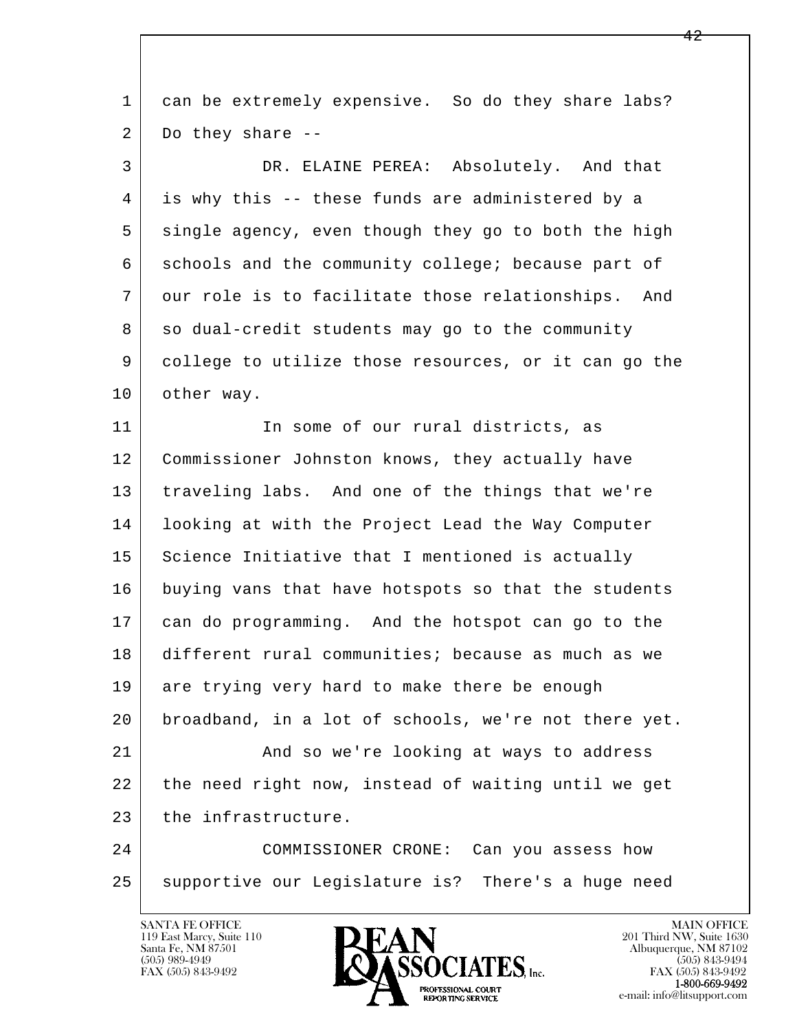| $\mathbf 1$ | can be extremely expensive. So do they share labs?    |
|-------------|-------------------------------------------------------|
| 2           | Do they share --                                      |
| 3           | DR. ELAINE PEREA: Absolutely. And that                |
| 4           | is why this -- these funds are administered by a      |
| 5           | single agency, even though they go to both the high   |
| 6           | schools and the community college; because part of    |
| 7           | our role is to facilitate those relationships.<br>And |
| 8           | so dual-credit students may go to the community       |
| 9           | college to utilize those resources, or it can go the  |
| 10          | other way.                                            |
| 11          | In some of our rural districts, as                    |
| 12          | Commissioner Johnston knows, they actually have       |
| 13          | traveling labs. And one of the things that we're      |
| 14          | looking at with the Project Lead the Way Computer     |
| 15          | Science Initiative that I mentioned is actually       |
| 16          | buying vans that have hotspots so that the students   |
| 17          | can do programming. And the hotspot can go to the     |
| 18          | different rural communities; because as much as we    |
| 19          | are trying very hard to make there be enough          |
| 20          | broadband, in a lot of schools, we're not there yet.  |
| 21          | And so we're looking at ways to address               |
| 22          | the need right now, instead of waiting until we get   |
| 23          | the infrastructure.                                   |
| 24          | COMMISSIONER CRONE: Can you assess how                |
| 25          | supportive our Legislature is? There's a huge need    |
|             |                                                       |

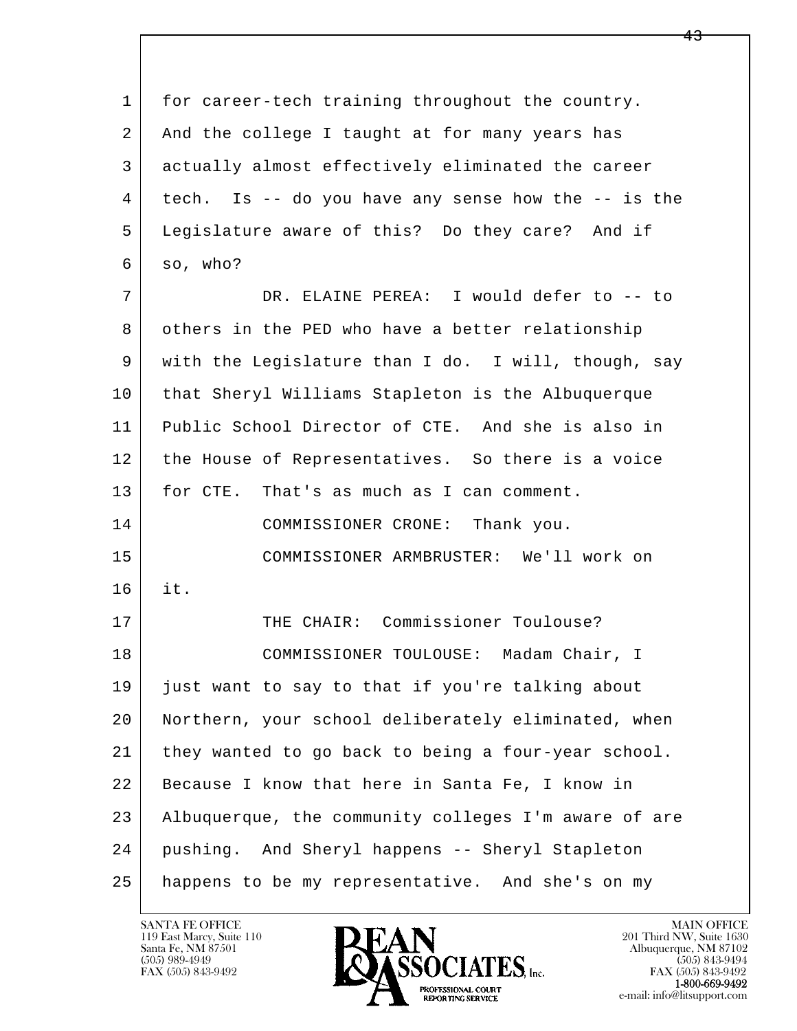l  $\overline{\phantom{a}}$  1 for career-tech training throughout the country. 2 And the college I taught at for many years has 3 actually almost effectively eliminated the career 4 tech. Is -- do you have any sense how the -- is the 5 Legislature aware of this? Do they care? And if  $6 \mid so, who?$  7 DR. ELAINE PEREA: I would defer to -- to 8 others in the PED who have a better relationship 9 with the Legislature than I do. I will, though, say 10 that Sheryl Williams Stapleton is the Albuquerque 11 Public School Director of CTE. And she is also in 12 the House of Representatives. So there is a voice 13 for CTE. That's as much as I can comment. 14 COMMISSIONER CRONE: Thank you. 15 COMMISSIONER ARMBRUSTER: We'll work on 16 it. 17 THE CHAIR: Commissioner Toulouse? 18 COMMISSIONER TOULOUSE: Madam Chair, I 19 just want to say to that if you're talking about 20 Northern, your school deliberately eliminated, when 21 they wanted to go back to being a four-year school. 22 Because I know that here in Santa Fe, I know in 23 Albuquerque, the community colleges I'm aware of are 24 pushing. And Sheryl happens -- Sheryl Stapleton 25 happens to be my representative. And she's on my

119 East Marcy, Suite 110<br>Santa Fe, NM 87501



FAX (505) 843-9492<br>1-800-669-9492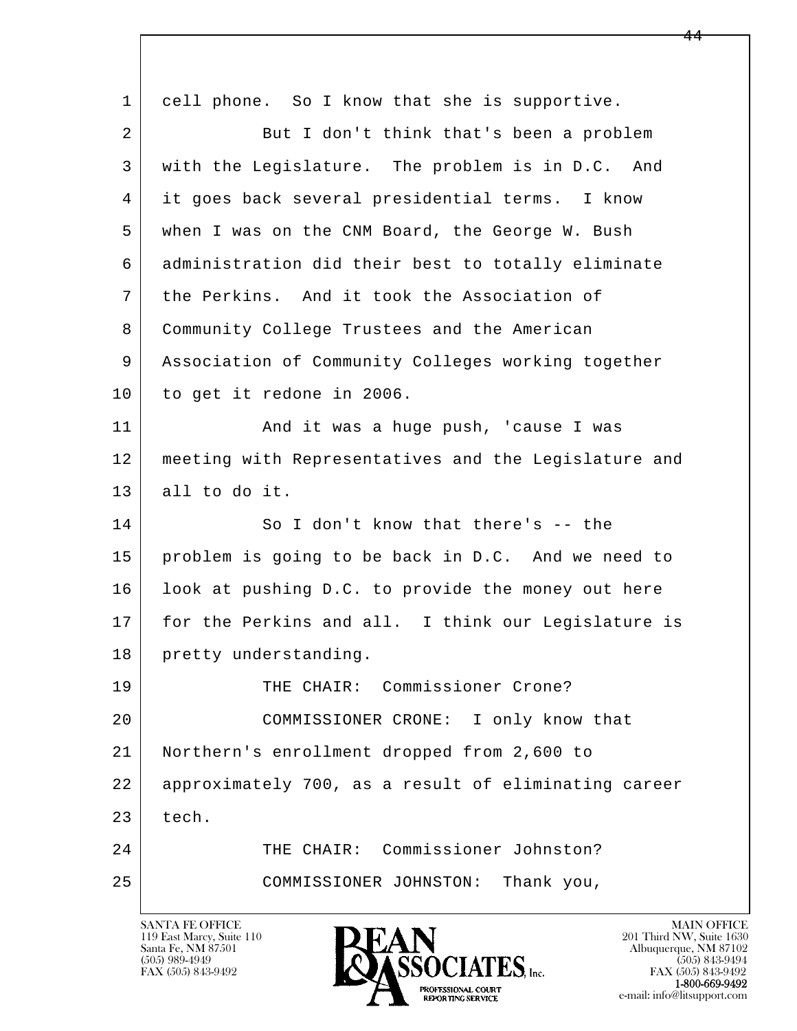l  $\overline{\phantom{a}}$  1 cell phone. So I know that she is supportive. 2 But I don't think that's been a problem 3 with the Legislature. The problem is in D.C. And 4 it goes back several presidential terms. I know 5 when I was on the CNM Board, the George W. Bush 6 administration did their best to totally eliminate 7 the Perkins. And it took the Association of 8 Community College Trustees and the American 9 Association of Community Colleges working together 10 to get it redone in 2006. 11 | And it was a huge push, 'cause I was 12 meeting with Representatives and the Legislature and 13 all to do it. 14 So I don't know that there's -- the 15 problem is going to be back in D.C. And we need to 16 | look at pushing D.C. to provide the money out here 17 for the Perkins and all. I think our Legislature is 18 | pretty understanding. 19 THE CHAIR: Commissioner Crone? 20 COMMISSIONER CRONE: I only know that 21 Northern's enrollment dropped from 2,600 to 22 approximately 700, as a result of eliminating career  $23$  tech. 24 THE CHAIR: Commissioner Johnston? 25 COMMISSIONER JOHNSTON: Thank you,

119 East Marcy, Suite 110<br>Santa Fe, NM 87501



FAX (505) 843-9492<br>1-800-669-9492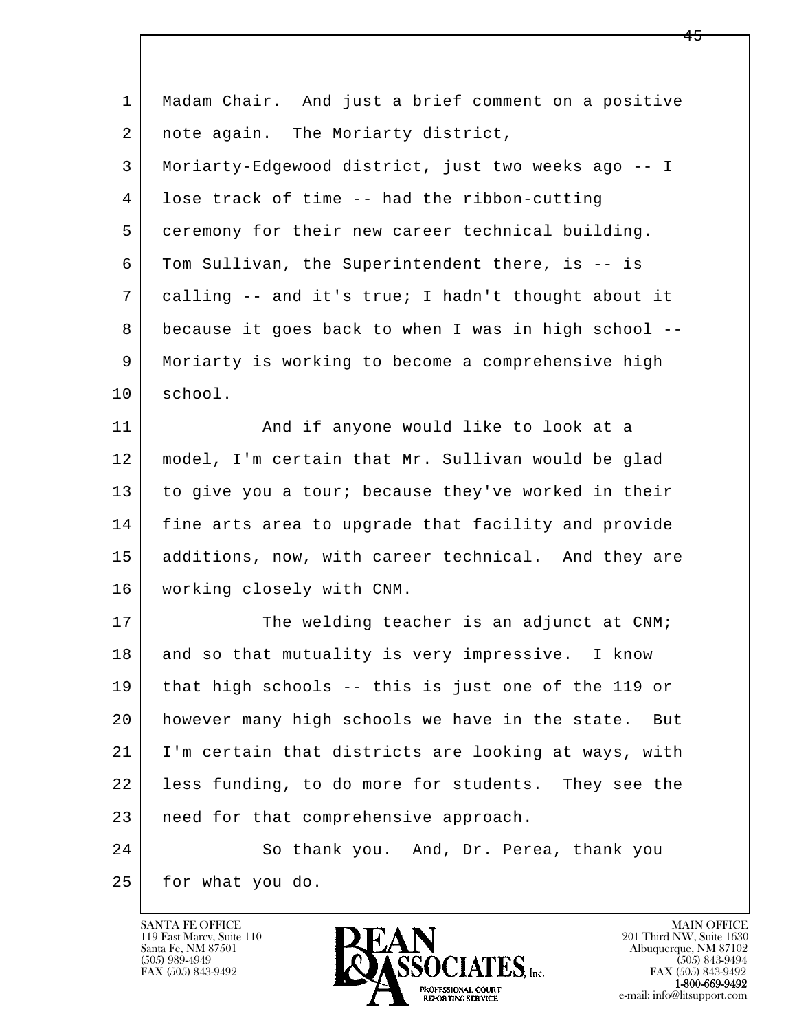| $\mathbf{1}$ | Madam Chair. And just a brief comment on a positive    |
|--------------|--------------------------------------------------------|
| 2            | note again. The Moriarty district,                     |
| 3            | Moriarty-Edgewood district, just two weeks ago -- I    |
| 4            | lose track of time -- had the ribbon-cutting           |
| 5            | ceremony for their new career technical building.      |
| 6            | Tom Sullivan, the Superintendent there, is -- is       |
| 7            | calling -- and it's true; I hadn't thought about it    |
| 8            | because it goes back to when I was in high school --   |
| 9            | Moriarty is working to become a comprehensive high     |
| 10           | school.                                                |
| 11           | And if anyone would like to look at a                  |
| 12           | model, I'm certain that Mr. Sullivan would be glad     |
| 13           | to give you a tour; because they've worked in their    |
| 14           | fine arts area to upgrade that facility and provide    |
| 15           | additions, now, with career technical. And they are    |
| 16           | working closely with CNM.                              |
| 17           | The welding teacher is an adjunct at CNM;              |
| 18           | and so that mutuality is very impressive. I know       |
| 19           | that high schools -- this is just one of the 119 or    |
| 20           | however many high schools we have in the state.<br>But |
| 21           | I'm certain that districts are looking at ways, with   |
| 22           | less funding, to do more for students. They see the    |
| 23           | need for that comprehensive approach.                  |
| 24           | So thank you. And, Dr. Perea, thank you                |
| 25           | for what you do.                                       |

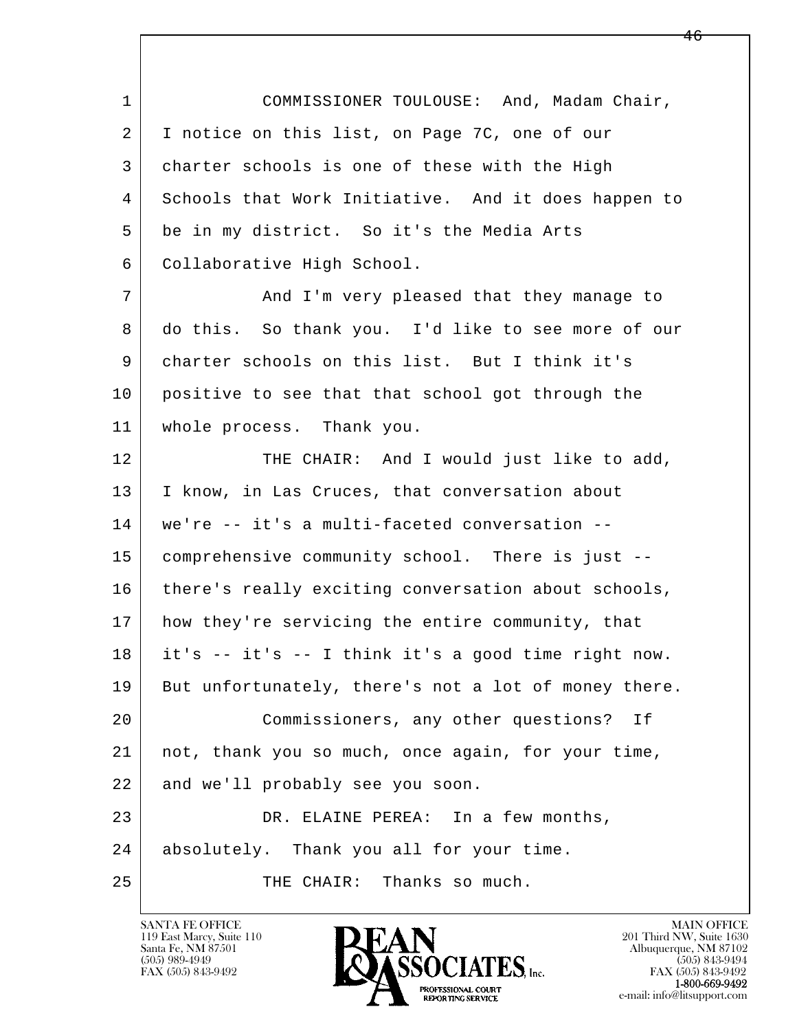l  $\overline{\phantom{a}}$ 1 COMMISSIONER TOULOUSE: And, Madam Chair, 2 I notice on this list, on Page 7C, one of our 3 charter schools is one of these with the High 4 Schools that Work Initiative. And it does happen to 5 be in my district. So it's the Media Arts 6 Collaborative High School. 7 | And I'm very pleased that they manage to 8 do this. So thank you. I'd like to see more of our 9 charter schools on this list. But I think it's 10 positive to see that that school got through the 11 whole process. Thank you. 12 THE CHAIR: And I would just like to add, 13 | I know, in Las Cruces, that conversation about 14 we're -- it's a multi-faceted conversation -- 15 comprehensive community school. There is just -- 16 there's really exciting conversation about schools, 17 | how they're servicing the entire community, that 18 it's -- it's -- I think it's a good time right now. 19 But unfortunately, there's not a lot of money there. 20 Commissioners, any other questions? If 21 not, thank you so much, once again, for your time, 22 and we'll probably see you soon. 23 DR. ELAINE PEREA: In a few months, 24 absolutely. Thank you all for your time. 25 THE CHAIR: Thanks so much.

119 East Marcy, Suite 110<br>Santa Fe, NM 87501



FAX (505) 843-9492<br>1-800-669-9492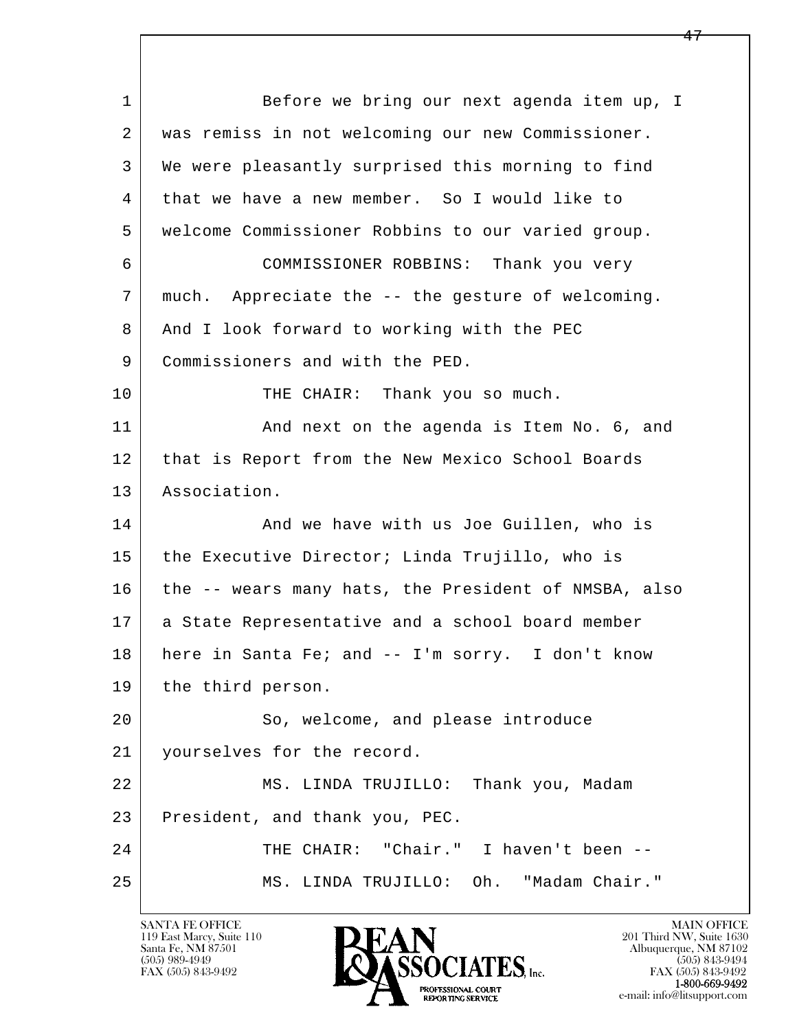l  $\overline{\phantom{a}}$ 1 Before we bring our next agenda item up, I 2 was remiss in not welcoming our new Commissioner. 3 We were pleasantly surprised this morning to find 4 that we have a new member. So I would like to 5 welcome Commissioner Robbins to our varied group. 6 COMMISSIONER ROBBINS: Thank you very 7 much. Appreciate the -- the gesture of welcoming. 8 | And I look forward to working with the PEC 9 Commissioners and with the PED. 10 THE CHAIR: Thank you so much. 11 | And next on the agenda is Item No. 6, and 12 that is Report from the New Mexico School Boards 13 Association. 14 And we have with us Joe Guillen, who is 15 the Executive Director; Linda Trujillo, who is 16 the -- wears many hats, the President of NMSBA, also 17 a State Representative and a school board member 18 here in Santa Fe; and -- I'm sorry. I don't know 19 | the third person. 20 | So, welcome, and please introduce 21 yourselves for the record. 22 MS. LINDA TRUJILLO: Thank you, Madam 23 President, and thank you, PEC. 24 THE CHAIR: "Chair." I haven't been --25 MS. LINDA TRUJILLO: Oh. "Madam Chair."

119 East Marcy, Suite 110<br>Santa Fe, NM 87501

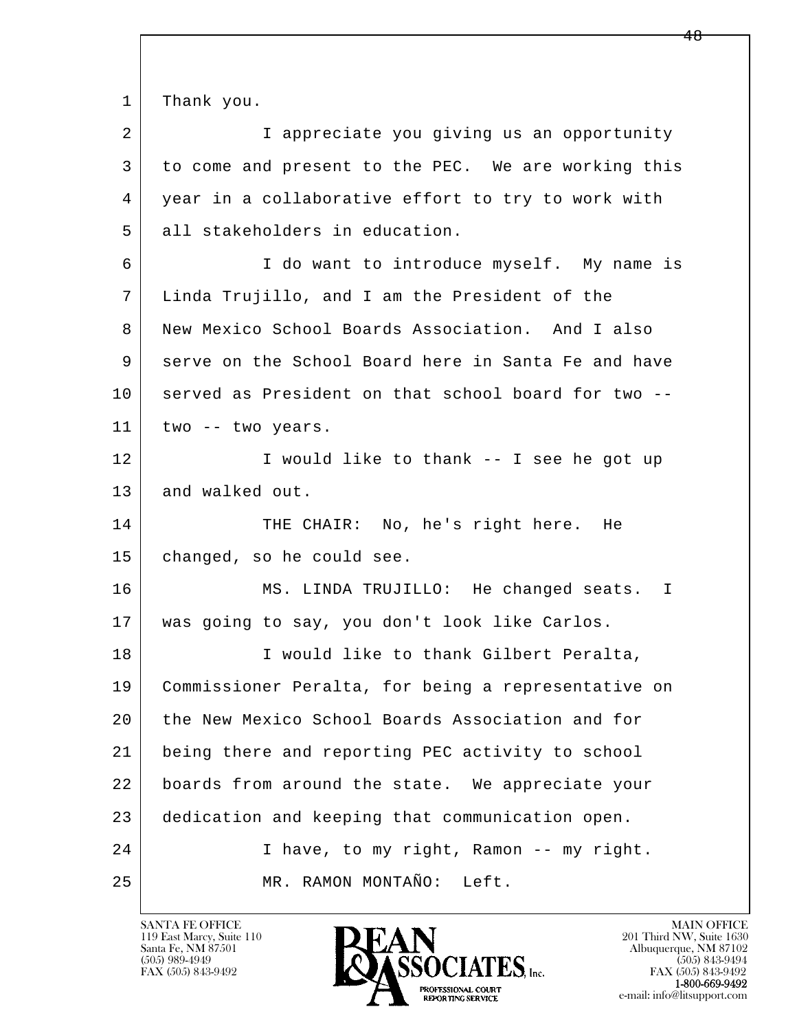1 Thank you.

2 I appreciate you giving us an opportunity 3 to come and present to the PEC. We are working this 4 | year in a collaborative effort to try to work with 5 all stakeholders in education.

 6 I do want to introduce myself. My name is 7 Linda Trujillo, and I am the President of the 8 New Mexico School Boards Association. And I also 9 serve on the School Board here in Santa Fe and have 10 served as President on that school board for two --11 | two -- two years.

12 I would like to thank -- I see he got up 13 and walked out.

14 THE CHAIR: No, he's right here. He 15 changed, so he could see.

 16 MS. LINDA TRUJILLO: He changed seats. I 17 was going to say, you don't look like Carlos.

l  $\overline{\phantom{a}}$  18 I would like to thank Gilbert Peralta, 19 Commissioner Peralta, for being a representative on 20 the New Mexico School Boards Association and for 21 being there and reporting PEC activity to school 22 boards from around the state. We appreciate your 23 dedication and keeping that communication open. 24 I have, to my right, Ramon -- my right. 25 MR. RAMON MONTAÑO: Left.

119 East Marcy, Suite 110<br>Santa Fe, NM 87501

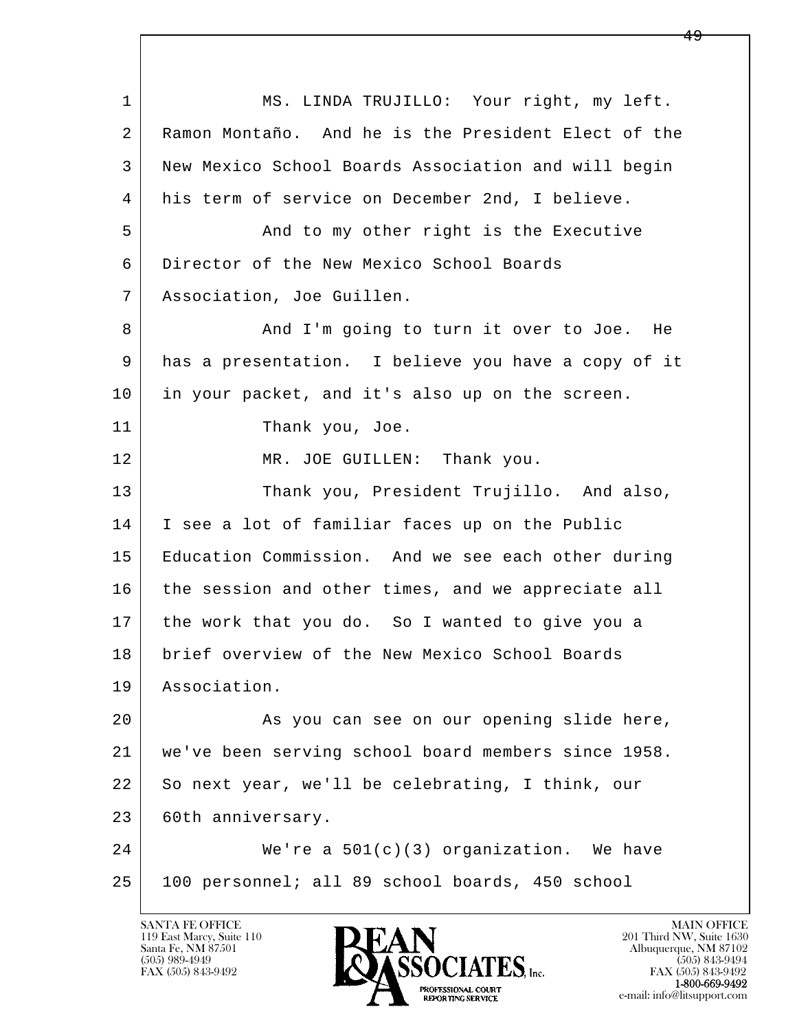l  $\overline{\phantom{a}}$ 1 MS. LINDA TRUJILLO: Your right, my left. 2 Ramon Montaño. And he is the President Elect of the 3 New Mexico School Boards Association and will begin 4 his term of service on December 2nd, I believe. 5 And to my other right is the Executive 6 Director of the New Mexico School Boards 7 Association, Joe Guillen. 8 and I'm going to turn it over to Joe. He 9 has a presentation. I believe you have a copy of it 10 in your packet, and it's also up on the screen. 11 Thank you, Joe. 12 | MR. JOE GUILLEN: Thank you. 13 Thank you, President Trujillo. And also, 14 I see a lot of familiar faces up on the Public 15 Education Commission. And we see each other during 16 the session and other times, and we appreciate all 17 the work that you do. So I wanted to give you a 18 brief overview of the New Mexico School Boards 19 Association. 20 As you can see on our opening slide here, 21 we've been serving school board members since 1958. 22 So next year, we'll be celebrating, I think, our 23 | 60th anniversary. 24 We're a 501(c)(3) organization. We have 25 100 personnel; all 89 school boards, 450 school

119 East Marcy, Suite 110<br>Santa Fe, NM 87501

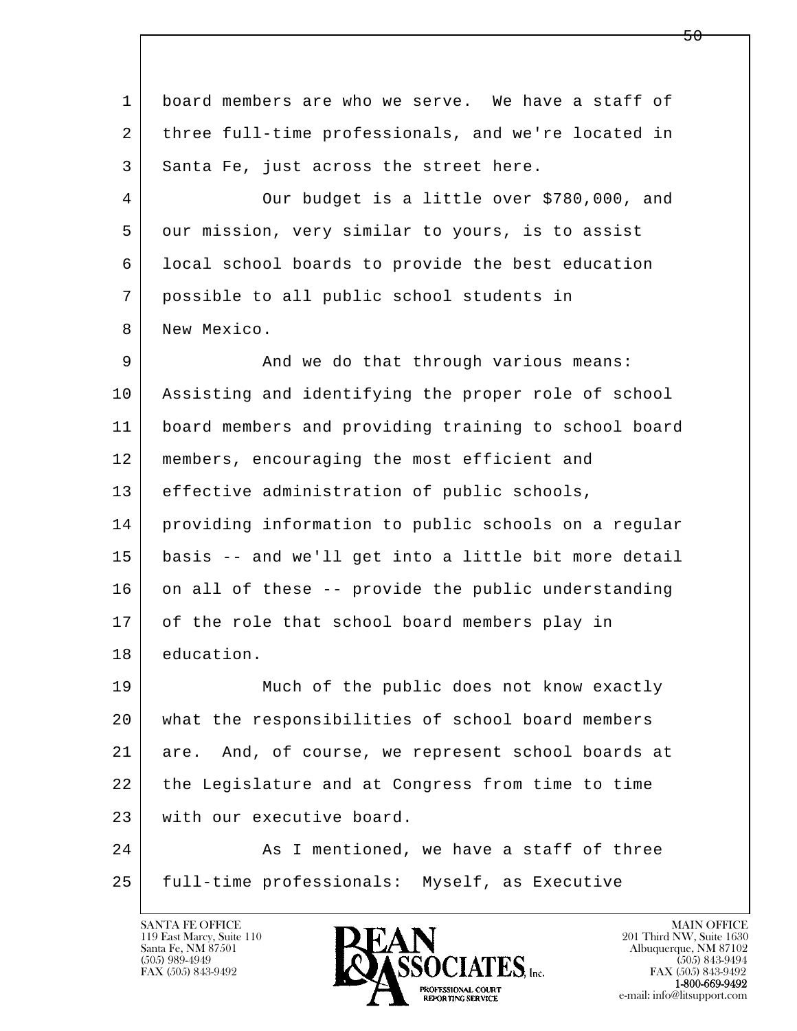l  $\overline{\phantom{a}}$  1 board members are who we serve. We have a staff of 2 three full-time professionals, and we're located in 3 Santa Fe, just across the street here. 4 Our budget is a little over \$780,000, and 5 our mission, very similar to yours, is to assist 6 local school boards to provide the best education 7 possible to all public school students in 8 New Mexico. 9 And we do that through various means: 10 Assisting and identifying the proper role of school 11 board members and providing training to school board 12 members, encouraging the most efficient and 13 effective administration of public schools, 14 providing information to public schools on a regular 15 basis -- and we'll get into a little bit more detail  $16$  on all of these -- provide the public understanding 17 of the role that school board members play in 18 education. 19 Much of the public does not know exactly 20 what the responsibilities of school board members 21 are. And, of course, we represent school boards at 22 the Legislature and at Congress from time to time 23 | with our executive board. 24 As I mentioned, we have a staff of three 25 full-time professionals: Myself, as Executive

119 East Marcy, Suite 110<br>Santa Fe, NM 87501



FAX (505) 843-9492<br>**1-800-669-9492**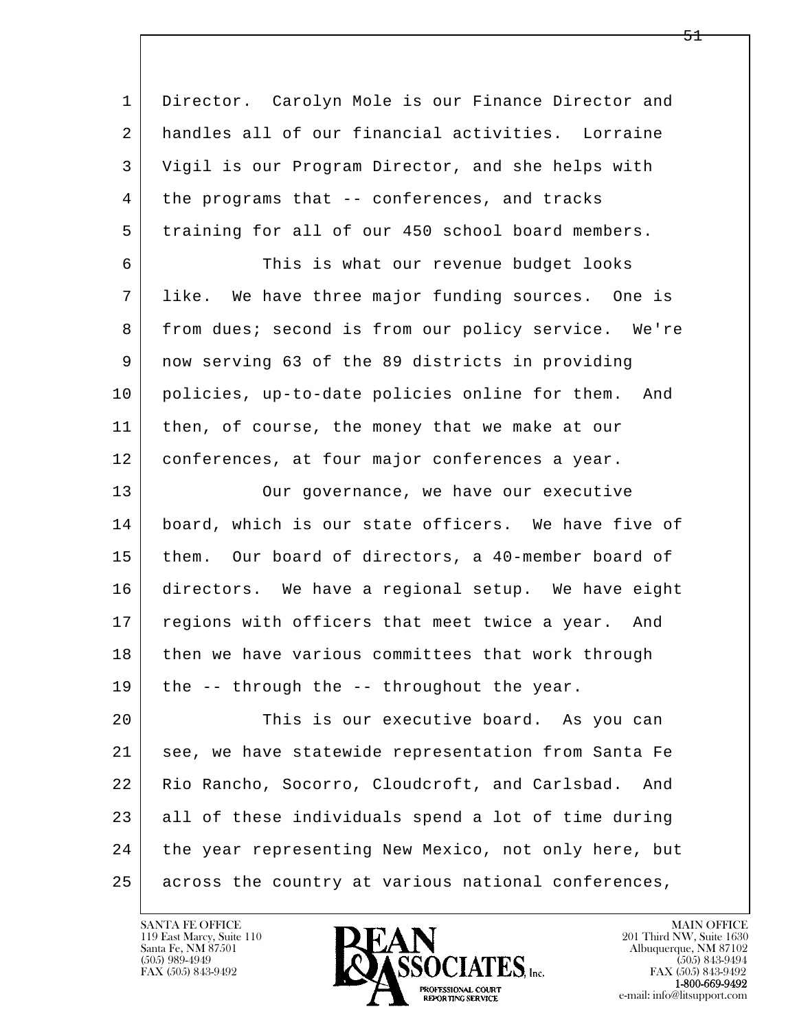| $\mathbf{1}$ | Director. Carolyn Mole is our Finance Director and    |
|--------------|-------------------------------------------------------|
| 2            | handles all of our financial activities. Lorraine     |
| 3            | Vigil is our Program Director, and she helps with     |
| 4            | the programs that -- conferences, and tracks          |
| 5            | training for all of our 450 school board members.     |
| 6            | This is what our revenue budget looks                 |
| 7            | like. We have three major funding sources. One is     |
| 8            | from dues; second is from our policy service. We're   |
| 9            | now serving 63 of the 89 districts in providing       |
| 10           | policies, up-to-date policies online for them.<br>And |
| 11           | then, of course, the money that we make at our        |
| 12           | conferences, at four major conferences a year.        |
| 13           | Our governance, we have our executive                 |
| 14           | board, which is our state officers. We have five of   |
| 15           | them. Our board of directors, a 40-member board of    |
| 16           | directors. We have a regional setup. We have eight    |
| 17           | regions with officers that meet twice a year. And     |
| 18           | then we have various committees that work through     |
| 19           | the -- through the -- throughout the year.            |
| 20           | This is our executive board. As you can               |
| 21           | see, we have statewide representation from Santa Fe   |
| 22           | Rio Rancho, Socorro, Cloudcroft, and Carlsbad.<br>And |
| 23           | all of these individuals spend a lot of time during   |
| 24           | the year representing New Mexico, not only here, but  |
| 25           | across the country at various national conferences,   |

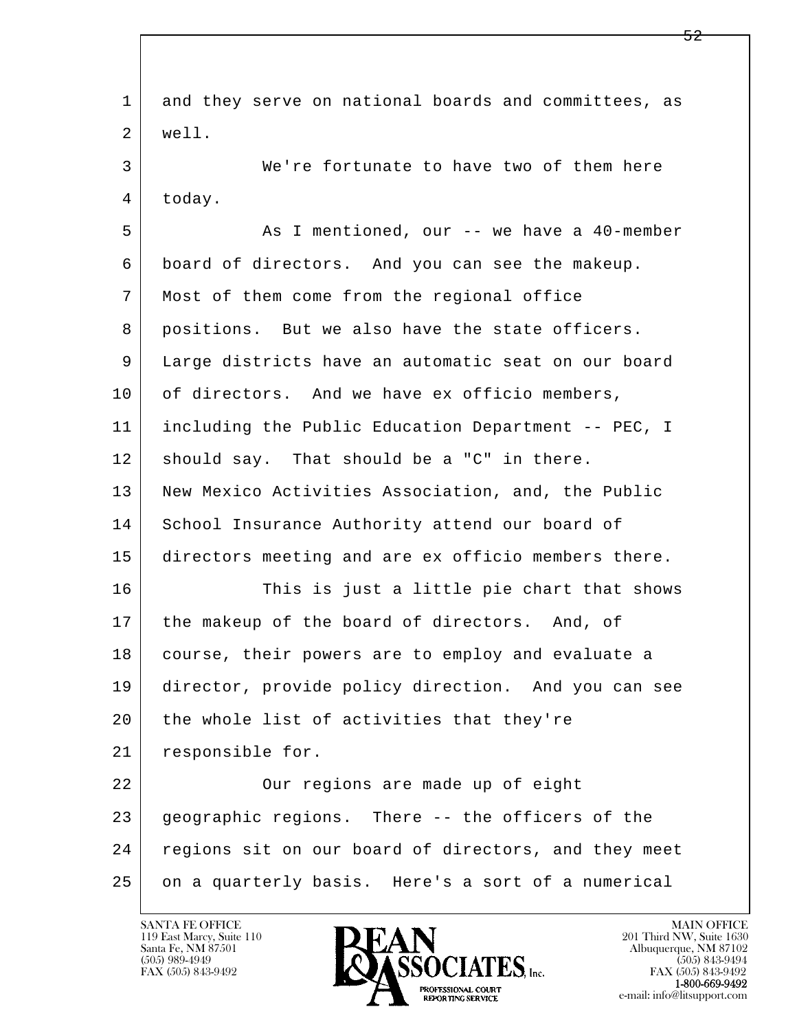l  $\overline{\phantom{a}}$  1 and they serve on national boards and committees, as 2 well. 3 We're fortunate to have two of them here 4 today. 5 As I mentioned, our -- we have a 40-member 6 board of directors. And you can see the makeup. 7 Most of them come from the regional office 8 positions. But we also have the state officers. 9 Large districts have an automatic seat on our board 10 of directors. And we have ex officio members, 11 including the Public Education Department -- PEC, I  $12$  should say. That should be a "C" in there. 13 New Mexico Activities Association, and, the Public 14 School Insurance Authority attend our board of 15 directors meeting and are ex officio members there. 16 This is just a little pie chart that shows 17 | the makeup of the board of directors. And, of 18 course, their powers are to employ and evaluate a 19 director, provide policy direction. And you can see 20 the whole list of activities that they're 21 responsible for. 22 | Cur regions are made up of eight 23 geographic regions. There -- the officers of the 24 regions sit on our board of directors, and they meet 25 on a quarterly basis. Here's a sort of a numerical

119 East Marcy, Suite 110<br>Santa Fe, NM 87501



FAX (505) 843-9492<br>1-800-669-9492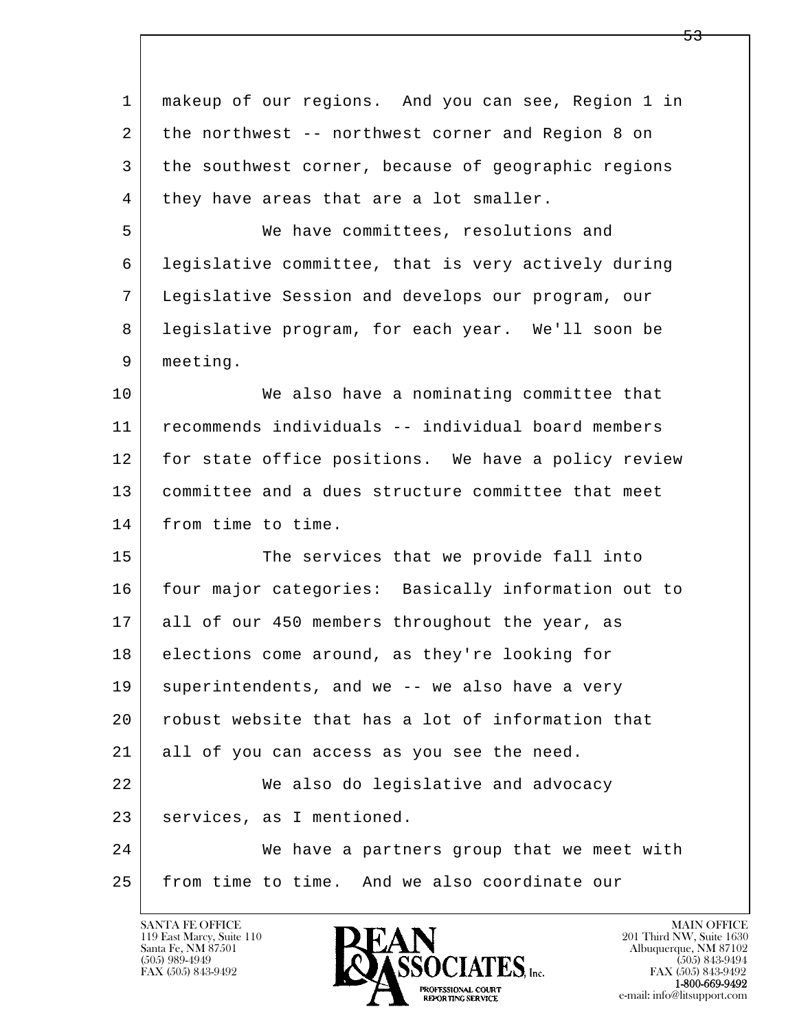| $\mathbf 1$ | makeup of our regions. And you can see, Region 1 in |
|-------------|-----------------------------------------------------|
| 2           | the northwest -- northwest corner and Region 8 on   |
| 3           | the southwest corner, because of geographic regions |
| 4           | they have areas that are a lot smaller.             |
| 5           | We have committees, resolutions and                 |
| 6           | legislative committee, that is very actively during |
| 7           | Legislative Session and develops our program, our   |
| 8           | legislative program, for each year. We'll soon be   |
| 9           | meeting.                                            |
| 10          | We also have a nominating committee that            |
| 11          | recommends individuals -- individual board members  |
| 12          | for state office positions. We have a policy review |
| 13          | committee and a dues structure committee that meet  |
| 14          | from time to time.                                  |
| 15          | The services that we provide fall into              |
| 16          | four major categories: Basically information out to |
| 17          | all of our 450 members throughout the year, as      |
| 18          | elections come around, as they're looking for       |
| 19          | superintendents, and we -- we also have a very      |
| 20          | robust website that has a lot of information that   |
| 21          | all of you can access as you see the need.          |
| 22          | We also do legislative and advocacy                 |
| 23          | services, as I mentioned.                           |
| 24          | We have a partners group that we meet with          |
| 25          | from time to time. And we also coordinate our       |

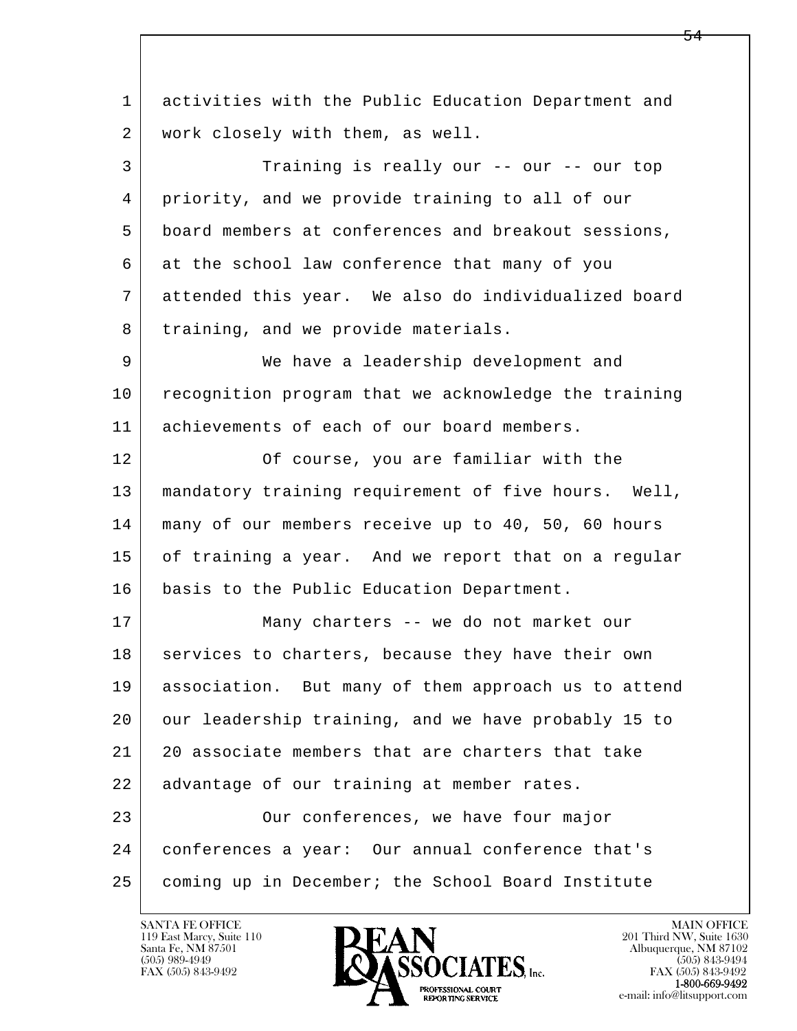l  $\overline{\phantom{a}}$  1 activities with the Public Education Department and 2 | work closely with them, as well. 3 Training is really our -- our -- our top 4 priority, and we provide training to all of our 5 board members at conferences and breakout sessions, 6 at the school law conference that many of you 7 attended this year. We also do individualized board 8 training, and we provide materials. 9 We have a leadership development and 10 recognition program that we acknowledge the training 11 achievements of each of our board members. 12 Of course, you are familiar with the 13 mandatory training requirement of five hours. Well, 14 many of our members receive up to 40, 50, 60 hours 15 of training a year. And we report that on a regular 16 basis to the Public Education Department. 17 | Many charters -- we do not market our 18 services to charters, because they have their own 19 | association. But many of them approach us to attend 20 our leadership training, and we have probably 15 to 21 20 associate members that are charters that take 22 advantage of our training at member rates. 23 | Our conferences, we have four major 24 conferences a year: Our annual conference that's 25 coming up in December; the School Board Institute

119 East Marcy, Suite 110<br>Santa Fe, NM 87501

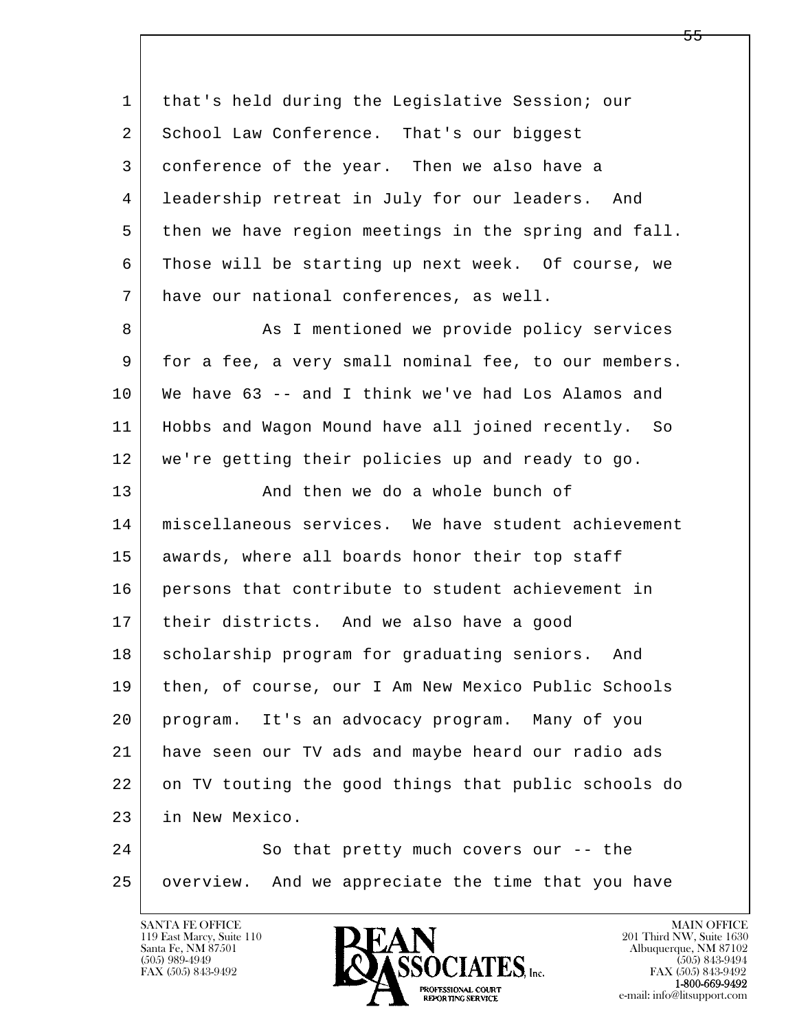| $\mathbf{1}$   | that's held during the Legislative Session; our      |
|----------------|------------------------------------------------------|
| $\overline{a}$ | School Law Conference. That's our biggest            |
| 3              | conference of the year. Then we also have a          |
| 4              | leadership retreat in July for our leaders. And      |
| 5              | then we have region meetings in the spring and fall. |
| 6              | Those will be starting up next week. Of course, we   |
| 7              | have our national conferences, as well.              |
| 8              | As I mentioned we provide policy services            |
| 9              | for a fee, a very small nominal fee, to our members. |
| 10             | We have 63 -- and I think we've had Los Alamos and   |
| 11             | Hobbs and Wagon Mound have all joined recently. So   |
| 12             | we're getting their policies up and ready to go.     |
| 13             | And then we do a whole bunch of                      |
| 14             | miscellaneous services. We have student achievement  |
| 15             | awards, where all boards honor their top staff       |
| 16             | persons that contribute to student achievement in    |
| 17             | their districts. And we also have a good             |
| 18             | scholarship program for graduating seniors. And      |
| 19             | then, of course, our I Am New Mexico Public Schools  |
| 20             | It's an advocacy program. Many of you<br>program.    |
| 21             | have seen our TV ads and maybe heard our radio ads   |
| 22             | on TV touting the good things that public schools do |
| 23             | in New Mexico.                                       |
| 24             | So that pretty much covers our -- the                |
| 25             | overview. And we appreciate the time that you have   |

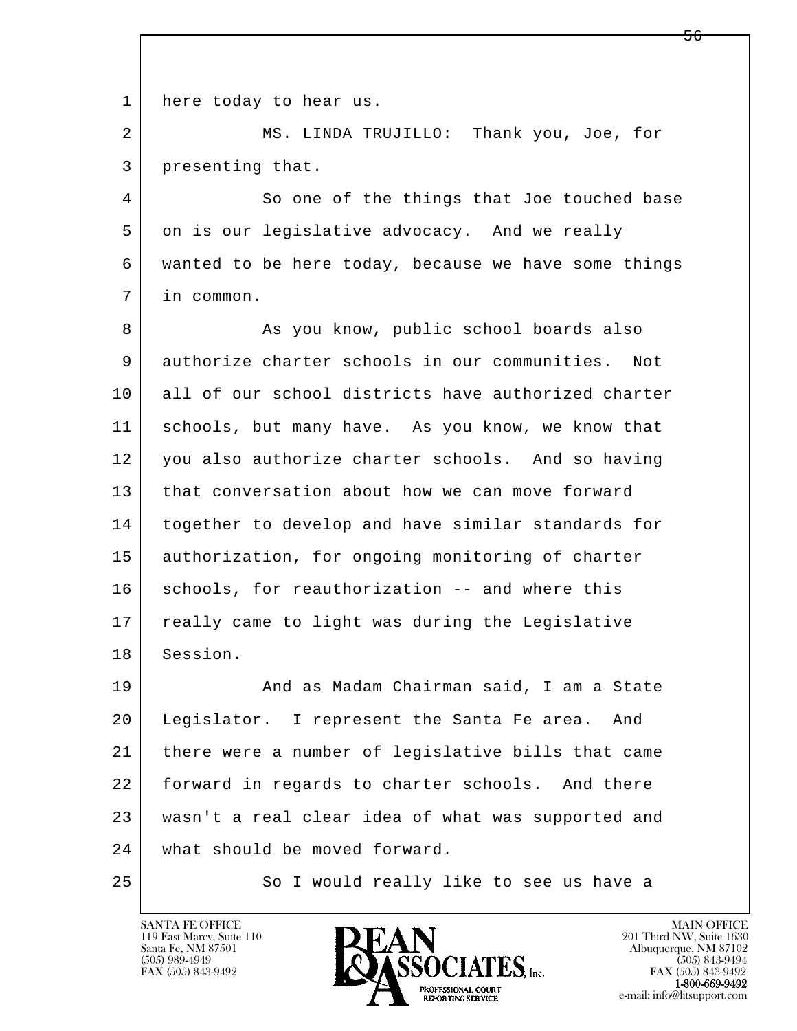1 here today to hear us.

 2 MS. LINDA TRUJILLO: Thank you, Joe, for 3 presenting that.

4 So one of the things that Joe touched base 5 on is our legislative advocacy. And we really 6 wanted to be here today, because we have some things 7 in common.

8 | Kas you know, public school boards also 9 authorize charter schools in our communities. Not 10 all of our school districts have authorized charter 11 schools, but many have. As you know, we know that 12 you also authorize charter schools. And so having 13 that conversation about how we can move forward 14 together to develop and have similar standards for 15 | authorization, for ongoing monitoring of charter 16 schools, for reauthorization -- and where this 17 | really came to light was during the Legislative 18 Session.

l  $\overline{\phantom{a}}$ 19 | The Madam Chairman said, I am a State 20 Legislator. I represent the Santa Fe area. And 21 there were a number of legislative bills that came 22 forward in regards to charter schools. And there 23 wasn't a real clear idea of what was supported and 24 what should be moved forward.

25 So I would really like to see us have a

119 East Marcy, Suite 110<br>Santa Fe, NM 87501



FAX (505) 843-9492<br>1-800-669-9492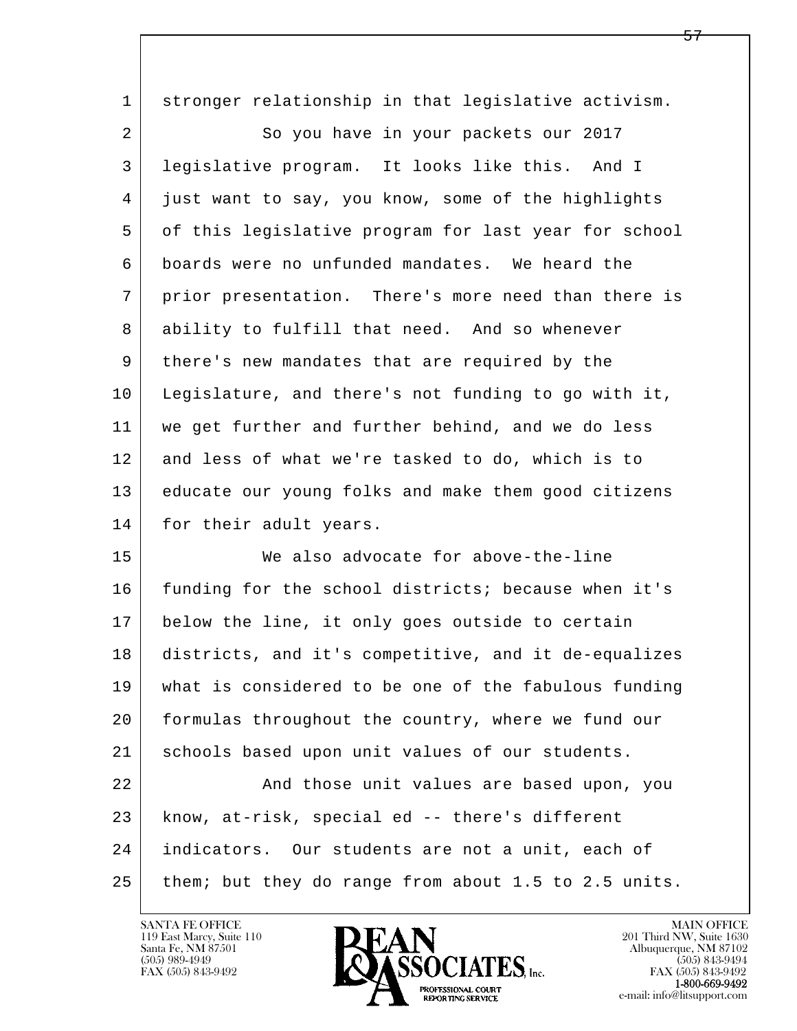| $\mathbf 1$    | stronger relationship in that legislative activism.  |
|----------------|------------------------------------------------------|
| $\overline{2}$ | So you have in your packets our 2017                 |
| 3              | legislative program. It looks like this. And I       |
| 4              | just want to say, you know, some of the highlights   |
| 5              | of this legislative program for last year for school |
| 6              | boards were no unfunded mandates. We heard the       |
| 7              | prior presentation. There's more need than there is  |
| 8              | ability to fulfill that need. And so whenever        |
| 9              | there's new mandates that are required by the        |
| 10             | Legislature, and there's not funding to go with it,  |
| 11             | we get further and further behind, and we do less    |
| 12             | and less of what we're tasked to do, which is to     |
| 13             | educate our young folks and make them good citizens  |
| 14             | for their adult years.                               |
| 15             | We also advocate for above-the-line                  |
| 16             | funding for the school districts; because when it's  |
| 17             | below the line, it only goes outside to certain      |
| 18             | districts, and it's competitive, and it de-equalizes |
| 19             | what is considered to be one of the fabulous funding |
| 20             | formulas throughout the country, where we fund our   |
| 21             | schools based upon unit values of our students.      |
| 22             | And those unit values are based upon, you            |
| 23             | know, at-risk, special ed -- there's different       |
| 24             | indicators. Our students are not a unit, each of     |
| 25             | them; but they do range from about 1.5 to 2.5 units. |

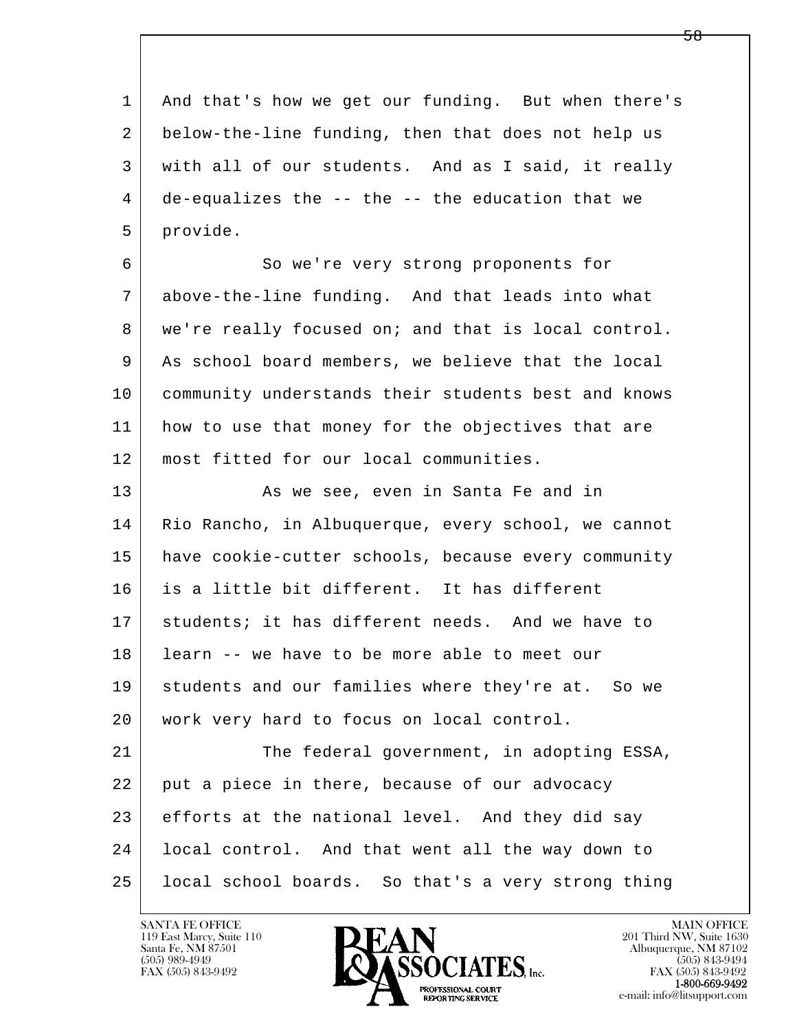l  $\overline{\phantom{a}}$  1 And that's how we get our funding. But when there's 2 below-the-line funding, then that does not help us 3 with all of our students. And as I said, it really 4 de-equalizes the -- the -- the education that we 5 provide. 6 So we're very strong proponents for 7 above-the-line funding. And that leads into what 8 | we're really focused on; and that is local control. 9 As school board members, we believe that the local 10 community understands their students best and knows 11 how to use that money for the objectives that are 12 most fitted for our local communities. 13 As we see, even in Santa Fe and in 14 | Rio Rancho, in Albuquerque, every school, we cannot 15 have cookie-cutter schools, because every community 16 is a little bit different. It has different 17 students; it has different needs. And we have to 18 learn -- we have to be more able to meet our 19 students and our families where they're at. So we 20 | work very hard to focus on local control. 21 The federal government, in adopting ESSA, 22 put a piece in there, because of our advocacy 23 efforts at the national level. And they did say 24 local control. And that went all the way down to 25 local school boards. So that's a very strong thing

119 East Marcy, Suite 110<br>Santa Fe, NM 87501



FAX (505) 843-9492<br>1-800-669-9492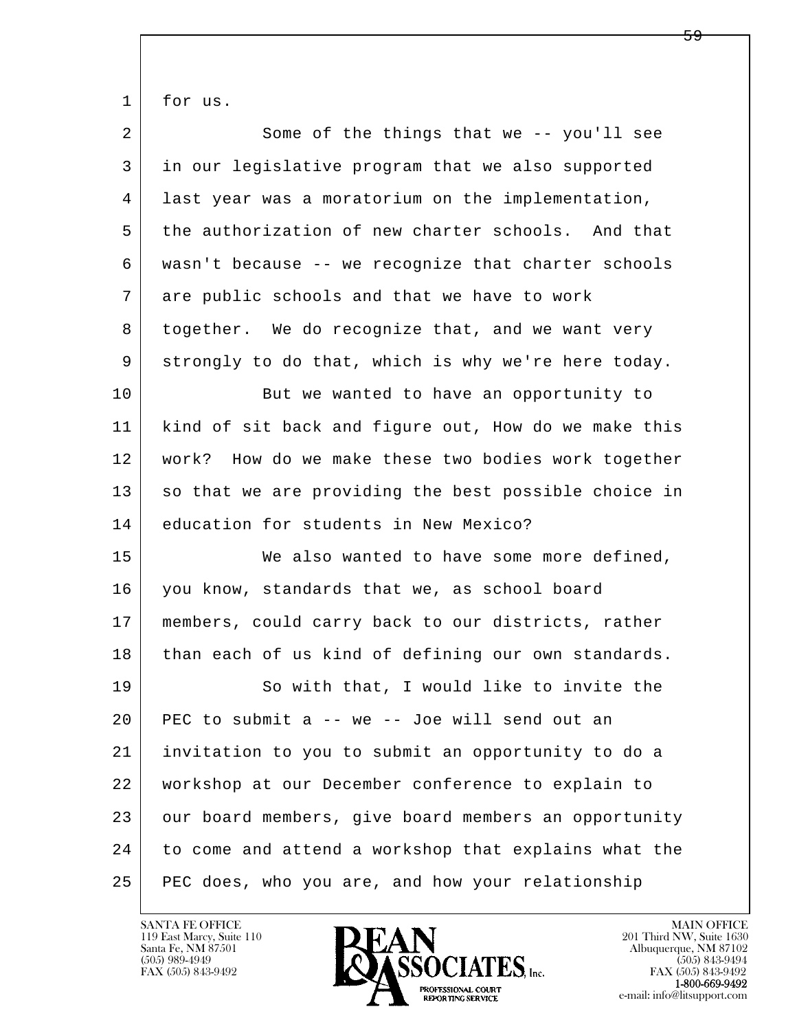1 for us.

| $\overline{2}$ | Some of the things that we -- you'll see             |
|----------------|------------------------------------------------------|
| 3              | in our legislative program that we also supported    |
| 4              | last year was a moratorium on the implementation,    |
| 5              | the authorization of new charter schools. And that   |
| 6              | wasn't because -- we recognize that charter schools  |
| 7              | are public schools and that we have to work          |
| 8              | together. We do recognize that, and we want very     |
| 9              | strongly to do that, which is why we're here today.  |
| 10             | But we wanted to have an opportunity to              |
| 11             | kind of sit back and figure out, How do we make this |
| 12             | work? How do we make these two bodies work together  |
| 13             | so that we are providing the best possible choice in |
|                |                                                      |
| 14             | education for students in New Mexico?                |
| 15             | We also wanted to have some more defined,            |
| 16             | you know, standards that we, as school board         |
| 17             | members, could carry back to our districts, rather   |
| 18             | than each of us kind of defining our own standards.  |
| 19             | So with that, I would like to invite the             |
| 20             | PEC to submit a -- we -- Joe will send out an        |
| 21             | invitation to you to submit an opportunity to do a   |
| 22             | workshop at our December conference to explain to    |
| 23             | our board members, give board members an opportunity |
| 24             | to come and attend a workshop that explains what the |

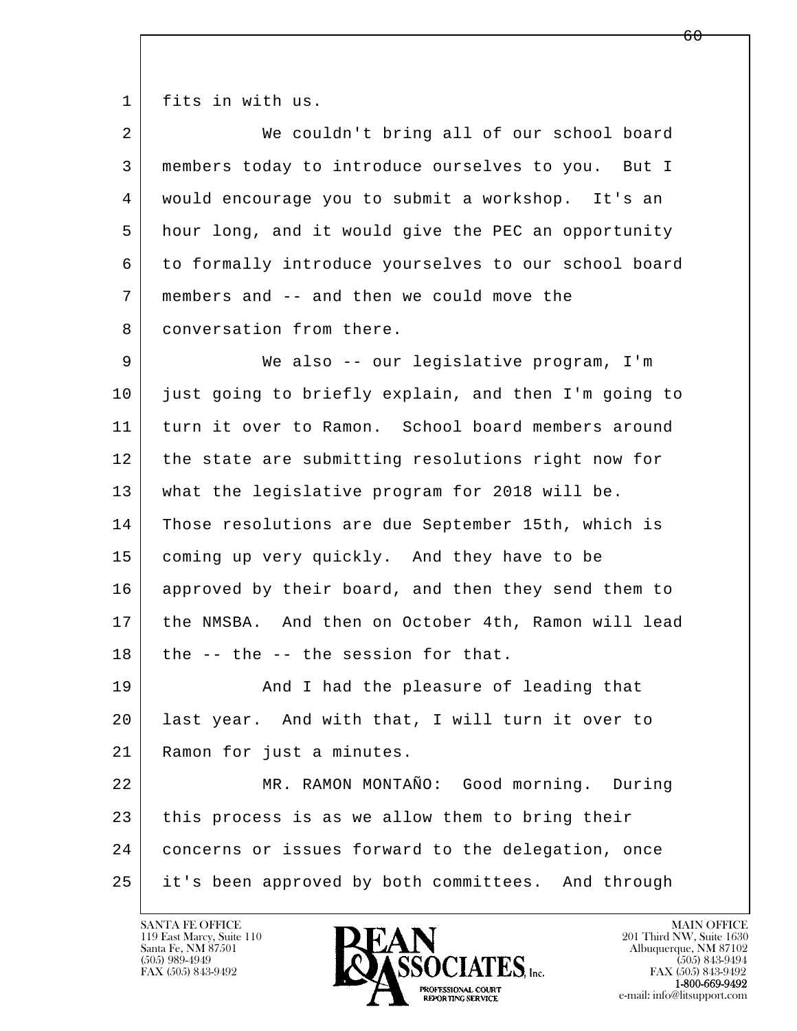1 fits in with us.

| $\overline{a}$ | We couldn't bring all of our school board            |
|----------------|------------------------------------------------------|
| 3              | members today to introduce ourselves to you. But I   |
| 4              | would encourage you to submit a workshop. It's an    |
| 5              | hour long, and it would give the PEC an opportunity  |
| 6              | to formally introduce yourselves to our school board |
| 7              | members and -- and then we could move the            |
| 8              | conversation from there.                             |
| 9              | We also -- our legislative program, I'm              |
| 10             | just going to briefly explain, and then I'm going to |
| 11             | turn it over to Ramon. School board members around   |
| 12             | the state are submitting resolutions right now for   |
| 13             | what the legislative program for 2018 will be.       |
| 14             | Those resolutions are due September 15th, which is   |
| 15             | coming up very quickly. And they have to be          |
| 16             | approved by their board, and then they send them to  |
| 17             | the NMSBA. And then on October 4th, Ramon will lead  |
| 18             | the -- the -- the session for that.                  |
| 19             | And I had the pleasure of leading that               |
| 20             | last year. And with that, I will turn it over to     |
| 21             | Ramon for just a minutes.                            |
| 22             | MR. RAMON MONTAÑO: Good morning. During              |
| 23             | this process is as we allow them to bring their      |
| 24             | concerns or issues forward to the delegation, once   |
| 25             | it's been approved by both committees. And through   |

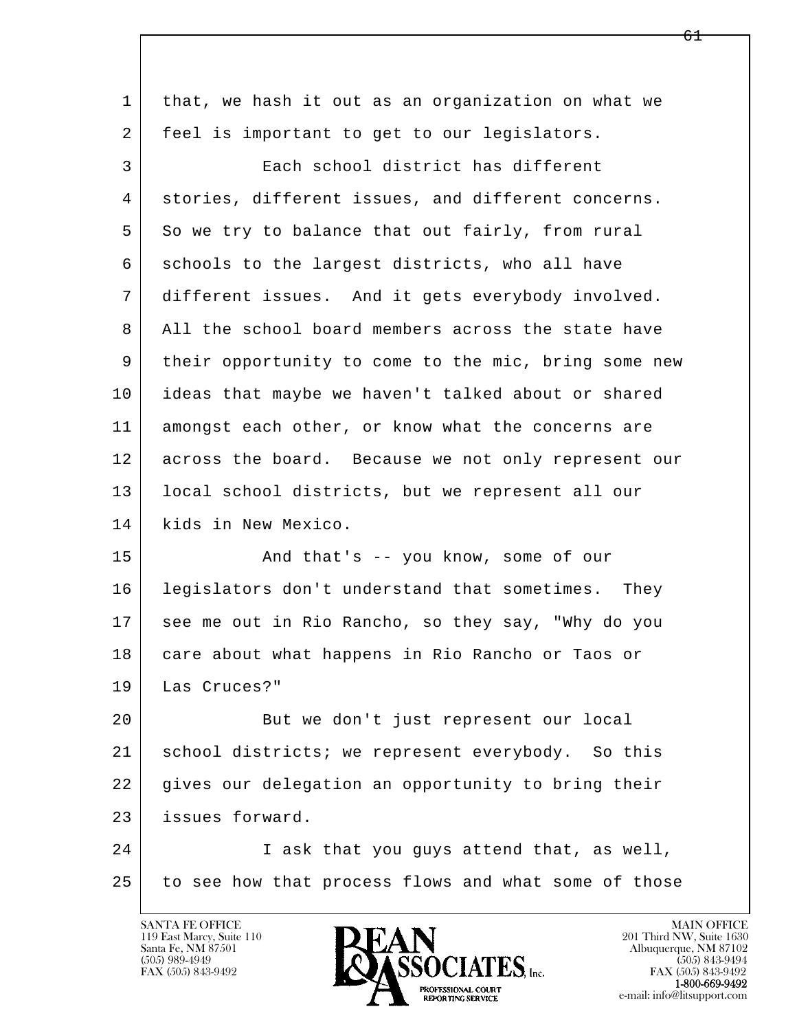| $\mathbf 1$ | that, we hash it out as an organization on what we   |
|-------------|------------------------------------------------------|
| 2           | feel is important to get to our legislators.         |
| 3           | Each school district has different                   |
| 4           | stories, different issues, and different concerns.   |
| 5           | So we try to balance that out fairly, from rural     |
| 6           | schools to the largest districts, who all have       |
| 7           | different issues. And it gets everybody involved.    |
| 8           | All the school board members across the state have   |
| 9           | their opportunity to come to the mic, bring some new |
| 10          | ideas that maybe we haven't talked about or shared   |
| 11          | amongst each other, or know what the concerns are    |
| 12          | across the board. Because we not only represent our  |
| 13          | local school districts, but we represent all our     |
| 14          | kids in New Mexico.                                  |
| 15          | And that's -- you know, some of our                  |
| 16          | legislators don't understand that sometimes. They    |
| 17          | see me out in Rio Rancho, so they say, "Why do you   |
| 18          | care about what happens in Rio Rancho or Taos or     |
| 19          | Las Cruces?"                                         |
| 20          | But we don't just represent our local                |
| 21          | school districts; we represent everybody. So this    |
| 22          | gives our delegation an opportunity to bring their   |
| 23          | issues forward.                                      |
| 24          | I ask that you guys attend that, as well,            |
| 25          | to see how that process flows and what some of those |
|             |                                                      |

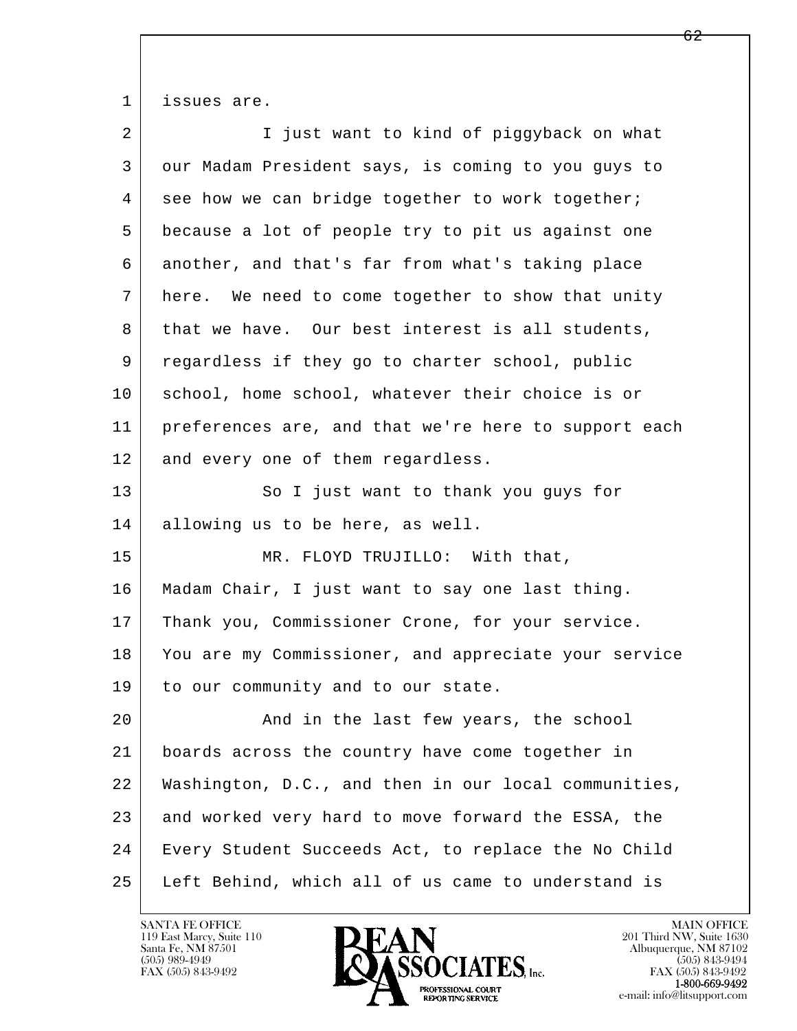1 issues are.

| 2  | I just want to kind of piggyback on what             |
|----|------------------------------------------------------|
| 3  | our Madam President says, is coming to you guys to   |
| 4  | see how we can bridge together to work together;     |
| 5  | because a lot of people try to pit us against one    |
| 6  | another, and that's far from what's taking place     |
| 7  | here. We need to come together to show that unity    |
| 8  | that we have. Our best interest is all students,     |
| 9  | regardless if they go to charter school, public      |
| 10 | school, home school, whatever their choice is or     |
| 11 | preferences are, and that we're here to support each |
| 12 | and every one of them regardless.                    |
| 13 | So I just want to thank you guys for                 |
| 14 | allowing us to be here, as well.                     |
| 15 | MR. FLOYD TRUJILLO: With that,                       |
| 16 | Madam Chair, I just want to say one last thing.      |
| 17 | Thank you, Commissioner Crone, for your service.     |
| 18 | You are my Commissioner, and appreciate your service |
| 19 | to our community and to our state.                   |
| 20 | And in the last few years, the school                |
| 21 | boards across the country have come together in      |
| 22 | Washington, D.C., and then in our local communities, |
| 23 | and worked very hard to move forward the ESSA, the   |
| 24 | Every Student Succeeds Act, to replace the No Child  |
| 25 | Left Behind, which all of us came to understand is   |

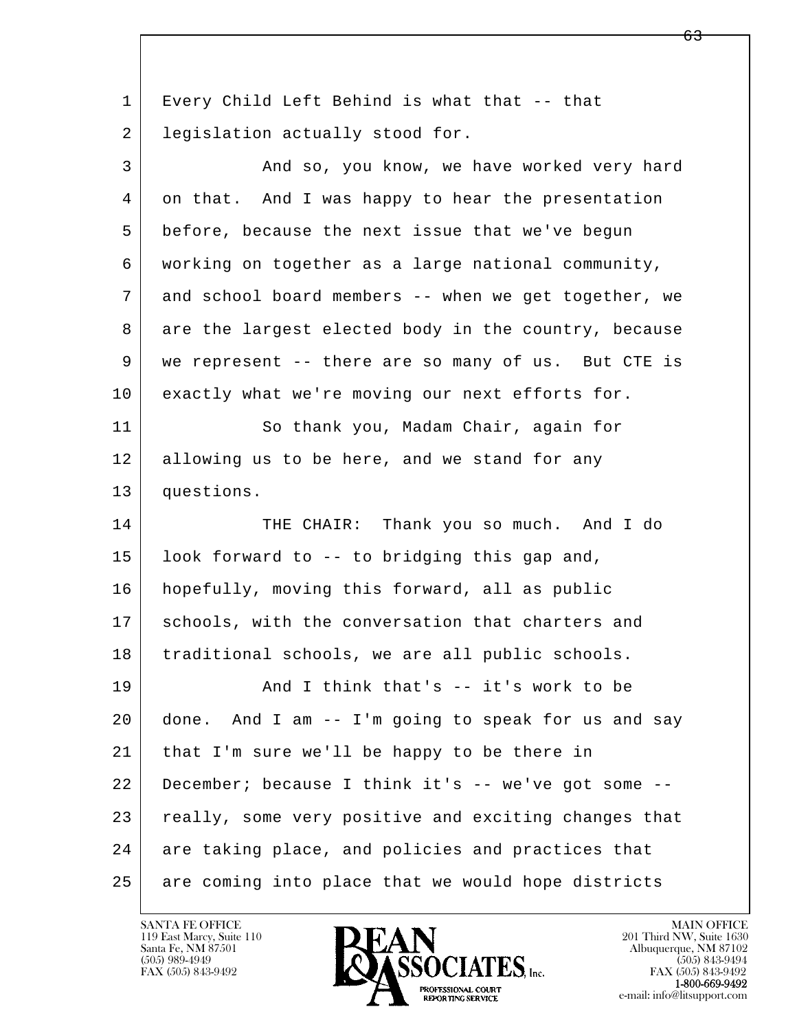l  $\overline{\phantom{a}}$  1 Every Child Left Behind is what that -- that 2 | legislation actually stood for. 3 And so, you know, we have worked very hard 4 on that. And I was happy to hear the presentation 5 before, because the next issue that we've begun 6 working on together as a large national community, 7 and school board members -- when we get together, we 8 are the largest elected body in the country, because 9 we represent -- there are so many of us. But CTE is 10 exactly what we're moving our next efforts for. 11 So thank you, Madam Chair, again for 12 allowing us to be here, and we stand for any 13 questions. 14 THE CHAIR: Thank you so much. And I do 15 look forward to -- to bridging this gap and, 16 hopefully, moving this forward, all as public 17 schools, with the conversation that charters and 18 | traditional schools, we are all public schools. 19 | And I think that's -- it's work to be 20 done. And I am -- I'm going to speak for us and say 21 that I'm sure we'll be happy to be there in 22 December; because I think it's -- we've got some -- 23 really, some very positive and exciting changes that 24 are taking place, and policies and practices that 25 are coming into place that we would hope districts

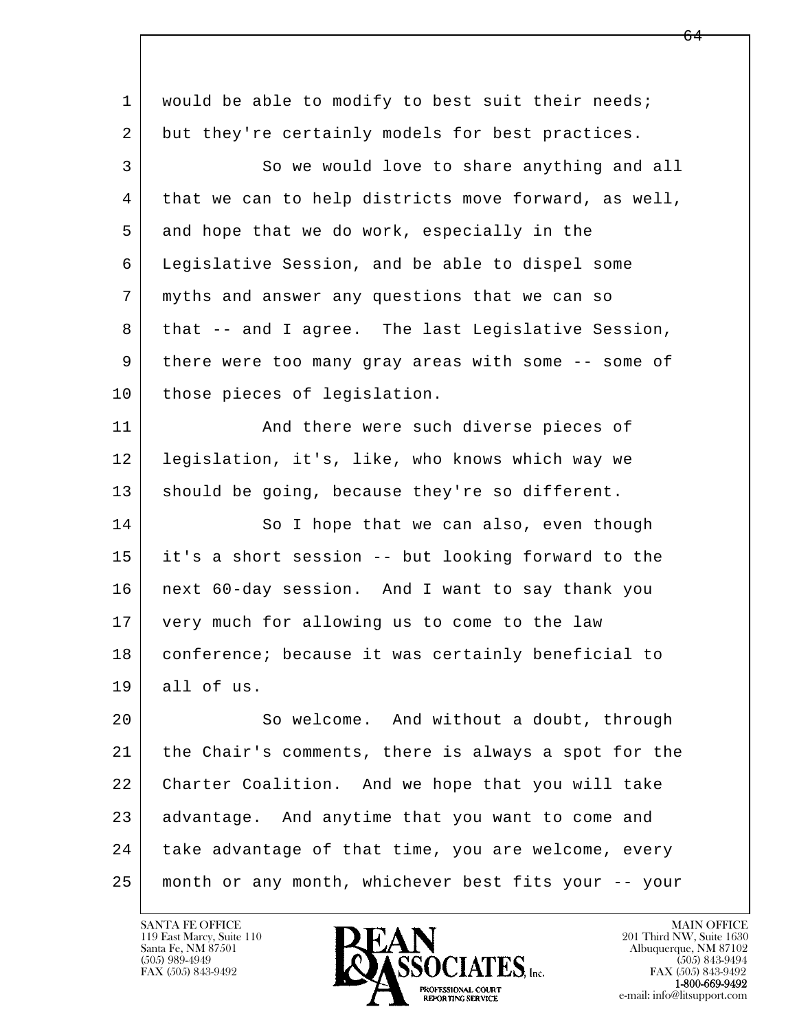| $\mathbf{1}$ | would be able to modify to best suit their needs;    |
|--------------|------------------------------------------------------|
| 2            | but they're certainly models for best practices.     |
| 3            | So we would love to share anything and all           |
| 4            | that we can to help districts move forward, as well, |
| 5            | and hope that we do work, especially in the          |
| 6            | Legislative Session, and be able to dispel some      |
| 7            | myths and answer any questions that we can so        |
| 8            | that -- and I agree. The last Legislative Session,   |
| 9            | there were too many gray areas with some -- some of  |
| 10           | those pieces of legislation.                         |
| 11           | And there were such diverse pieces of                |
| 12           | legislation, it's, like, who knows which way we      |
| 13           | should be going, because they're so different.       |
| 14           | So I hope that we can also, even though              |
| 15           | it's a short session -- but looking forward to the   |
| 16           | next 60-day session. And I want to say thank you     |
| 17           | very much for allowing us to come to the law         |
| 18           | conference; because it was certainly beneficial to   |
| 19           | all of us.                                           |
| 20           | So welcome. And without a doubt, through             |
| 21           | the Chair's comments, there is always a spot for the |
| 22           | Charter Coalition. And we hope that you will take    |
| 23           | advantage. And anytime that you want to come and     |
| 24           | take advantage of that time, you are welcome, every  |
| 25           | month or any month, whichever best fits your -- your |
|              |                                                      |

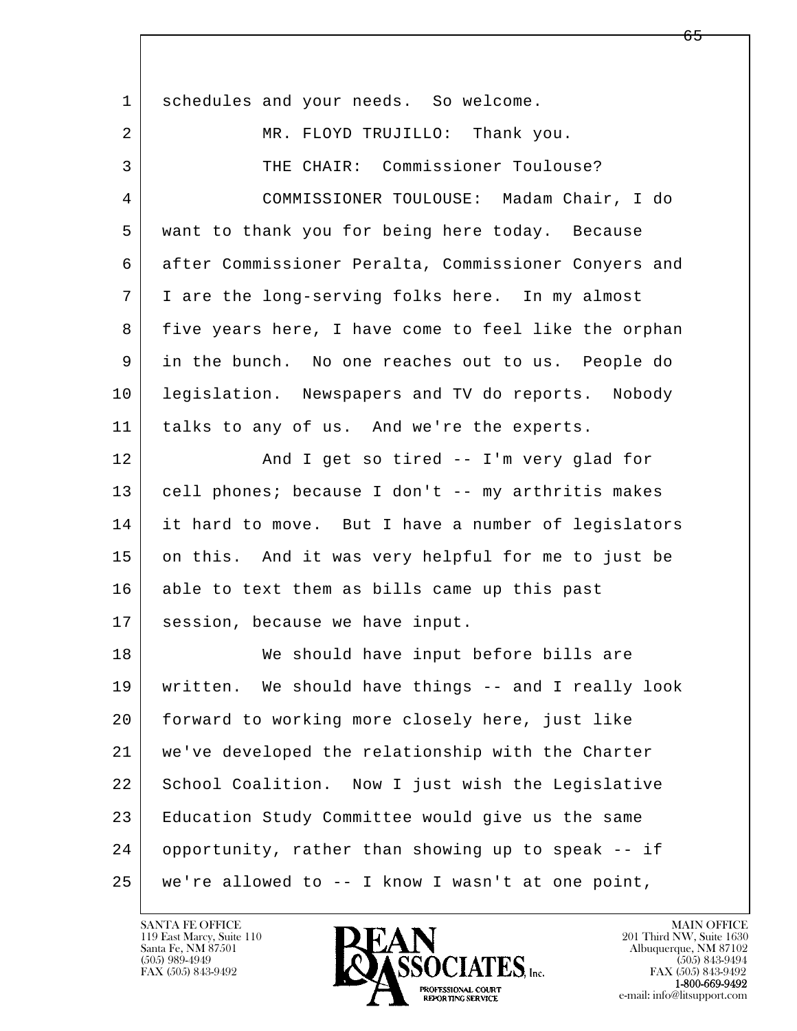| $\mathbf{1}$   | schedules and your needs. So welcome.                |
|----------------|------------------------------------------------------|
| $\overline{2}$ | MR. FLOYD TRUJILLO: Thank you.                       |
| 3              | THE CHAIR: Commissioner Toulouse?                    |
| 4              | COMMISSIONER TOULOUSE: Madam Chair, I do             |
| 5              | want to thank you for being here today. Because      |
| 6              | after Commissioner Peralta, Commissioner Conyers and |
| 7              | I are the long-serving folks here. In my almost      |
| 8              | five years here, I have come to feel like the orphan |
| 9              | in the bunch. No one reaches out to us. People do    |
| 10             | legislation. Newspapers and TV do reports. Nobody    |
| 11             | talks to any of us. And we're the experts.           |
| 12             | And I get so tired -- I'm very glad for              |
| 13             | cell phones; because I don't -- my arthritis makes   |
| 14             | it hard to move. But I have a number of legislators  |
| 15             | on this. And it was very helpful for me to just be   |
| 16             | able to text them as bills came up this past         |
| 17             | session, because we have input.                      |
| 18             | We should have input before bills are                |
| 19             | written. We should have things -- and I really look  |
| 20             | forward to working more closely here, just like      |
| 21             | we've developed the relationship with the Charter    |
| 22             | School Coalition. Now I just wish the Legislative    |
| 23             | Education Study Committee would give us the same     |
| 24             | opportunity, rather than showing up to speak -- if   |
| 25             | we're allowed to $-$ - I know I wasn't at one point, |

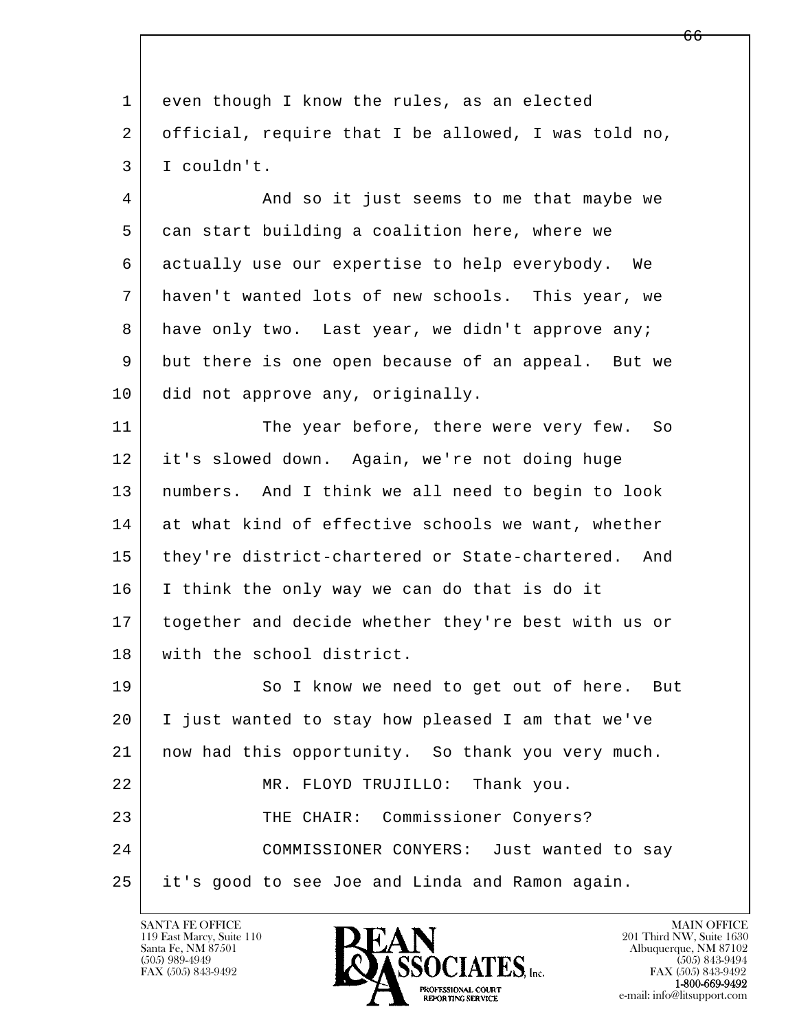l  $\overline{\phantom{a}}$ 1 even though I know the rules, as an elected 2 official, require that I be allowed, I was told no, 3 I couldn't. 4 And so it just seems to me that maybe we 5 can start building a coalition here, where we 6 actually use our expertise to help everybody. We 7 haven't wanted lots of new schools. This year, we 8 have only two. Last year, we didn't approve any; 9 but there is one open because of an appeal. But we 10 did not approve any, originally. 11 The year before, there were very few. So 12 it's slowed down. Again, we're not doing huge 13 numbers. And I think we all need to begin to look 14 at what kind of effective schools we want, whether 15 | they're district-chartered or State-chartered. And 16 I think the only way we can do that is do it 17 together and decide whether they're best with us or 18 with the school district. 19 So I know we need to get out of here. But 20 I just wanted to stay how pleased I am that we've 21 now had this opportunity. So thank you very much. 22 MR. FLOYD TRUJILLO: Thank you. 23 | THE CHAIR: Commissioner Conyers? 24 COMMISSIONER CONYERS: Just wanted to say 25 it's good to see Joe and Linda and Ramon again.

119 East Marcy, Suite 110<br>Santa Fe, NM 87501

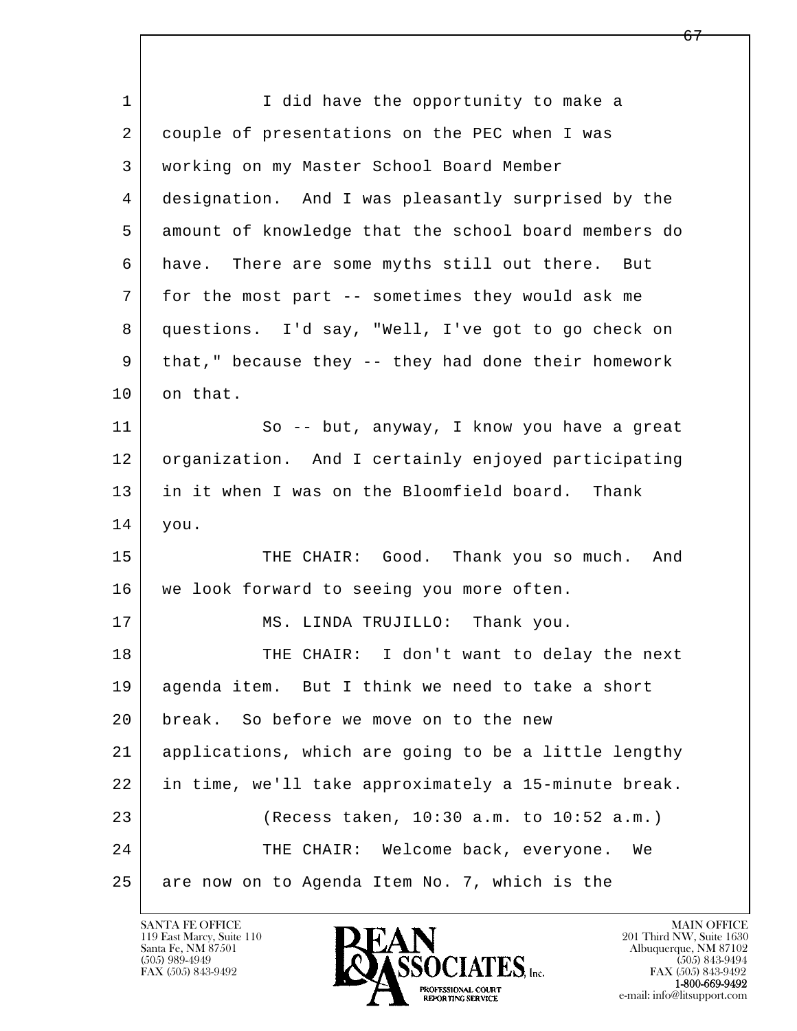l  $\overline{\phantom{a}}$ 1 I did have the opportunity to make a 2 couple of presentations on the PEC when I was 3 working on my Master School Board Member 4 designation. And I was pleasantly surprised by the 5 amount of knowledge that the school board members do 6 have. There are some myths still out there. But 7 for the most part -- sometimes they would ask me 8 questions. I'd say, "Well, I've got to go check on 9 that," because they -- they had done their homework 10 on that. 11 So -- but, anyway, I know you have a great 12 organization. And I certainly enjoyed participating 13 in it when I was on the Bloomfield board. Thank 14 you. 15 THE CHAIR: Good. Thank you so much. And 16 | we look forward to seeing you more often. 17 MS. LINDA TRUJILLO: Thank you. 18 THE CHAIR: I don't want to delay the next 19 agenda item. But I think we need to take a short 20 break. So before we move on to the new 21 applications, which are going to be a little lengthy 22 in time, we'll take approximately a 15-minute break. 23 (Recess taken, 10:30 a.m. to 10:52 a.m.) 24 THE CHAIR: Welcome back, everyone. We 25 are now on to Agenda Item No. 7, which is the

119 East Marcy, Suite 110<br>Santa Fe, NM 87501



FAX (505) 843-9492<br>1-800-669-9492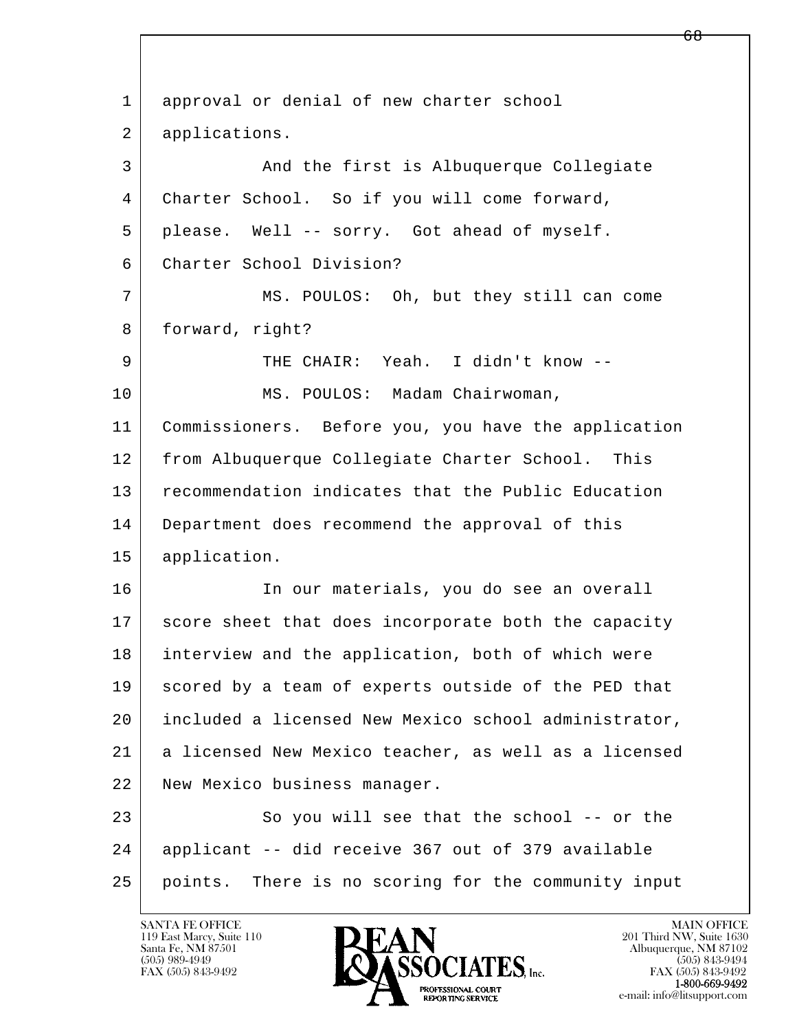l  $\overline{\phantom{a}}$ 1 approval or denial of new charter school 2 applications. 3 And the first is Albuquerque Collegiate 4 Charter School. So if you will come forward, 5 please. Well -- sorry. Got ahead of myself. 6 Charter School Division? 7 MS. POULOS: Oh, but they still can come 8 | forward, right? 9 THE CHAIR: Yeah. I didn't know -- 10 | MS. POULOS: Madam Chairwoman, 11 Commissioners. Before you, you have the application 12 from Albuquerque Collegiate Charter School. This 13 recommendation indicates that the Public Education 14 Department does recommend the approval of this 15 application. 16 | The our materials, you do see an overall 17 score sheet that does incorporate both the capacity 18 interview and the application, both of which were 19 scored by a team of experts outside of the PED that 20 included a licensed New Mexico school administrator, 21 a licensed New Mexico teacher, as well as a licensed 22 New Mexico business manager. 23 So you will see that the school -- or the 24 applicant -- did receive 367 out of 379 available 25 points. There is no scoring for the community input

119 East Marcy, Suite 110<br>Santa Fe, NM 87501

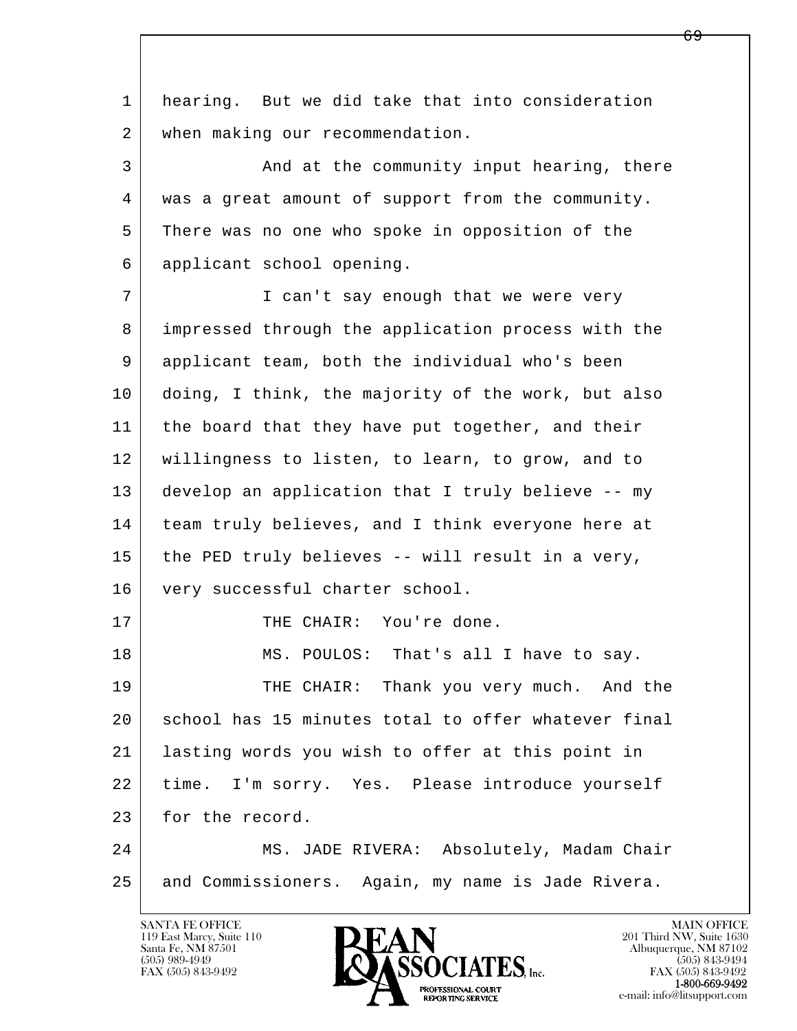l  $\overline{\phantom{a}}$  1 hearing. But we did take that into consideration 2 when making our recommendation. 3 And at the community input hearing, there 4 was a great amount of support from the community. 5 There was no one who spoke in opposition of the 6 applicant school opening. 7 | T can't say enough that we were very 8 impressed through the application process with the 9 applicant team, both the individual who's been 10 doing, I think, the majority of the work, but also 11 | the board that they have put together, and their 12 willingness to listen, to learn, to grow, and to 13 develop an application that I truly believe -- my 14 | team truly believes, and I think everyone here at 15 the PED truly believes -- will result in a very, 16 very successful charter school. 17 | THE CHAIR: You're done. 18 | MS. POULOS: That's all I have to say. 19 THE CHAIR: Thank you very much. And the 20 school has 15 minutes total to offer whatever final 21 lasting words you wish to offer at this point in 22 time. I'm sorry. Yes. Please introduce yourself 23 for the record. 24 MS. JADE RIVERA: Absolutely, Madam Chair 25 and Commissioners. Again, my name is Jade Rivera.

119 East Marcy, Suite 110<br>Santa Fe, NM 87501

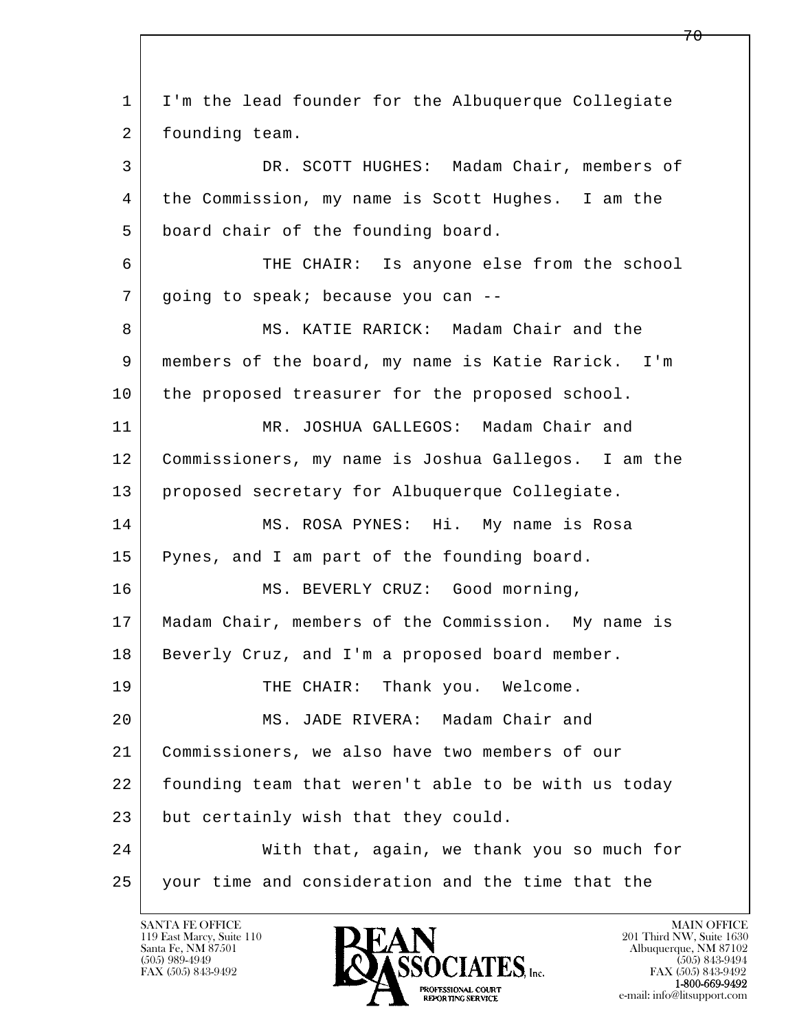l  $\overline{\phantom{a}}$  1 I'm the lead founder for the Albuquerque Collegiate 2 founding team. 3 DR. SCOTT HUGHES: Madam Chair, members of 4 | the Commission, my name is Scott Hughes. I am the 5 board chair of the founding board. 6 THE CHAIR: Is anyone else from the school 7 going to speak; because you can --8 MS. KATIE RARICK: Madam Chair and the 9 members of the board, my name is Katie Rarick. I'm 10 the proposed treasurer for the proposed school. 11 MR. JOSHUA GALLEGOS: Madam Chair and 12 Commissioners, my name is Joshua Gallegos. I am the 13 proposed secretary for Albuquerque Collegiate. 14 | MS. ROSA PYNES: Hi. My name is Rosa 15 | Pynes, and I am part of the founding board. 16 MS. BEVERLY CRUZ: Good morning, 17 Madam Chair, members of the Commission. My name is 18 | Beverly Cruz, and I'm a proposed board member. 19 THE CHAIR: Thank you. Welcome. 20 MS. JADE RIVERA: Madam Chair and 21 Commissioners, we also have two members of our 22 | founding team that weren't able to be with us today 23 but certainly wish that they could. 24 With that, again, we thank you so much for 25 your time and consideration and the time that the

119 East Marcy, Suite 110<br>Santa Fe, NM 87501

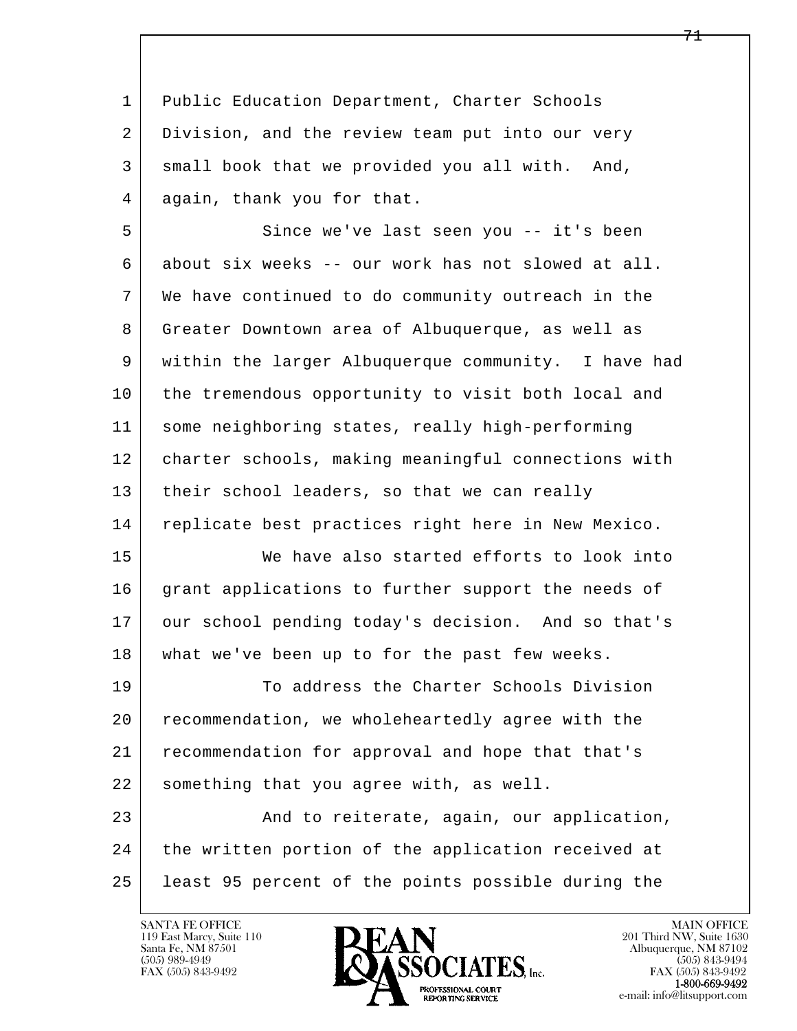1 Public Education Department, Charter Schools 2 Division, and the review team put into our very 3 small book that we provided you all with. And, 4 again, thank you for that.

5 Since we've last seen you -- it's been 6 about six weeks -- our work has not slowed at all. 7 We have continued to do community outreach in the 8 Greater Downtown area of Albuquerque, as well as 9 within the larger Albuquerque community. I have had 10 the tremendous opportunity to visit both local and 11 some neighboring states, really high-performing 12 charter schools, making meaningful connections with 13 | their school leaders, so that we can really 14 replicate best practices right here in New Mexico.

 15 We have also started efforts to look into 16 grant applications to further support the needs of 17 our school pending today's decision. And so that's 18 what we've been up to for the past few weeks.

19 To address the Charter Schools Division 20 recommendation, we wholeheartedly agree with the 21 recommendation for approval and hope that that's 22 something that you agree with, as well.

l  $\overline{\phantom{a}}$ 23 And to reiterate, again, our application, 24 the written portion of the application received at 25 least 95 percent of the points possible during the

119 East Marcy, Suite 110<br>Santa Fe, NM 87501



FAX (505) 843-9492<br>**1-800-669-9492**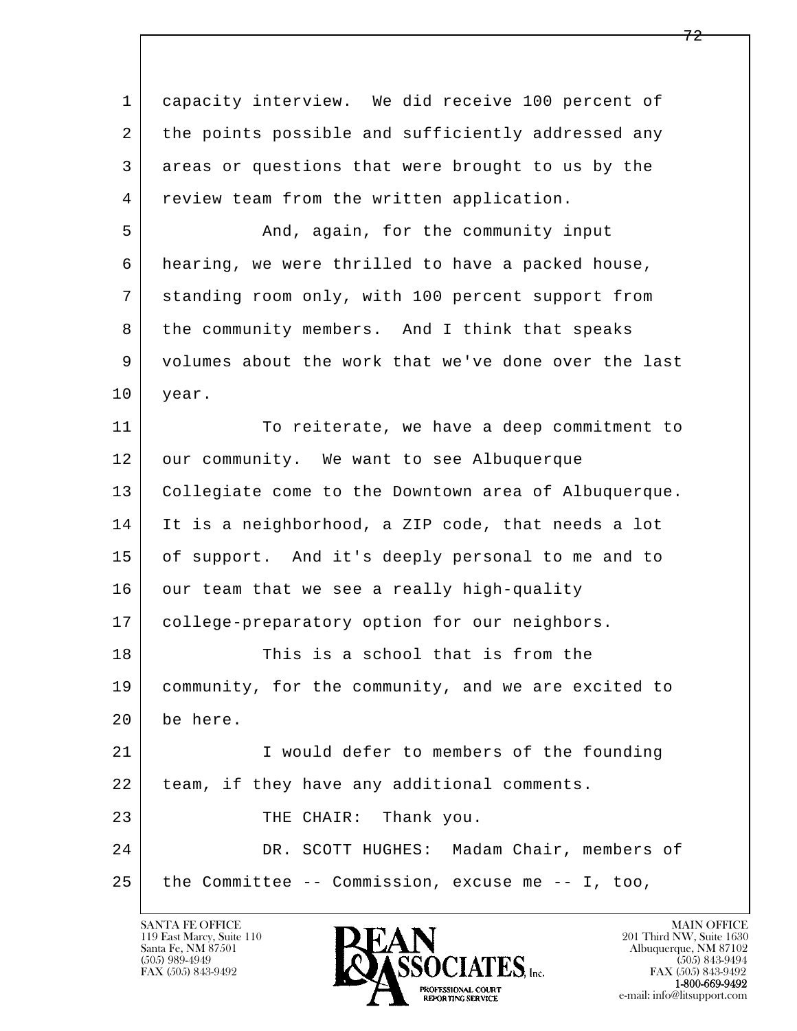l  $\overline{\phantom{a}}$  1 capacity interview. We did receive 100 percent of 2 the points possible and sufficiently addressed any 3 areas or questions that were brought to us by the 4 | review team from the written application. 5 And, again, for the community input 6 hearing, we were thrilled to have a packed house, 7 standing room only, with 100 percent support from 8 | the community members. And I think that speaks 9 volumes about the work that we've done over the last 10 year. 11 To reiterate, we have a deep commitment to 12 our community. We want to see Albuquerque 13 Collegiate come to the Downtown area of Albuquerque. 14 It is a neighborhood, a ZIP code, that needs a lot 15 of support. And it's deeply personal to me and to 16 our team that we see a really high-quality 17 college-preparatory option for our neighbors. 18 This is a school that is from the 19 community, for the community, and we are excited to 20 be here. 21 I would defer to members of the founding 22 | team, if they have any additional comments. 23 THE CHAIR: Thank you. 24 DR. SCOTT HUGHES: Madam Chair, members of 25 the Committee -- Commission, excuse me -- I, too,

119 East Marcy, Suite 110<br>Santa Fe, NM 87501



FAX (505) 843-9492<br>1-800-669-9492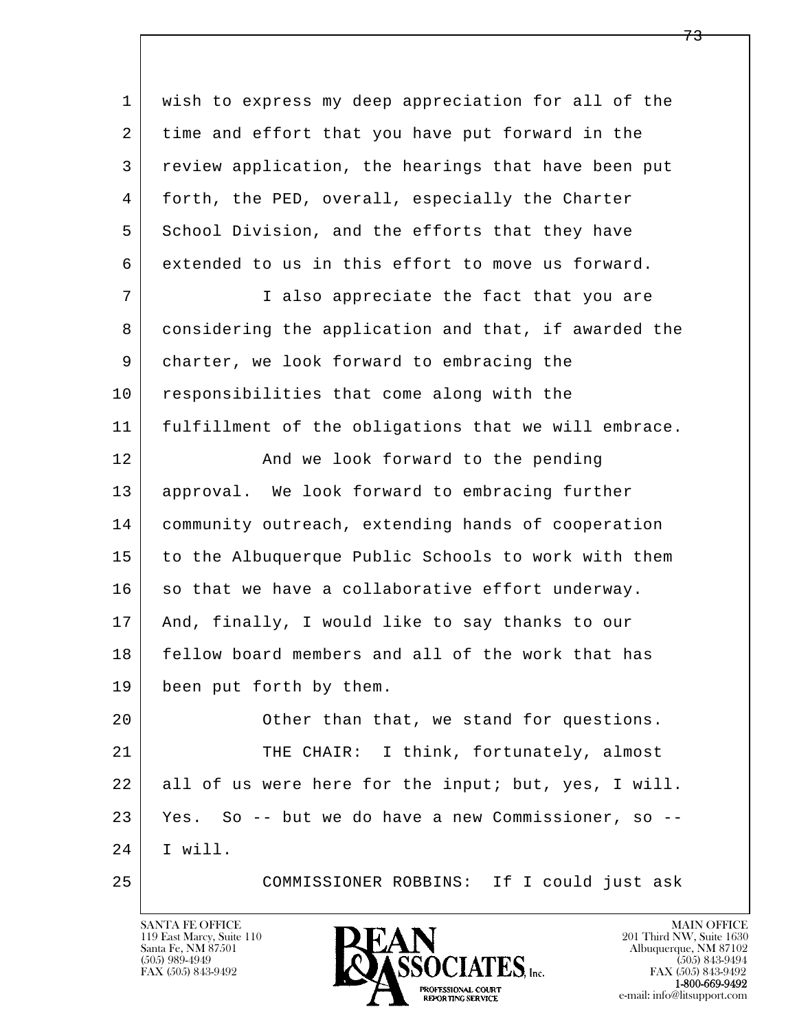l  $\overline{\phantom{a}}$  1 wish to express my deep appreciation for all of the 2 time and effort that you have put forward in the 3 review application, the hearings that have been put 4 forth, the PED, overall, especially the Charter 5 School Division, and the efforts that they have 6 extended to us in this effort to move us forward. 7 I also appreciate the fact that you are 8 considering the application and that, if awarded the 9 charter, we look forward to embracing the 10 responsibilities that come along with the 11 fulfillment of the obligations that we will embrace. 12 And we look forward to the pending 13 approval. We look forward to embracing further 14 community outreach, extending hands of cooperation 15 to the Albuquerque Public Schools to work with them 16 so that we have a collaborative effort underway. 17 And, finally, I would like to say thanks to our 18 fellow board members and all of the work that has 19 been put forth by them. 20 **Other than that, we stand for questions.** 21 | THE CHAIR: I think, fortunately, almost 22 all of us were here for the input; but, yes, I will. 23 Yes. So -- but we do have a new Commissioner, so -- 24 I will. 25 COMMISSIONER ROBBINS: If I could just ask

119 East Marcy, Suite 110<br>Santa Fe, NM 87501

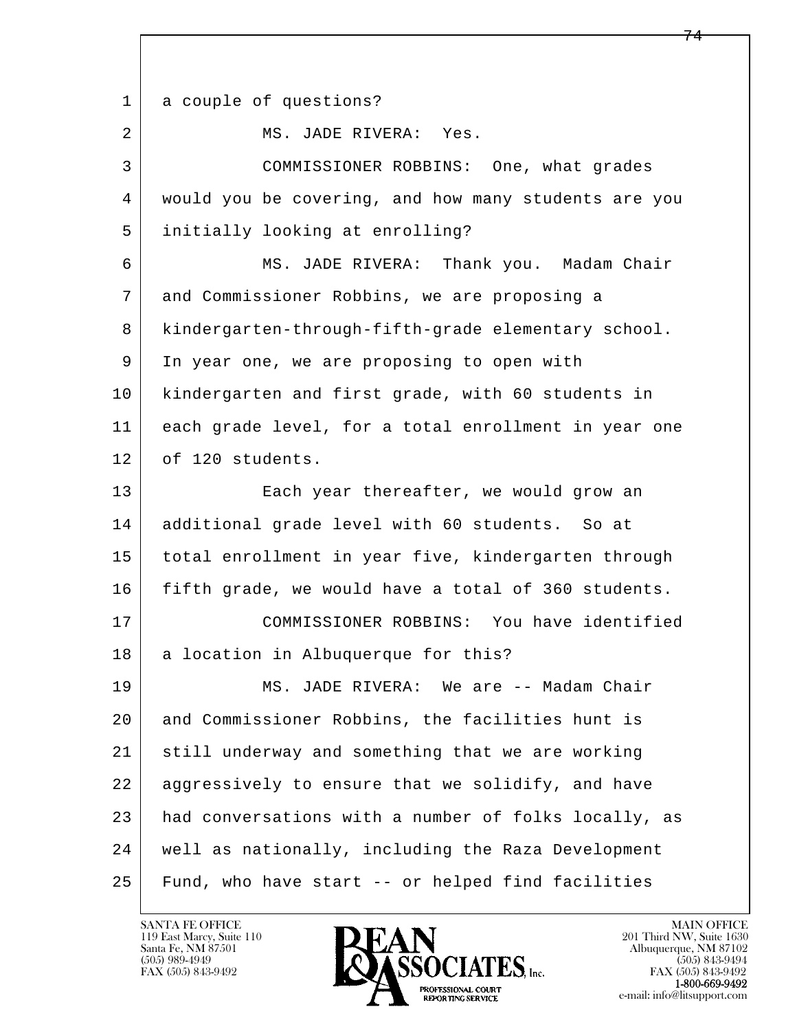l  $\overline{\phantom{a}}$ 1 a couple of questions? 2 MS. JADE RIVERA: Yes. 3 COMMISSIONER ROBBINS: One, what grades 4 would you be covering, and how many students are you 5 initially looking at enrolling? 6 MS. JADE RIVERA: Thank you. Madam Chair 7 and Commissioner Robbins, we are proposing a 8 | kindergarten-through-fifth-grade elementary school. 9 In year one, we are proposing to open with 10 kindergarten and first grade, with 60 students in 11 each grade level, for a total enrollment in year one 12 of 120 students. 13 Each year thereafter, we would grow an 14 additional grade level with 60 students. So at 15 total enrollment in year five, kindergarten through 16 fifth grade, we would have a total of 360 students. 17 COMMISSIONER ROBBINS: You have identified 18 | a location in Albuquerque for this? 19 MS. JADE RIVERA: We are -- Madam Chair 20 and Commissioner Robbins, the facilities hunt is 21 still underway and something that we are working 22 aggressively to ensure that we solidify, and have 23 had conversations with a number of folks locally, as 24 well as nationally, including the Raza Development 25 Fund, who have start -- or helped find facilities

119 East Marcy, Suite 110<br>Santa Fe, NM 87501

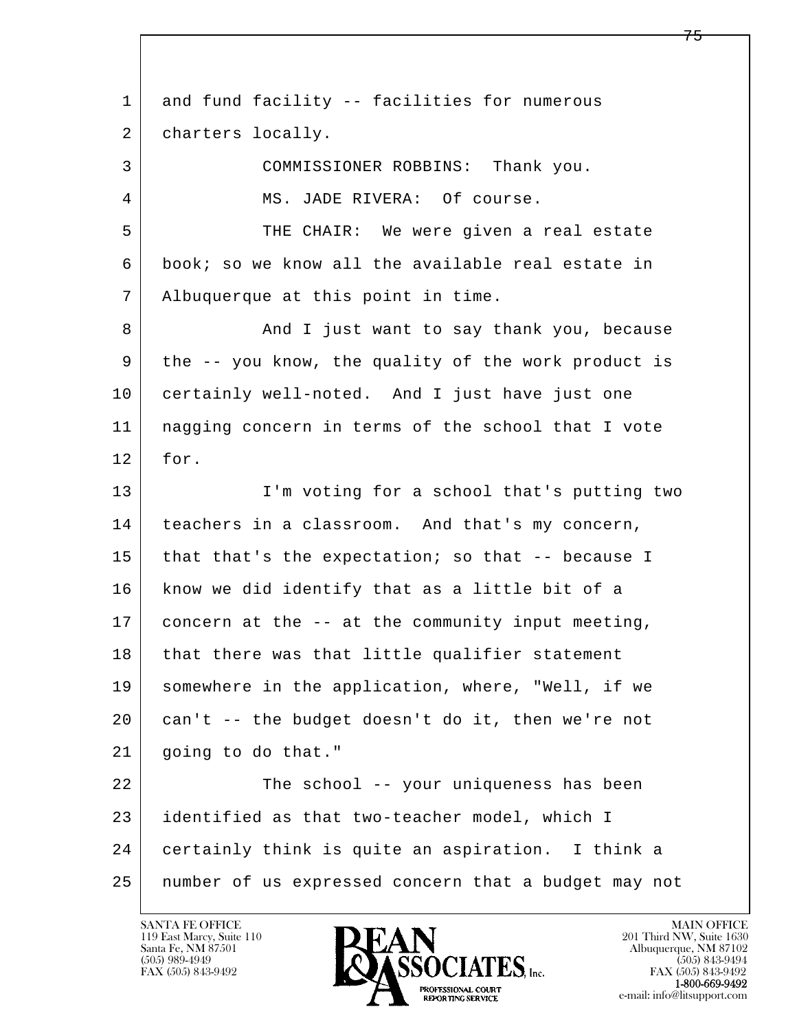l  $\overline{\phantom{a}}$ 1 and fund facility -- facilities for numerous 2 | charters locally. 3 COMMISSIONER ROBBINS: Thank you. 4 MS. JADE RIVERA: Of course. 5 THE CHAIR: We were given a real estate 6 book; so we know all the available real estate in 7 Albuquerque at this point in time. 8 And I just want to say thank you, because 9 the -- you know, the quality of the work product is 10 certainly well-noted. And I just have just one 11 nagging concern in terms of the school that I vote 12 for. 13 I'm voting for a school that's putting two 14 | teachers in a classroom. And that's my concern, 15 that that's the expectation; so that  $-$ - because I 16 | know we did identify that as a little bit of a 17 concern at the -- at the community input meeting, 18 that there was that little qualifier statement 19 somewhere in the application, where, "Well, if we 20 can't -- the budget doesn't do it, then we're not 21 going to do that." 22 The school -- your uniqueness has been 23 identified as that two-teacher model, which I 24 certainly think is quite an aspiration. I think a 25 number of us expressed concern that a budget may not

119 East Marcy, Suite 110<br>Santa Fe, NM 87501

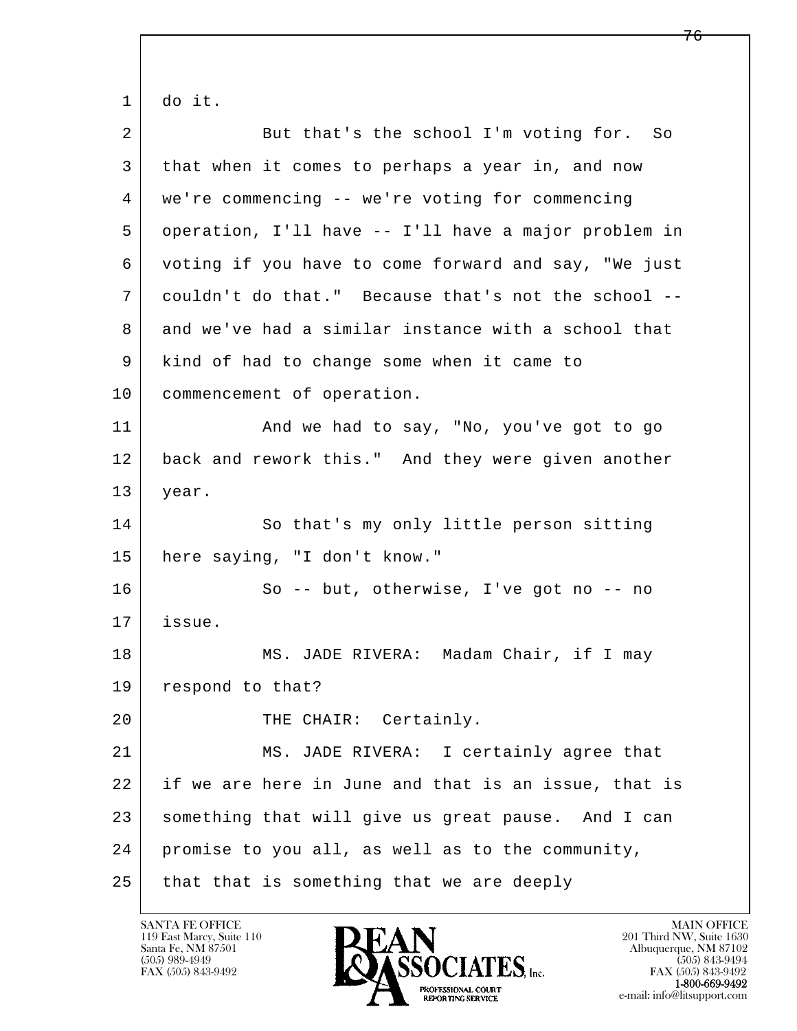l  $\overline{\phantom{a}}$  $1 |$  do it. 2 But that's the school I'm voting for. So 3 that when it comes to perhaps a year in, and now 4 we're commencing -- we're voting for commencing 5 operation, I'll have -- I'll have a major problem in 6 voting if you have to come forward and say, "We just 7 couldn't do that." Because that's not the school -- 8 and we've had a similar instance with a school that 9 kind of had to change some when it came to 10 commencement of operation. 11 | And we had to say, "No, you've got to go 12 back and rework this." And they were given another 13 year. 14 So that's my only little person sitting 15 here saying, "I don't know." 16 So -- but, otherwise, I've got no -- no 17 issue. 18 | MS. JADE RIVERA: Madam Chair, if I may 19 respond to that? 20 THE CHAIR: Certainly. 21 MS. JADE RIVERA: I certainly agree that 22 if we are here in June and that is an issue, that is 23 something that will give us great pause. And I can 24 promise to you all, as well as to the community,  $25$  that that is something that we are deeply

119 East Marcy, Suite 110<br>Santa Fe, NM 87501

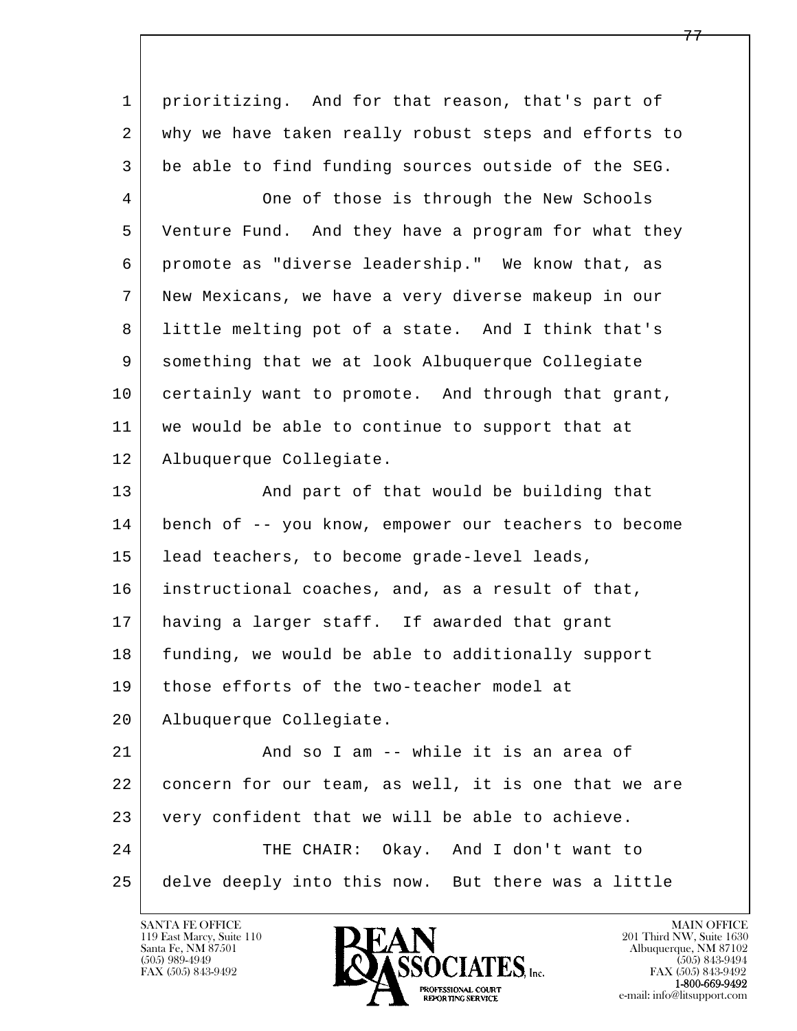l  $\overline{\phantom{a}}$  1 prioritizing. And for that reason, that's part of 2 why we have taken really robust steps and efforts to 3 be able to find funding sources outside of the SEG. 4 One of those is through the New Schools 5 Venture Fund. And they have a program for what they 6 promote as "diverse leadership." We know that, as 7 New Mexicans, we have a very diverse makeup in our 8 little melting pot of a state. And I think that's 9 something that we at look Albuquerque Collegiate 10 certainly want to promote. And through that grant, 11 we would be able to continue to support that at 12 Albuquerque Collegiate. 13 | And part of that would be building that 14 bench of -- you know, empower our teachers to become 15 | lead teachers, to become grade-level leads, 16 instructional coaches, and, as a result of that, 17 having a larger staff. If awarded that grant 18 funding, we would be able to additionally support 19 those efforts of the two-teacher model at 20 Albuquerque Collegiate. 21 And so I am -- while it is an area of 22 concern for our team, as well, it is one that we are 23 very confident that we will be able to achieve. 24 THE CHAIR: Okay. And I don't want to 25 delve deeply into this now. But there was a little

119 East Marcy, Suite 110<br>Santa Fe, NM 87501

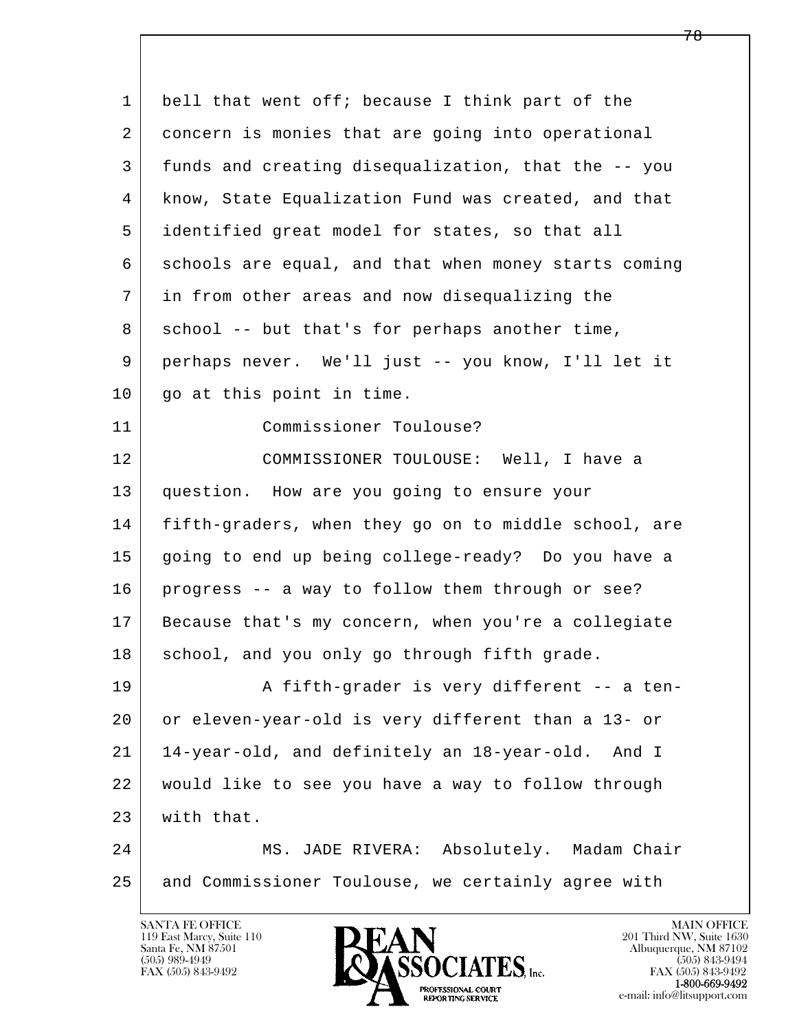l  $\overline{\phantom{a}}$ 1 bell that went off; because I think part of the 2 concern is monies that are going into operational 3 funds and creating disequalization, that the -- you 4 know, State Equalization Fund was created, and that 5 identified great model for states, so that all 6 schools are equal, and that when money starts coming 7 in from other areas and now disequalizing the 8 school -- but that's for perhaps another time, 9 perhaps never. We'll just -- you know, I'll let it 10 | go at this point in time. 11 Commissioner Toulouse? 12 COMMISSIONER TOULOUSE: Well, I have a 13 question. How are you going to ensure your 14 fifth-graders, when they go on to middle school, are 15 going to end up being college-ready? Do you have a 16 progress -- a way to follow them through or see? 17 Because that's my concern, when you're a collegiate 18 school, and you only go through fifth grade. 19 | A fifth-grader is very different -- a ten- 20 or eleven-year-old is very different than a 13- or 21 14-year-old, and definitely an 18-year-old. And I 22 would like to see you have a way to follow through 23 with that. 24 | MS. JADE RIVERA: Absolutely. Madam Chair 25 and Commissioner Toulouse, we certainly agree with

119 East Marcy, Suite 110<br>Santa Fe, NM 87501

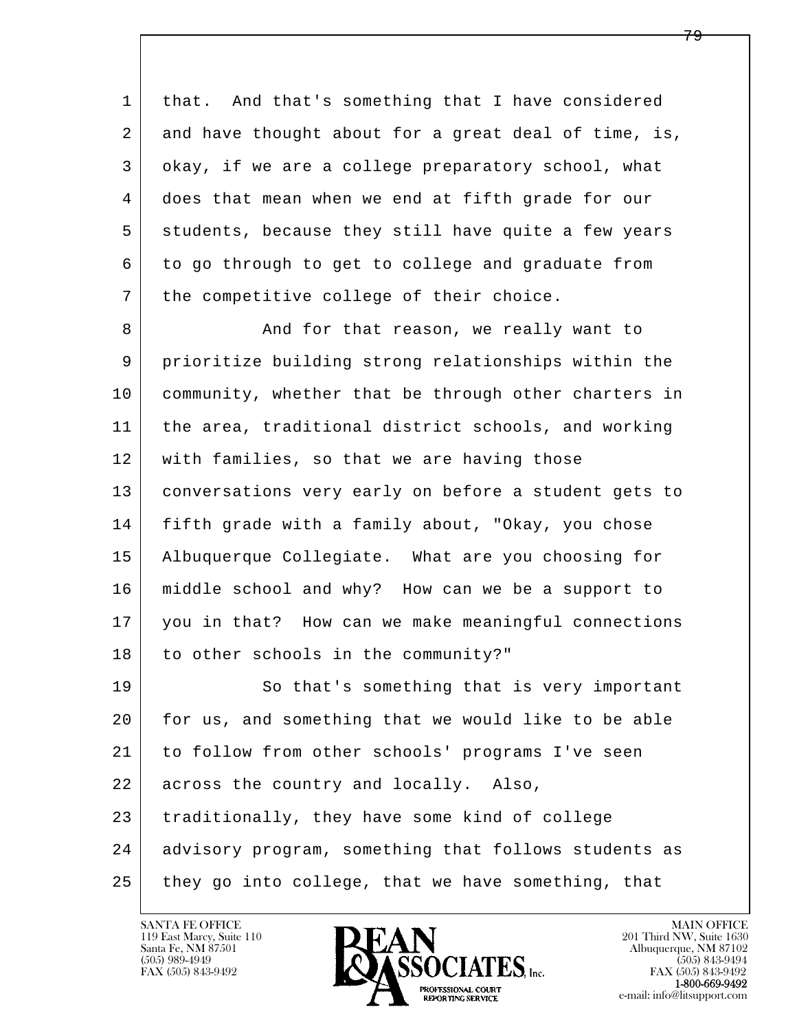1 that. And that's something that I have considered 2 and have thought about for a great deal of time, is, 3 okay, if we are a college preparatory school, what 4 does that mean when we end at fifth grade for our 5 students, because they still have quite a few years 6 to go through to get to college and graduate from 7 | the competitive college of their choice.

8 And for that reason, we really want to 9 prioritize building strong relationships within the 10 community, whether that be through other charters in 11 the area, traditional district schools, and working 12 with families, so that we are having those 13 conversations very early on before a student gets to 14 fifth grade with a family about, "Okay, you chose 15 Albuquerque Collegiate. What are you choosing for 16 middle school and why? How can we be a support to 17 you in that? How can we make meaningful connections 18 to other schools in the community?" 19 So that's something that is very important

l  $\overline{\phantom{a}}$  20 for us, and something that we would like to be able 21 to follow from other schools' programs I've seen 22 across the country and locally. Also, 23 traditionally, they have some kind of college 24 advisory program, something that follows students as  $25$  they go into college, that we have something, that

119 East Marcy, Suite 110<br>Santa Fe, NM 87501

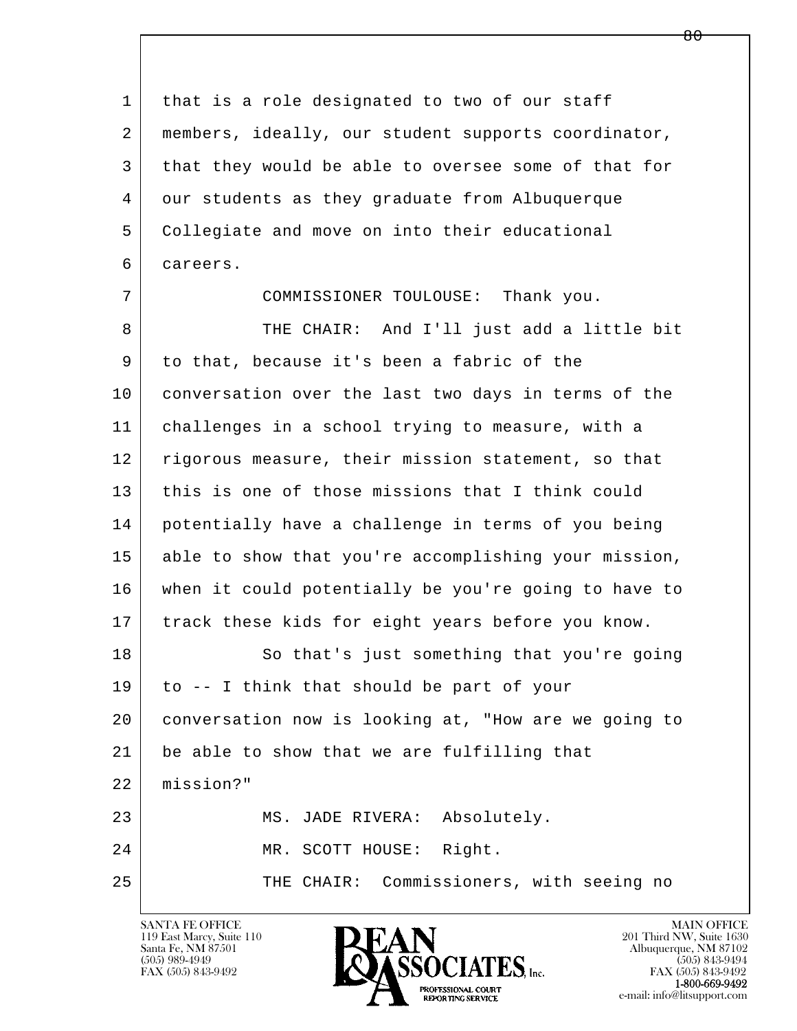| 1  | that is a role designated to two of our staff        |
|----|------------------------------------------------------|
| 2  | members, ideally, our student supports coordinator,  |
| 3  | that they would be able to oversee some of that for  |
| 4  | our students as they graduate from Albuquerque       |
| 5  | Collegiate and move on into their educational        |
| 6  | careers.                                             |
| 7  | COMMISSIONER TOULOUSE: Thank you.                    |
| 8  | THE CHAIR: And I'll just add a little bit            |
| 9  | to that, because it's been a fabric of the           |
| 10 | conversation over the last two days in terms of the  |
| 11 | challenges in a school trying to measure, with a     |
| 12 | rigorous measure, their mission statement, so that   |
| 13 | this is one of those missions that I think could     |
| 14 | potentially have a challenge in terms of you being   |
| 15 | able to show that you're accomplishing your mission, |
| 16 | when it could potentially be you're going to have to |
| 17 | track these kids for eight years before you know.    |
| 18 | So that's just something that you're going           |
| 19 | to -- I think that should be part of your            |
| 20 | conversation now is looking at, "How are we going to |
| 21 | be able to show that we are fulfilling that          |
| 22 | mission?"                                            |
| 23 | MS. JADE RIVERA: Absolutely.                         |
| 24 | MR. SCOTT HOUSE: Right.                              |
| 25 | THE CHAIR: Commissioners, with seeing no             |
|    |                                                      |

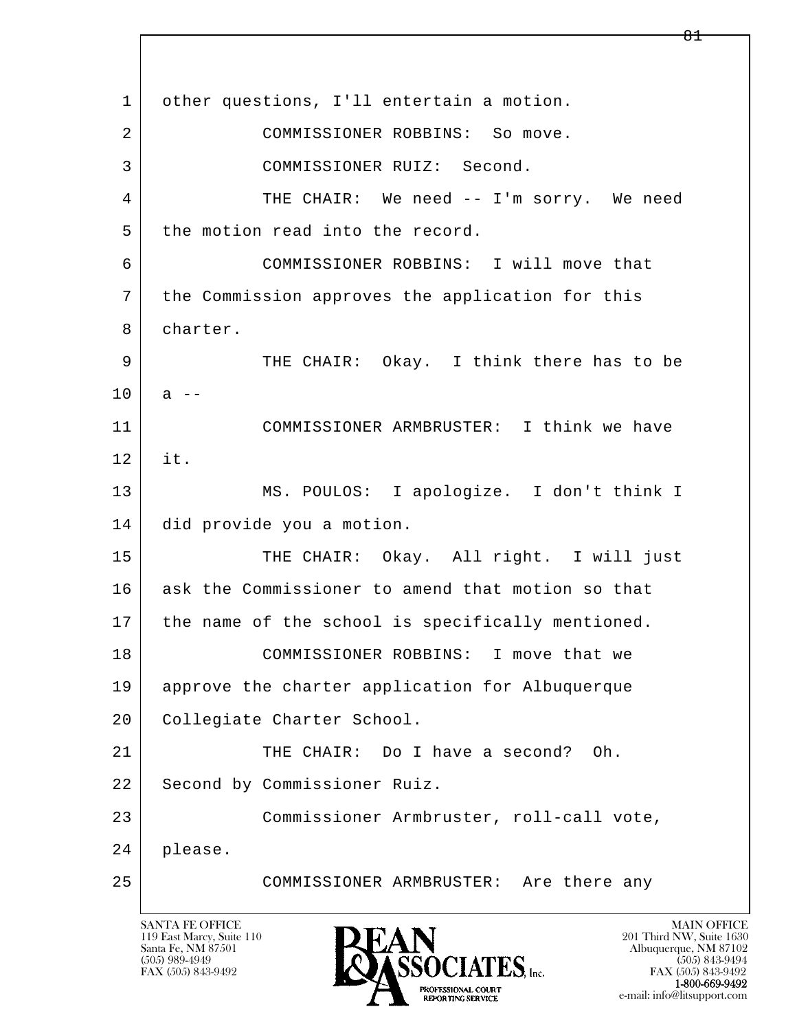l  $\overline{\phantom{a}}$ 1 | other questions, I'll entertain a motion. 2 COMMISSIONER ROBBINS: So move. 3 COMMISSIONER RUIZ: Second. 4 THE CHAIR: We need -- I'm sorry. We need 5 the motion read into the record. 6 COMMISSIONER ROBBINS: I will move that 7 the Commission approves the application for this 8 charter. 9 THE CHAIR: Okay. I think there has to be  $10$  a  $-$  11 COMMISSIONER ARMBRUSTER: I think we have 12 it. 13 MS. POULOS: I apologize. I don't think I 14 did provide you a motion. 15 | THE CHAIR: Okay. All right. I will just 16 ask the Commissioner to amend that motion so that 17 | the name of the school is specifically mentioned. 18 COMMISSIONER ROBBINS: I move that we 19 approve the charter application for Albuquerque 20 | Collegiate Charter School. 21 THE CHAIR: Do I have a second? Oh. 22 | Second by Commissioner Ruiz. 23 Commissioner Armbruster, roll-call vote, 24 please. 25 COMMISSIONER ARMBRUSTER: Are there any

119 East Marcy, Suite 110<br>Santa Fe, NM 87501

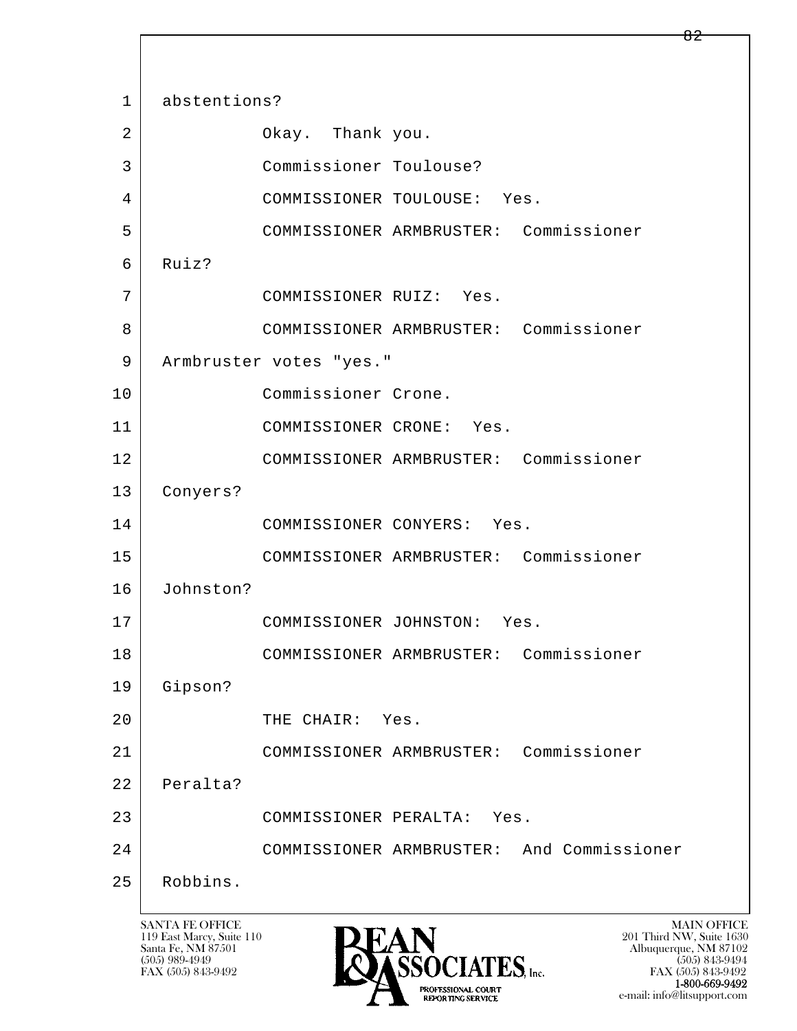l  $\overline{\phantom{a}}$  1 abstentions? 2 Okay. Thank you. 3 Commissioner Toulouse? 4 COMMISSIONER TOULOUSE: Yes. 5 COMMISSIONER ARMBRUSTER: Commissioner 6 Ruiz? 7 COMMISSIONER RUIZ: Yes. 8 COMMISSIONER ARMBRUSTER: Commissioner 9 | Armbruster votes "yes." 10 Commissioner Crone. 11 COMMISSIONER CRONE: Yes. 12 COMMISSIONER ARMBRUSTER: Commissioner 13 Conyers? 14 COMMISSIONER CONYERS: Yes. 15 COMMISSIONER ARMBRUSTER: Commissioner 16 Johnston? 17 COMMISSIONER JOHNSTON: Yes. 18 COMMISSIONER ARMBRUSTER: Commissioner 19 Gipson? 20 THE CHAIR: Yes. 21 COMMISSIONER ARMBRUSTER: Commissioner 22 Peralta? 23 COMMISSIONER PERALTA: Yes. 24 COMMISSIONER ARMBRUSTER: And Commissioner 25 Robbins.

119 East Marcy, Suite 110<br>Santa Fe, NM 87501



FAX (505) 843-9492<br>**1-800-669-9492** e-mail: info@litsupport.com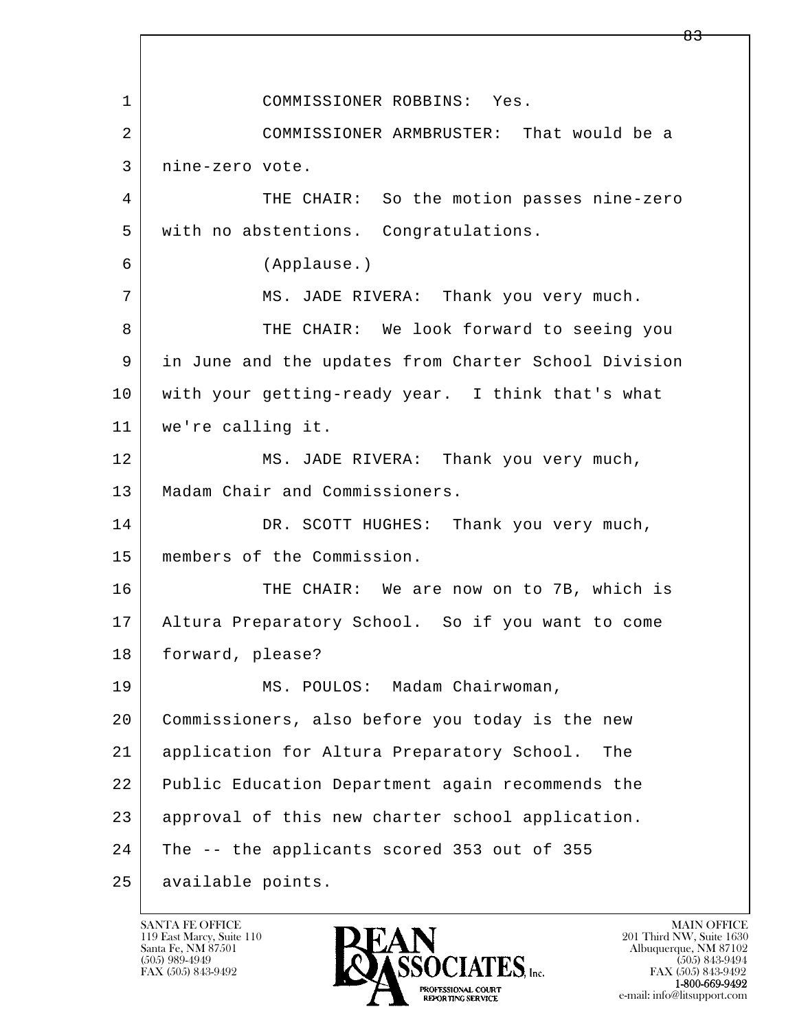l  $\overline{\phantom{a}}$  1 COMMISSIONER ROBBINS: Yes. 2 COMMISSIONER ARMBRUSTER: That would be a 3 nine-zero vote. 4 THE CHAIR: So the motion passes nine-zero 5 with no abstentions. Congratulations. 6 (Applause.) 7 MS. JADE RIVERA: Thank you very much. 8 THE CHAIR: We look forward to seeing you 9 in June and the updates from Charter School Division 10 with your getting-ready year. I think that's what 11 we're calling it. 12 MS. JADE RIVERA: Thank you very much, 13 | Madam Chair and Commissioners. 14 DR. SCOTT HUGHES: Thank you very much, 15 members of the Commission. 16 THE CHAIR: We are now on to 7B, which is 17 Altura Preparatory School. So if you want to come 18 forward, please? 19 | MS. POULOS: Madam Chairwoman, 20 Commissioners, also before you today is the new 21 application for Altura Preparatory School. The 22 Public Education Department again recommends the 23 approval of this new charter school application. 24 The -- the applicants scored 353 out of 355 25 available points.

119 East Marcy, Suite 110<br>Santa Fe, NM 87501

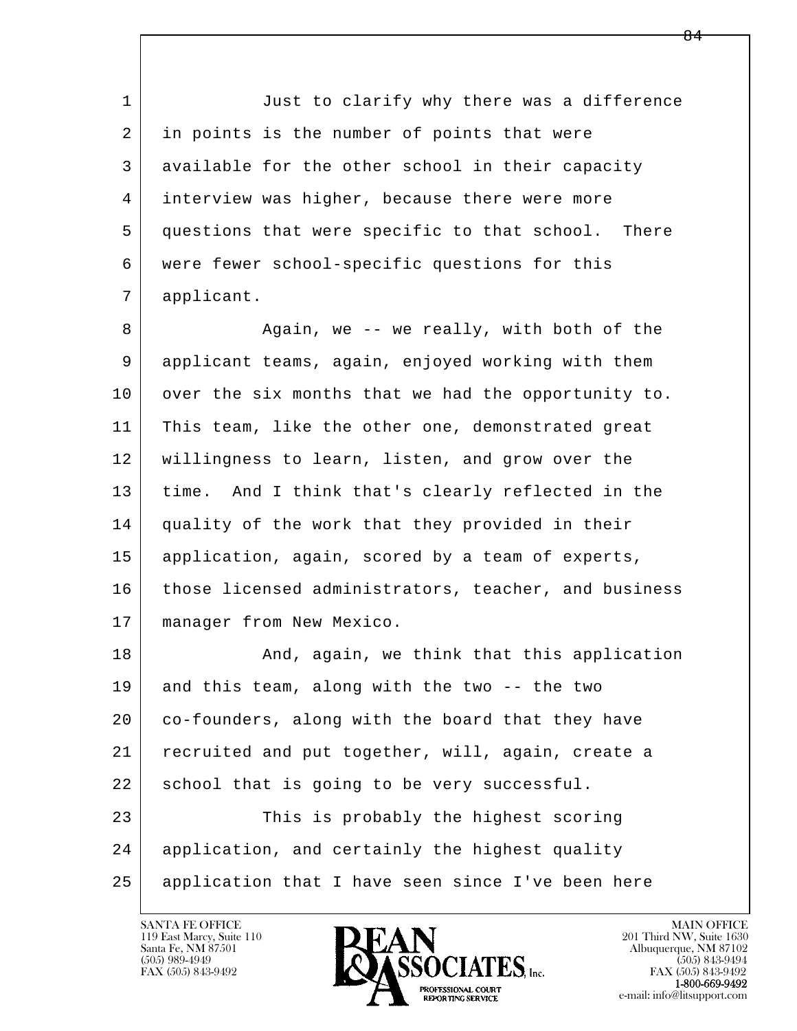1 **Just to clarify why there was a difference**  2 in points is the number of points that were 3 available for the other school in their capacity 4 interview was higher, because there were more 5 | questions that were specific to that school. There 6 were fewer school-specific questions for this 7 applicant.

8 | Ragain, we -- we really, with both of the 9 applicant teams, again, enjoyed working with them 10 over the six months that we had the opportunity to. 11 This team, like the other one, demonstrated great 12 willingness to learn, listen, and grow over the 13 time. And I think that's clearly reflected in the 14 quality of the work that they provided in their 15 application, again, scored by a team of experts, 16 those licensed administrators, teacher, and business 17 manager from New Mexico.

l  $\overline{\phantom{a}}$ 18 | The Robert And, again, we think that this application 19 and this team, along with the two -- the two 20 co-founders, along with the board that they have 21 recruited and put together, will, again, create a 22 | school that is going to be very successful. 23 This is probably the highest scoring 24 | application, and certainly the highest quality 25 application that I have seen since I've been here



FAX (505) 843-9492<br>**1-800-669-9492**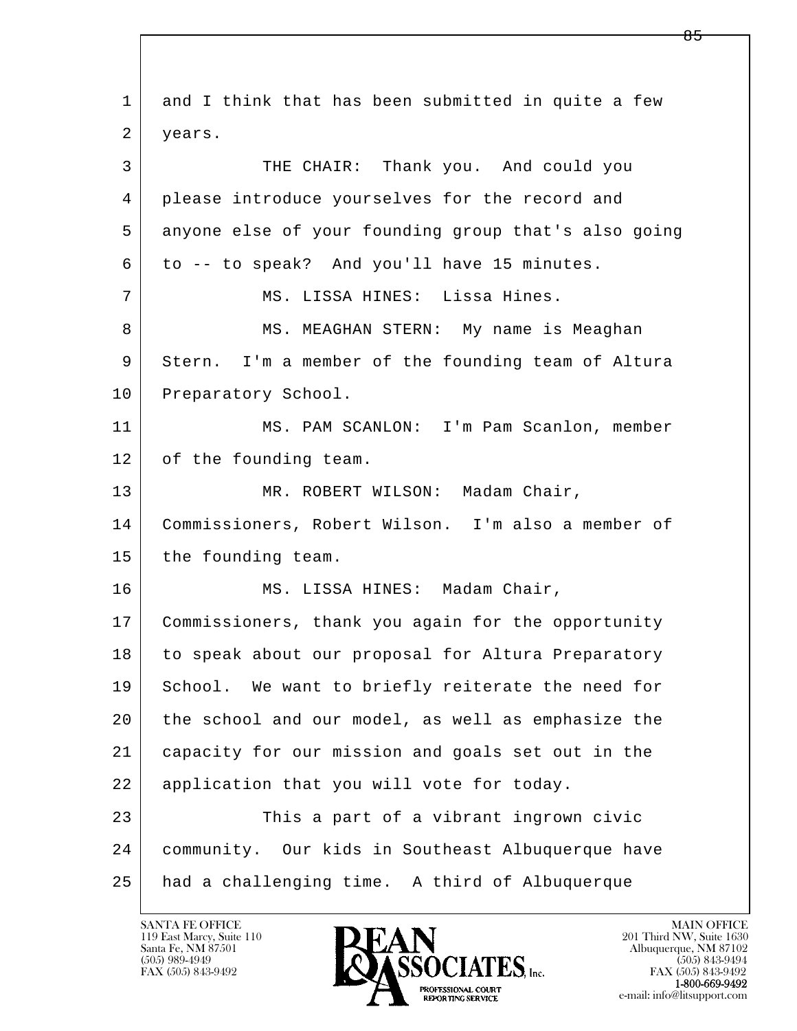| 1  | and I think that has been submitted in quite a few   |
|----|------------------------------------------------------|
| 2  | years.                                               |
| 3  | THE CHAIR: Thank you. And could you                  |
| 4  | please introduce yourselves for the record and       |
| 5  | anyone else of your founding group that's also going |
| 6  | to -- to speak? And you'll have 15 minutes.          |
| 7  | MS. LISSA HINES: Lissa Hines.                        |
| 8  | MS. MEAGHAN STERN: My name is Meaghan                |
| 9  | Stern. I'm a member of the founding team of Altura   |
| 10 | Preparatory School.                                  |
| 11 | MS. PAM SCANLON: I'm Pam Scanlon, member             |
| 12 | of the founding team.                                |
| 13 | MR. ROBERT WILSON: Madam Chair,                      |
| 14 | Commissioners, Robert Wilson. I'm also a member of   |
| 15 | the founding team.                                   |
| 16 | MS. LISSA HINES: Madam Chair,                        |
| 17 | Commissioners, thank you again for the opportunity   |
| 18 | to speak about our proposal for Altura Preparatory   |
| 19 | School. We want to briefly reiterate the need for    |
| 20 | the school and our model, as well as emphasize the   |
| 21 | capacity for our mission and goals set out in the    |
| 22 | application that you will vote for today.            |
| 23 | This a part of a vibrant ingrown civic               |
| 24 | community. Our kids in Southeast Albuquerque have    |
| 25 | had a challenging time. A third of Albuquerque       |

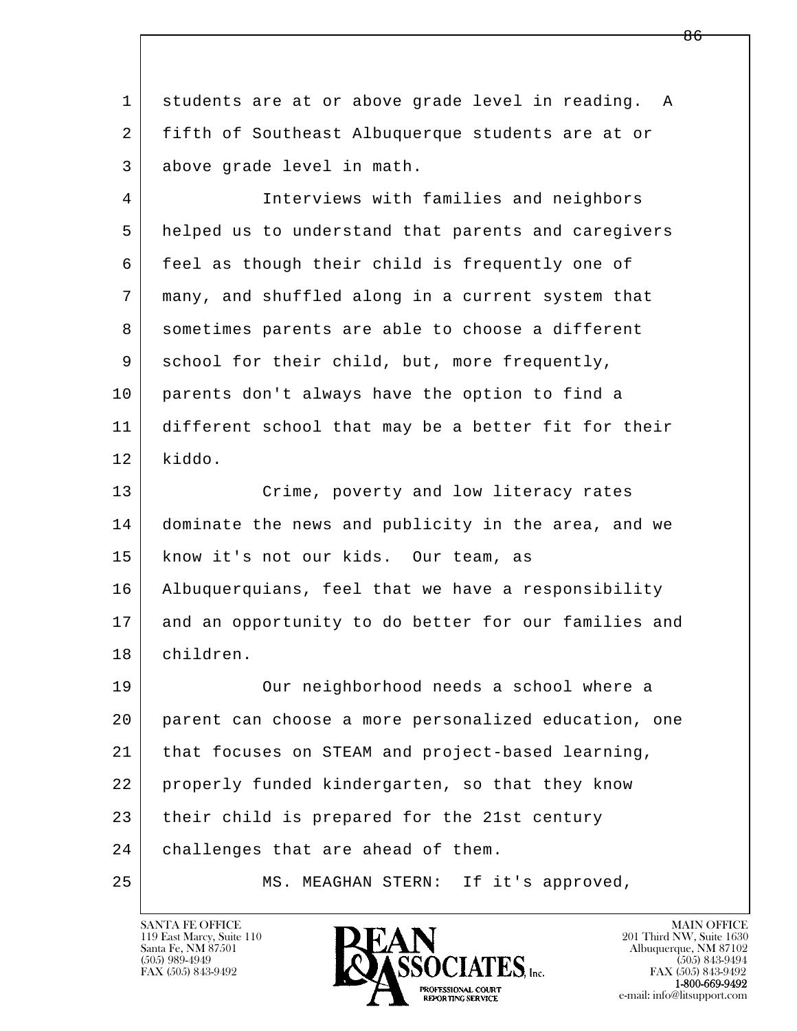1 students are at or above grade level in reading. A 2 fifth of Southeast Albuquerque students are at or 3 above grade level in math.

 4 Interviews with families and neighbors 5 helped us to understand that parents and caregivers 6 feel as though their child is frequently one of 7 many, and shuffled along in a current system that 8 sometimes parents are able to choose a different 9 school for their child, but, more frequently, 10 parents don't always have the option to find a 11 different school that may be a better fit for their 12 kiddo.

13 Crime, poverty and low literacy rates 14 dominate the news and publicity in the area, and we 15 | know it's not our kids. Our team, as 16 Albuquerquians, feel that we have a responsibility 17 and an opportunity to do better for our families and 18 children.

l  $\overline{\phantom{a}}$  19 Our neighborhood needs a school where a 20 parent can choose a more personalized education, one 21 that focuses on STEAM and project-based learning, 22 properly funded kindergarten, so that they know 23 their child is prepared for the 21st century 24 challenges that are ahead of them. 25 MS. MEAGHAN STERN: If it's approved,

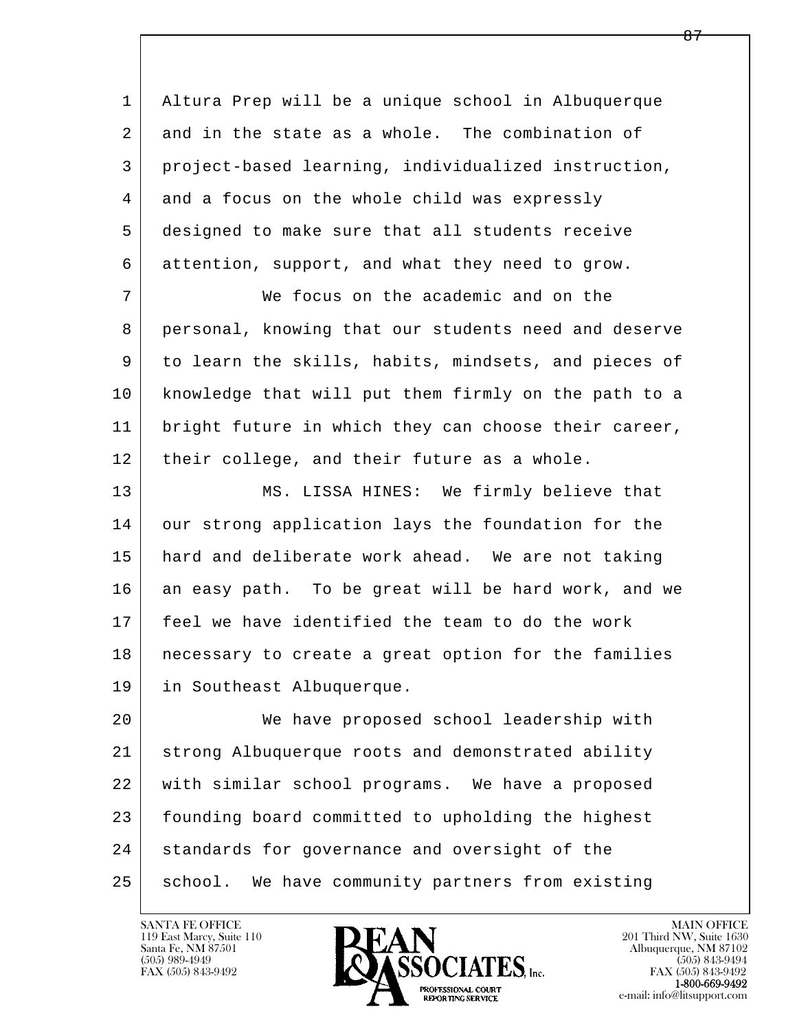l  $\overline{\phantom{a}}$  1 Altura Prep will be a unique school in Albuquerque 2 and in the state as a whole. The combination of 3 project-based learning, individualized instruction, 4 and a focus on the whole child was expressly 5 designed to make sure that all students receive 6 attention, support, and what they need to grow. 7 We focus on the academic and on the 8 personal, knowing that our students need and deserve 9 to learn the skills, habits, mindsets, and pieces of 10 knowledge that will put them firmly on the path to a 11 | bright future in which they can choose their career, 12 their college, and their future as a whole. 13 MS. LISSA HINES: We firmly believe that 14 our strong application lays the foundation for the 15 hard and deliberate work ahead. We are not taking 16 an easy path. To be great will be hard work, and we 17 feel we have identified the team to do the work 18 necessary to create a great option for the families 19 in Southeast Albuquerque. 20 We have proposed school leadership with 21 strong Albuquerque roots and demonstrated ability 22 with similar school programs. We have a proposed 23 founding board committed to upholding the highest 24 | standards for governance and oversight of the 25 | school. We have community partners from existing

119 East Marcy, Suite 110<br>Santa Fe, NM 87501



FAX (505) 843-9492<br>**1-800-669-9492**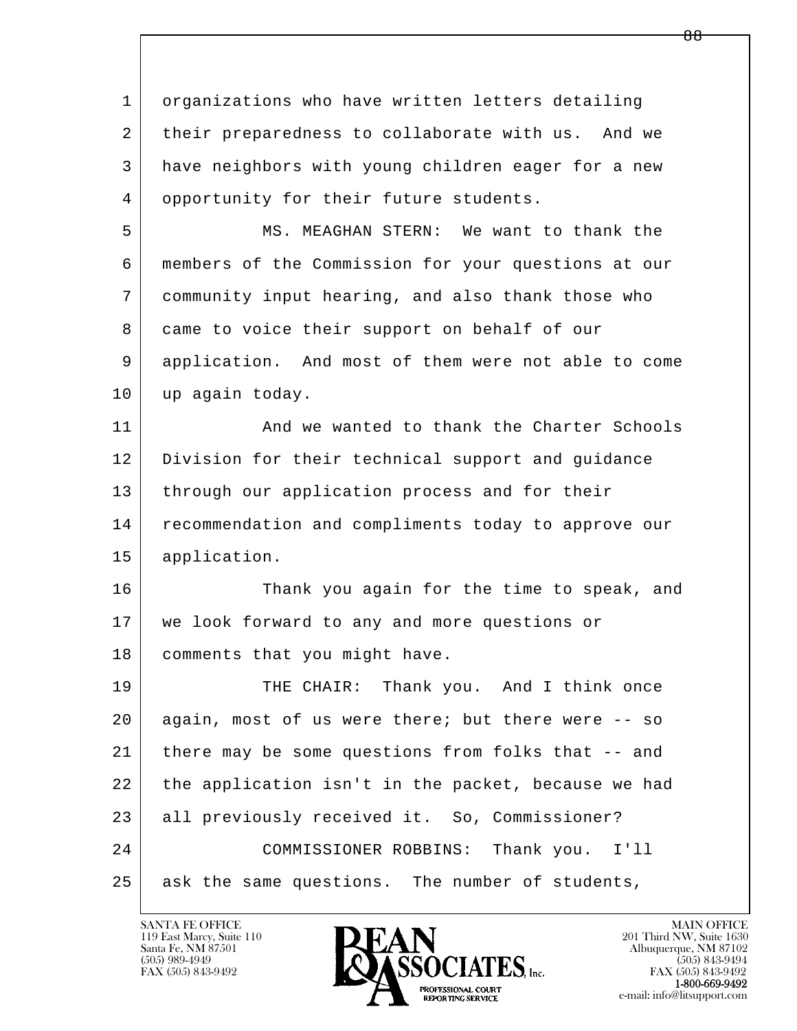l  $\overline{\phantom{a}}$  1 organizations who have written letters detailing 2 their preparedness to collaborate with us. And we 3 have neighbors with young children eager for a new 4 opportunity for their future students. 5 MS. MEAGHAN STERN: We want to thank the 6 members of the Commission for your questions at our 7 community input hearing, and also thank those who 8 came to voice their support on behalf of our 9 application. And most of them were not able to come 10 | up again today. 11 And we wanted to thank the Charter Schools 12 Division for their technical support and guidance 13 | through our application process and for their 14 recommendation and compliments today to approve our 15 application. 16 Thank you again for the time to speak, and 17 we look forward to any and more questions or 18 | comments that you might have. 19 THE CHAIR: Thank you. And I think once 20 again, most of us were there; but there were -- so 21 there may be some questions from folks that -- and 22 the application isn't in the packet, because we had 23 all previously received it. So, Commissioner? 24 COMMISSIONER ROBBINS: Thank you. I'll 25 ask the same questions. The number of students,

119 East Marcy, Suite 110<br>Santa Fe, NM 87501

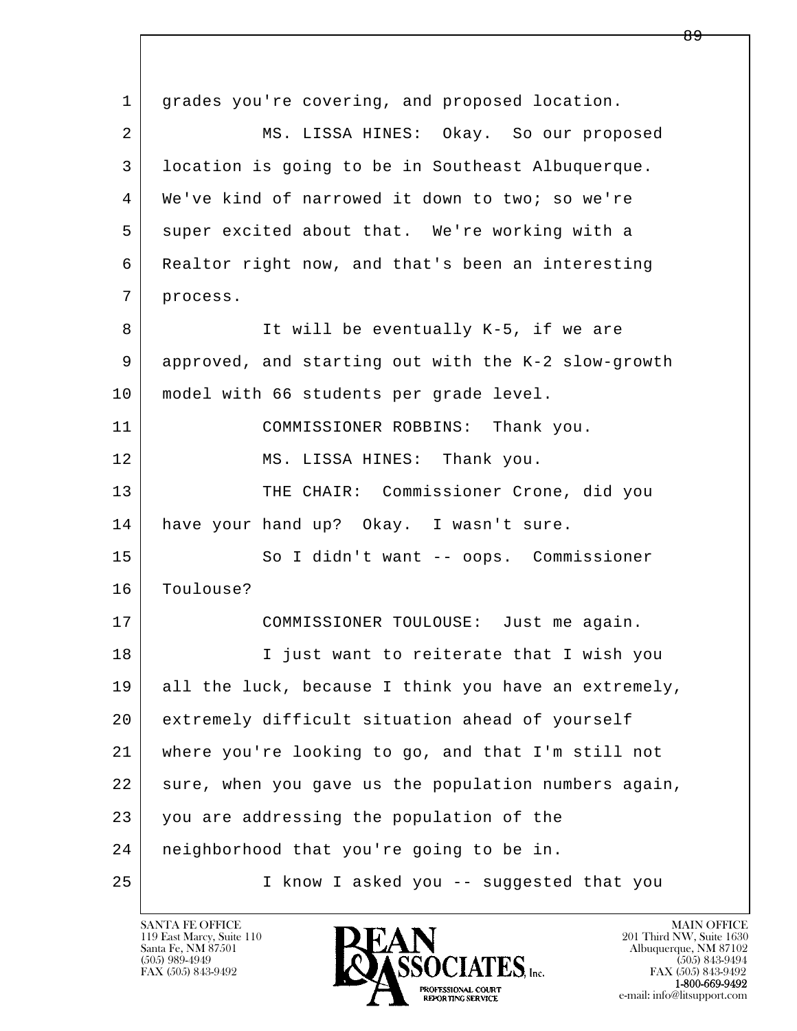l  $\overline{\phantom{a}}$  1 grades you're covering, and proposed location. 2 MS. LISSA HINES: Okay. So our proposed 3 location is going to be in Southeast Albuquerque. 4 We've kind of narrowed it down to two; so we're 5 super excited about that. We're working with a 6 Realtor right now, and that's been an interesting 7 process. 8 | It will be eventually K-5, if we are 9 approved, and starting out with the K-2 slow-growth 10 | model with 66 students per grade level. 11 COMMISSIONER ROBBINS: Thank you. 12 MS. LISSA HINES: Thank you. 13 THE CHAIR: Commissioner Crone, did you 14 have your hand up? Okay. I wasn't sure. 15 | So I didn't want -- oops. Commissioner 16 Toulouse? 17 COMMISSIONER TOULOUSE: Just me again. 18 I just want to reiterate that I wish you 19 all the luck, because I think you have an extremely, 20 extremely difficult situation ahead of yourself 21 where you're looking to go, and that I'm still not 22 sure, when you gave us the population numbers again, 23 you are addressing the population of the 24 neighborhood that you're going to be in. 25 I know I asked you -- suggested that you

119 East Marcy, Suite 110<br>Santa Fe, NM 87501

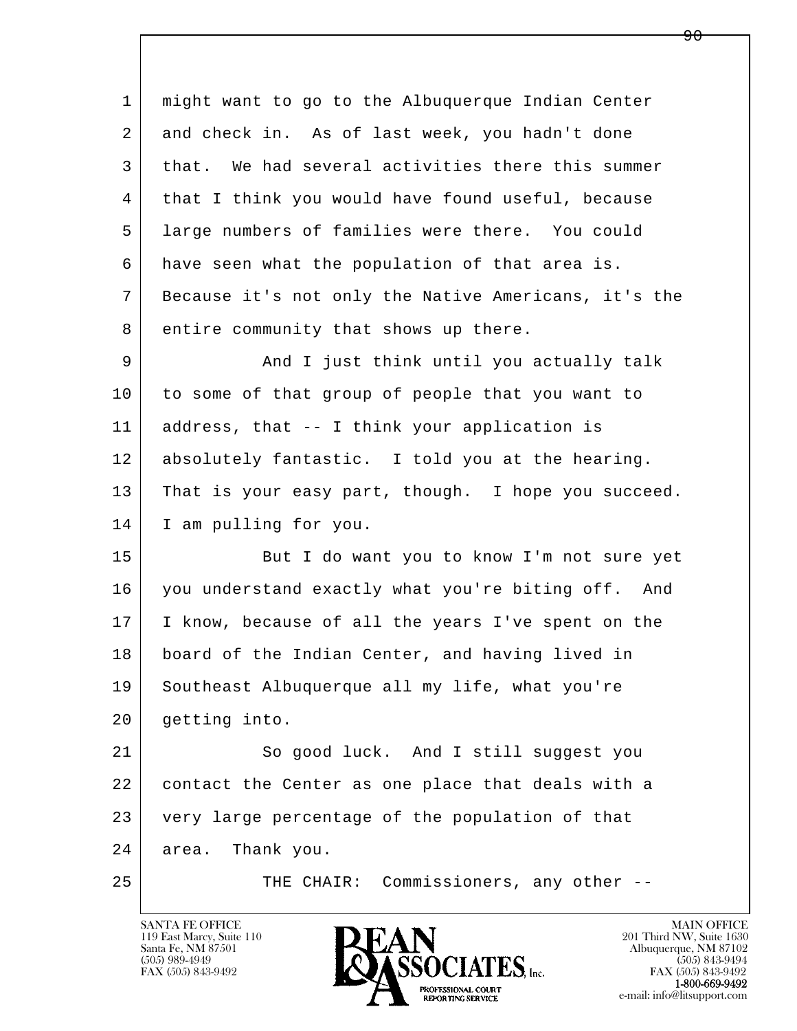l  $\overline{\phantom{a}}$  1 might want to go to the Albuquerque Indian Center 2 and check in. As of last week, you hadn't done 3 that. We had several activities there this summer 4 that I think you would have found useful, because 5 large numbers of families were there. You could 6 have seen what the population of that area is. 7 Because it's not only the Native Americans, it's the 8 entire community that shows up there. 9 And I just think until you actually talk 10 to some of that group of people that you want to 11 address, that -- I think your application is 12 absolutely fantastic. I told you at the hearing. 13 That is your easy part, though. I hope you succeed. 14 | I am pulling for you. 15 | But I do want you to know I'm not sure yet 16 you understand exactly what you're biting off. And 17 I know, because of all the years I've spent on the 18 board of the Indian Center, and having lived in 19 Southeast Albuquerque all my life, what you're 20 getting into. 21 So good luck. And I still suggest you 22 contact the Center as one place that deals with a 23 very large percentage of the population of that 24 area. Thank you. 25 THE CHAIR: Commissioners, any other --

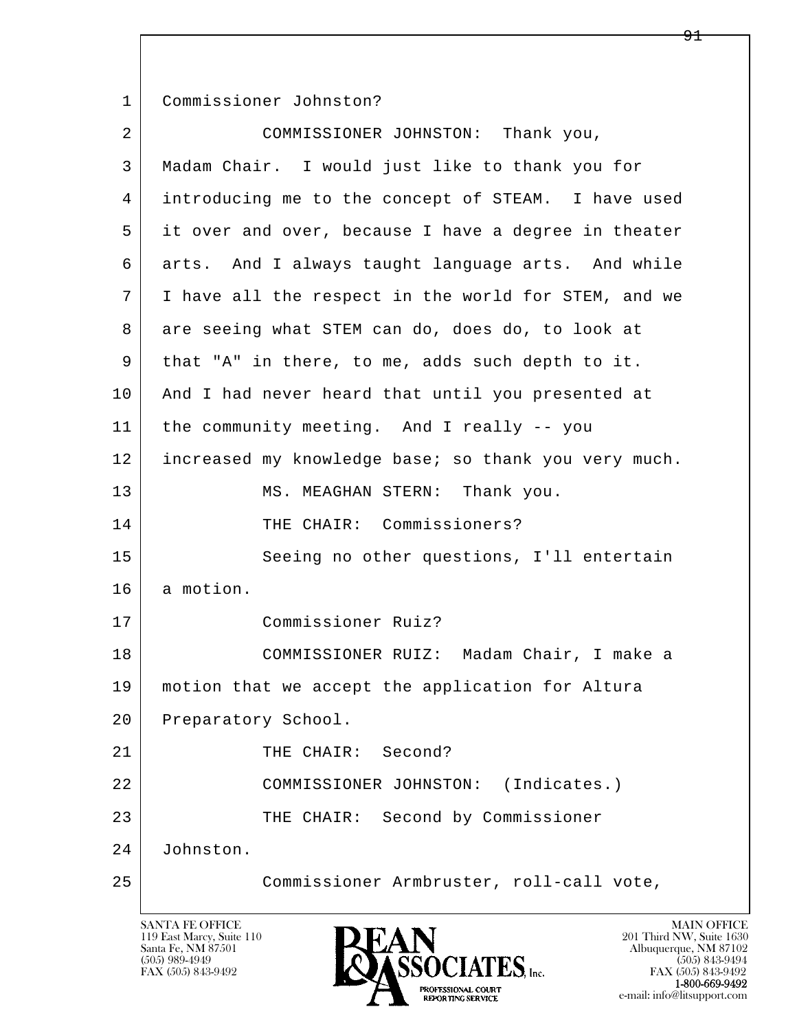1 Commissioner Johnston?

| $\overline{a}$ | COMMISSIONER JOHNSTON: Thank you,                    |
|----------------|------------------------------------------------------|
| 3              | Madam Chair. I would just like to thank you for      |
| 4              | introducing me to the concept of STEAM. I have used  |
| 5              | it over and over, because I have a degree in theater |
| 6              | arts. And I always taught language arts. And while   |
| 7              | I have all the respect in the world for STEM, and we |
| 8              | are seeing what STEM can do, does do, to look at     |
| 9              | that "A" in there, to me, adds such depth to it.     |
| 10             | And I had never heard that until you presented at    |
| 11             | the community meeting. And I really -- you           |
| 12             | increased my knowledge base; so thank you very much. |
| 13             | MS. MEAGHAN STERN: Thank you.                        |
| 14             | THE CHAIR: Commissioners?                            |
| 15             | Seeing no other questions, I'll entertain            |
| 16             | a motion.                                            |
| 17             | Commissioner Ruiz?                                   |
| 18             | COMMISSIONER RUIZ: Madam Chair, I make a             |
| 19             | motion that we accept the application for Altura     |
| 20             | Preparatory School.                                  |
| 21             | Second?<br>THE CHAIR:                                |
| 22             | (Indicates.)<br>COMMISSIONER JOHNSTON:               |
| 23             | THE CHAIR: Second by Commissioner                    |
| 24             | Johnston.                                            |
| 25             | Commissioner Armbruster, roll-call vote,             |

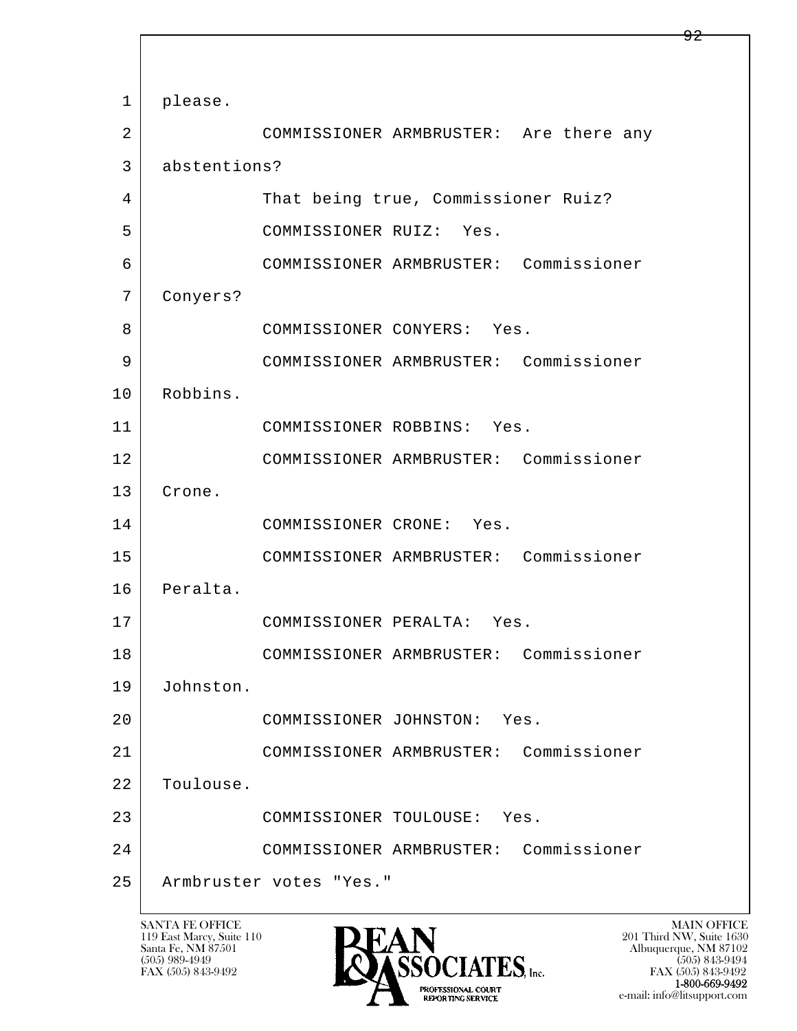l  $\overline{\phantom{a}}$  1 please. 2 COMMISSIONER ARMBRUSTER: Are there any 3 abstentions? 4 That being true, Commissioner Ruiz? 5 COMMISSIONER RUIZ: Yes. 6 COMMISSIONER ARMBRUSTER: Commissioner 7 Conyers? 8 COMMISSIONER CONYERS: Yes. 9 COMMISSIONER ARMBRUSTER: Commissioner 10 Robbins. 11 COMMISSIONER ROBBINS: Yes. 12 COMMISSIONER ARMBRUSTER: Commissioner 13 Crone. 14 COMMISSIONER CRONE: Yes. 15 COMMISSIONER ARMBRUSTER: Commissioner 16 Peralta. 17 COMMISSIONER PERALTA: Yes. 18 COMMISSIONER ARMBRUSTER: Commissioner 19 Johnston. 20 COMMISSIONER JOHNSTON: Yes. 21 COMMISSIONER ARMBRUSTER: Commissioner 22 | Toulouse. 23 COMMISSIONER TOULOUSE: Yes. 24 COMMISSIONER ARMBRUSTER: Commissioner 25 Armbruster votes "Yes."

119 East Marcy, Suite 110<br>Santa Fe, NM 87501



FAX (505) 843-9492<br>**1-800-669-9492** e-mail: info@litsupport.com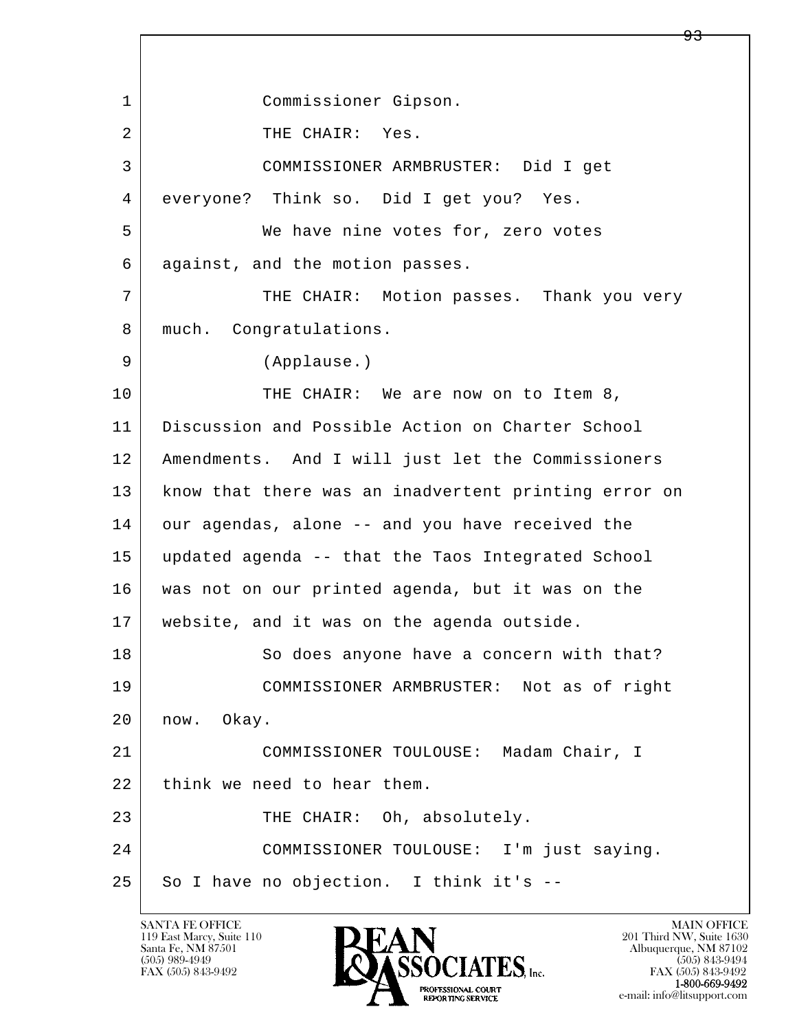l  $\overline{\phantom{a}}$  1 Commissioner Gipson. 2 THE CHAIR: Yes. 3 COMMISSIONER ARMBRUSTER: Did I get 4 everyone? Think so. Did I get you? Yes. 5 We have nine votes for, zero votes 6 against, and the motion passes. 7 | THE CHAIR: Motion passes. Thank you very 8 | much. Congratulations. 9 (Applause.) 10 THE CHAIR: We are now on to Item 8, 11 Discussion and Possible Action on Charter School 12 Amendments. And I will just let the Commissioners 13 | know that there was an inadvertent printing error on 14 our agendas, alone -- and you have received the 15 updated agenda -- that the Taos Integrated School 16 was not on our printed agenda, but it was on the 17 website, and it was on the agenda outside. 18 | So does anyone have a concern with that? 19 COMMISSIONER ARMBRUSTER: Not as of right 20 now. Okay. 21 COMMISSIONER TOULOUSE: Madam Chair, I 22 think we need to hear them. 23 THE CHAIR: Oh, absolutely. 24 COMMISSIONER TOULOUSE: I'm just saying.  $25$  So I have no objection. I think it's  $-$ 

119 East Marcy, Suite 110<br>Santa Fe, NM 87501

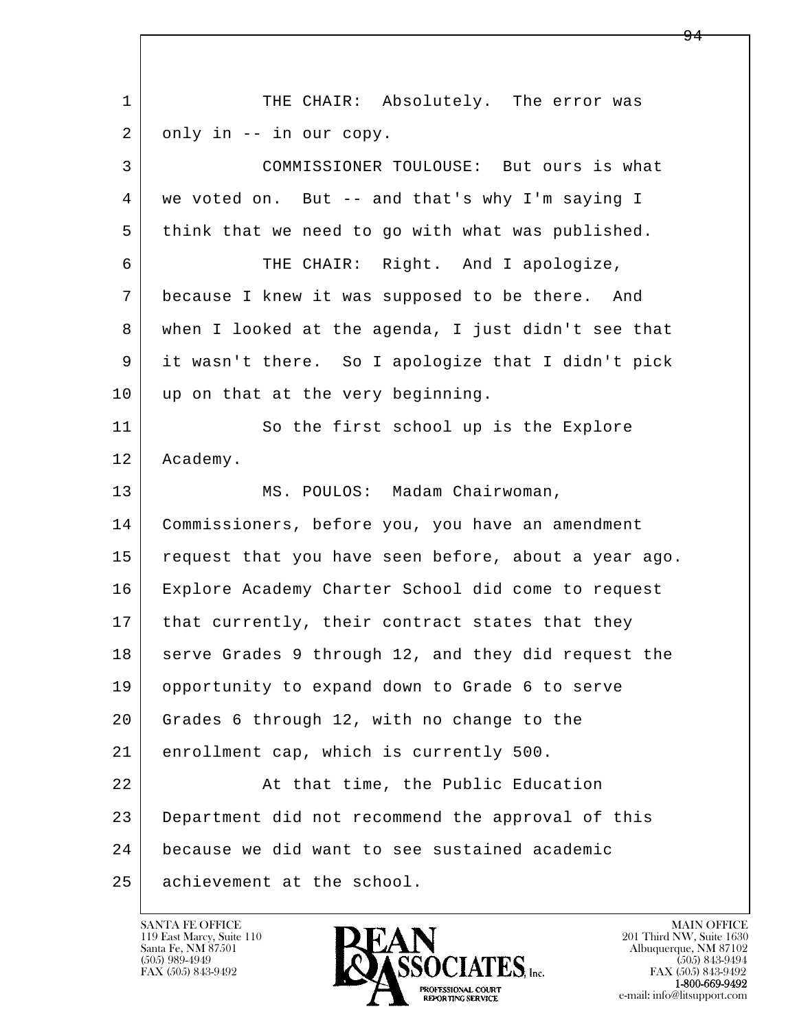l  $\overline{\phantom{a}}$ 1 THE CHAIR: Absolutely. The error was 2 only in -- in our copy. 3 COMMISSIONER TOULOUSE: But ours is what 4 we voted on. But -- and that's why I'm saying I 5 think that we need to go with what was published. 6 THE CHAIR: Right. And I apologize, 7 because I knew it was supposed to be there. And 8 when I looked at the agenda, I just didn't see that 9 it wasn't there. So I apologize that I didn't pick 10 up on that at the very beginning. 11 So the first school up is the Explore 12 Academy. 13 MS. POULOS: Madam Chairwoman, 14 Commissioners, before you, you have an amendment 15 request that you have seen before, about a year ago. 16 Explore Academy Charter School did come to request 17 | that currently, their contract states that they 18 serve Grades 9 through 12, and they did request the 19 opportunity to expand down to Grade 6 to serve 20 Grades 6 through 12, with no change to the 21 enrollment cap, which is currently 500. 22 At that time, the Public Education 23 Department did not recommend the approval of this 24 because we did want to see sustained academic 25 achievement at the school.

119 East Marcy, Suite 110<br>Santa Fe, NM 87501



FAX (505) 843-9492<br>**1-800-669-9492**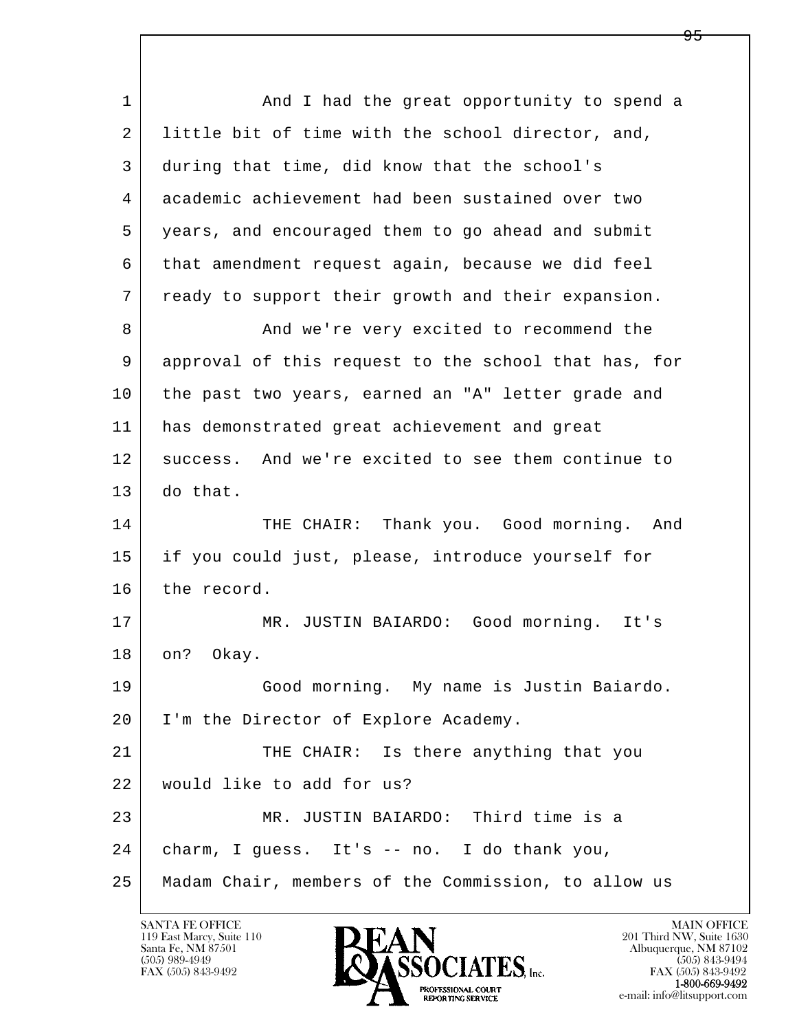| $\mathbf{1}$ | And I had the great opportunity to spend a           |
|--------------|------------------------------------------------------|
| 2            | little bit of time with the school director, and,    |
| 3            | during that time, did know that the school's         |
| 4            | academic achievement had been sustained over two     |
| 5            | years, and encouraged them to go ahead and submit    |
| 6            | that amendment request again, because we did feel    |
| 7            | ready to support their growth and their expansion.   |
| 8            | And we're very excited to recommend the              |
| 9            | approval of this request to the school that has, for |
| 10           | the past two years, earned an "A" letter grade and   |
| 11           | has demonstrated great achievement and great         |
| 12           | success. And we're excited to see them continue to   |
| 13           | do that.                                             |
| 14           | THE CHAIR: Thank you. Good morning.<br>And           |
| 15           | if you could just, please, introduce yourself for    |
| 16           | the record.                                          |
| 17           | MR. JUSTIN BAIARDO: Good morning. It's               |
| 18           | on? Okay.                                            |
| 19           | Good morning. My name is Justin Baiardo.             |
| 20           | I'm the Director of Explore Academy.                 |
| 21           | THE CHAIR: Is there anything that you                |
| 22           | would like to add for us?                            |
| 23           | MR. JUSTIN BAIARDO: Third time is a                  |
| 24           | charm, I guess. It's -- no. I do thank you,          |
| 25           | Madam Chair, members of the Commission, to allow us  |

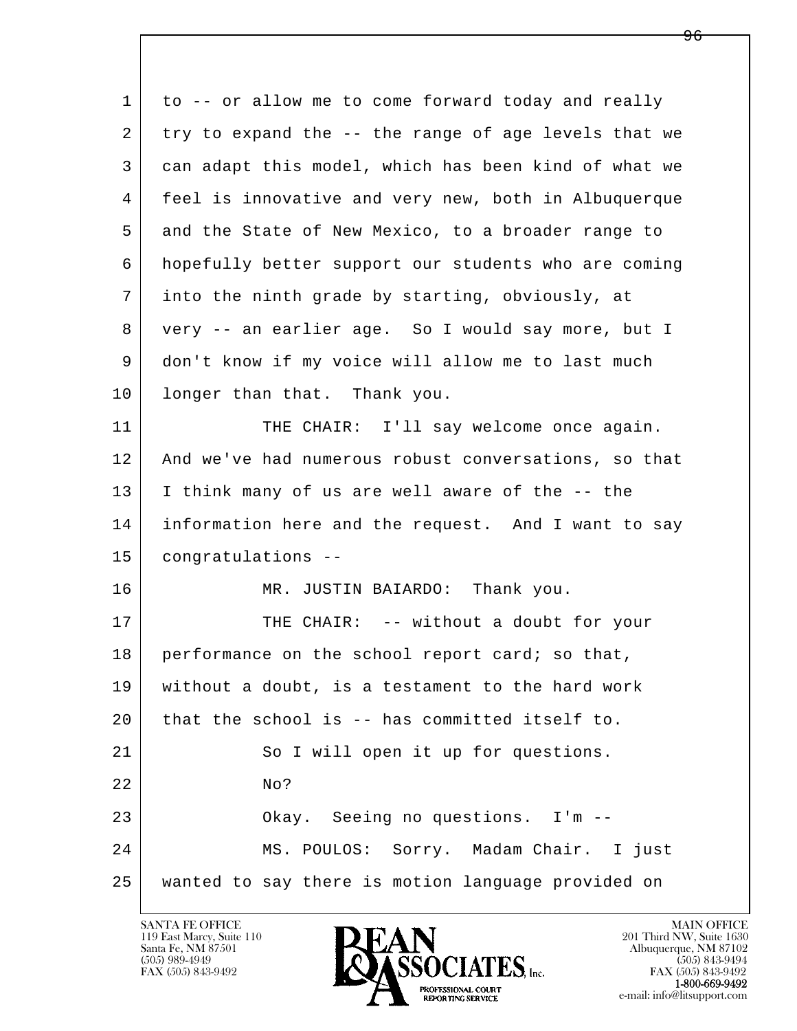| 1  | to -- or allow me to come forward today and really   |
|----|------------------------------------------------------|
| 2  | try to expand the -- the range of age levels that we |
| 3  | can adapt this model, which has been kind of what we |
| 4  | feel is innovative and very new, both in Albuquerque |
| 5  | and the State of New Mexico, to a broader range to   |
| 6  | hopefully better support our students who are coming |
| 7  | into the ninth grade by starting, obviously, at      |
| 8  | very -- an earlier age. So I would say more, but I   |
| 9  | don't know if my voice will allow me to last much    |
| 10 | longer than that. Thank you.                         |
| 11 | THE CHAIR: I'll say welcome once again.              |
| 12 | And we've had numerous robust conversations, so that |
| 13 | I think many of us are well aware of the -- the      |
| 14 | information here and the request. And I want to say  |
| 15 | congratulations --                                   |
| 16 | MR. JUSTIN BAIARDO: Thank you.                       |
| 17 | THE CHAIR: -- without a doubt for your               |
| 18 | performance on the school report card; so that,      |
| 19 | without a doubt, is a testament to the hard work     |
| 20 | that the school is -- has committed itself to.       |
| 21 | So I will open it up for questions.                  |
| 22 | No?                                                  |
| 23 | Okay. Seeing no questions. I'm --                    |
| 24 | MS. POULOS: Sorry. Madam Chair. I just               |
| 25 | wanted to say there is motion language provided on   |

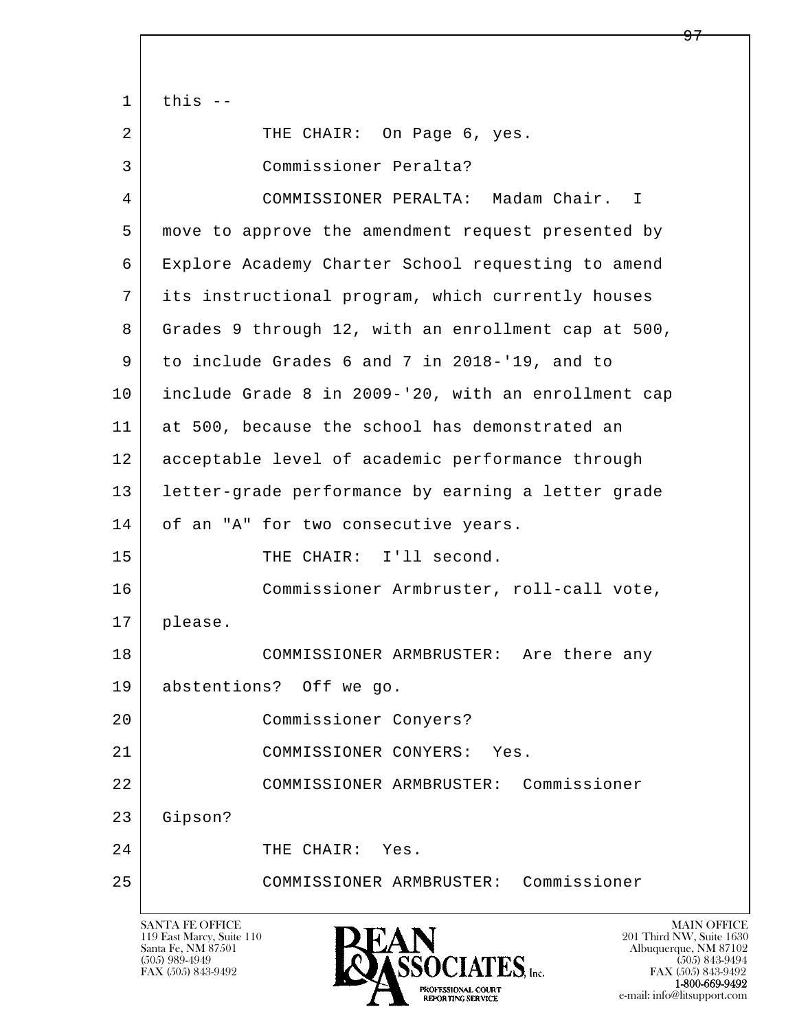l  $\overline{\phantom{a}}$  $1$  this  $-$ 2 | THE CHAIR: On Page 6, yes. 3 Commissioner Peralta? 4 COMMISSIONER PERALTA: Madam Chair. I 5 move to approve the amendment request presented by 6 Explore Academy Charter School requesting to amend 7 its instructional program, which currently houses 8 Grades 9 through 12, with an enrollment cap at 500, 9 to include Grades 6 and 7 in 2018-'19, and to 10 include Grade 8 in 2009-'20, with an enrollment cap 11 at 500, because the school has demonstrated an 12 acceptable level of academic performance through 13 letter-grade performance by earning a letter grade 14 of an "A" for two consecutive years. 15 THE CHAIR: I'll second. 16 Commissioner Armbruster, roll-call vote, 17 please. 18 COMMISSIONER ARMBRUSTER: Are there any 19 abstentions? Off we go. 20 Commissioner Conyers? 21 COMMISSIONER CONYERS: Yes. 22 COMMISSIONER ARMBRUSTER: Commissioner 23 Gipson? 24 THE CHAIR: Yes. 25 COMMISSIONER ARMBRUSTER: Commissioner

119 East Marcy, Suite 110<br>Santa Fe, NM 87501

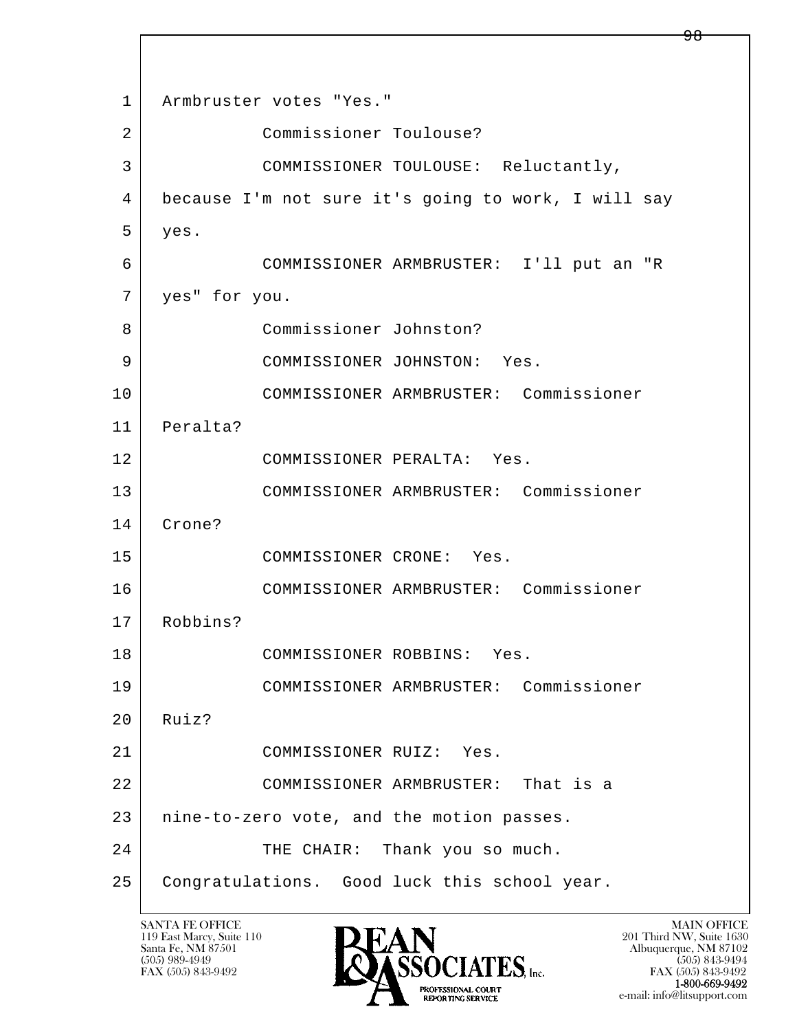l  $\overline{\phantom{a}}$ 1 | Armbruster votes "Yes." 2 Commissioner Toulouse? 3 COMMISSIONER TOULOUSE: Reluctantly, 4 because I'm not sure it's going to work, I will say 5 yes. 6 COMMISSIONER ARMBRUSTER: I'll put an "R 7 yes" for you. 8 Commissioner Johnston? 9 COMMISSIONER JOHNSTON: Yes. 10 COMMISSIONER ARMBRUSTER: Commissioner 11 Peralta? 12 COMMISSIONER PERALTA: Yes. 13 COMMISSIONER ARMBRUSTER: Commissioner 14 Crone? 15 COMMISSIONER CRONE: Yes. 16 COMMISSIONER ARMBRUSTER: Commissioner 17 Robbins? 18 COMMISSIONER ROBBINS: Yes. 19 COMMISSIONER ARMBRUSTER: Commissioner  $20$  Ruiz? 21 COMMISSIONER RUIZ: Yes. 22 COMMISSIONER ARMBRUSTER: That is a 23 | nine-to-zero vote, and the motion passes. 24 | THE CHAIR: Thank you so much. 25 Congratulations. Good luck this school year.

119 East Marcy, Suite 110<br>Santa Fe, NM 87501



FAX (505) 843-9492<br>**1-800-669-9492** e-mail: info@litsupport.com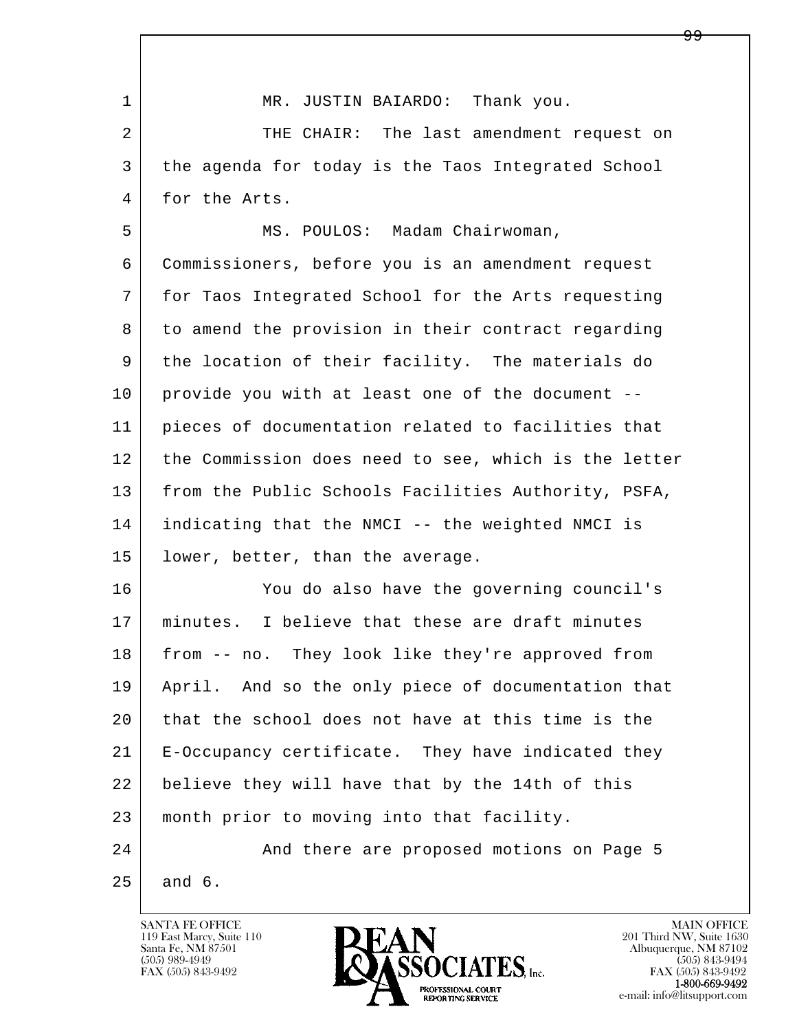l  $\overline{\phantom{a}}$ 1 MR. JUSTIN BAIARDO: Thank you. 2 THE CHAIR: The last amendment request on 3 the agenda for today is the Taos Integrated School 4 for the Arts. 5 MS. POULOS: Madam Chairwoman, 6 Commissioners, before you is an amendment request 7 for Taos Integrated School for the Arts requesting 8 to amend the provision in their contract regarding 9 the location of their facility. The materials do 10 provide you with at least one of the document -- 11 pieces of documentation related to facilities that 12 the Commission does need to see, which is the letter 13 | from the Public Schools Facilities Authority, PSFA, 14 indicating that the NMCI -- the weighted NMCI is 15 | lower, better, than the average. 16 You do also have the governing council's 17 minutes. I believe that these are draft minutes 18 from -- no. They look like they're approved from 19 April. And so the only piece of documentation that 20 that the school does not have at this time is the 21 E-Occupancy certificate. They have indicated they 22 believe they will have that by the 14th of this 23 month prior to moving into that facility. 24 And there are proposed motions on Page 5  $25$  and 6.

119 East Marcy, Suite 110<br>Santa Fe, NM 87501

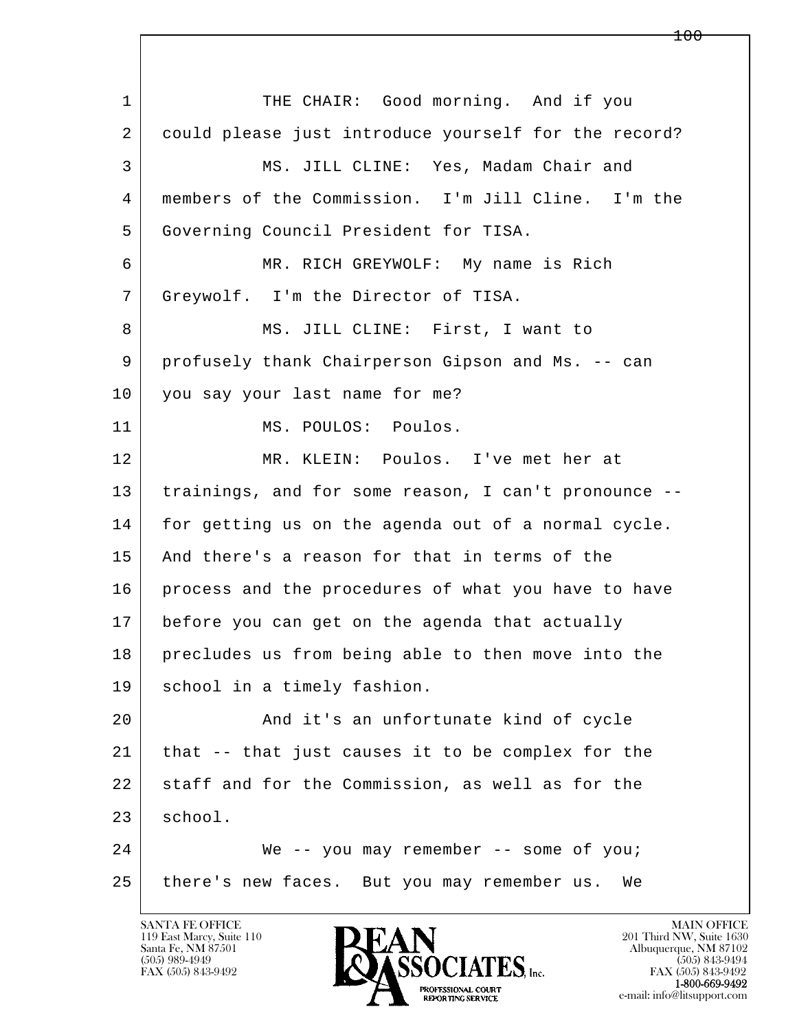l  $\overline{\phantom{a}}$ 1 THE CHAIR: Good morning. And if you 2 | could please just introduce yourself for the record? 3 MS. JILL CLINE: Yes, Madam Chair and 4 members of the Commission. I'm Jill Cline. I'm the 5 Governing Council President for TISA. 6 MR. RICH GREYWOLF: My name is Rich 7 Greywolf. I'm the Director of TISA. 8 MS. JILL CLINE: First, I want to 9 profusely thank Chairperson Gipson and Ms. -- can 10 you say your last name for me? 11 | MS. POULOS: Poulos. 12 MR. KLEIN: Poulos. I've met her at 13 trainings, and for some reason, I can't pronounce -- 14 for getting us on the agenda out of a normal cycle. 15 And there's a reason for that in terms of the 16 process and the procedures of what you have to have 17 before you can get on the agenda that actually 18 precludes us from being able to then move into the 19 school in a timely fashion. 20 | The and it's an unfortunate kind of cycle 21 that -- that just causes it to be complex for the 22 staff and for the Commission, as well as for the 23 school. 24 We -- you may remember -- some of you; 25 there's new faces. But you may remember us. We

119 East Marcy, Suite 110<br>Santa Fe, NM 87501



FAX (505) 843-9492<br>**1-800-669-9492**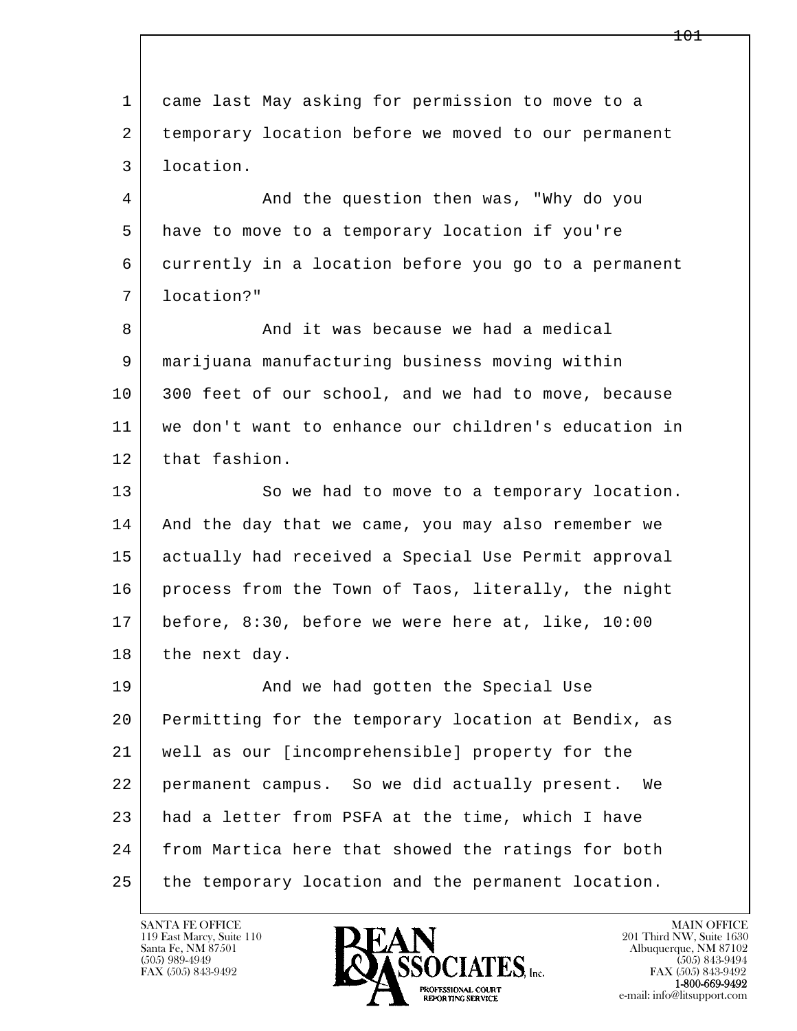l  $\overline{\phantom{a}}$  1 came last May asking for permission to move to a 2 temporary location before we moved to our permanent 3 location. 4 And the question then was, "Why do you 5 have to move to a temporary location if you're 6 currently in a location before you go to a permanent 7 location?" 8 And it was because we had a medical 9 marijuana manufacturing business moving within 10 300 feet of our school, and we had to move, because 11 we don't want to enhance our children's education in 12 that fashion. 13 So we had to move to a temporary location. 14 And the day that we came, you may also remember we 15 actually had received a Special Use Permit approval 16 process from the Town of Taos, literally, the night 17 before, 8:30, before we were here at, like, 10:00 18 the next day. 19 | And we had gotten the Special Use 20 Permitting for the temporary location at Bendix, as 21 well as our [incomprehensible] property for the 22 permanent campus. So we did actually present. We 23 had a letter from PSFA at the time, which I have 24 from Martica here that showed the ratings for both 25 the temporary location and the permanent location.

119 East Marcy, Suite 110<br>Santa Fe, NM 87501

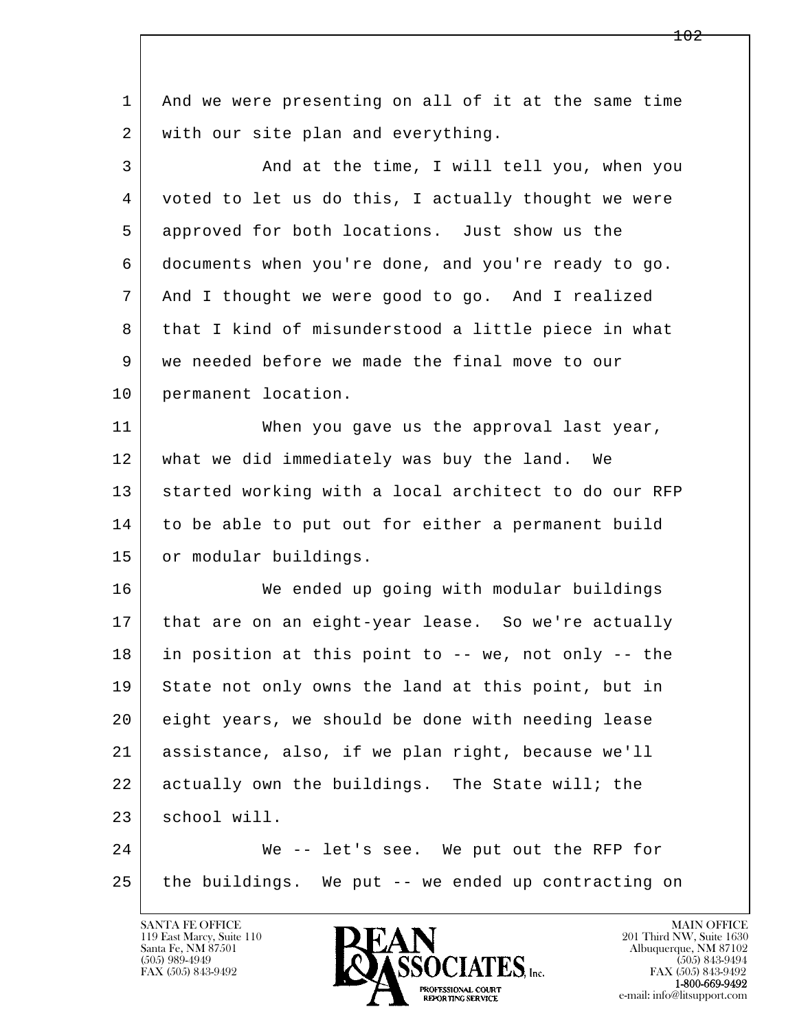| $\mathbf 1$    | And we were presenting on all of it at the same time |
|----------------|------------------------------------------------------|
| 2              | with our site plan and everything.                   |
| $\mathfrak{Z}$ | And at the time, I will tell you, when you           |
| 4              | voted to let us do this, I actually thought we were  |
| 5              | approved for both locations. Just show us the        |
| 6              | documents when you're done, and you're ready to go.  |
| 7              | And I thought we were good to go. And I realized     |
| 8              | that I kind of misunderstood a little piece in what  |
| 9              | we needed before we made the final move to our       |
| 10             | permanent location.                                  |
| 11             | When you gave us the approval last year,             |
| 12             | what we did immediately was buy the land. We         |
| 13             | started working with a local architect to do our RFP |
| 14             | to be able to put out for either a permanent build   |
| 15             | or modular buildings.                                |
| 16             | We ended up going with modular buildings             |
| 17             | that are on an eight-year lease. So we're actually   |
| 18             | in position at this point to -- we, not only -- the  |
| 19             | State not only owns the land at this point, but in   |
| 20             | eight years, we should be done with needing lease    |
| 21             | assistance, also, if we plan right, because we'll    |
| 22             | actually own the buildings. The State will; the      |
| 23             | school will.                                         |
| 24             | We -- let's see. We put out the RFP for              |
| 25             | the buildings. We put -- we ended up contracting on  |
|                |                                                      |

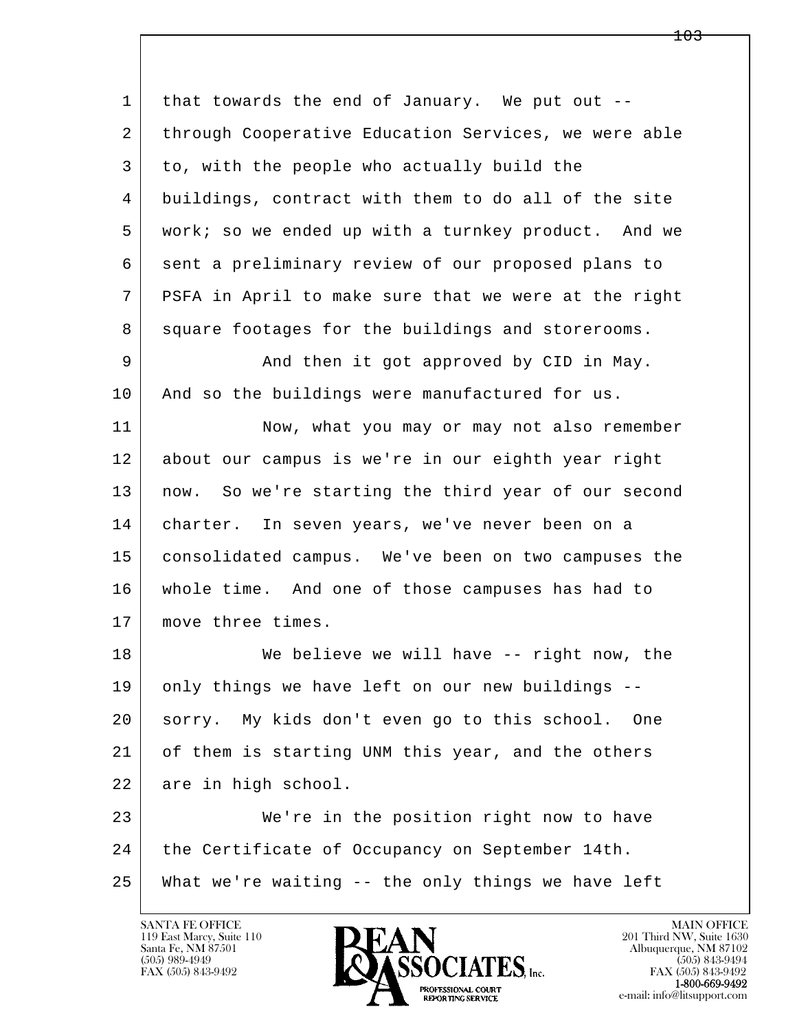l  $\overline{\phantom{a}}$ 1 that towards the end of January. We put out --2 | through Cooperative Education Services, we were able 3 to, with the people who actually build the 4 buildings, contract with them to do all of the site 5 work; so we ended up with a turnkey product. And we 6 sent a preliminary review of our proposed plans to 7 PSFA in April to make sure that we were at the right 8 square footages for the buildings and storerooms. 9 And then it got approved by CID in May. 10 | And so the buildings were manufactured for us. 11 Now, what you may or may not also remember 12 about our campus is we're in our eighth year right 13 | now. So we're starting the third year of our second 14 | charter. In seven years, we've never been on a 15 consolidated campus. We've been on two campuses the 16 whole time. And one of those campuses has had to 17 move three times. 18 We believe we will have -- right now, the 19 only things we have left on our new buildings -- 20 sorry. My kids don't even go to this school. One 21 of them is starting UNM this year, and the others 22 are in high school. 23 We're in the position right now to have 24 | the Certificate of Occupancy on September 14th. 25 What we're waiting -- the only things we have left

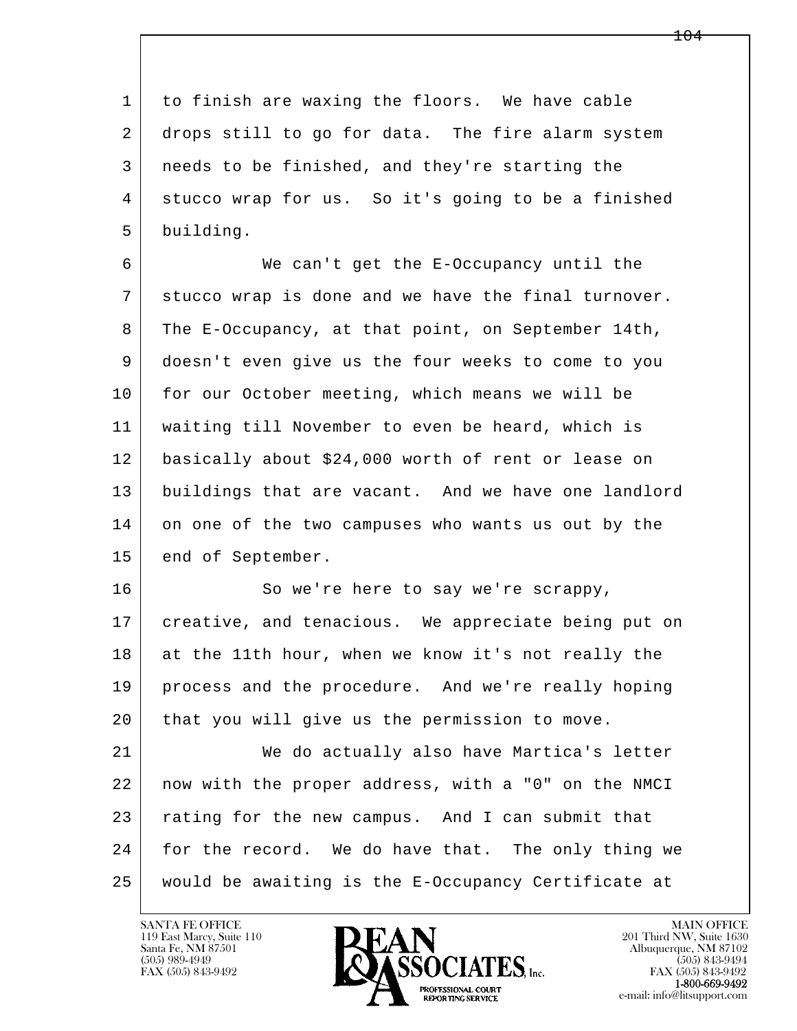1 to finish are waxing the floors. We have cable 2 drops still to go for data. The fire alarm system 3 needs to be finished, and they're starting the 4 stucco wrap for us. So it's going to be a finished 5 building.

 6 We can't get the E-Occupancy until the 7 stucco wrap is done and we have the final turnover. 8 The E-Occupancy, at that point, on September 14th, 9 doesn't even give us the four weeks to come to you 10 for our October meeting, which means we will be 11 waiting till November to even be heard, which is 12 basically about \$24,000 worth of rent or lease on 13 buildings that are vacant. And we have one landlord 14 on one of the two campuses who wants us out by the 15 end of September.

16 So we're here to say we're scrappy, 17 creative, and tenacious. We appreciate being put on 18 at the 11th hour, when we know it's not really the 19 process and the procedure. And we're really hoping 20 that you will give us the permission to move.

l  $\overline{\phantom{a}}$  21 We do actually also have Martica's letter 22 now with the proper address, with a "0" on the NMCI 23 rating for the new campus. And I can submit that 24 for the record. We do have that. The only thing we 25 would be awaiting is the E-Occupancy Certificate at

119 East Marcy, Suite 110<br>Santa Fe, NM 87501

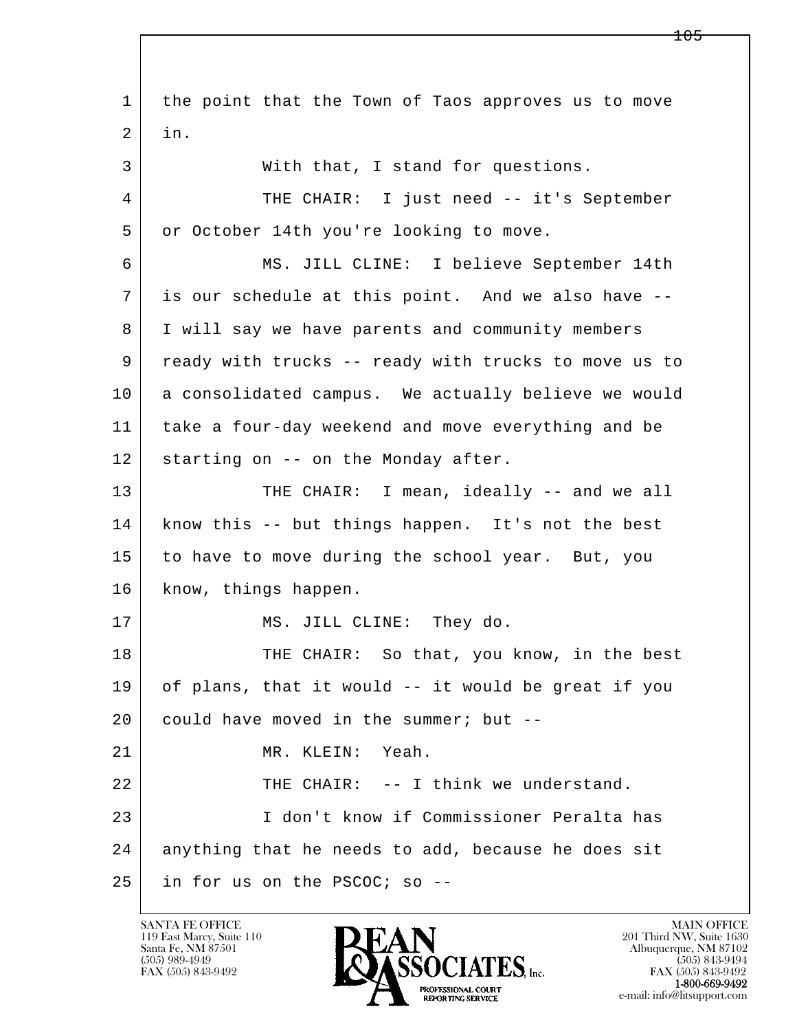l  $\overline{\phantom{a}}$  1 the point that the Town of Taos approves us to move 2 in. 3 With that, I stand for questions. 4 THE CHAIR: I just need -- it's September 5 or October 14th you're looking to move. 6 MS. JILL CLINE: I believe September 14th 7 is our schedule at this point. And we also have -- 8 I will say we have parents and community members 9 ready with trucks -- ready with trucks to move us to 10 a consolidated campus. We actually believe we would 11 take a four-day weekend and move everything and be 12 | starting on -- on the Monday after. 13 THE CHAIR: I mean, ideally -- and we all 14 | know this -- but things happen. It's not the best 15 to have to move during the school year. But, you 16 know, things happen. 17 MS. JILL CLINE: They do. 18 THE CHAIR: So that, you know, in the best 19 of plans, that it would -- it would be great if you  $20$  could have moved in the summer; but  $-$ 21 MR. KLEIN: Yeah. 22 THE CHAIR: -- I think we understand. 23 I don't know if Commissioner Peralta has 24 anything that he needs to add, because he does sit 25 in for us on the PSCOC; so --

119 East Marcy, Suite 110<br>Santa Fe, NM 87501

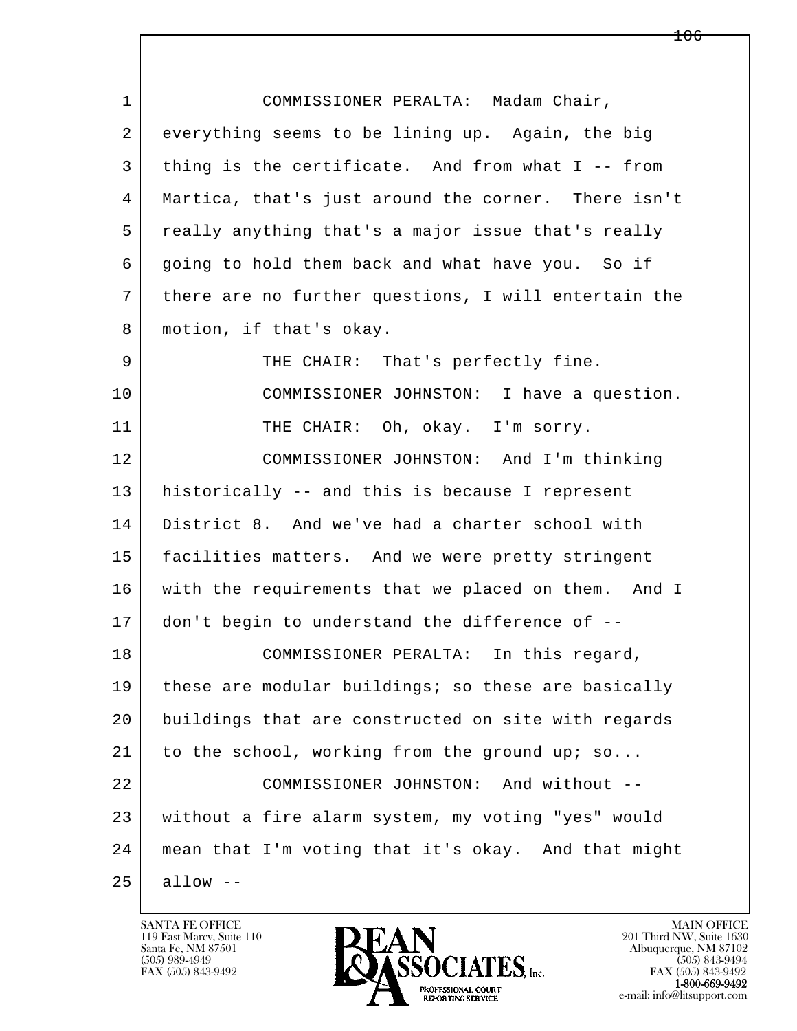| $\mathbf 1$    | COMMISSIONER PERALTA: Madam Chair,                   |
|----------------|------------------------------------------------------|
| $\overline{2}$ | everything seems to be lining up. Again, the big     |
| 3              | thing is the certificate. And from what I -- from    |
| 4              | Martica, that's just around the corner. There isn't  |
| 5              | really anything that's a major issue that's really   |
| 6              | going to hold them back and what have you. So if     |
| 7              | there are no further questions, I will entertain the |
| 8              | motion, if that's okay.                              |
| 9              | THE CHAIR: That's perfectly fine.                    |
| 10             | COMMISSIONER JOHNSTON: I have a question.            |
| 11             | THE CHAIR: Oh, okay. I'm sorry.                      |
| 12             | COMMISSIONER JOHNSTON: And I'm thinking              |
| 13             | historically -- and this is because I represent      |
| 14             | District 8. And we've had a charter school with      |
| 15             | facilities matters. And we were pretty stringent     |
| 16             | with the requirements that we placed on them. And I  |
| 17             | don't begin to understand the difference of --       |
| 18             | COMMISSIONER PERALTA:<br>In this regard,             |
| 19             | these are modular buildings; so these are basically  |
| 20             | buildings that are constructed on site with regards  |
| 21             | to the school, working from the ground up; so        |
| 22             | COMMISSIONER JOHNSTON: And without --                |
| 23             | without a fire alarm system, my voting "yes" would   |
| 24             | mean that I'm voting that it's okay. And that might  |
| 25             | $allow --$                                           |

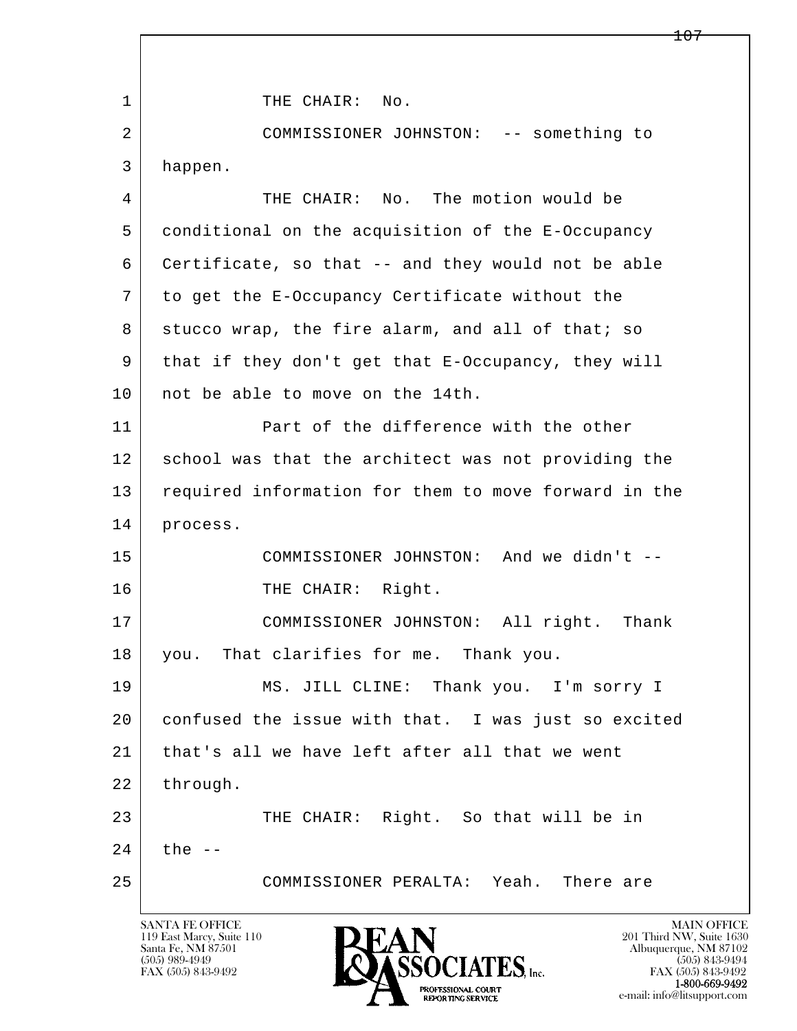l  $\overline{\phantom{a}}$ 1 THE CHAIR: No. 2 COMMISSIONER JOHNSTON: -- something to 3 happen. 4 THE CHAIR: No. The motion would be 5 conditional on the acquisition of the E-Occupancy 6 Certificate, so that -- and they would not be able 7 to get the E-Occupancy Certificate without the 8 stucco wrap, the fire alarm, and all of that; so 9 that if they don't get that E-Occupancy, they will 10 | not be able to move on the 14th. 11 Part of the difference with the other 12 school was that the architect was not providing the 13 required information for them to move forward in the 14 process. 15 COMMISSIONER JOHNSTON: And we didn't -- 16 THE CHAIR: Right. 17 COMMISSIONER JOHNSTON: All right. Thank 18 you. That clarifies for me. Thank you. 19 MS. JILL CLINE: Thank you. I'm sorry I 20 confused the issue with that. I was just so excited 21 that's all we have left after all that we went 22 through. 23 | THE CHAIR: Right. So that will be in  $24$  the  $-$ 25 COMMISSIONER PERALTA: Yeah. There are

119 East Marcy, Suite 110<br>Santa Fe, NM 87501

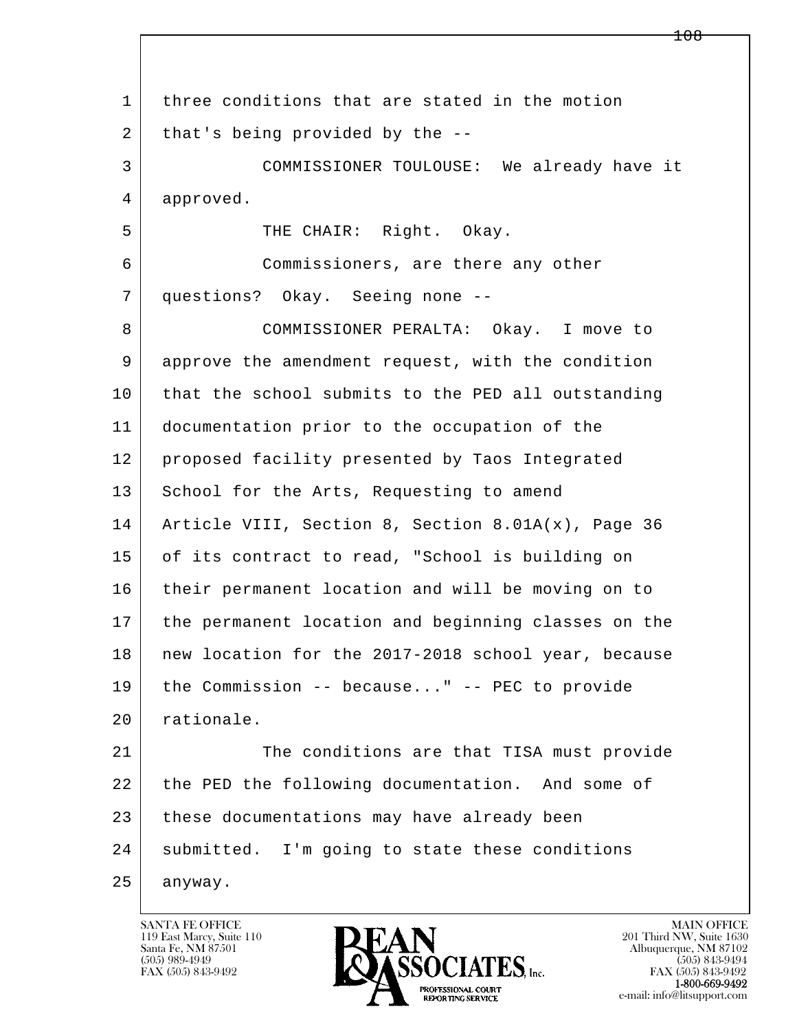l  $\overline{\phantom{a}}$ 1 three conditions that are stated in the motion 2 that's being provided by the -- 3 COMMISSIONER TOULOUSE: We already have it 4 approved. 5 | THE CHAIR: Right. Okay. 6 Commissioners, are there any other 7 questions? Okay. Seeing none -- 8 COMMISSIONER PERALTA: Okay. I move to 9 approve the amendment request, with the condition 10 that the school submits to the PED all outstanding 11 documentation prior to the occupation of the 12 proposed facility presented by Taos Integrated 13 School for the Arts, Requesting to amend 14 Article VIII, Section 8, Section 8.01A(x), Page 36 15 of its contract to read, "School is building on 16 their permanent location and will be moving on to 17 the permanent location and beginning classes on the 18 | new location for the 2017-2018 school year, because 19 the Commission -- because..." -- PEC to provide 20 rationale. 21 The conditions are that TISA must provide 22 the PED the following documentation. And some of 23 these documentations may have already been 24 | submitted. I'm going to state these conditions 25 anyway.

119 East Marcy, Suite 110<br>Santa Fe, NM 87501



FAX (505) 843-9492<br>**1-800-669-9492**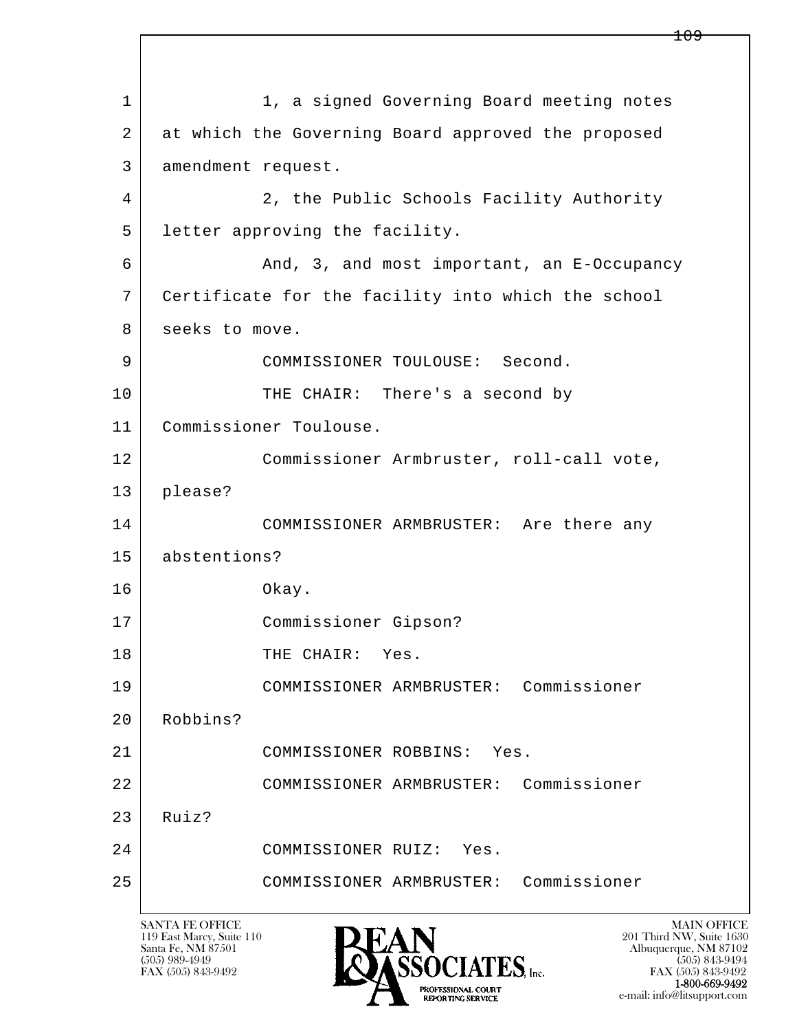l  $\overline{\phantom{a}}$ 1 1, a signed Governing Board meeting notes 2 at which the Governing Board approved the proposed 3 amendment request. 4 2, the Public Schools Facility Authority 5 | letter approving the facility. 6 And, 3, and most important, an E-Occupancy 7 Certificate for the facility into which the school 8 seeks to move. 9 COMMISSIONER TOULOUSE: Second. 10 THE CHAIR: There's a second by 11 Commissioner Toulouse. 12 Commissioner Armbruster, roll-call vote, 13 please? 14 COMMISSIONER ARMBRUSTER: Are there any 15 abstentions? 16 Okay. 17 Commissioner Gipson? 18 | THE CHAIR: Yes. 19 COMMISSIONER ARMBRUSTER: Commissioner 20 Robbins? 21 COMMISSIONER ROBBINS: Yes. 22 COMMISSIONER ARMBRUSTER: Commissioner  $23$  Ruiz? 24 COMMISSIONER RUIZ: Yes. 25 COMMISSIONER ARMBRUSTER: Commissioner

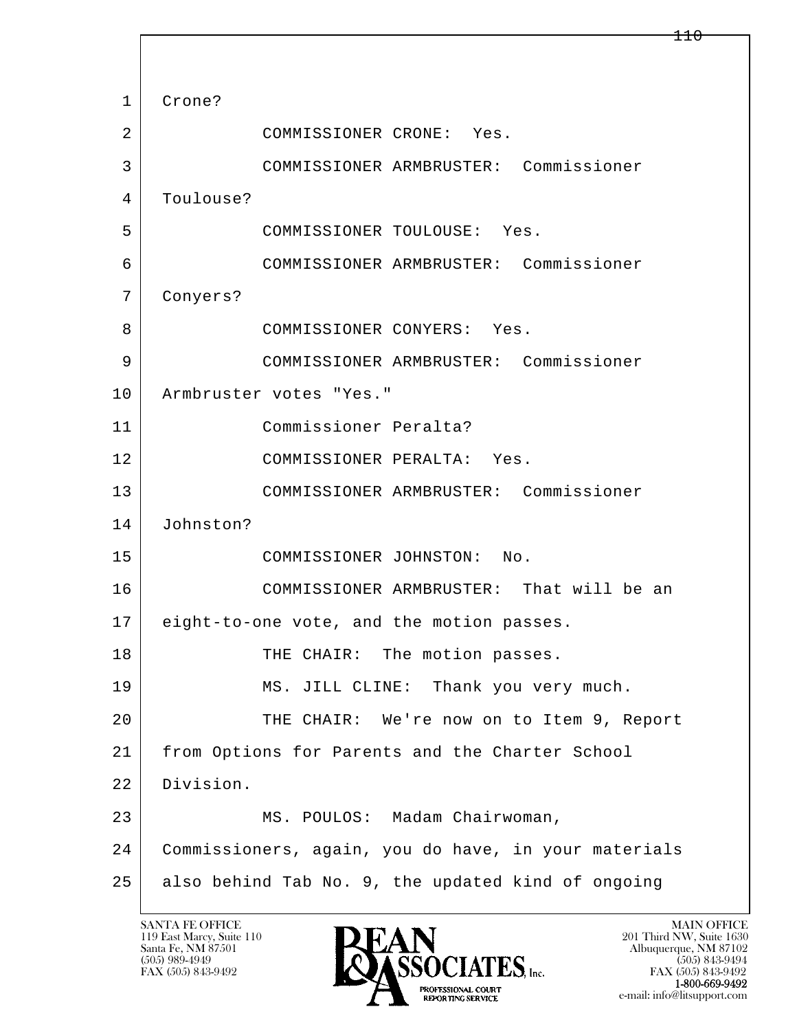l  $\overline{\phantom{a}}$  1 Crone? 2 COMMISSIONER CRONE: Yes. 3 COMMISSIONER ARMBRUSTER: Commissioner 4 | Toulouse? 5 COMMISSIONER TOULOUSE: Yes. 6 COMMISSIONER ARMBRUSTER: Commissioner 7 Conyers? 8 COMMISSIONER CONYERS: Yes. 9 COMMISSIONER ARMBRUSTER: Commissioner 10 | Armbruster votes "Yes." 11 Commissioner Peralta? 12 COMMISSIONER PERALTA: Yes. 13 COMMISSIONER ARMBRUSTER: Commissioner 14 Johnston? 15 COMMISSIONER JOHNSTON: No. 16 COMMISSIONER ARMBRUSTER: That will be an 17 eight-to-one vote, and the motion passes. 18 | THE CHAIR: The motion passes. 19 MS. JILL CLINE: Thank you very much. 20 THE CHAIR: We're now on to Item 9, Report 21 from Options for Parents and the Charter School 22 Division. 23 MS. POULOS: Madam Chairwoman, 24 Commissioners, again, you do have, in your materials  $25$  also behind Tab No. 9, the updated kind of ongoing

119 East Marcy, Suite 110<br>Santa Fe, NM 87501

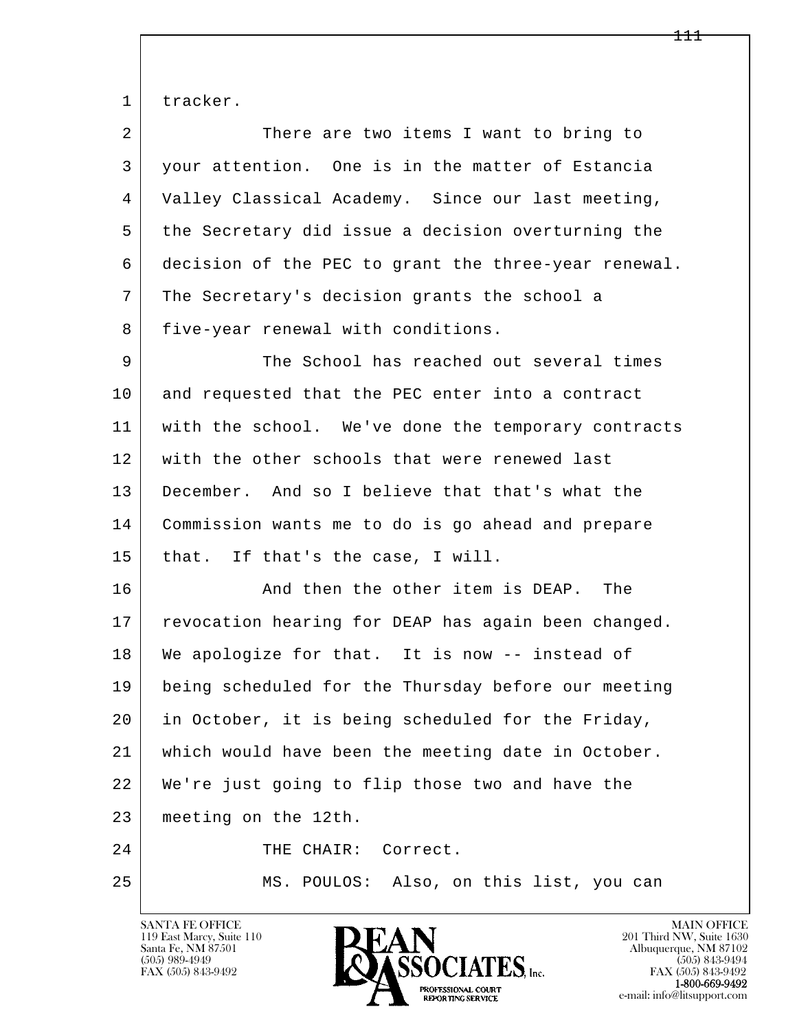1 tracker.

| 2  | There are two items I want to bring to               |
|----|------------------------------------------------------|
| 3  | your attention. One is in the matter of Estancia     |
| 4  | Valley Classical Academy. Since our last meeting,    |
| 5  | the Secretary did issue a decision overturning the   |
| 6  | decision of the PEC to grant the three-year renewal. |
| 7  | The Secretary's decision grants the school a         |
| 8  | five-year renewal with conditions.                   |
| 9  | The School has reached out several times             |
| 10 | and requested that the PEC enter into a contract     |
| 11 | with the school. We've done the temporary contracts  |
| 12 | with the other schools that were renewed last        |
| 13 | December. And so I believe that that's what the      |
| 14 | Commission wants me to do is go ahead and prepare    |
| 15 | that.<br>If that's the case, I will.                 |
| 16 | And then the other item is DEAP. The                 |
| 17 | revocation hearing for DEAP has again been changed.  |
| 18 | We apologize for that. It is now -- instead of       |
| 19 | being scheduled for the Thursday before our meeting  |
| 20 | in October, it is being scheduled for the Friday,    |
| 21 | which would have been the meeting date in October.   |
| 22 | We're just going to flip those two and have the      |
| 23 | meeting on the 12th.                                 |
| 24 | Correct.<br>THE CHAIR:                               |
| 25 | MS. POULOS: Also, on this list, you can              |

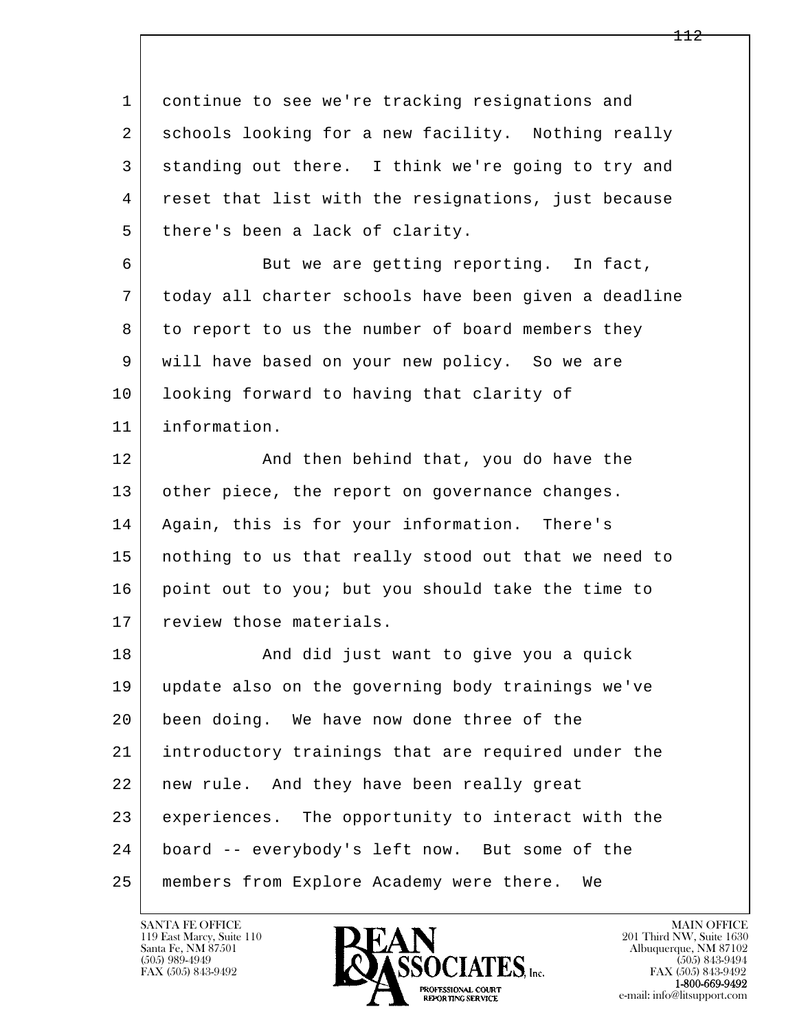l  $\overline{\phantom{a}}$  1 continue to see we're tracking resignations and 2 schools looking for a new facility. Nothing really 3 standing out there. I think we're going to try and 4 reset that list with the resignations, just because 5 there's been a lack of clarity. 6 But we are getting reporting. In fact, 7 today all charter schools have been given a deadline 8 to report to us the number of board members they 9 will have based on your new policy. So we are 10 | looking forward to having that clarity of 11 information. 12 And then behind that, you do have the 13 other piece, the report on governance changes. 14 Again, this is for your information. There's 15 nothing to us that really stood out that we need to 16 point out to you; but you should take the time to 17 review those materials. 18 | The Rand did just want to give you a quick 19 update also on the governing body trainings we've 20 been doing. We have now done three of the 21 introductory trainings that are required under the 22 | new rule. And they have been really great 23 experiences. The opportunity to interact with the 24 board -- everybody's left now. But some of the 25 members from Explore Academy were there. We

119 East Marcy, Suite 110<br>Santa Fe, NM 87501



FAX (505) 843-9492<br>**1-800-669-9492**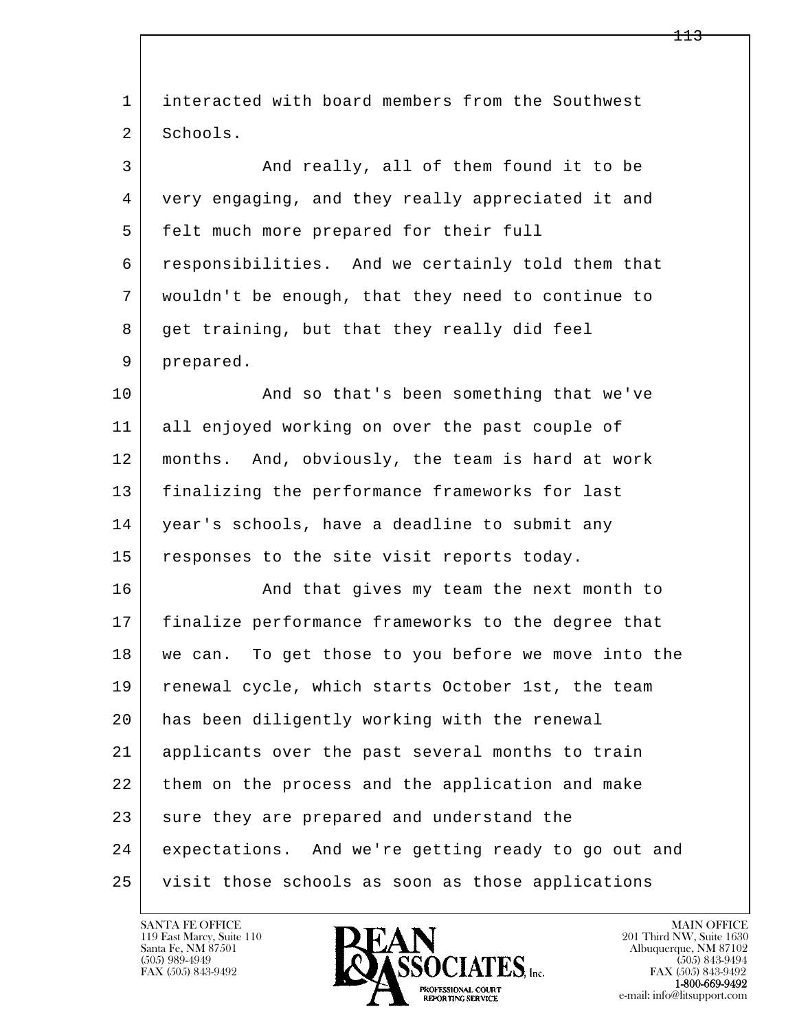l  $\overline{\phantom{a}}$  1 interacted with board members from the Southwest 2 Schools. 3 And really, all of them found it to be 4 very engaging, and they really appreciated it and 5 felt much more prepared for their full 6 responsibilities. And we certainly told them that 7 wouldn't be enough, that they need to continue to 8 get training, but that they really did feel 9 prepared. 10 | And so that's been something that we've 11 all enjoyed working on over the past couple of 12 months. And, obviously, the team is hard at work 13 finalizing the performance frameworks for last 14 | year's schools, have a deadline to submit any 15 responses to the site visit reports today. 16 And that gives my team the next month to 17 finalize performance frameworks to the degree that 18 we can. To get those to you before we move into the 19 renewal cycle, which starts October 1st, the team 20 has been diligently working with the renewal 21 applicants over the past several months to train 22 them on the process and the application and make 23 sure they are prepared and understand the 24 expectations. And we're getting ready to go out and 25 visit those schools as soon as those applications

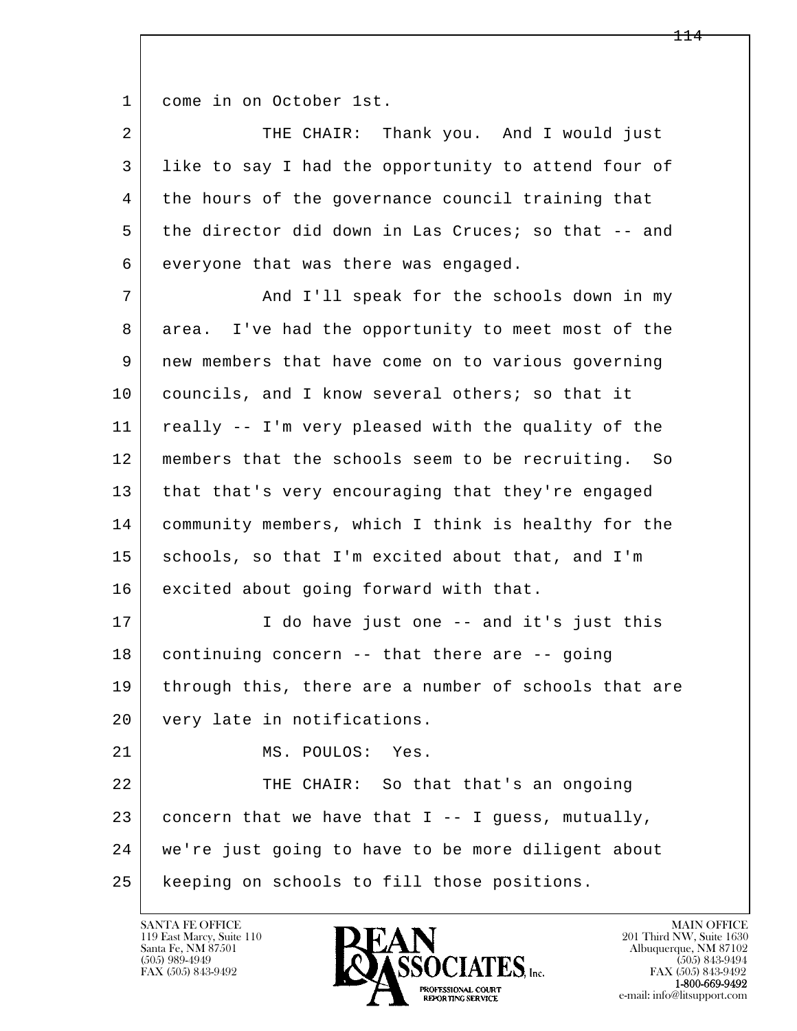1 come in on October 1st.

2 THE CHAIR: Thank you. And I would just 3 like to say I had the opportunity to attend four of 4 the hours of the governance council training that 5 the director did down in Las Cruces; so that -- and 6 everyone that was there was engaged.

7 | The Schools down in my 8 area. I've had the opportunity to meet most of the 9 new members that have come on to various governing 10 councils, and I know several others; so that it 11 really -- I'm very pleased with the quality of the 12 members that the schools seem to be recruiting. So 13 that that's very encouraging that they're engaged 14 community members, which I think is healthy for the 15 schools, so that I'm excited about that, and I'm 16 excited about going forward with that. 17 | T do have just one -- and it's just this

18 | continuing concern -- that there are -- going 19 through this, there are a number of schools that are 20 very late in notifications.

21 MS. POULOS: Yes.

l  $\overline{\phantom{a}}$ 22 THE CHAIR: So that that's an ongoing 23 concern that we have that I -- I quess, mutually, 24 we're just going to have to be more diligent about 25 keeping on schools to fill those positions.

119 East Marcy, Suite 110<br>Santa Fe, NM 87501



FAX (505) 843-9492<br>1-800-669-9492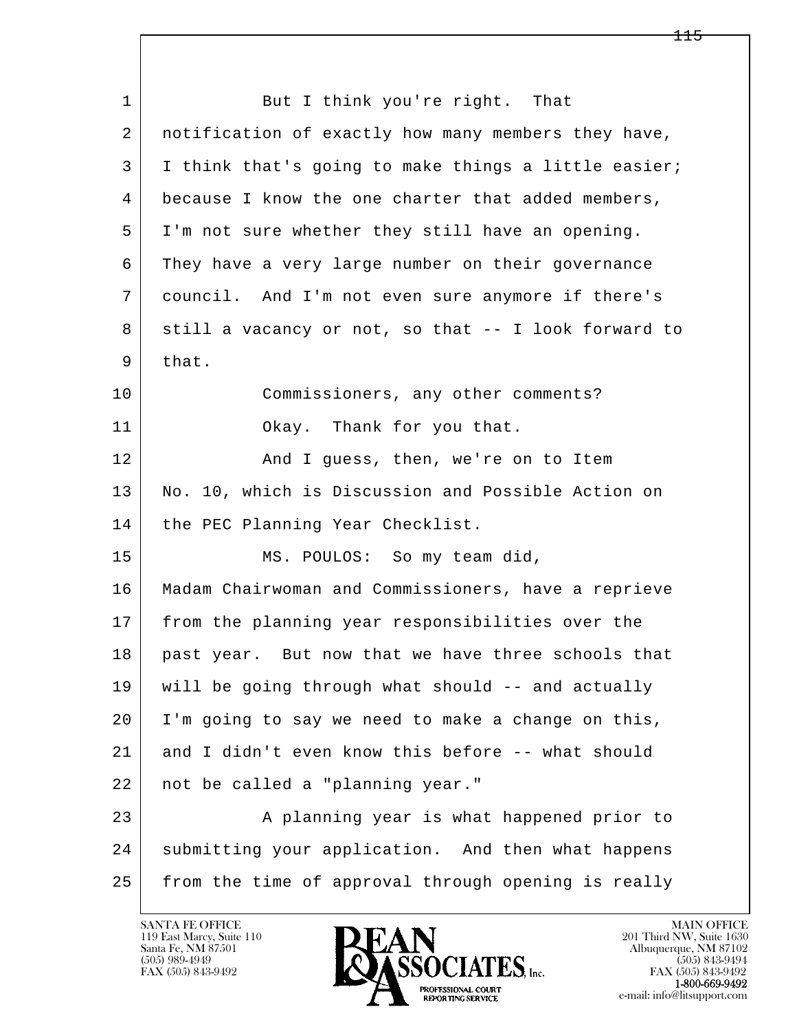l  $\overline{\phantom{a}}$ 1 But I think you're right. That 2 notification of exactly how many members they have, 3 I think that's going to make things a little easier; 4 because I know the one charter that added members, 5 I'm not sure whether they still have an opening. 6 They have a very large number on their governance 7 council. And I'm not even sure anymore if there's 8 still a vacancy or not, so that -- I look forward to 9 that. 10 Commissioners, any other comments? 11 Okay. Thank for you that. 12 And I guess, then, we're on to Item 13 No. 10, which is Discussion and Possible Action on 14 | the PEC Planning Year Checklist. 15 | MS. POULOS: So my team did, 16 Madam Chairwoman and Commissioners, have a reprieve 17 from the planning year responsibilities over the 18 past year. But now that we have three schools that 19 will be going through what should -- and actually 20 I'm going to say we need to make a change on this, 21 and I didn't even know this before -- what should 22 not be called a "planning year." 23 A planning year is what happened prior to 24 | submitting your application. And then what happens 25 from the time of approval through opening is really

119 East Marcy, Suite 110<br>Santa Fe, NM 87501

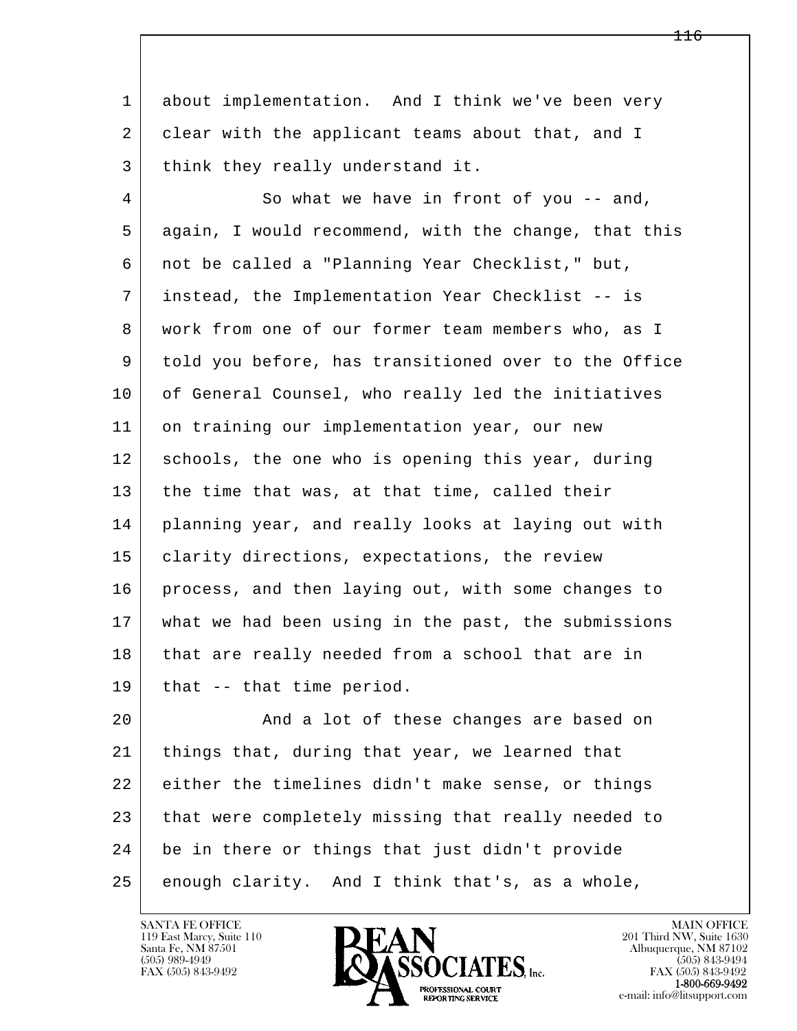1 about implementation. And I think we've been very 2 clear with the applicant teams about that, and I 3 think they really understand it.

4 So what we have in front of you -- and, 5 again, I would recommend, with the change, that this 6 not be called a "Planning Year Checklist," but, 7 instead, the Implementation Year Checklist -- is 8 | work from one of our former team members who, as I 9 told you before, has transitioned over to the Office 10 of General Counsel, who really led the initiatives 11 on training our implementation year, our new 12 schools, the one who is opening this year, during 13 the time that was, at that time, called their 14 planning year, and really looks at laying out with 15 | clarity directions, expectations, the review 16 process, and then laying out, with some changes to 17 what we had been using in the past, the submissions 18 that are really needed from a school that are in 19 that -- that time period.

l  $\overline{\phantom{a}}$ 20 **And a lot of these changes are based on**  21 things that, during that year, we learned that 22 either the timelines didn't make sense, or things 23 that were completely missing that really needed to 24 be in there or things that just didn't provide 25 enough clarity. And I think that's, as a whole,



FAX (505) 843-9492<br>**1-800-669-9492**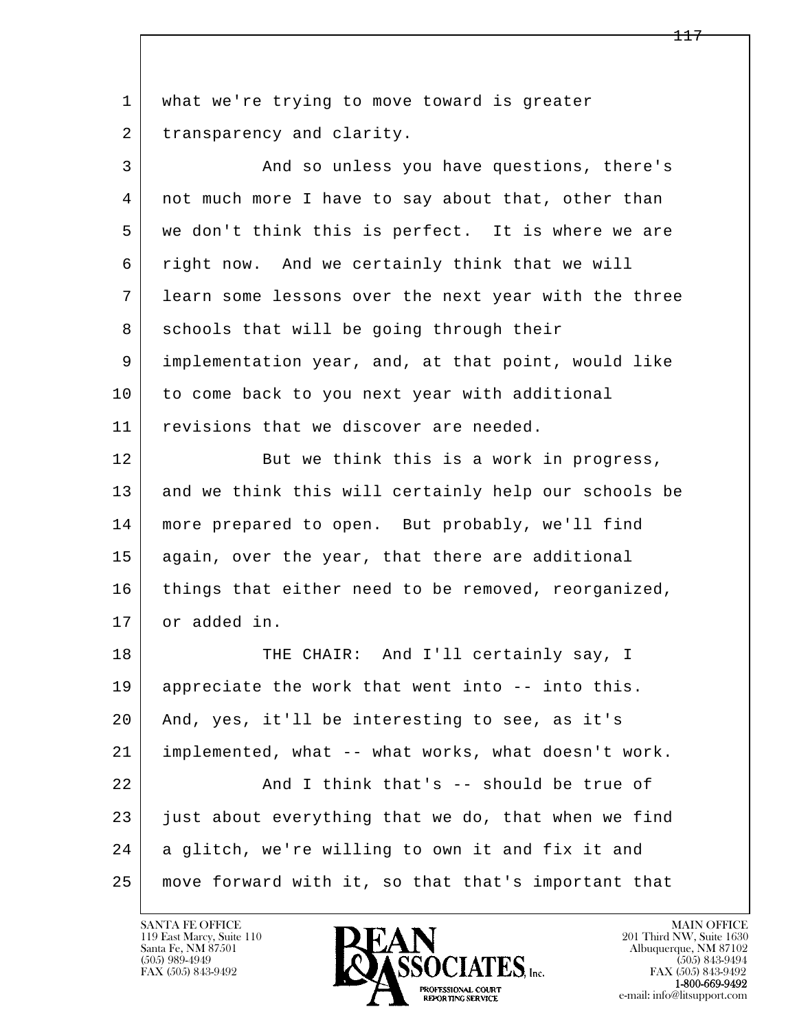l  $\overline{\phantom{a}}$ 1 what we're trying to move toward is greater 2 transparency and clarity. 3 And so unless you have questions, there's 4 not much more I have to say about that, other than 5 | we don't think this is perfect. It is where we are 6 right now. And we certainly think that we will 7 learn some lessons over the next year with the three 8 schools that will be going through their 9 implementation year, and, at that point, would like 10 to come back to you next year with additional 11 revisions that we discover are needed. 12 But we think this is a work in progress, 13 and we think this will certainly help our schools be 14 more prepared to open. But probably, we'll find 15 | again, over the year, that there are additional 16 things that either need to be removed, reorganized, 17 or added in. 18 THE CHAIR: And I'll certainly say, I 19 appreciate the work that went into -- into this. 20 And, yes, it'll be interesting to see, as it's 21 implemented, what -- what works, what doesn't work. 22 | Think that's -- should be true of  $23$  just about everything that we do, that when we find 24 a glitch, we're willing to own it and fix it and 25 move forward with it, so that that's important that

119 East Marcy, Suite 110<br>Santa Fe, NM 87501

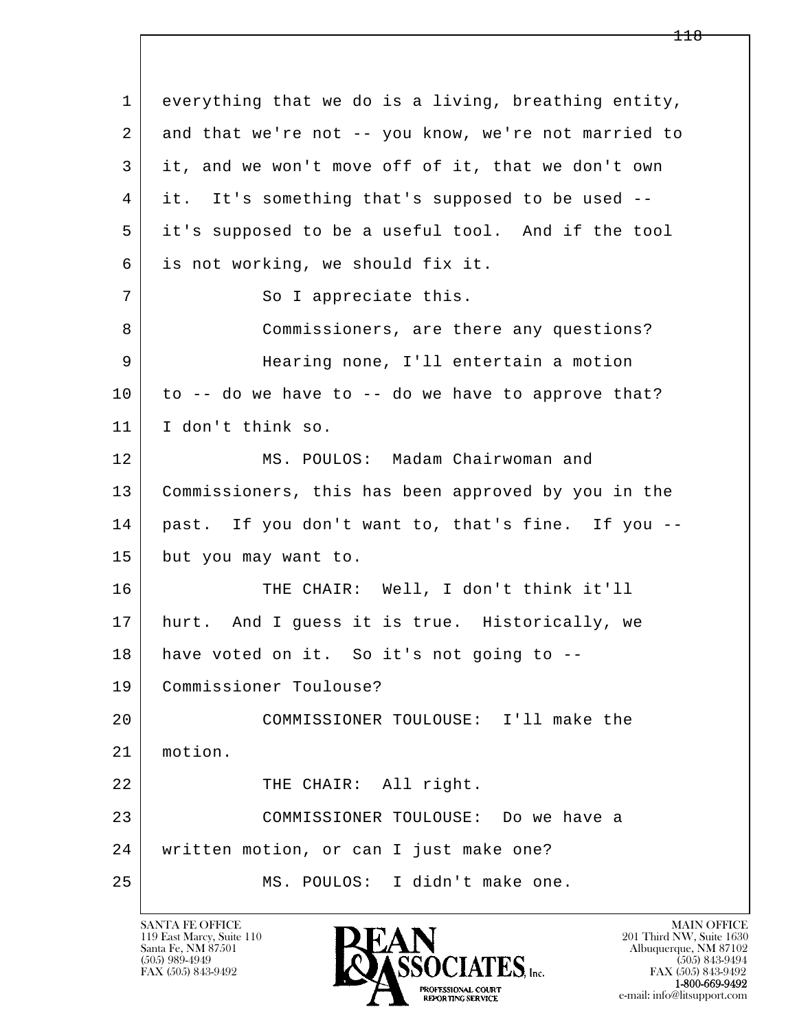l  $\overline{\phantom{a}}$  1 everything that we do is a living, breathing entity, 2 and that we're not -- you know, we're not married to 3 it, and we won't move off of it, that we don't own 4 it. It's something that's supposed to be used -- 5 it's supposed to be a useful tool. And if the tool 6 is not working, we should fix it. 7 So I appreciate this. 8 Commissioners, are there any questions? 9 Hearing none, I'll entertain a motion  $10$  to -- do we have to -- do we have to approve that? 11 I don't think so. 12 MS. POULOS: Madam Chairwoman and 13 Commissioners, this has been approved by you in the 14 past. If you don't want to, that's fine. If you -- 15 but you may want to. 16 THE CHAIR: Well, I don't think it'll 17 | hurt. And I guess it is true. Historically, we 18 have voted on it. So it's not going to -- 19 Commissioner Toulouse? 20 COMMISSIONER TOULOUSE: I'll make the 21 motion. 22 | THE CHAIR: All right. 23 COMMISSIONER TOULOUSE: Do we have a 24 written motion, or can I just make one? 25 MS. POULOS: I didn't make one.

119 East Marcy, Suite 110<br>Santa Fe, NM 87501



FAX (505) 843-9492<br>1-800-669-9492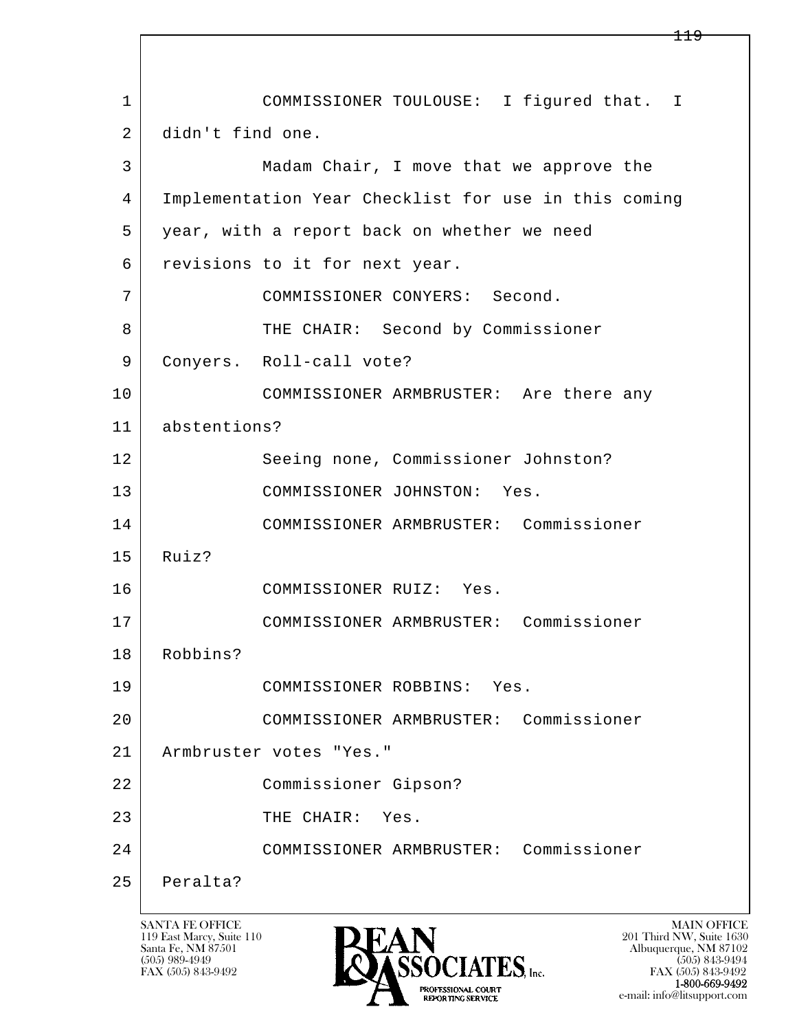l  $\overline{\phantom{a}}$  1 COMMISSIONER TOULOUSE: I figured that. I 2 didn't find one. 3 Madam Chair, I move that we approve the 4 Implementation Year Checklist for use in this coming 5 year, with a report back on whether we need 6 revisions to it for next year. 7 COMMISSIONER CONYERS: Second. 8 THE CHAIR: Second by Commissioner 9 | Conyers. Roll-call vote? 10 COMMISSIONER ARMBRUSTER: Are there any 11 abstentions? 12 Seeing none, Commissioner Johnston? 13 COMMISSIONER JOHNSTON: Yes. 14 COMMISSIONER ARMBRUSTER: Commissioner 15 Ruiz? 16 COMMISSIONER RUIZ: Yes. 17 COMMISSIONER ARMBRUSTER: Commissioner 18 Robbins? 19 COMMISSIONER ROBBINS: Yes. 20 COMMISSIONER ARMBRUSTER: Commissioner 21 Armbruster votes "Yes." 22 Commissioner Gipson? 23 THE CHAIR: Yes. 24 COMMISSIONER ARMBRUSTER: Commissioner 25 Peralta?

119 East Marcy, Suite 110<br>Santa Fe, NM 87501



FAX (505) 843-9492 FAX (505) 843-9492 e-mail: info@litsupport.com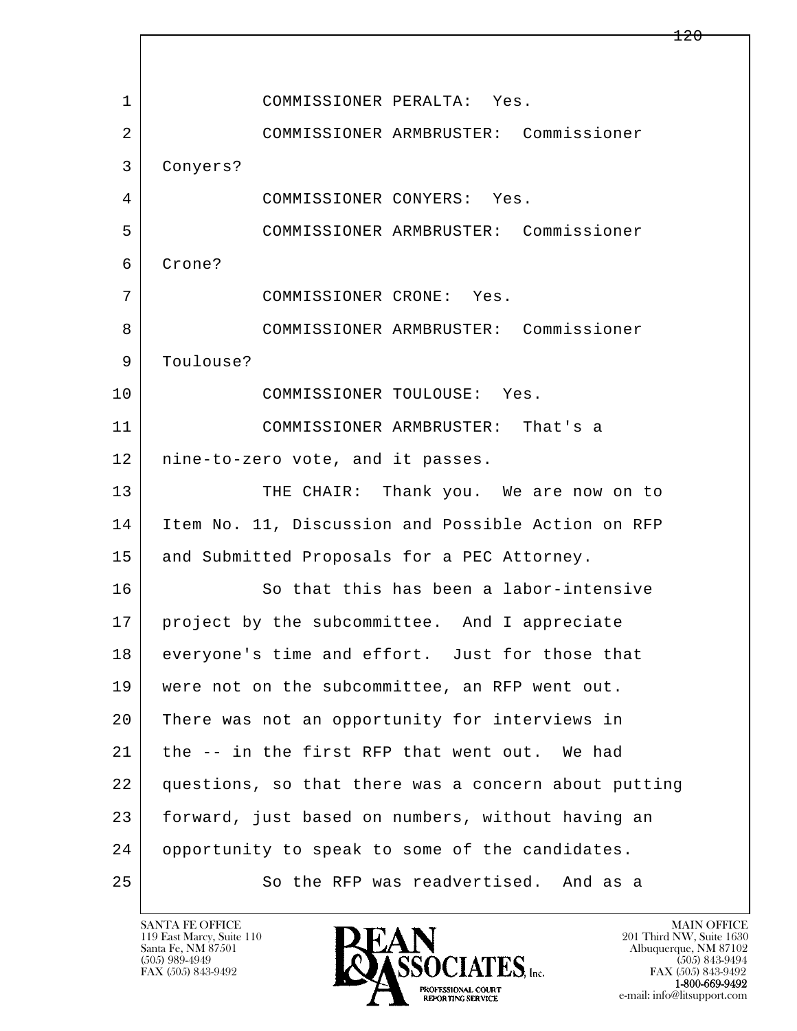l  $\overline{\phantom{a}}$  1 COMMISSIONER PERALTA: Yes. 2 COMMISSIONER ARMBRUSTER: Commissioner 3 Conyers? 4 COMMISSIONER CONYERS: Yes. 5 COMMISSIONER ARMBRUSTER: Commissioner 6 Crone? 7 COMMISSIONER CRONE: Yes. 8 COMMISSIONER ARMBRUSTER: Commissioner 9 | Toulouse? 10 COMMISSIONER TOULOUSE: Yes. 11 COMMISSIONER ARMBRUSTER: That's a 12 nine-to-zero vote, and it passes. 13 THE CHAIR: Thank you. We are now on to 14 Item No. 11, Discussion and Possible Action on RFP 15 | and Submitted Proposals for a PEC Attorney. 16 So that this has been a labor-intensive 17 | project by the subcommittee. And I appreciate 18 everyone's time and effort. Just for those that 19 | were not on the subcommittee, an RFP went out. 20 There was not an opportunity for interviews in 21 | the -- in the first RFP that went out. We had 22 questions, so that there was a concern about putting 23 forward, just based on numbers, without having an 24 opportunity to speak to some of the candidates. 25 So the RFP was readvertised. And as a

119 East Marcy, Suite 110<br>Santa Fe, NM 87501

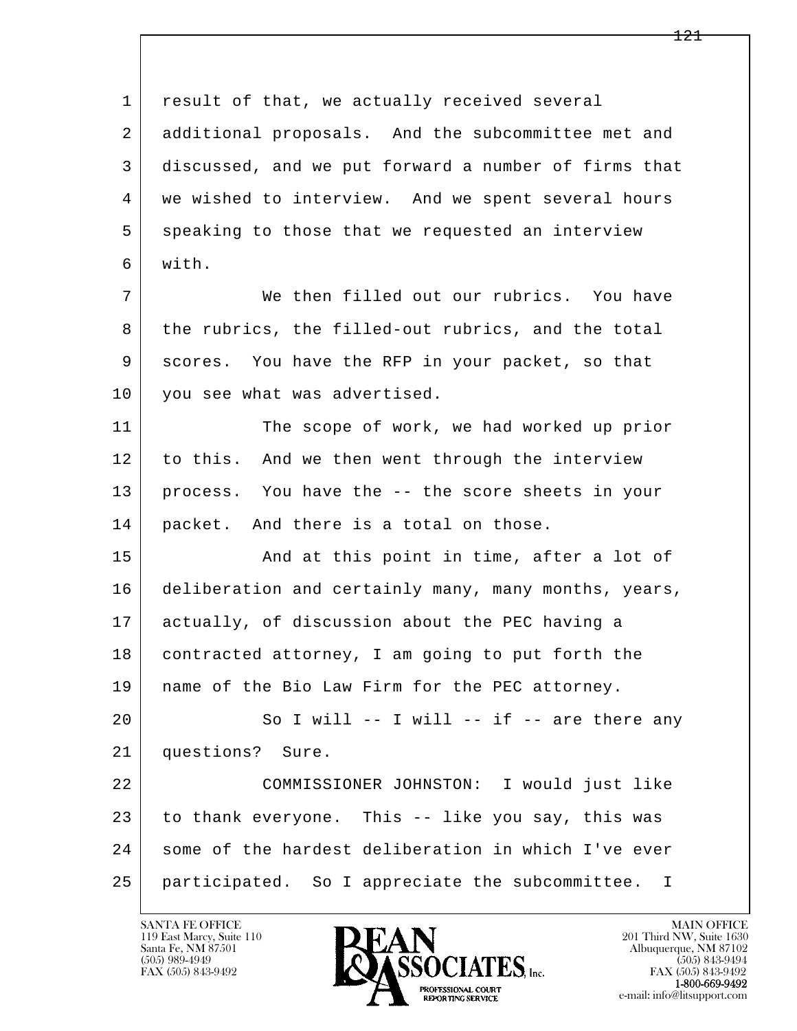l  $\overline{\phantom{a}}$ 1 result of that, we actually received several 2 additional proposals. And the subcommittee met and 3 discussed, and we put forward a number of firms that 4 we wished to interview. And we spent several hours 5 speaking to those that we requested an interview 6 with. 7 We then filled out our rubrics. You have 8 | the rubrics, the filled-out rubrics, and the total 9 scores. You have the RFP in your packet, so that 10 you see what was advertised. 11 The scope of work, we had worked up prior 12 to this. And we then went through the interview 13 process. You have the -- the score sheets in your 14 packet. And there is a total on those. 15 | And at this point in time, after a lot of 16 deliberation and certainly many, many months, years, 17 actually, of discussion about the PEC having a 18 contracted attorney, I am going to put forth the 19 name of the Bio Law Firm for the PEC attorney.  $20$  So I will -- I will -- if -- are there any 21 questions? Sure. 22 COMMISSIONER JOHNSTON: I would just like 23 to thank everyone. This -- like you say, this was 24 some of the hardest deliberation in which I've ever 25 participated. So I appreciate the subcommittee. I

119 East Marcy, Suite 110<br>Santa Fe, NM 87501



FAX (505) 843-9492<br>1-800-669-9492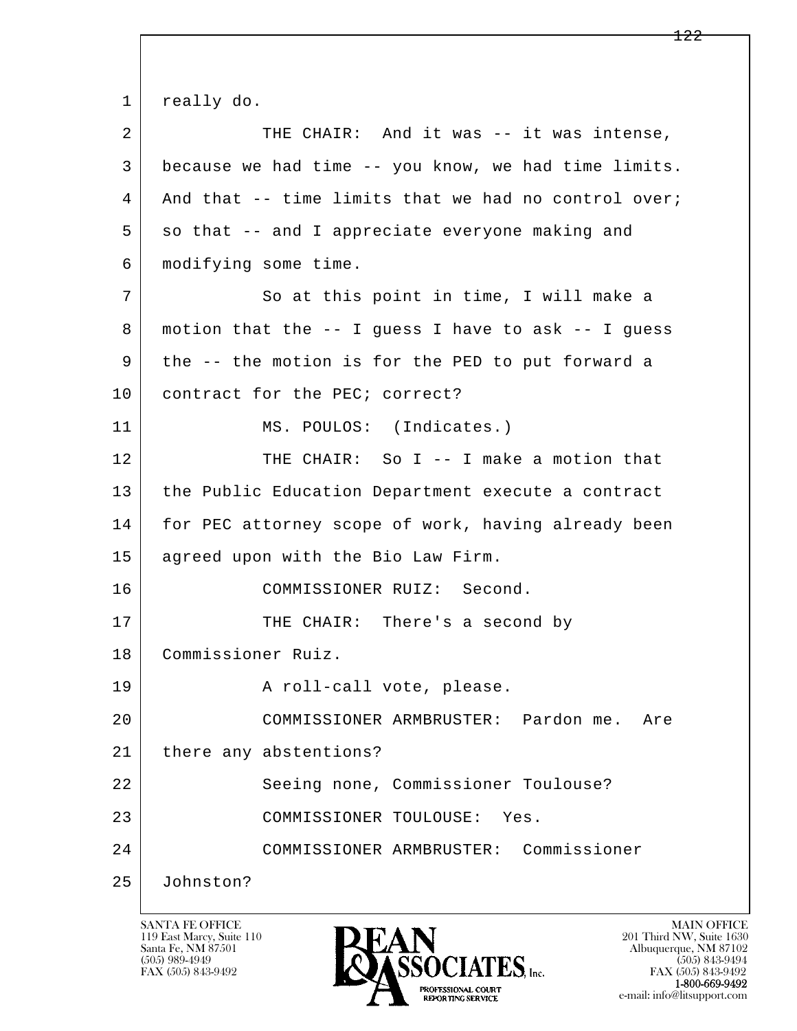l  $\overline{\phantom{a}}$ 1 really do. 2 THE CHAIR: And it was -- it was intense, 3 because we had time -- you know, we had time limits.  $4$  And that  $-$ - time limits that we had no control over;  $5 \mid$  so that  $-$  and I appreciate everyone making and 6 modifying some time. 7 So at this point in time, I will make a 8 motion that the -- I guess I have to ask -- I guess 9 the -- the motion is for the PED to put forward a 10 | contract for the PEC; correct? 11 | MS. POULOS: (Indicates.) 12 THE CHAIR: So I -- I make a motion that 13 | the Public Education Department execute a contract 14 for PEC attorney scope of work, having already been 15 agreed upon with the Bio Law Firm. 16 COMMISSIONER RUIZ: Second. 17 THE CHAIR: There's a second by 18 Commissioner Ruiz. 19 | Reflected A roll-call vote, please. 20 COMMISSIONER ARMBRUSTER: Pardon me. Are 21 | there any abstentions? 22 Seeing none, Commissioner Toulouse? 23 COMMISSIONER TOULOUSE: Yes. 24 COMMISSIONER ARMBRUSTER: Commissioner 25 Johnston?

119 East Marcy, Suite 110<br>Santa Fe, NM 87501



FAX (505) 843-9492 FAX (505) 843-9492 e-mail: info@litsupport.com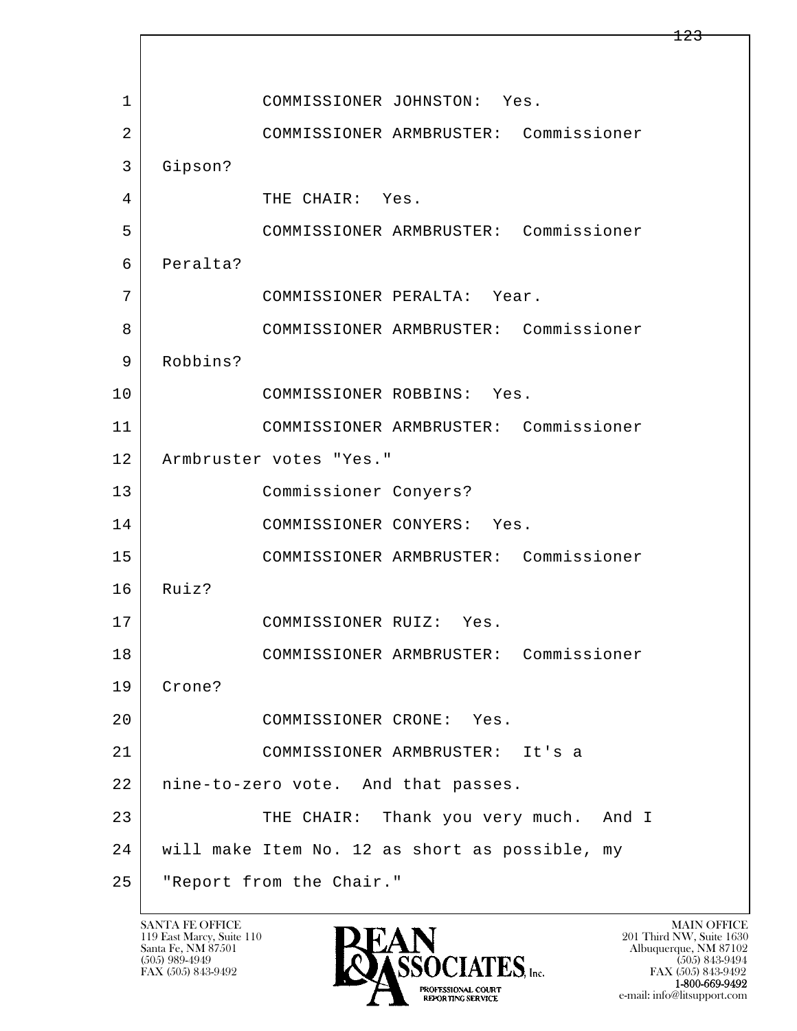l  $\overline{\phantom{a}}$ 1 COMMISSIONER JOHNSTON: Yes. 2 COMMISSIONER ARMBRUSTER: Commissioner 3 Gipson? 4 THE CHAIR: Yes. 5 COMMISSIONER ARMBRUSTER: Commissioner 6 Peralta? 7 COMMISSIONER PERALTA: Year. 8 COMMISSIONER ARMBRUSTER: Commissioner 9 Robbins? 10 COMMISSIONER ROBBINS: Yes. 11 COMMISSIONER ARMBRUSTER: Commissioner 12 Armbruster votes "Yes." 13 Commissioner Conyers? 14 COMMISSIONER CONYERS: Yes. 15 COMMISSIONER ARMBRUSTER: Commissioner 16 Ruiz? 17 COMMISSIONER RUIZ: Yes. 18 COMMISSIONER ARMBRUSTER: Commissioner 19 Crone? 20 COMMISSIONER CRONE: Yes. 21 COMMISSIONER ARMBRUSTER: It's a 22 | nine-to-zero vote. And that passes. 23 | THE CHAIR: Thank you very much. And I 24 will make Item No. 12 as short as possible, my 25 "Report from the Chair."

119 East Marcy, Suite 110<br>Santa Fe, NM 87501



FAX (505) 843-9492<br>**1-800-669-9492** e-mail: info@litsupport.com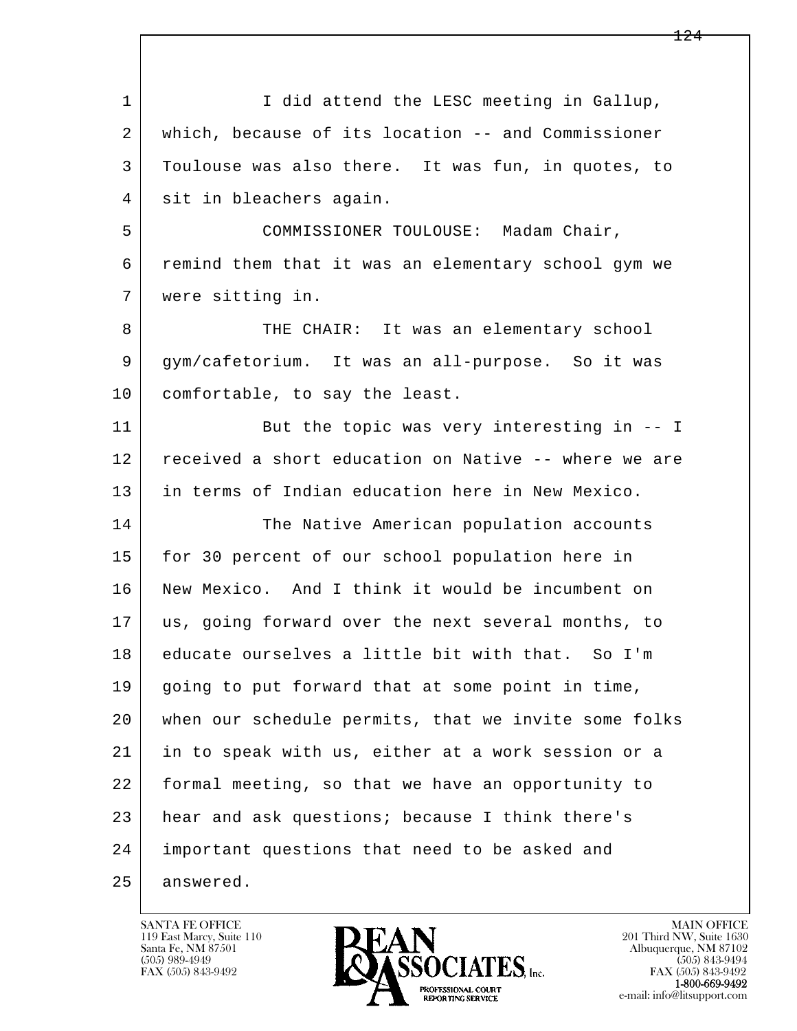l  $\overline{\phantom{a}}$ 1 I did attend the LESC meeting in Gallup, 2 which, because of its location -- and Commissioner 3 Toulouse was also there. It was fun, in quotes, to 4 sit in bleachers again. 5 COMMISSIONER TOULOUSE: Madam Chair, 6 remind them that it was an elementary school gym we 7 were sitting in. 8 THE CHAIR: It was an elementary school 9 | gym/cafetorium. It was an all-purpose. So it was 10 comfortable, to say the least. 11 But the topic was very interesting in -- I 12 received a short education on Native -- where we are 13 in terms of Indian education here in New Mexico. 14 The Native American population accounts 15 for 30 percent of our school population here in 16 New Mexico. And I think it would be incumbent on 17 us, going forward over the next several months, to 18 educate ourselves a little bit with that. So I'm 19 going to put forward that at some point in time, 20 when our schedule permits, that we invite some folks 21 in to speak with us, either at a work session or a 22 formal meeting, so that we have an opportunity to 23 hear and ask questions; because I think there's 24 important questions that need to be asked and 25 answered.

119 East Marcy, Suite 110<br>Santa Fe, NM 87501



FAX (505) 843-9492<br>**1-800-669-9492**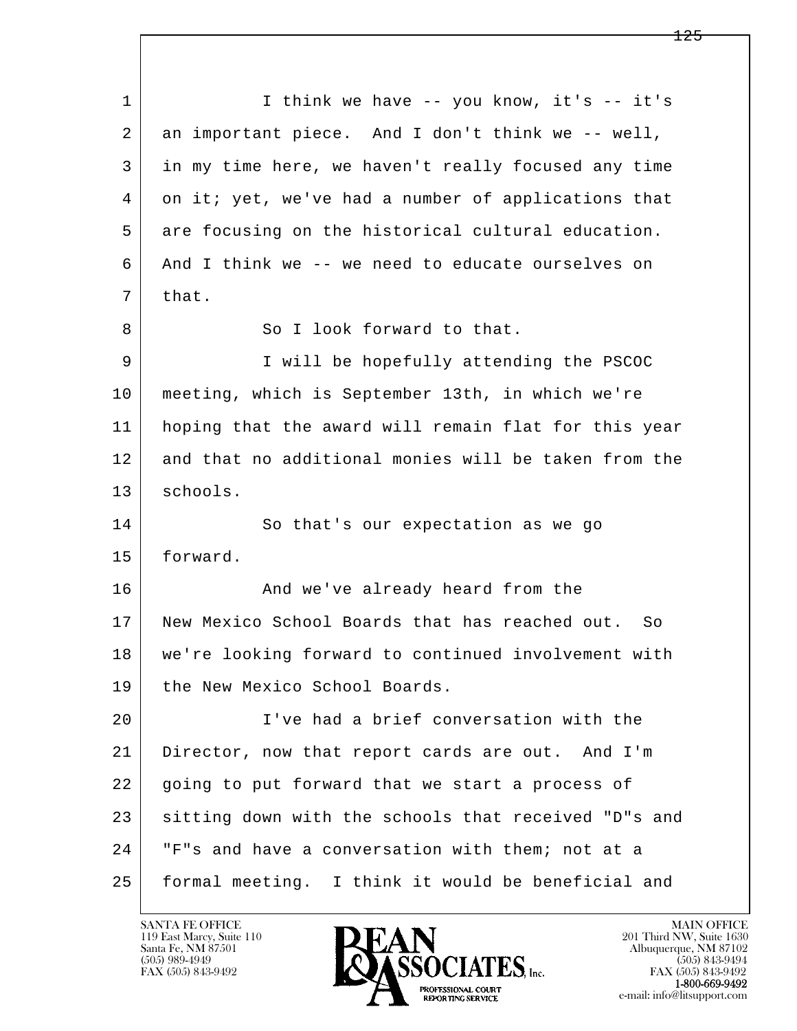l  $\overline{\phantom{a}}$ 1 I think we have -- you know, it's -- it's 2 an important piece. And I don't think we -- well, 3 in my time here, we haven't really focused any time 4 on it; yet, we've had a number of applications that 5 are focusing on the historical cultural education. 6 And I think we -- we need to educate ourselves on  $7$  that. 8 So I look forward to that. 9 I will be hopefully attending the PSCOC 10 meeting, which is September 13th, in which we're 11 hoping that the award will remain flat for this year 12 and that no additional monies will be taken from the 13 schools. 14 So that's our expectation as we go 15 forward. 16 And we've already heard from the 17 New Mexico School Boards that has reached out. So 18 we're looking forward to continued involvement with 19 the New Mexico School Boards. 20 I've had a brief conversation with the 21 Director, now that report cards are out. And I'm 22 going to put forward that we start a process of 23 sitting down with the schools that received "D"s and 24 | "F"s and have a conversation with them; not at a 25 formal meeting. I think it would be beneficial and

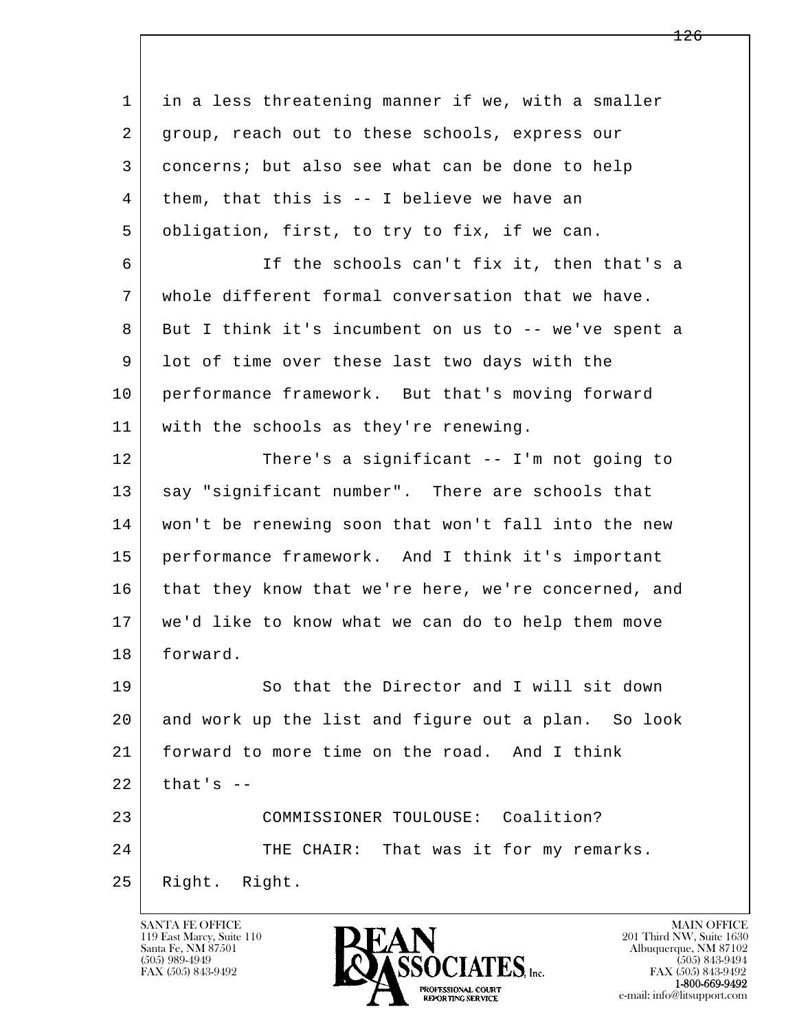l  $\overline{\phantom{a}}$  1 in a less threatening manner if we, with a smaller 2 group, reach out to these schools, express our 3 concerns; but also see what can be done to help 4 them, that this is -- I believe we have an 5 obligation, first, to try to fix, if we can. 6 If the schools can't fix it, then that's a 7 whole different formal conversation that we have. 8 But I think it's incumbent on us to -- we've spent a 9 lot of time over these last two days with the 10 performance framework. But that's moving forward 11 with the schools as they're renewing. 12 There's a significant -- I'm not going to 13 say "significant number". There are schools that 14 won't be renewing soon that won't fall into the new 15 performance framework. And I think it's important 16 that they know that we're here, we're concerned, and 17 we'd like to know what we can do to help them move 18 forward. 19 So that the Director and I will sit down 20 and work up the list and figure out a plan. So look 21 forward to more time on the road. And I think  $22$  that's  $-$ 23 COMMISSIONER TOULOUSE: Coalition? 24 THE CHAIR: That was it for my remarks. 25 Right. Right.

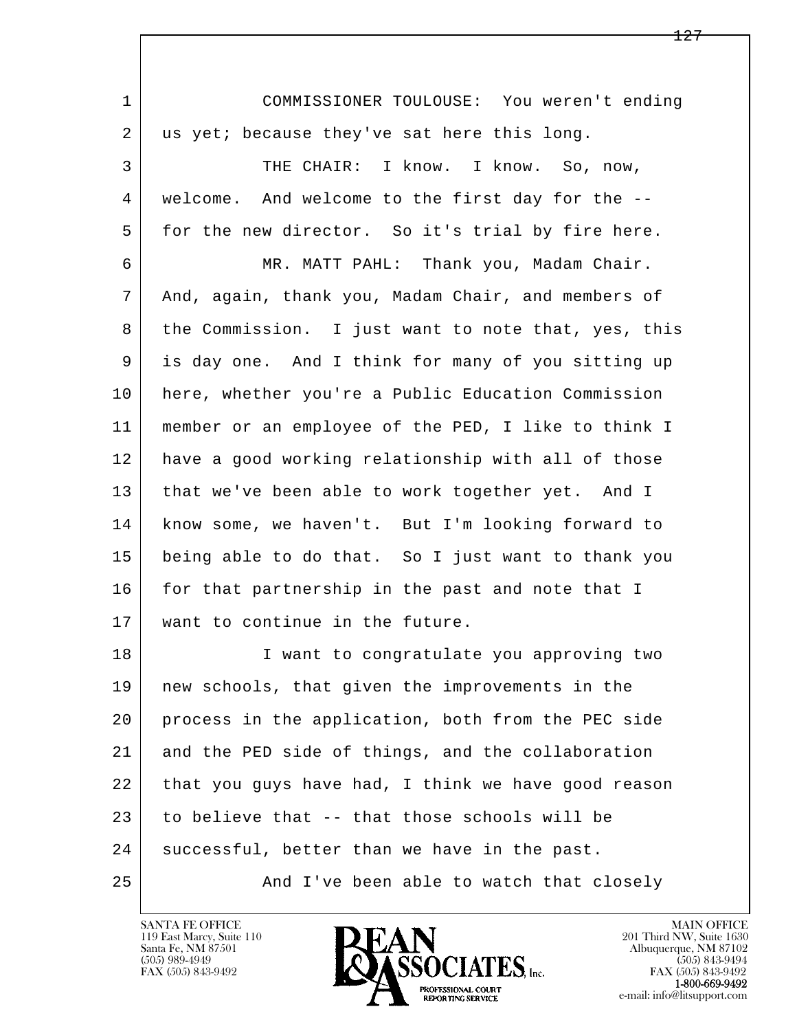| $\mathbf{1}$ | COMMISSIONER TOULOUSE: You weren't ending           |
|--------------|-----------------------------------------------------|
| 2            | us yet; because they've sat here this long.         |
| 3            | THE CHAIR: I know. I know. So, now,                 |
| 4            | welcome. And welcome to the first day for the --    |
| 5            | for the new director. So it's trial by fire here.   |
| 6            | MR. MATT PAHL: Thank you, Madam Chair.              |
| 7            | And, again, thank you, Madam Chair, and members of  |
| 8            | the Commission. I just want to note that, yes, this |
| 9            | is day one. And I think for many of you sitting up  |
| 10           | here, whether you're a Public Education Commission  |
| 11           | member or an employee of the PED, I like to think I |
| 12           | have a good working relationship with all of those  |
| 13           | that we've been able to work together yet. And I    |
| 14           | know some, we haven't. But I'm looking forward to   |
| 15           | being able to do that. So I just want to thank you  |
| 16           | for that partnership in the past and note that I    |
| 17           | want to continue in the future.                     |
| 18           | I want to congratulate you approving two            |
| 19           | new schools, that given the improvements in the     |
| 20           | process in the application, both from the PEC side  |
| 21           | and the PED side of things, and the collaboration   |
| 22           | that you guys have had, I think we have good reason |
| 23           | to believe that -- that those schools will be       |
| 24           | successful, better than we have in the past.        |
| 25           | And I've been able to watch that closely            |

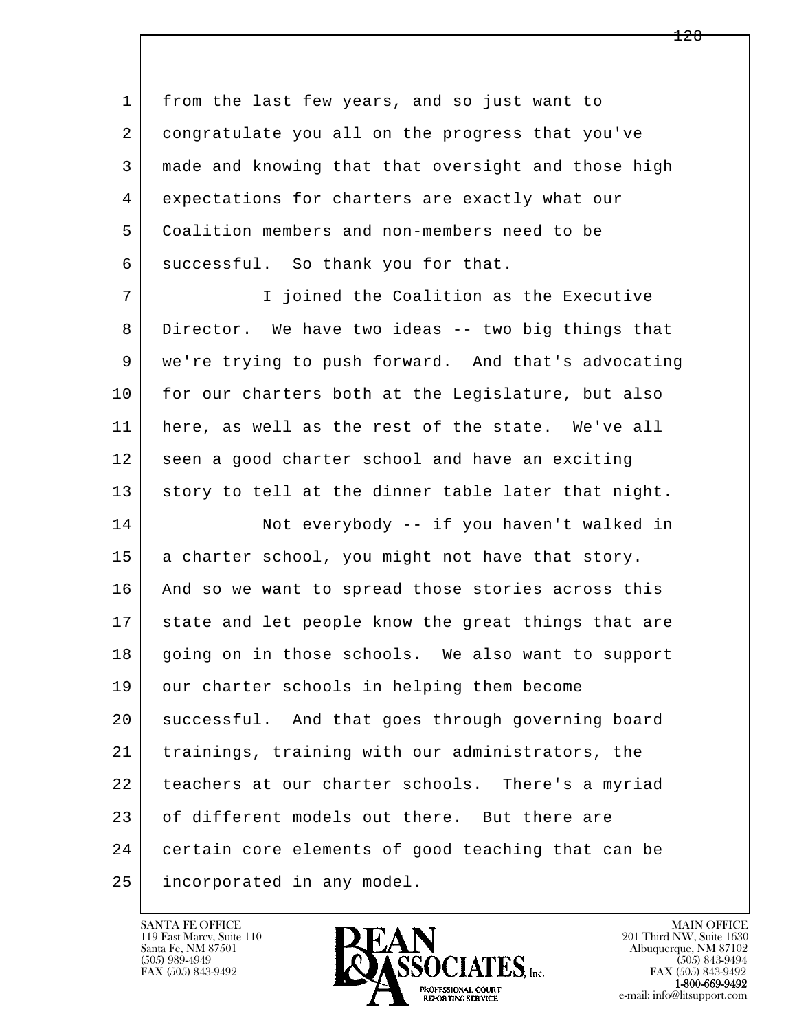l  $\overline{\phantom{a}}$  1 from the last few years, and so just want to 2 congratulate you all on the progress that you've 3 made and knowing that that oversight and those high 4 expectations for charters are exactly what our 5 Coalition members and non-members need to be 6 successful. So thank you for that. 7 I joined the Coalition as the Executive 8 Director. We have two ideas -- two big things that 9 | we're trying to push forward. And that's advocating 10 for our charters both at the Legislature, but also 11 here, as well as the rest of the state. We've all 12 seen a good charter school and have an exciting 13 story to tell at the dinner table later that night. 14 Not everybody -- if you haven't walked in 15 | a charter school, you might not have that story. 16 And so we want to spread those stories across this 17 state and let people know the great things that are 18 | going on in those schools. We also want to support 19 our charter schools in helping them become 20 successful. And that goes through governing board 21 trainings, training with our administrators, the 22 teachers at our charter schools. There's a myriad 23 of different models out there. But there are 24 certain core elements of good teaching that can be 25 incorporated in any model.

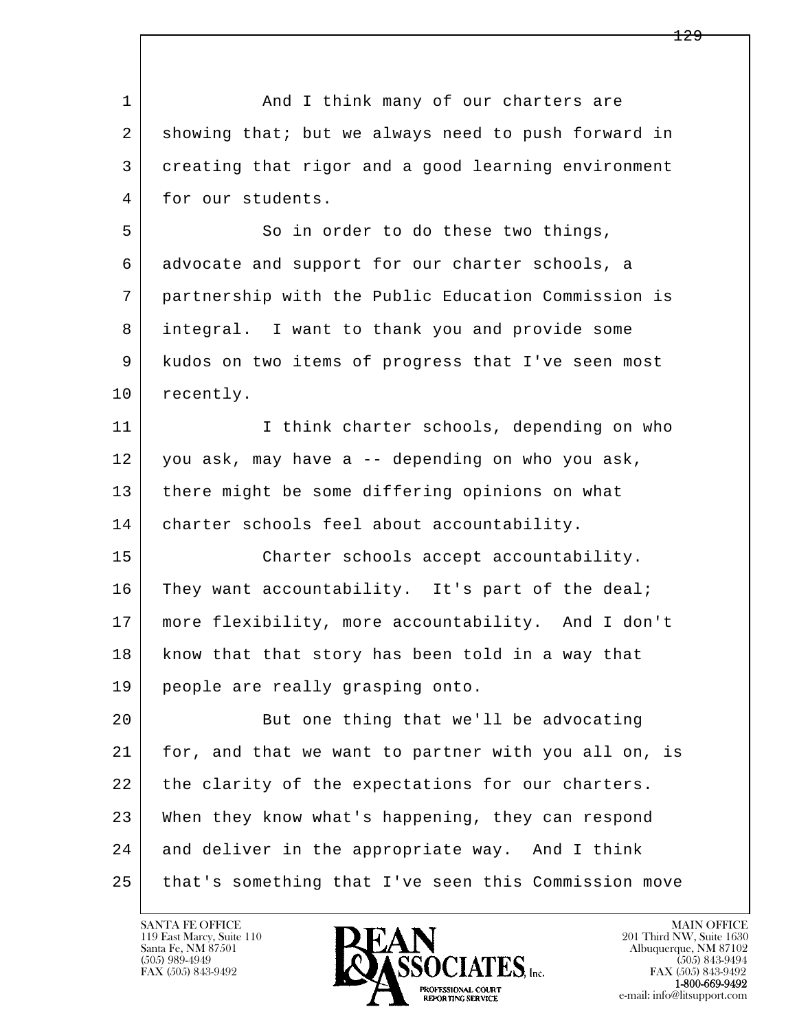| $\mathbf{1}$ | And I think many of our charters are                 |
|--------------|------------------------------------------------------|
| 2            | showing that; but we always need to push forward in  |
| 3            | creating that rigor and a good learning environment  |
| 4            | for our students.                                    |
| 5            | So in order to do these two things,                  |
| 6            | advocate and support for our charter schools, a      |
| 7            | partnership with the Public Education Commission is  |
| 8            | integral. I want to thank you and provide some       |
| 9            | kudos on two items of progress that I've seen most   |
| 10           | recently.                                            |
| 11           | I think charter schools, depending on who            |
| 12           | you ask, may have a -- depending on who you ask,     |
| 13           | there might be some differing opinions on what       |
| 14           | charter schools feel about accountability.           |
| 15           | Charter schools accept accountability.               |
| 16           | They want accountability. It's part of the deal;     |
| 17           | more flexibility, more accountability. And I don't   |
| 18           | know that that story has been told in a way that     |
| 19           | people are really grasping onto.                     |
| 20           | But one thing that we'll be advocating               |
| 21           | for, and that we want to partner with you all on, is |
| 22           | the clarity of the expectations for our charters.    |
| 23           | When they know what's happening, they can respond    |
| 24           | and deliver in the appropriate way. And I think      |
| 25           | that's something that I've seen this Commission move |

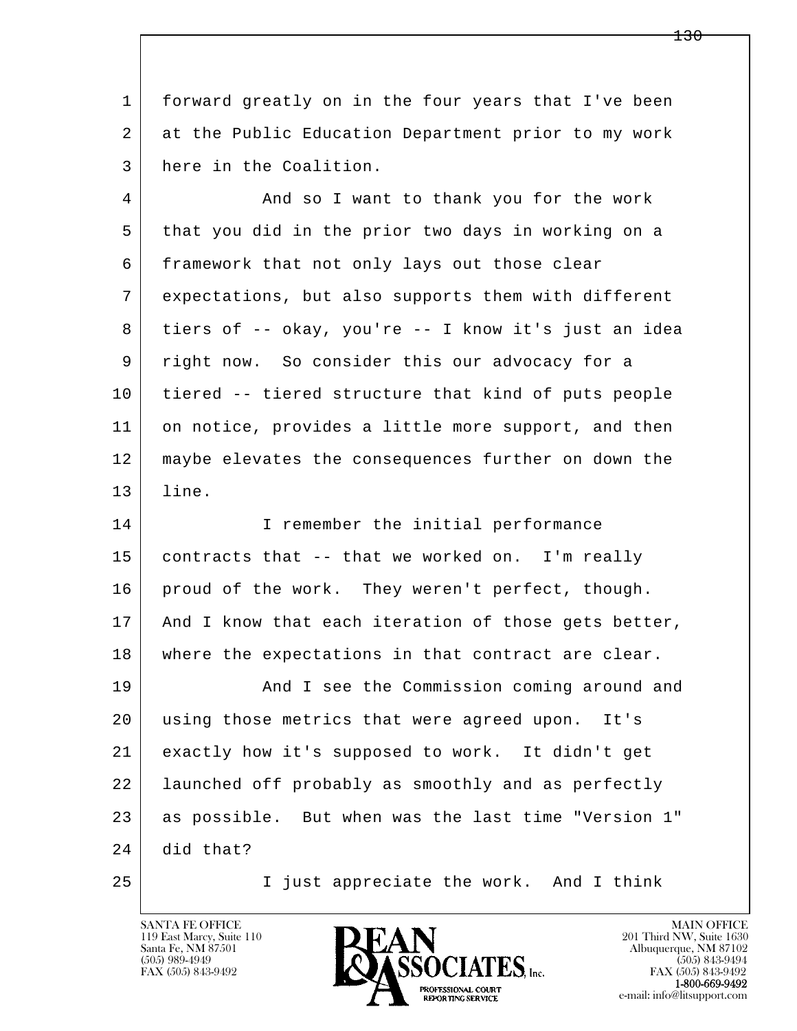1 forward greatly on in the four years that I've been 2 at the Public Education Department prior to my work 3 here in the Coalition.

4 And so I want to thank you for the work 5 that you did in the prior two days in working on a 6 framework that not only lays out those clear 7 expectations, but also supports them with different 8 tiers of -- okay, you're -- I know it's just an idea 9 right now. So consider this our advocacy for a 10 tiered -- tiered structure that kind of puts people 11 on notice, provides a little more support, and then 12 maybe elevates the consequences further on down the 13 line.

l  $\overline{\phantom{a}}$ 14 I remember the initial performance 15 contracts that -- that we worked on. I'm really 16 proud of the work. They weren't perfect, though. 17 | And I know that each iteration of those gets better, 18 where the expectations in that contract are clear. 19 | And I see the Commission coming around and 20 using those metrics that were agreed upon. It's 21 exactly how it's supposed to work. It didn't get 22 launched off probably as smoothly and as perfectly 23 | as possible. But when was the last time "Version 1" 24 did that? 25 I just appreciate the work. And I think

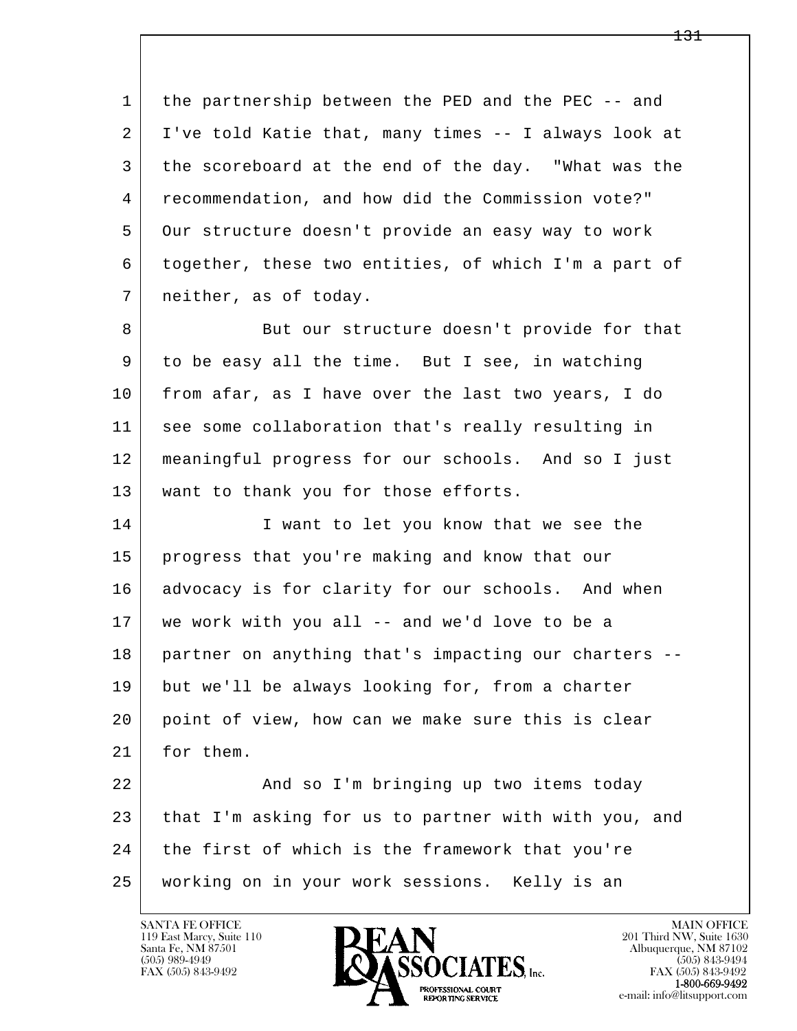1 the partnership between the PED and the PEC -- and 2 I've told Katie that, many times -- I always look at 3 the scoreboard at the end of the day. "What was the 4 recommendation, and how did the Commission vote?" 5 Our structure doesn't provide an easy way to work 6 together, these two entities, of which I'm a part of 7 neither, as of today.

8 But our structure doesn't provide for that 9 to be easy all the time. But I see, in watching 10 from afar, as I have over the last two years, I do 11 see some collaboration that's really resulting in 12 meaningful progress for our schools. And so I just 13 | want to thank you for those efforts.

14 I want to let you know that we see the 15 progress that you're making and know that our 16 advocacy is for clarity for our schools. And when 17 we work with you all -- and we'd love to be a 18 partner on anything that's impacting our charters -- 19 but we'll be always looking for, from a charter 20 point of view, how can we make sure this is clear 21 for them.

l  $\overline{\phantom{a}}$ 22 | And so I'm bringing up two items today 23 that I'm asking for us to partner with with you, and 24 | the first of which is the framework that you're 25 working on in your work sessions. Kelly is an



FAX (505) 843-9492<br>**1-800-669-9492**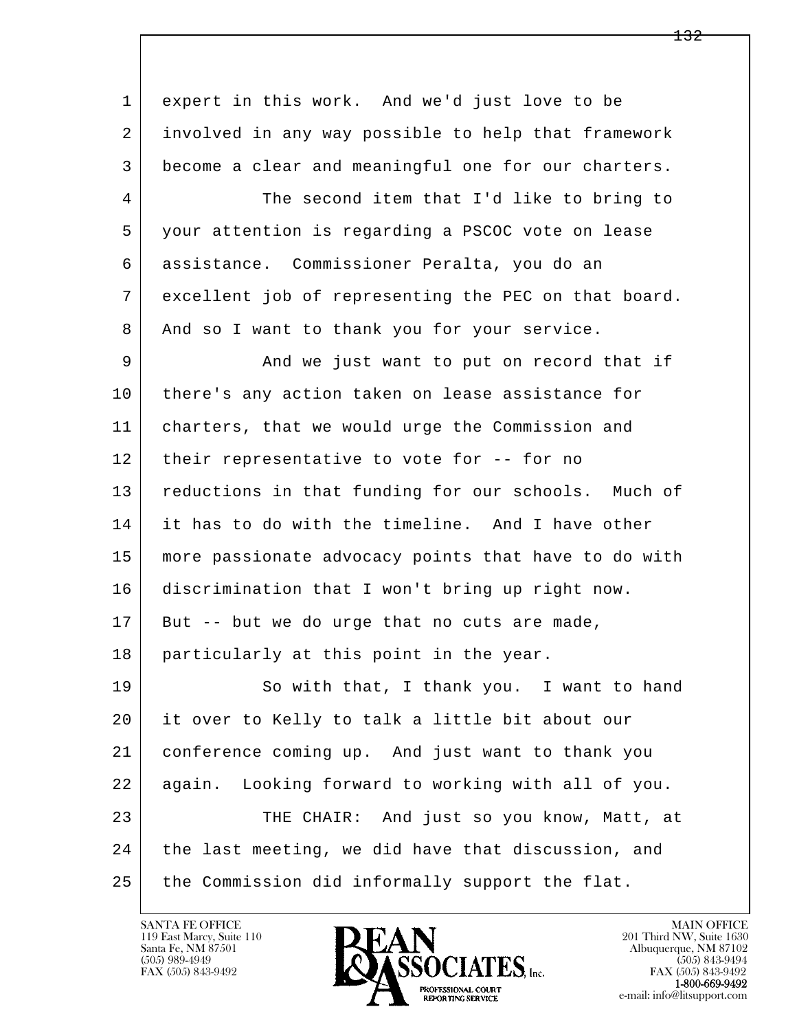| 1  | expert in this work. And we'd just love to be        |
|----|------------------------------------------------------|
| 2  | involved in any way possible to help that framework  |
| 3  | become a clear and meaningful one for our charters.  |
| 4  | The second item that I'd like to bring to            |
| 5  | your attention is regarding a PSCOC vote on lease    |
| 6  | assistance. Commissioner Peralta, you do an          |
| 7  | excellent job of representing the PEC on that board. |
| 8  | And so I want to thank you for your service.         |
| 9  | And we just want to put on record that if            |
| 10 | there's any action taken on lease assistance for     |
| 11 | charters, that we would urge the Commission and      |
| 12 | their representative to vote for -- for no           |
| 13 | reductions in that funding for our schools. Much of  |
| 14 | it has to do with the timeline. And I have other     |
| 15 | more passionate advocacy points that have to do with |
| 16 | discrimination that I won't bring up right now.      |
| 17 | But -- but we do urge that no cuts are made,         |
| 18 | particularly at this point in the year.              |
| 19 | So with that, I thank you. I want to hand            |
| 20 | it over to Kelly to talk a little bit about our      |
| 21 | conference coming up. And just want to thank you     |
| 22 | again. Looking forward to working with all of you.   |
| 23 | THE CHAIR: And just so you know, Matt, at            |
| 24 | the last meeting, we did have that discussion, and   |
| 25 | the Commission did informally support the flat.      |

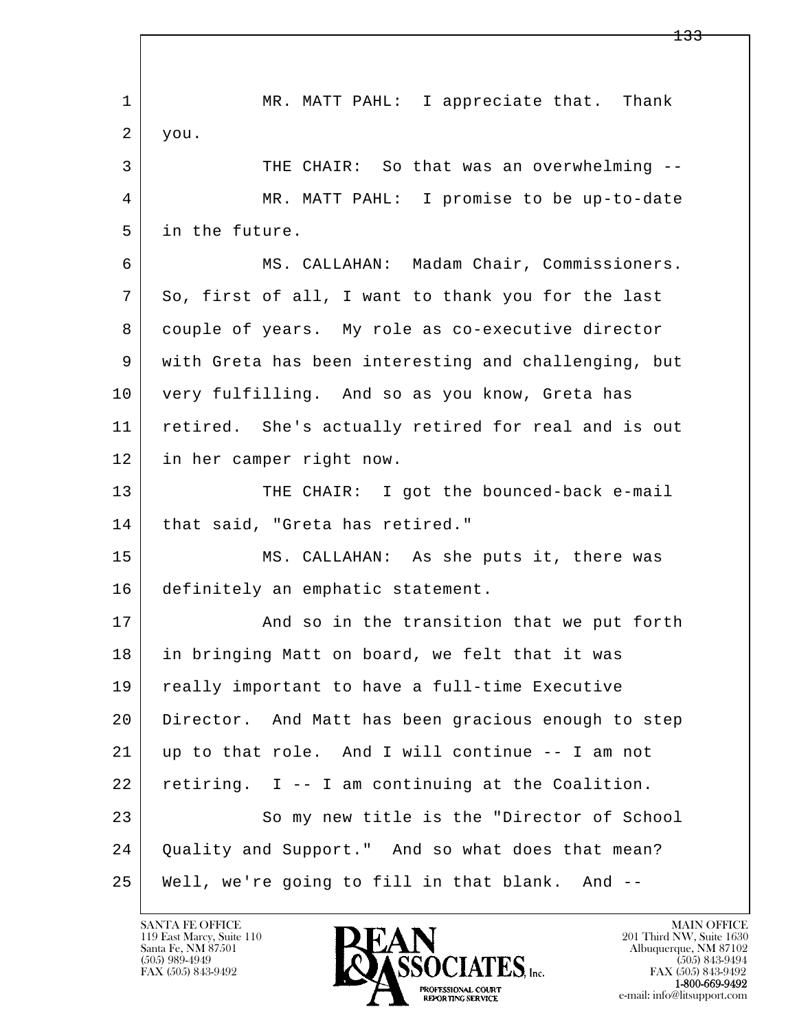l  $\overline{\phantom{a}}$ 1 MR. MATT PAHL: I appreciate that. Thank  $2 |$  you. 3 THE CHAIR: So that was an overwhelming --4 MR. MATT PAHL: I promise to be up-to-date 5 in the future. 6 MS. CALLAHAN: Madam Chair, Commissioners. 7 So, first of all, I want to thank you for the last 8 couple of years. My role as co-executive director 9 with Greta has been interesting and challenging, but 10 very fulfilling. And so as you know, Greta has 11 retired. She's actually retired for real and is out 12 in her camper right now. 13 THE CHAIR: I got the bounced-back e-mail 14 | that said, "Greta has retired." 15 MS. CALLAHAN: As she puts it, there was 16 definitely an emphatic statement. 17 | And so in the transition that we put forth 18 in bringing Matt on board, we felt that it was 19 | really important to have a full-time Executive 20 Director. And Matt has been gracious enough to step 21 up to that role. And I will continue -- I am not 22 retiring. I -- I am continuing at the Coalition. 23 So my new title is the "Director of School 24 Quality and Support." And so what does that mean? 25 Well, we're going to fill in that blank. And --

119 East Marcy, Suite 110<br>Santa Fe, NM 87501

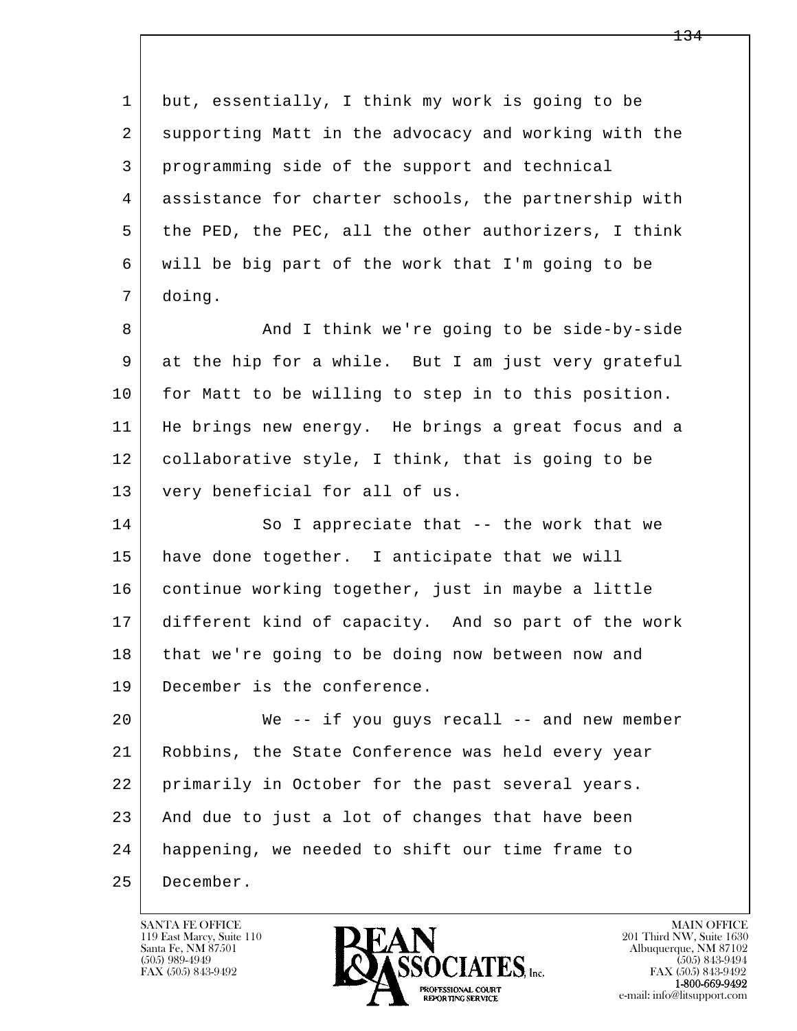l  $\overline{\phantom{a}}$  1 but, essentially, I think my work is going to be 2 supporting Matt in the advocacy and working with the 3 programming side of the support and technical 4 assistance for charter schools, the partnership with 5 | the PED, the PEC, all the other authorizers, I think 6 will be big part of the work that I'm going to be 7 doing. 8 And I think we're going to be side-by-side 9 at the hip for a while. But I am just very grateful 10 for Matt to be willing to step in to this position. 11 He brings new energy. He brings a great focus and a 12 collaborative style, I think, that is going to be 13 very beneficial for all of us. 14 So I appreciate that -- the work that we 15 have done together. I anticipate that we will 16 continue working together, just in maybe a little 17 different kind of capacity. And so part of the work 18 that we're going to be doing now between now and 19 December is the conference. 20 We -- if you guys recall -- and new member 21 Robbins, the State Conference was held every year 22 primarily in October for the past several years. 23 And due to just a lot of changes that have been 24 happening, we needed to shift our time frame to 25 December.

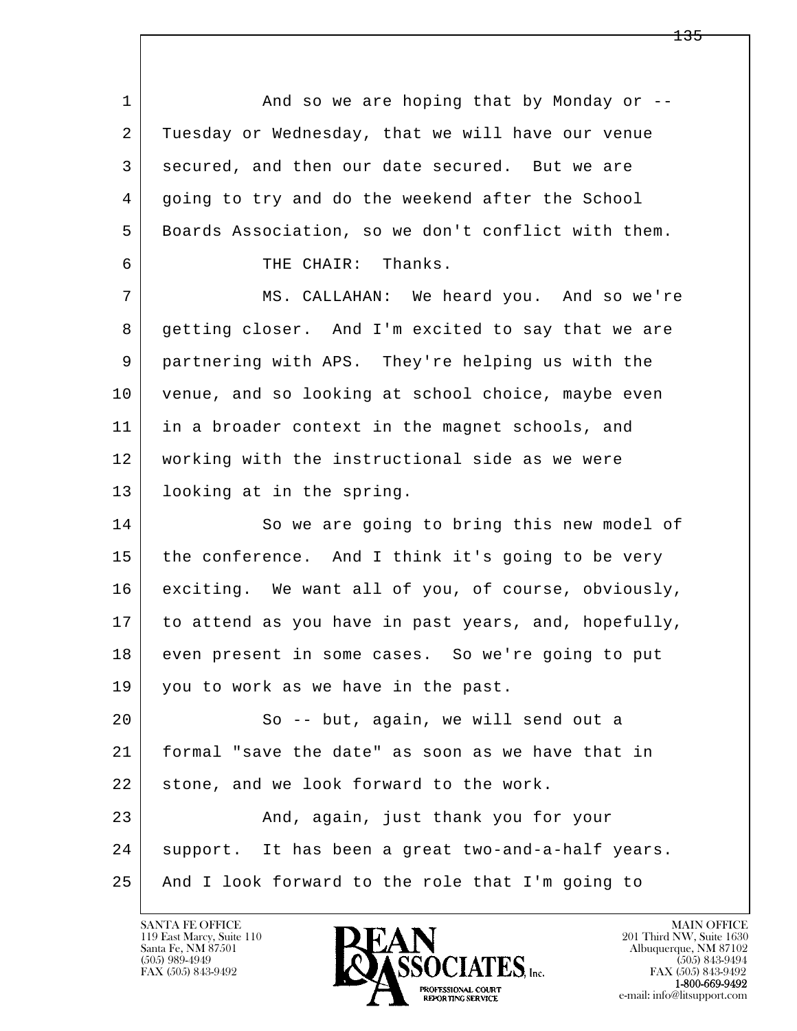l  $\overline{\phantom{a}}$ 1 And so we are hoping that by Monday or -- 2 Tuesday or Wednesday, that we will have our venue 3 secured, and then our date secured. But we are 4 going to try and do the weekend after the School 5 Boards Association, so we don't conflict with them. 6 THE CHAIR: Thanks. 7 MS. CALLAHAN: We heard you. And so we're 8 getting closer. And I'm excited to say that we are 9 partnering with APS. They're helping us with the 10 venue, and so looking at school choice, maybe even 11 in a broader context in the magnet schools, and 12 working with the instructional side as we were 13 looking at in the spring. 14 So we are going to bring this new model of 15 the conference. And I think it's going to be very 16 exciting. We want all of you, of course, obviously, 17 to attend as you have in past years, and, hopefully, 18 even present in some cases. So we're going to put 19 you to work as we have in the past. 20 So -- but, again, we will send out a 21 formal "save the date" as soon as we have that in 22 stone, and we look forward to the work. 23 And, again, just thank you for your 24 support. It has been a great two-and-a-half years. 25 And I look forward to the role that I'm going to

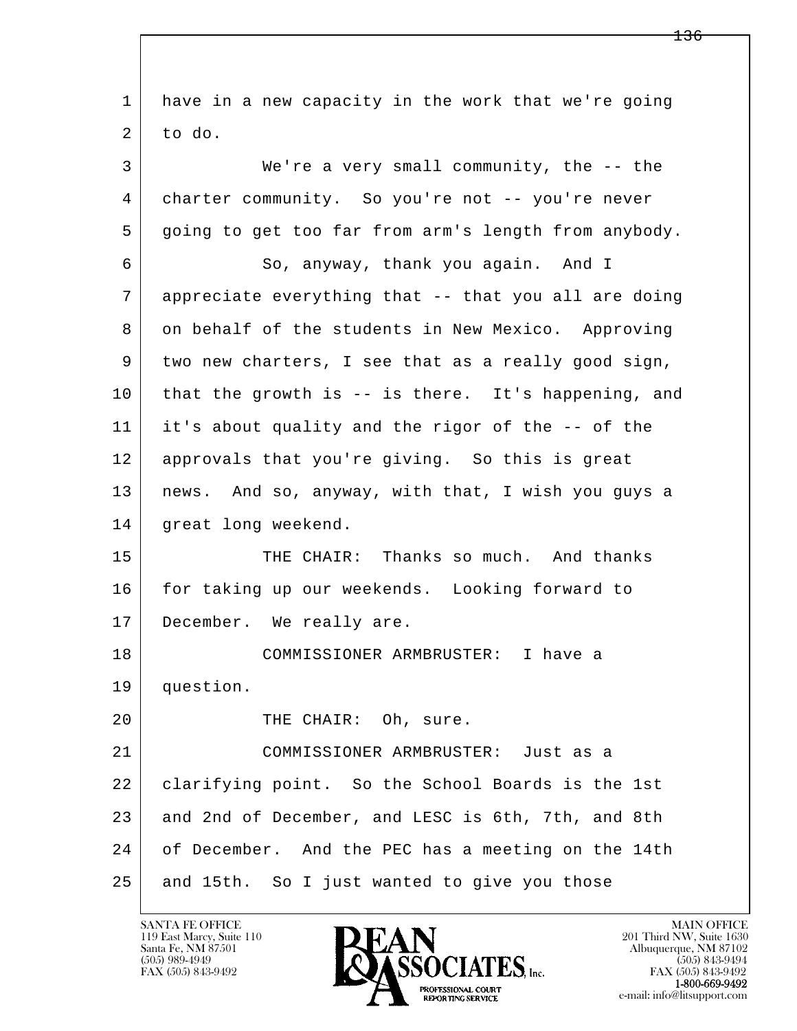l  $\overline{\phantom{a}}$  1 have in a new capacity in the work that we're going  $2$  to do. 3 We're a very small community, the -- the 4 charter community. So you're not -- you're never 5 going to get too far from arm's length from anybody. 6 So, anyway, thank you again. And I 7 appreciate everything that -- that you all are doing 8 on behalf of the students in New Mexico. Approving 9 two new charters, I see that as a really good sign, 10 that the growth is -- is there. It's happening, and 11 it's about quality and the rigor of the -- of the 12 approvals that you're giving. So this is great 13 news. And so, anyway, with that, I wish you guys a 14 | great long weekend. 15 THE CHAIR: Thanks so much. And thanks 16 for taking up our weekends. Looking forward to 17 December. We really are. 18 COMMISSIONER ARMBRUSTER: I have a 19 question. 20 THE CHAIR: Oh, sure. 21 COMMISSIONER ARMBRUSTER: Just as a 22 clarifying point. So the School Boards is the 1st 23 and 2nd of December, and LESC is 6th, 7th, and 8th 24 of December. And the PEC has a meeting on the 14th 25 and 15th. So I just wanted to give you those

119 East Marcy, Suite 110<br>Santa Fe, NM 87501



FAX (505) 843-9492 FAX (505) 843-9492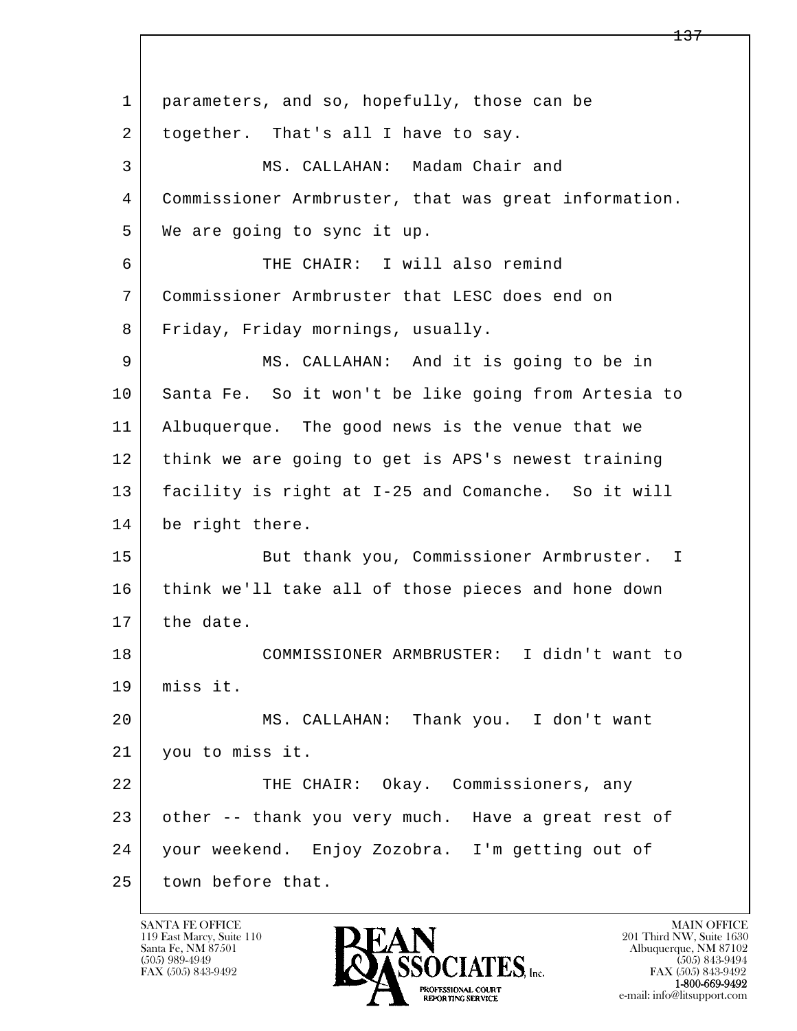l  $\overline{\phantom{a}}$ 1 | parameters, and so, hopefully, those can be 2 together. That's all I have to say. 3 MS. CALLAHAN: Madam Chair and 4 Commissioner Armbruster, that was great information. 5 We are going to sync it up. 6 | THE CHAIR: I will also remind 7 Commissioner Armbruster that LESC does end on 8 Friday, Friday mornings, usually. 9 MS. CALLAHAN: And it is going to be in 10 Santa Fe. So it won't be like going from Artesia to 11 Albuquerque. The good news is the venue that we 12 think we are going to get is APS's newest training 13 facility is right at I-25 and Comanche. So it will 14 be right there. 15 | But thank you, Commissioner Armbruster. I 16 think we'll take all of those pieces and hone down 17 the date. 18 COMMISSIONER ARMBRUSTER: I didn't want to 19 miss it. 20 MS. CALLAHAN: Thank you. I don't want 21 you to miss it. 22 THE CHAIR: Okay. Commissioners, any 23 other -- thank you very much. Have a great rest of 24 your weekend. Enjoy Zozobra. I'm getting out of 25 town before that.

119 East Marcy, Suite 110<br>Santa Fe, NM 87501

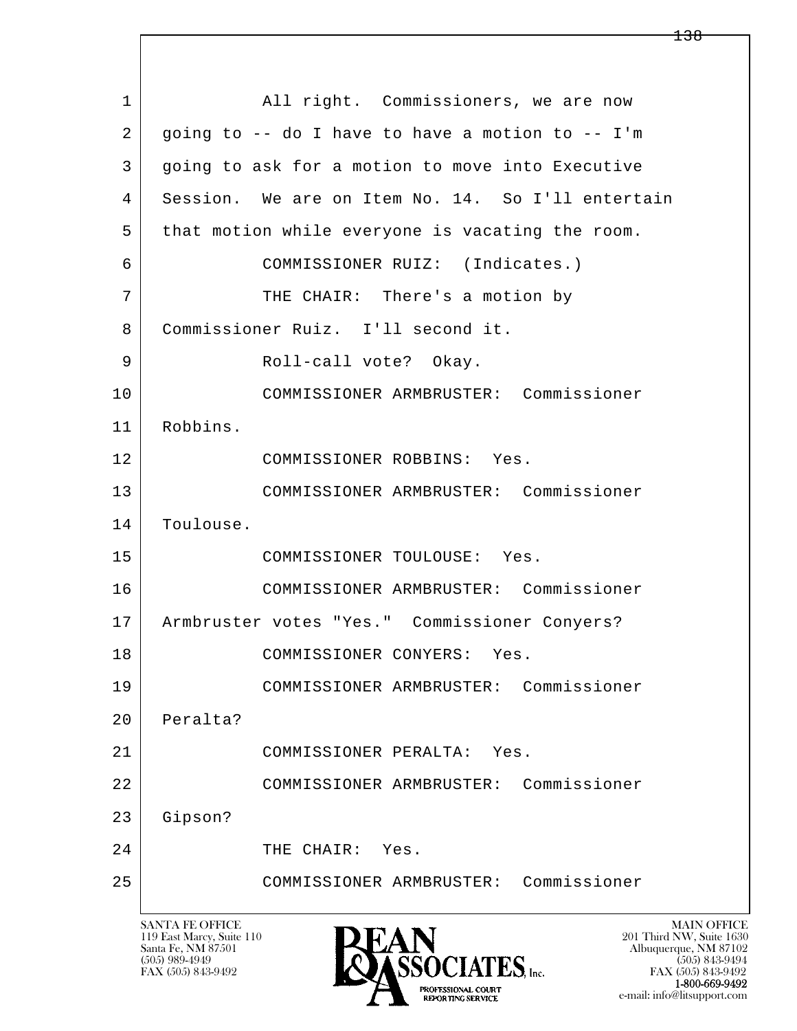l  $\overline{\phantom{a}}$ 1 | All right. Commissioners, we are now 2 going to -- do I have to have a motion to -- I'm 3 going to ask for a motion to move into Executive 4 Session. We are on Item No. 14. So I'll entertain 5 that motion while everyone is vacating the room. 6 COMMISSIONER RUIZ: (Indicates.) 7 | THE CHAIR: There's a motion by 8 Commissioner Ruiz. I'll second it. 9 Roll-call vote? Okay. 10 COMMISSIONER ARMBRUSTER: Commissioner 11 Robbins. 12 COMMISSIONER ROBBINS: Yes. 13 COMMISSIONER ARMBRUSTER: Commissioner 14 | Toulouse. 15 COMMISSIONER TOULOUSE: Yes. 16 COMMISSIONER ARMBRUSTER: Commissioner 17 Armbruster votes "Yes." Commissioner Conyers? 18 COMMISSIONER CONYERS: Yes. 19 COMMISSIONER ARMBRUSTER: Commissioner 20 Peralta? 21 COMMISSIONER PERALTA: Yes. 22 COMMISSIONER ARMBRUSTER: Commissioner 23 Gipson? 24 THE CHAIR: Yes. 25 COMMISSIONER ARMBRUSTER: Commissioner

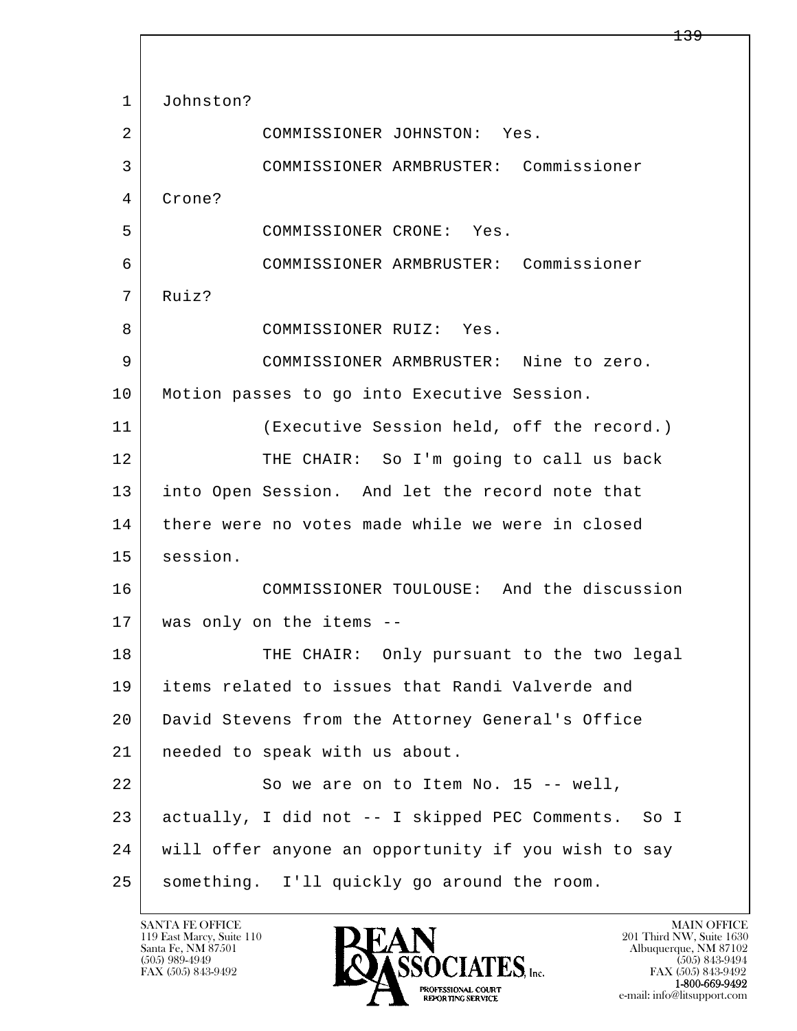l  $\overline{\phantom{a}}$ 1 Johnston? 2 COMMISSIONER JOHNSTON: Yes. 3 COMMISSIONER ARMBRUSTER: Commissioner 4 Crone? 5 COMMISSIONER CRONE: Yes. 6 COMMISSIONER ARMBRUSTER: Commissioner 7 Ruiz? 8 COMMISSIONER RUIZ: Yes. 9 COMMISSIONER ARMBRUSTER: Nine to zero. 10 | Motion passes to go into Executive Session. 11 (Executive Session held, off the record.) 12 THE CHAIR: So I'm going to call us back 13 into Open Session. And let the record note that 14 there were no votes made while we were in closed 15 session. 16 COMMISSIONER TOULOUSE: And the discussion 17 was only on the items -- 18 THE CHAIR: Only pursuant to the two legal 19 items related to issues that Randi Valverde and 20 David Stevens from the Attorney General's Office 21 needed to speak with us about. 22 | So we are on to Item No. 15 -- well, 23 actually, I did not -- I skipped PEC Comments. So I 24 will offer anyone an opportunity if you wish to say 25 something. I'll quickly go around the room.

119 East Marcy, Suite 110<br>Santa Fe, NM 87501

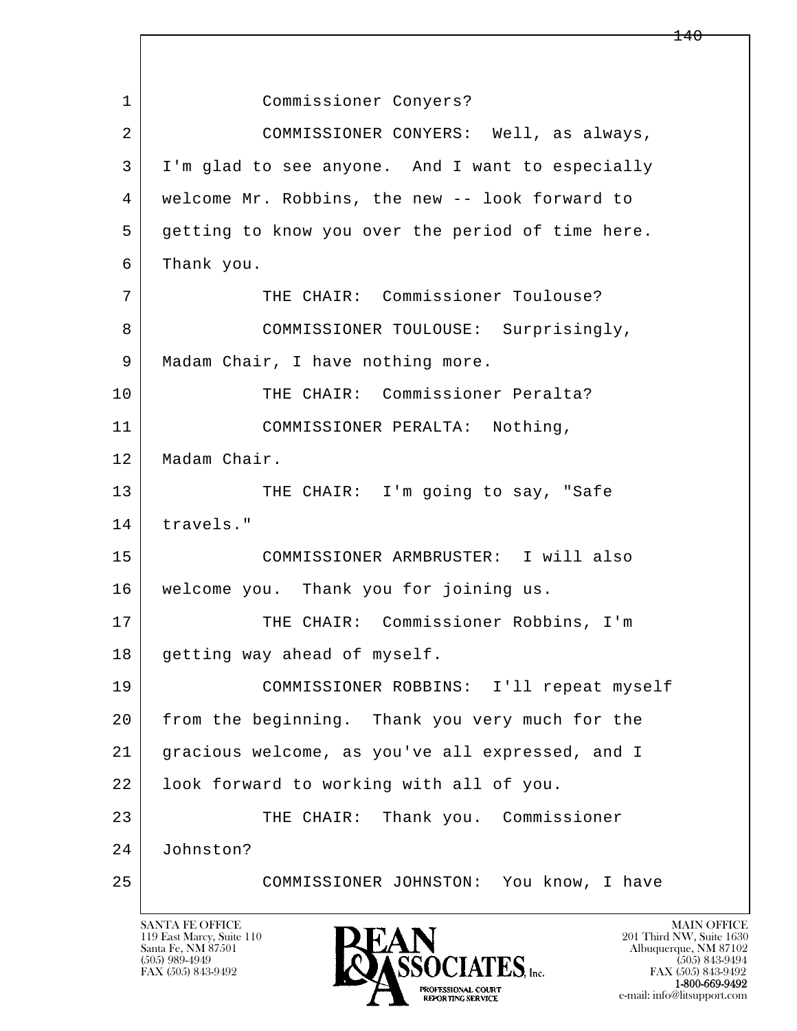l  $\overline{\phantom{a}}$  1 Commissioner Conyers? 2 COMMISSIONER CONYERS: Well, as always, 3 I'm glad to see anyone. And I want to especially 4 welcome Mr. Robbins, the new -- look forward to 5 getting to know you over the period of time here. 6 Thank you. 7 THE CHAIR: Commissioner Toulouse? 8 COMMISSIONER TOULOUSE: Surprisingly, 9 | Madam Chair, I have nothing more. 10 THE CHAIR: Commissioner Peralta? 11 | COMMISSIONER PERALTA: Nothing, 12 Madam Chair. 13 THE CHAIR: I'm going to say, "Safe 14 travels." 15 COMMISSIONER ARMBRUSTER: I will also 16 welcome you. Thank you for joining us. 17 | THE CHAIR: Commissioner Robbins, I'm 18 | getting way ahead of myself. 19 COMMISSIONER ROBBINS: I'll repeat myself 20 from the beginning. Thank you very much for the 21 gracious welcome, as you've all expressed, and I 22 look forward to working with all of you. 23 | THE CHAIR: Thank you. Commissioner 24 Johnston? 25 COMMISSIONER JOHNSTON: You know, I have

119 East Marcy, Suite 110<br>Santa Fe, NM 87501

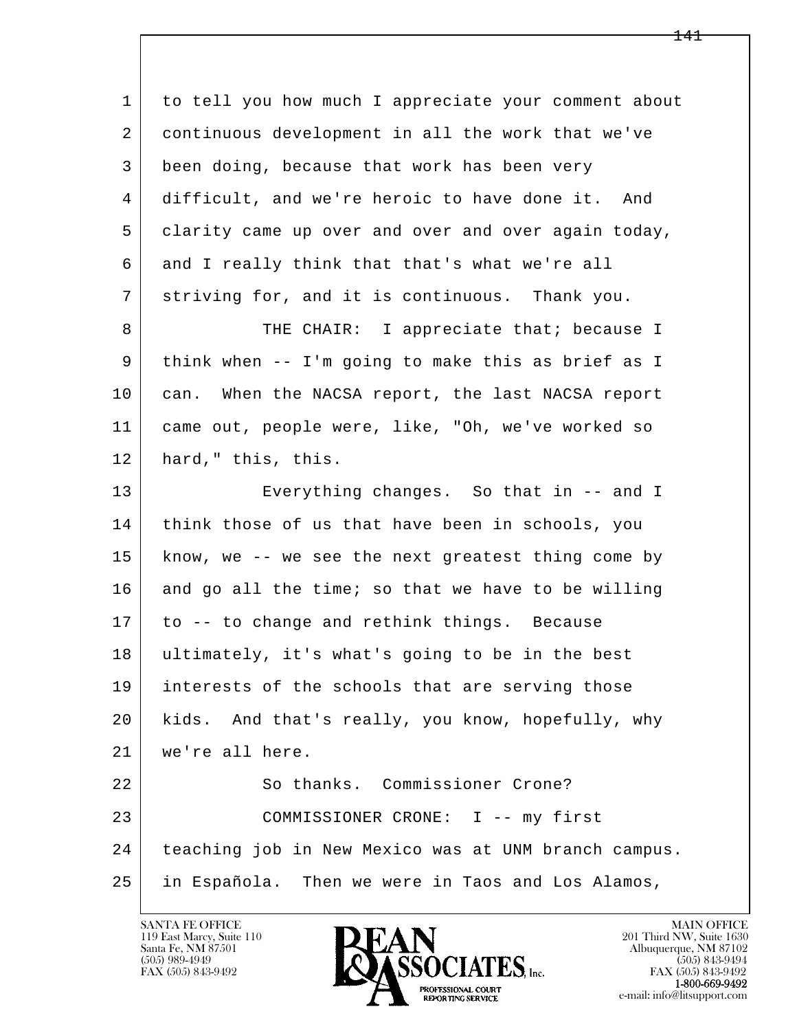l  $\overline{\phantom{a}}$  1 to tell you how much I appreciate your comment about 2 continuous development in all the work that we've 3 been doing, because that work has been very 4 difficult, and we're heroic to have done it. And 5 clarity came up over and over and over again today, 6 and I really think that that's what we're all 7 striving for, and it is continuous. Thank you. 8 THE CHAIR: I appreciate that; because I 9 think when -- I'm going to make this as brief as I 10 can. When the NACSA report, the last NACSA report 11 came out, people were, like, "Oh, we've worked so 12 hard," this, this. 13 Everything changes. So that in -- and I 14 think those of us that have been in schools, you 15 know, we -- we see the next greatest thing come by  $16$  and go all the time; so that we have to be willing 17 to -- to change and rethink things. Because 18 ultimately, it's what's going to be in the best 19 interests of the schools that are serving those 20 kids. And that's really, you know, hopefully, why 21 we're all here. 22 So thanks. Commissioner Crone? 23 | COMMISSIONER CRONE: I -- my first 24 teaching job in New Mexico was at UNM branch campus. 25 in Española. Then we were in Taos and Los Alamos,

119 East Marcy, Suite 110<br>Santa Fe, NM 87501

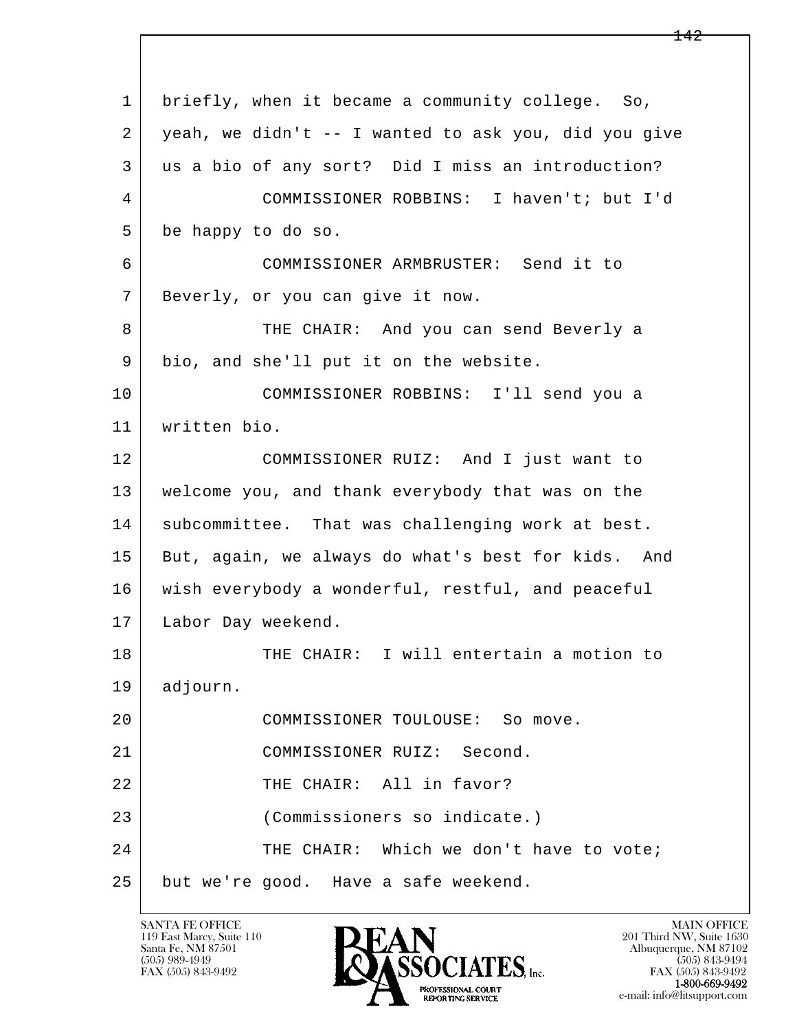l  $\overline{\phantom{a}}$  1 briefly, when it became a community college. So, 2 yeah, we didn't -- I wanted to ask you, did you give 3 us a bio of any sort? Did I miss an introduction? 4 COMMISSIONER ROBBINS: I haven't; but I'd 5 be happy to do so. 6 COMMISSIONER ARMBRUSTER: Send it to 7 Beverly, or you can give it now. 8 THE CHAIR: And you can send Beverly a 9 bio, and she'll put it on the website. 10 COMMISSIONER ROBBINS: I'll send you a 11 written bio. 12 COMMISSIONER RUIZ: And I just want to 13 welcome you, and thank everybody that was on the 14 | subcommittee. That was challenging work at best. 15 But, again, we always do what's best for kids. And 16 wish everybody a wonderful, restful, and peaceful 17 | Labor Day weekend. 18 | THE CHAIR: I will entertain a motion to 19 adjourn. 20 COMMISSIONER TOULOUSE: So move. 21 COMMISSIONER RUIZ: Second. 22 FHE CHAIR: All in favor? 23 (Commissioners so indicate.) 24 THE CHAIR: Which we don't have to vote; 25 but we're good. Have a safe weekend.

119 East Marcy, Suite 110<br>Santa Fe, NM 87501



FAX (505) 843-9492<br>1-800-669-9492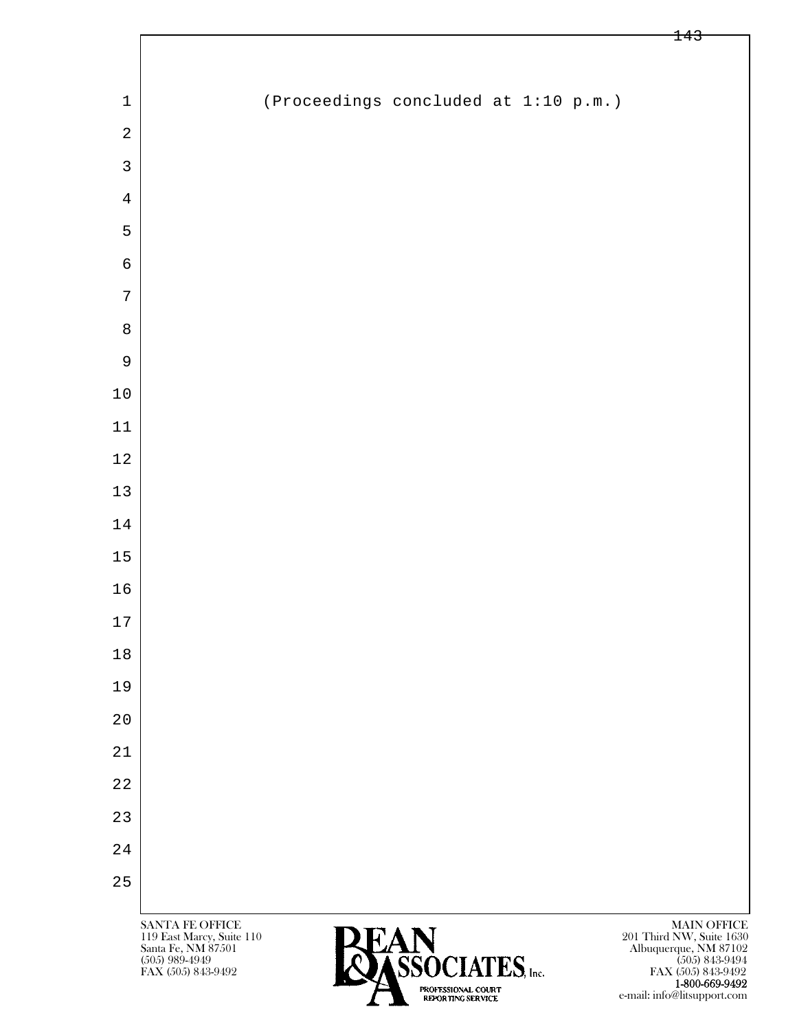| $\mathbf 1$    |  | (Proceedings concluded at 1:10 p.m.) |  |  |
|----------------|--|--------------------------------------|--|--|
| $\sqrt{2}$     |  |                                      |  |  |
| $\mathbf{3}$   |  |                                      |  |  |
| $\overline{4}$ |  |                                      |  |  |
| 5              |  |                                      |  |  |
| $\sqrt{6}$     |  |                                      |  |  |
| $\sqrt{ }$     |  |                                      |  |  |
| $\,8\,$        |  |                                      |  |  |
| $\mathsf 9$    |  |                                      |  |  |
| $10$           |  |                                      |  |  |
| $11\,$         |  |                                      |  |  |
| $1\,2$         |  |                                      |  |  |
| $13\,$         |  |                                      |  |  |
| $1\,4$         |  |                                      |  |  |
| $15$           |  |                                      |  |  |
| $16$           |  |                                      |  |  |
| $17\,$         |  |                                      |  |  |
| $1\,8$         |  |                                      |  |  |
| 19             |  |                                      |  |  |
| $2\,0$         |  |                                      |  |  |
| $2\sqrt{1}$    |  |                                      |  |  |
| $2\sqrt{2}$    |  |                                      |  |  |
| 23             |  |                                      |  |  |
| 24             |  |                                      |  |  |
| 25             |  |                                      |  |  |